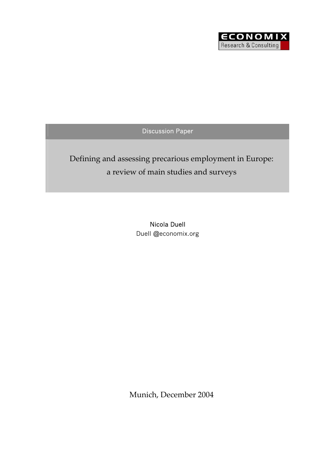

Discussion Paper

# Defining and assessing precarious employment in Europe: a review of main studies and surveys

Nicola Duell Duell @economix.org

Munich, December 2004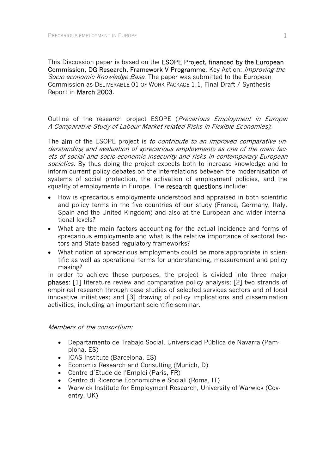This Discussion paper is based on the **ESOPE Project, financed by the European** Commission, DG Research, Framework V Programme, Key Action: Improving the Socio economic Knowledge Base. The paper was submitted to the European Commission as DELIVERABLE 01 OF WORK PACKAGE 1.1, Final Draft / Synthesis Report in March 2003.

Outline of the research project ESOPE (Precarious Employment in Europe: A Comparative Study of Labour Market related Risks in Flexible Economies):

The aim of the ESOPE project is to contribute to an improved comparative understanding and evaluation of «precarious employment» as one of the main facets of social and socio-economic insecurity and risks in contemporary European societies. By thus doing the project expects both to increase knowledge and to inform current policy debates on the interrelations between the modernisation of systems of social protection, the activation of employment policies, and the «quality of employment» in Europe. The research questions include:

- How is «precarious employment» understood and appraised in both scientific and policy terms in the five countries of our study (France, Germany, Italy, Spain and the United Kingdom) and also at the European and wider international levels?
- What are the main factors accounting for the actual incidence and forms of «precarious employment» and what is the relative importance of sectoral factors and State-based regulatory frameworks?
- What notion of «precarious employment» could be more appropriate in scientific as well as operational terms for understanding, measurement and policy making?

In order to achieve these purposes, the project is divided into three major phases: [1] literature review and comparative policy analysis; [2] two strands of empirical research through case studies of selected services sectors and of local innovative initiatives; and [3] drawing of policy implications and dissemination activities, including an important scientific seminar.

#### Members of the consortium:

- Departamento de Trabajo Social, Universidad Pública de Navarra (Pamplona, ES)
- ICAS Institute (Barcelona, ES)
- Economix Research and Consulting (Munich, D)
- Centre d'Etude de l'Emploi (Paris, FR)
- Centro di Ricerche Economiche e Sociali (Roma, IT)
- Warwick Institute for Employment Research, University of Warwick (Coventry, UK)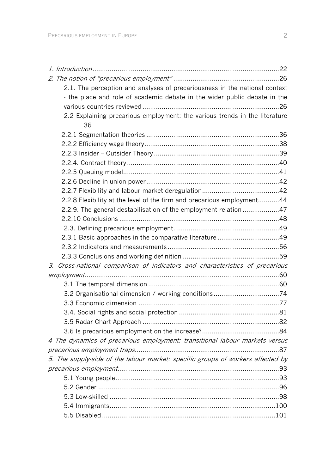| 2.1. The perception and analyses of precariousness in the national context      |  |
|---------------------------------------------------------------------------------|--|
| - the place and role of academic debate in the wider public debate in the       |  |
|                                                                                 |  |
| 2.2 Explaining precarious employment: the various trends in the literature      |  |
| 36                                                                              |  |
|                                                                                 |  |
|                                                                                 |  |
|                                                                                 |  |
|                                                                                 |  |
|                                                                                 |  |
|                                                                                 |  |
|                                                                                 |  |
| 2.2.8 Flexibility at the level of the firm and precarious employment44          |  |
| 2.2.9. The general destabilisation of the employment relation47                 |  |
|                                                                                 |  |
|                                                                                 |  |
|                                                                                 |  |
|                                                                                 |  |
|                                                                                 |  |
| 3. Cross-national comparison of indicators and characteristics of precarious    |  |
|                                                                                 |  |
|                                                                                 |  |
| 3.2 Organisational dimension / working conditions74                             |  |
|                                                                                 |  |
|                                                                                 |  |
|                                                                                 |  |
|                                                                                 |  |
| 4 The dynamics of precarious employment: transitional labour markets versus     |  |
|                                                                                 |  |
| 5. The supply-side of the labour market: specific groups of workers affected by |  |
|                                                                                 |  |
|                                                                                 |  |
|                                                                                 |  |
|                                                                                 |  |
|                                                                                 |  |
|                                                                                 |  |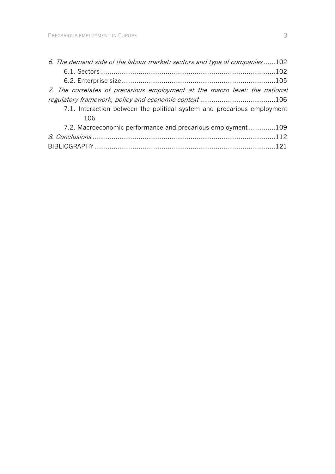| 6. The demand side of the labour market: sectors and type of companies102   |  |
|-----------------------------------------------------------------------------|--|
|                                                                             |  |
|                                                                             |  |
| 7. The correlates of precarious employment at the macro level: the national |  |
|                                                                             |  |
| 7.1. Interaction between the political system and precarious employment     |  |
| 106                                                                         |  |
| 7.2. Macroeconomic performance and precarious employment109                 |  |
|                                                                             |  |
|                                                                             |  |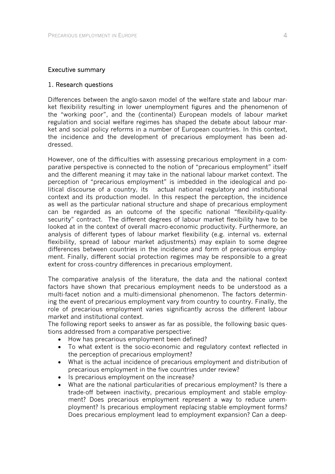#### Executive summary

#### 1. Research questions

Differences between the anglo-saxon model of the welfare state and labour market flexibility resulting in lower unemployment figures and the phenomenon of the "working poor", and the (continental) European models of labour market regulation and social welfare regimes has shaped the debate about labour market and social policy reforms in a number of European countries. In this context, the incidence and the development of precarious employment has been addressed.

However, one of the difficulties with assessing precarious employment in a comparative perspective is connected to the notion of "precarious employment" itself and the different meaning it may take in the national labour market context. The perception of "precarious employment" is imbedded in the ideological and political discourse of a country, its actual national regulatory and institutional context and its production model. In this respect the perception, the incidence as well as the particular national structure and shape of precarious employment can be regarded as an outcome of the specific national "flexibility-qualitysecurity" contract. The different degrees of labour market flexibility have to be looked at in the context of overall macro-economic productivity. Furthermore, an analysis of different types of labour market flexibility (e.g. internal vs. external flexibility, spread of labour market adjustments) may explain to some degree differences between countries in the incidence and form of precarious employment. Finally, different social protection regimes may be responsible to a great extent for cross-country differences in precarious employment.

The comparative analysis of the literature, the data and the national context factors have shown that precarious employment needs to be understood as a multi-facet notion and a multi-dimensional phenomenon. The factors determining the event of precarious employment vary from country to country. Finally, the role of precarious employment varies significantly across the different labour market and institutional context.

The following report seeks to answer as far as possible, the following basic questions addressed from a comparative perspective:

- How has precarious employment been defined?
- To what extent is the socio-economic and regulatory context reflected in the perception of precarious employment?
- What is the actual incidence of precarious employment and distribution of precarious employment in the five countries under review?
- Is precarious employment on the increase?
- What are the national particularities of precarious employment? Is there a trade-off between inactivity, precarious employment and stable employment? Does precarious employment represent a way to reduce unemployment? Is precarious employment replacing stable employment forms? Does precarious employment lead to employment expansion? Can a deep-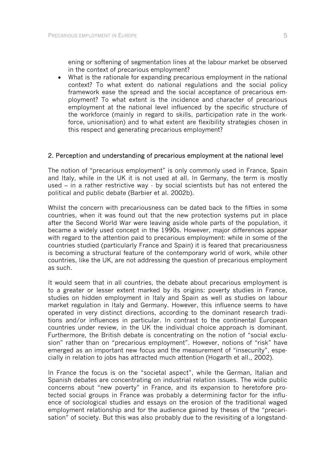ening or softening of segmentation lines at the labour market be observed in the context of precarious employment?

• What is the rationale for expanding precarious employment in the national context? To what extent do national regulations and the social policy framework ease the spread and the social acceptance of precarious employment? To what extent is the incidence and character of precarious employment at the national level influenced by the specific structure of the workforce (mainly in regard to skills, participation rate in the workforce, unionisation) and to what extent are flexibility strategies chosen in this respect and generating precarious employment?

#### 2. Perception and understanding of precarious employment at the national level

The notion of "precarious employment" is only commonly used in France, Spain and Italy, while in the UK it is not used at all. In Germany, the term is mostly used – in a rather restrictive way - by social scientists but has not entered the political and public debate (Barbier et al. 2002b).

Whilst the concern with precariousness can be dated back to the fifties in some countries, when it was found out that the new protection systems put in place after the Second World War were leaving aside whole parts of the population, it became a widely used concept in the 1990s. However, major differences appear with regard to the attention paid to precarious employment: while in some of the countries studied (particularly France and Spain) it is feared that precariousness is becoming a structural feature of the contemporary world of work, while other countries, like the UK, are not addressing the question of precarious employment as such.

It would seem that in all countries, the debate about precarious employment is to a greater or lesser extent marked by its origins: poverty studies in France, studies on hidden employment in Italy and Spain as well as studies on labour market regulation in Italy and Germany. However, this influence seems to have operated in very distinct directions, according to the dominant research traditions and/or influences in particular. In contrast to the continental European countries under review, in the UK the individual choice approach is dominant. Furthermore, the British debate is concentrating on the notion of "social exclusion" rather than on "precarious employment". However, notions of "risk" have emerged as an important new focus and the measurement of "insecurity", especially in relation to jobs has attracted much attention (Hogarth et all., 2002).

In France the focus is on the "societal aspect", while the German, Italian and Spanish debates are concentrating on industrial relation issues. The wide public concerns about "new poverty" in France, and its expansion to heretofore protected social groups in France was probably a determining factor for the influence of sociological studies and essays on the erosion of the traditional waged employment relationship and for the audience gained by theses of the "precarisation" of society. But this was also probably due to the revisiting of a longstand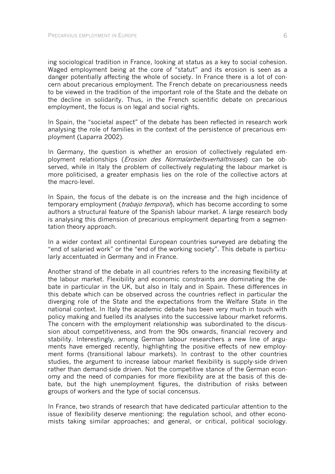ing sociological tradition in France, looking at status as a key to social cohesion. Waged employment being at the core of "statut" and its erosion is seen as a danger potentially affecting the whole of society. In France there is a lot of concern about precarious employment. The French debate on precariousness needs to be viewed in the tradition of the important role of the State and the debate on the decline in solidarity. Thus, in the French scientific debate on precarious employment, the focus is on legal and social rights.

In Spain, the "societal aspect" of the debate has been reflected in research work analysing the role of families in the context of the persistence of precarious employment (Laparra 2002).

In Germany, the question is whether an erosion of collectively regulated employment relationships (Erosion des Normalarbeitsverhältnisses) can be observed, while in Italy the problem of collectively regulating the labour market is more politicised, a greater emphasis lies on the role of the collective actors at the macro-level.

In Spain, the focus of the debate is on the increase and the high incidence of temporary employment (*trabajo temporal*), which has become according to some authors a structural feature of the Spanish labour market. A large research body is analysing this dimension of precarious employment departing from a segmentation theory approach.

In a wider context all continental European countries surveyed are debating the "end of salaried work" or the "end of the working society". This debate is particularly accentuated in Germany and in France.

Another strand of the debate in all countries refers to the increasing flexibility at the labour market. Flexibility and economic constraints are dominating the debate in particular in the UK, but also in Italy and in Spain. These differences in this debate which can be observed across the countries reflect in particular the diverging role of the State and the expectations from the Welfare State in the national context. In Italy the academic debate has been very much in touch with policy making and fuelled its analyses into the successive labour market reforms. The concern with the employment relationship was subordinated to the discussion about competitiveness, and from the 90s onwards, financial recovery and stability. Interestingly, among German labour researchers a new line of arguments have emerged recently, highlighting the positive effects of new employment forms (transitional labour markets). In contrast to the other countries studies, the argument to increase labour market flexibility is supply-side driven rather than demand-side driven. Not the competitive stance of the German economy and the need of companies for more flexibility are at the basis of this debate, but the high unemployment figures, the distribution of risks between groups of workers and the type of social concensus.

In France, two strands of research that have dedicated particular attention to the issue of flexibility deserve mentioning: the regulation school, and other economists taking similar approaches; and general, or critical, political sociology.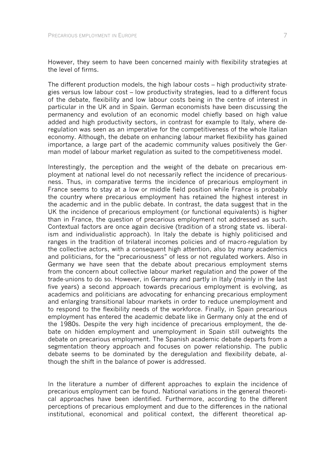However, they seem to have been concerned mainly with flexibility strategies at the level of firms.

The different production models, the high labour costs – high productivity strategies versus low labour cost – low productivity strategies, lead to a different focus of the debate, flexibility and low labour costs being in the centre of interest in particular in the UK and in Spain. German economists have been discussing the permanency and evolution of an economic model chiefly based on high value added and high productivity sectors, in contrast for example to Italy, where deregulation was seen as an imperative for the competitiveness of the whole Italian economy. Although, the debate on enhancing labour market flexibility has gained importance, a large part of the academic community values positively the German model of labour market regulation as suited to the competitiveness model.

Interestingly, the perception and the weight of the debate on precarious employment at national level do not necessarily reflect the incidence of precariousness. Thus, in comparative terms the incidence of precarious employment in France seems to stay at a low or middle field position while France is probably the country where precarious employment has retained the highest interest in the academic and in the public debate. In contrast, the data suggest that in the UK the incidence of precarious employment (or functional equivalents) is higher than in France, the question of precarious employment not addressed as such. Contextual factors are once again decisive (tradition of a strong state vs. liberalism and individualistic approach). In Italy the debate is highly politicised and ranges in the tradition of trilateral incomes policies and of macro-regulation by the collective actors, with a consequent high attention, also by many academics and politicians, for the "precariousness" of less or not regulated workers. Also in Germany we have seen that the debate about precarious employment stems from the concern about collective labour market regulation and the power of the trade-unions to do so. However, in Germany and partly in Italy (mainly in the last five years) a second approach towards precarious employment is evolving, as academics and politicians are advocating for enhancing precarious employment and enlarging transitional labour markets in order to reduce unemployment and to respond to the flexibility needs of the workforce. Finally, in Spain precarious employment has entered the academic debate like in Germany only at the end of the 1980s. Despite the very high incidence of precarious employment, the debate on hidden employment and unemployment in Spain still outweights the debate on precarious employment. The Spanish academic debate departs from a segmentation theory approach and focuses on power relationship. The public debate seems to be dominated by the deregulation and flexibility debate, although the shift in the balance of power is addressed.

In the literature a number of different approaches to explain the incidence of precarious employment can be found. National variations in the general theoretical approaches have been identified. Furthermore, according to the different perceptions of precarious employment and due to the differences in the national institutional, economical and political context, the different theoretical ap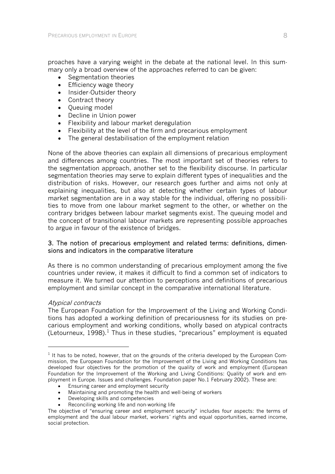proaches have a varying weight in the debate at the national level. In this summary only a broad overview of the approaches referred to can be given:

- Segmentation theories
- Efficiency wage theory
- Insider-Outsider theory
- Contract theory
- Queuing model
- Decline in Union power
- Flexibility and labour market deregulation
- Flexibility at the level of the firm and precarious employment
- The general destabilisation of the employment relation

None of the above theories can explain all dimensions of precarious employment and differences among countries. The most important set of theories refers to the segmentation approach, another set to the flexibility discourse. In particular segmentation theories may serve to explain different types of inequalities and the distribution of risks. However, our research goes further and aims not only at explaining inequalities, but also at detecting whether certain types of labour market segmentation are in a way stable for the individual, offering no possibilities to move from one labour market segment to the other, or whether on the contrary bridges between labour market segments exist. The queuing model and the concept of transitional labour markets are representing possible approaches to argue in favour of the existence of bridges.

#### 3. The notion of precarious employment and related terms: definitions, dimensions and indicators in the comparative literature

As there is no common understanding of precarious employment among the five countries under review, it makes it difficult to find a common set of indicators to measure it. We turned our attention to perceptions and definitions of precarious employment and similar concept in the comparative international literature.

#### Atypical contracts

-

The European Foundation for the Improvement of the Living and Working Conditions has adopted a working definition of precariousness for its studies on precarious employment and working conditions, wholly based on atypical contracts (Letourneux,  $1998$ ).<sup>1</sup> Thus in these studies, "precarious" employment is equated

- Ensuring career and employment security
- Maintaining and promoting the health and well-being of workers
- Developing skills and competencies
- Reconciling working life and non-working life

 $<sup>1</sup>$  It has to be noted, however, that on the grounds of the criteria developed by the European Com-</sup> mission, the European Foundation for the Improvement of the Living and Working Conditions has developed four objectives for the promotion of the quality of work and employment (European Foundation for the Improvement of the Working and Living Conditions: Quality of work and employment in Europe. Issues and challenges. Foundation paper No.1 February 2002). These are:

The objective of "ensuring career and employment security" includes four aspects: the terms of employment and the dual labour market, workers´ rights and equal opportunities, earned income, social protection.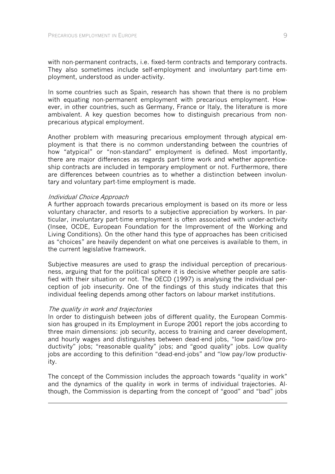with non-permanent contracts, i.e. fixed-term contracts and temporary contracts. They also sometimes include self-employment and involuntary part-time employment, understood as under-activity.

In some countries such as Spain, research has shown that there is no problem with equating non-permanent employment with precarious employment. However, in other countries, such as Germany, France or Italy, the literature is more ambivalent. A key question becomes how to distinguish precarious from nonprecarious atypical employment.

Another problem with measuring precarious employment through atypical employment is that there is no common understanding between the countries of how "atypical" or "non-standard" employment is defined. Most importantly, there are major differences as regards part-time work and whether apprenticeship contracts are included in temporary employment or not. Furthermore, there are differences between countries as to whether a distinction between involuntary and voluntary part-time employment is made.

#### Individual Choice Approach

A further approach towards precarious employment is based on its more or less voluntary character, and resorts to a subjective appreciation by workers. In particular, involuntary part-time employment is often associated with under-activity (Insee, OCDE, European Foundation for the Improvement of the Working and Living Conditions). On the other hand this type of approaches has been criticised as "choices" are heavily dependent on what one perceives is available to them, in the current legislative framework.

Subjective measures are used to grasp the individual perception of precariousness, arguing that for the political sphere it is decisive whether people are satisfied with their situation or not. The OECD (1997) is analysing the individual perception of job insecurity. One of the findings of this study indicates that this individual feeling depends among other factors on labour market institutions.

#### The quality in work and trajectories

-

In order to distinguish between jobs of different quality, the European Commission has grouped in its Employment in Europe 2001 report the jobs according to three main dimensions: job security, access to training and career development, and hourly wages and distinguishes between dead-end jobs, "low paid/low productivity" jobs; "reasonable quality" jobs; and "good quality" jobs. Low quality jobs are according to this definition "dead-end-jobs" and "low pay/low productivity.

The concept of the Commission includes the approach towards "quality in work" and the dynamics of the quality in work in terms of individual trajectories. Although, the Commission is departing from the concept of "good" and "bad" jobs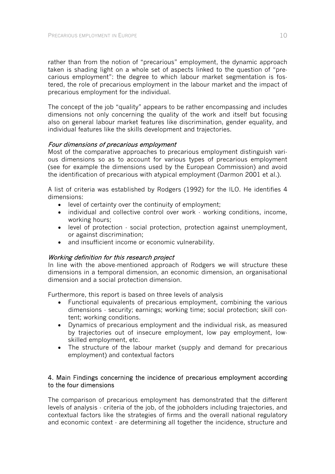rather than from the notion of "precarious" employment, the dynamic approach taken is shading light on a whole set of aspects linked to the question of "precarious employment": the degree to which labour market segmentation is fostered, the role of precarious employment in the labour market and the impact of precarious employment for the individual.

The concept of the job "quality" appears to be rather encompassing and includes dimensions not only concerning the quality of the work and itself but focusing also on general labour market features like discrimination, gender equality, and individual features like the skills development and trajectories.

#### Four dimensions of precarious employment

Most of the comparative approaches to precarious employment distinguish various dimensions so as to account for various types of precarious employment (see for example the dimensions used by the European Commission) and avoid the identification of precarious with atypical employment (Darmon 2001 et al.).

A list of criteria was established by Rodgers (1992) for the ILO. He identifies 4 dimensions:

- level of certainty over the continuity of employment;
- individual and collective control over work  $\cdot$  working conditions, income, working hours;
- level of protection social protection, protection against unemployment, or against discrimination;
- and insufficient income or economic vulnerability.

#### Working definition for this research project

In line with the above-mentioned approach of Rodgers we will structure these dimensions in a temporal dimension, an economic dimension, an organisational dimension and a social protection dimension.

Furthermore, this report is based on three levels of analysis

- Functional equivalents of precarious employment, combining the various dimensions - security; earnings; working time; social protection; skill content; working conditions.
- Dynamics of precarious employment and the individual risk, as measured by trajectories out of insecure employment, low pay employment, lowskilled employment, etc.
- The structure of the labour market (supply and demand for precarious employment) and contextual factors

#### 4. Main Findings concerning the incidence of precarious employment according to the four dimensions

The comparison of precarious employment has demonstrated that the different levels of analysis - criteria of the job, of the jobholders including trajectories, and contextual factors like the strategies of firms and the overall national regulatory and economic context - are determining all together the incidence, structure and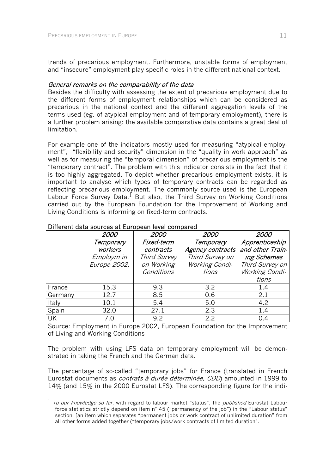trends of precarious employment. Furthermore, unstable forms of employment and "insecure" employment play specific roles in the different national context.

#### General remarks on the comparability of the data

Besides the difficulty with assessing the extent of precarious employment due to the different forms of employment relationships which can be considered as precarious in the national context and the different aggregation levels of the terms used (eg. of atypical employment and of temporary employment), there is a further problem arising: the available comparative data contains a great deal of limitation.

For example one of the indicators mostly used for measuring "atypical employment", "flexibility and security" dimension in the "quality in work approach" as well as for measuring the "temporal dimension" of precarious employment is the "temporary contract". The problem with this indicator consists in the fact that it is too highly aggregated. To depict whether precarious employment exists, it is important to analyse which types of temporary contracts can be regarded as reflecting precarious employment. The commonly source used is the European Labour Force Survey Data.<sup>1</sup> But also, the Third Survey on Working Conditions carried out by the European Foundation for the Improvement of Working and Living Conditions is informing on fixed-term contracts.

|         | 2000         | 2000                | <i>2000</i>      | 2000             |
|---------|--------------|---------------------|------------------|------------------|
|         | Temporary    | Fixed-term          | Temporary        | Apprenticeship   |
|         | workers      | contracts           | Agency contracts | and other Train- |
|         | Employm in   | <b>Third Survey</b> | Third Survey on  | ing Schemes      |
|         | Europe 2002, | on Working          | Working Condi-   | Third Survey on  |
|         |              | Conditions          | tions            | Working Condi-   |
|         |              |                     |                  | tions            |
| France  | 15.3         | 9.3                 | 3.2              | 1.4              |
| Germany | 12.7         | 8.5                 | 0.6              | 2.1              |
| Italy   | 10.1         | 5.4                 | 5.0              | $4.2^{\circ}$    |
| Spain   | 32.0         | 27.1                | 2.3              | 1.4              |
| UK      | 7.0          | 9.2                 | 2.2              | 0.4              |

#### Different data sources at European level compared

-

Source: Employment in Europe 2002, European Foundation for the Improvement of Living and Working Conditions

The problem with using LFS data on temporary employment will be demonstrated in taking the French and the German data.

The percentage of so-called "temporary jobs" for France (translated in French Eurostat documents as *contrats à durée déterminée, CDD*) amounted in 1999 to 14% (and 15% in the 2000 Eurostat LFS). The corresponding figure for the indi-

 $1$  To our knowledge so far, with regard to labour market "status", the *published* Eurostat Labour force statistics strictly depend on item n° 45 ("permanency of the job") in the "Labour status" section, [an item which separates "permanent jobs or work contract of unlimited duration" from all other forms added together ("temporary jobs/work contracts of limited duration".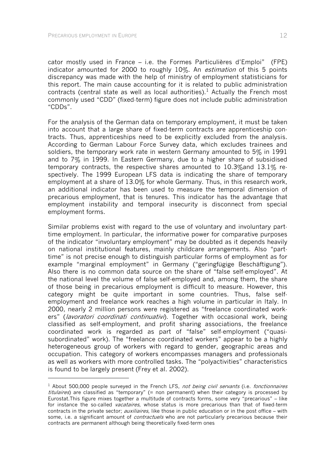l

cator mostly used in France – i.e. the Formes Particulières d'Emploi" (FPE) indicator amounted for 2000 to roughly 10%. An *estimation* of this 5 points discrepancy was made with the help of ministry of employment statisticians for this report. The main cause accounting for it is related to public administration contracts (central state as well as local authorities).<sup>1</sup> Actually the French most commonly used "CDD" (fixed-term) figure does not include public administration "CDDs".

For the analysis of the German data on temporary employment, it must be taken into account that a large share of fixed-term contracts are apprenticeship contracts. Thus, apprenticeships need to be explicitly excluded from the analysis. According to German Labour Force Survey data, which excludes trainees and soldiers, the temporary work rate in western Germany amounted to 5% in 1991 and to 7% in 1999. In Eastern Germany, due to a higher share of subsidised temporary contracts, the respective shares amounted to 10.3%and 13.1% respectively. The 1999 European LFS data is indicating the share of temporary employment at a share of 13.0% for whole Germany. Thus, in this research work, an additional indicator has been used to measure the temporal dimension of precarious employment, that is tenures. This indicator has the advantage that employment instability and temporal insecurity is disconnect from special employment forms.

Similar problems exist with regard to the use of voluntary and involuntary parttime employment. In particular, the informative power for comparative purposes of the indicator "involuntary employment" may be doubted as it depends heavily on national institutional features, mainly childcare arrangements. Also "parttime" is not precise enough to distinguish particular forms of employment as for example "marginal employment" in Germany ("geringfügige Beschäftigung"). Also there is no common data source on the share of "false self-employed". At the national level the volume of false self-employed and, among them, the share of those being in precarious employment is difficult to measure. However, this category might be quite important in some countries. Thus, false selfemployment and freelance work reaches a high volume in particular in Italy. In 2000, nearly 2 million persons were registered as "freelance coordinated workers" (lavoratori coordinati continuativi). Together with occasional work, being classified as self-employment, and profit sharing associations, the freelance coordinated work is regarded as part of "false" self-employment ("quasisubordinated" work). The "freelance coordinated workers" appear to be a highly heterogeneous group of workers with regard to gender, geographic areas and occupation. This category of workers encompasses managers and professionals as well as workers with more controlled tasks. The "polyactivities" characteristics is found to be largely present (Frey et al. 2002).

 $<sup>1</sup>$  About 500,000 people surveyed in the French LFS, not being civil servants (i.e. fonctionnaires</sup> titulaires) are classified as "temporary" (= non permanent) when their category is processed by Eurostat.This figure mixes together a multitude of contracts forms, some very "precarious" – like for instance the so-called *vacataires*, whose status is more precarious than that of fixed-term contracts in the private sector; *auxiliaires*, like those in public education or in the post office – with some, i.e. a significant amount of *contractuels* who are not particularly precarious because their contracts are permanent although being theoretically fixed-term ones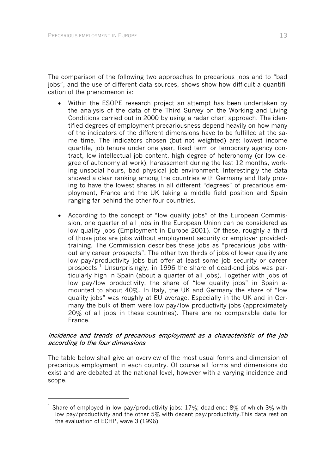-

The comparison of the following two approaches to precarious jobs and to "bad jobs", and the use of different data sources, shows show how difficult a quantification of the phenomenon is:

- Within the ESOPE research project an attempt has been undertaken by the analysis of the data of the Third Survey on the Working and Living Conditions carried out in 2000 by using a radar chart approach. The identified degrees of employment precariousness depend heavily on how many of the indicators of the different dimensions have to be fulfilled at the same time. The indicators chosen (but not weighted) are: lowest income quartile, job tenure under one year, fixed term or temporary agency contract, low intellectual job content, high degree of heteronomy (or low degree of autonomy at work), harassement during the last 12 months, working unsocial hours, bad physical job environment. Interestingly the data showed a clear ranking among the countries with Germany and Italy proving to have the lowest shares in all different "degrees" of precarious employment, France and the UK taking a middle field position and Spain ranging far behind the other four countries.
- According to the concept of "low quality jobs" of the European Commission, one quarter of all jobs in the European Union can be considered as low quality jobs (Employment in Europe 2001). Of these, roughly a third of those jobs are jobs without employment security or employer providedtraining. The Commission describes these jobs as "precarious jobs without any career prospects". The other two thirds of jobs of lower quality are low pay/productivity jobs but offer at least some job security or career prospects.<sup>1</sup> Unsurprisingly, in 1996 the share of dead-end jobs was particularly high in Spain (about a quarter of all jobs). Together with jobs of low pay/low productivity, the share of "low quality jobs" in Spain amounted to about 40%. In Italy, the UK and Germany the share of "low quality jobs" was roughly at EU average. Especially in the UK and in Germany the bulk of them were low pay/low productivity jobs (approximately 20% of all jobs in these countries). There are no comparable data for France.

#### Incidence and trends of precarious employment as a characteristic of the job according to the four dimensions

The table below shall give an overview of the most usual forms and dimension of precarious employment in each country. Of course all forms and dimensions do exist and are debated at the national level, however with a varying incidence and scope.

<sup>&</sup>lt;sup>1</sup> Share of employed in low pay/productivity jobs: 17%; dead-end: 8% of which 3% with low pay/productivity and the other 5% with decent pay/productivity. This data rest on the evaluation of ECHP, wave 3 (1996)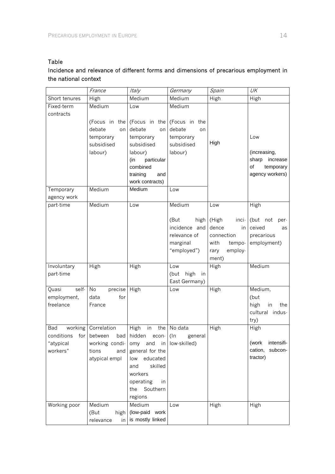# Table

# Incidence and relevance of different forms and dimensions of precarious employment in the national context

|                | France              | Italy                       | Germany               | Spain                           | UK                         |
|----------------|---------------------|-----------------------------|-----------------------|---------------------------------|----------------------------|
| Short tenures  | High                | Medium                      | Medium                | High                            | High                       |
| Fixed-term     | Medium              | Low                         | Medium                |                                 |                            |
| contracts      |                     |                             |                       |                                 |                            |
|                |                     | (Focus in the (Focus in the | (Focus in the         |                                 |                            |
|                | debate<br>on        | debate<br>on                | debate<br>on          |                                 |                            |
|                | temporary           | temporary                   | temporary             |                                 | Low                        |
|                | subsidised          | subsidised                  | subsidised            | High                            |                            |
|                | labour)             | labour)                     | labour)               |                                 | (increasing,               |
|                |                     | particular<br>(in           |                       |                                 | sharp<br>increase          |
|                |                     | combined                    |                       |                                 | of<br>temporary            |
|                |                     | training<br>and             |                       |                                 | agency workers)            |
|                |                     | work contracts)             |                       |                                 |                            |
| Temporary      | Medium              | Medium                      | Low                   |                                 |                            |
| agency work    |                     |                             |                       |                                 |                            |
| part-time      | Medium              | Low                         | Medium                | Low                             | High                       |
|                |                     |                             |                       |                                 |                            |
|                |                     |                             | (But<br>incidence and | high $(High)$<br>inci-<br>dence | (but not<br>per-<br>ceived |
|                |                     |                             |                       | in                              | as                         |
|                |                     |                             | relevance of          | connection                      | precarious                 |
|                |                     |                             | marginal              | with<br>tempo-                  | employment)                |
|                |                     |                             | "employed")           | employ-<br>rary                 |                            |
| Involuntary    | High                | High                        | Low                   | ment)<br>High                   | Medium                     |
| part-time      |                     |                             | high<br>(but<br>in    |                                 |                            |
|                |                     |                             | East Germany)         |                                 |                            |
| self-<br>Quasi | No<br>precise       | High                        | Low                   | High                            | Medium,                    |
| employment,    | data<br>for         |                             |                       |                                 | (but                       |
| freelance      | France              |                             |                       |                                 | high<br>the<br>in          |
|                |                     |                             |                       |                                 | cultural indus-            |
|                |                     |                             |                       |                                 | try)                       |
| Bad            | working Correlation | High<br>in<br>the           | No data               | High                            | High                       |
| conditions     | for between<br>bad  | hidden<br>econ-             | $($ ln<br>general     |                                 |                            |
| "atypical      | working condi- omy  |                             | and in low-skilled)   |                                 | intensifi-<br>(work        |
| workers"       | tions<br>and        | general for the             |                       |                                 | cation,<br>subcon-         |
|                | atypical empl       | educated<br>low             |                       |                                 | tractor)                   |
|                |                     | skilled<br>and              |                       |                                 |                            |
|                |                     | workers                     |                       |                                 |                            |
|                |                     | operating<br>in             |                       |                                 |                            |
|                |                     | Southern<br>the             |                       |                                 |                            |
|                |                     | regions                     |                       |                                 |                            |
| Working poor   | Medium              | Medium                      | Low                   | High                            | High                       |
|                | (But<br>high        | (low-paid work              |                       |                                 |                            |
|                | relevance<br>in I   | is mostly linked            |                       |                                 |                            |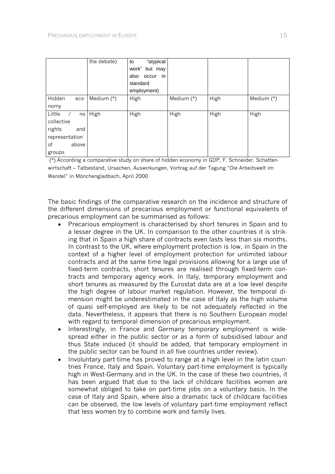|                | the debate)  | "atypical<br>to  |              |      |            |
|----------------|--------------|------------------|--------------|------|------------|
|                |              | work" but may    |              |      |            |
|                |              | in<br>also occur |              |      |            |
|                |              | standard         |              |      |            |
|                |              | employment)      |              |      |            |
| Hidden<br>eco- | Medium $(*)$ | High             | Medium $(*)$ | High | Medium (*) |
| nomy           |              |                  |              |      |            |
| Little<br>no   | High         | High             | High         | High | High       |
| collective     |              |                  |              |      |            |
| rights<br>and  |              |                  |              |      |            |
| representation |              |                  |              |      |            |
| of<br>above    |              |                  |              |      |            |
| groups         |              |                  |              |      |            |

 (\*) According a comparative study on share of hidden economy in GDP, F. Schneider, Schattenwirtschaft – Tatbestand, Ursachen, Auswirkungen, Vortrag auf der Tagung "Die Arbeitswelt im Wandel" in Mönchengladbach, April 2000

The basic findings of the comparative research on the incidence and structure of the different dimensions of precarious employment or functional equivalents of precarious employment can be summarised as follows:

- Precarious employment is characterised by short tenures in Spain and to a lesser degree in the UK. In comparison to the other countries it is striking that in Spain a high share of contracts even lasts less than six months. In contrast to the UK, where employment protection is low, in Spain in the context of a higher level of employment protection for unlimited labour contracts and at the same time legal provisions allowing for a large use of fixed-term contracts, short tenures are realised through fixed-term contracts and temporary agency work. In Italy, temporary employment and short tenures as measured by the Eurostat data are at a low level despite the high degree of labour market regulation. However, the temporal dimension might be underestimated in the case of Italy as the high volume of quasi self-employed are likely to be not adequately reflected in the data. Nevertheless, it appears that there is no Southern European model with regard to temporal dimension of precarious employment.
- Interestingly, in France and Germany temporary employment is widespread either in the public sector or as a form of subsidised labour and thus State induced (it should be added, that temporary employment in the public sector can be found in all five countries under review).
- Involuntary part-time has proved to range at a high level in the latin countries France, Italy and Spain. Voluntary part-time employment is typically high in West-Germany and in the UK. In the case of these two countries, it has been argued that due to the lack of childcare facilities women are somewhat obliged to take on part-time jobs on a voluntary basis. In the case of Italy and Spain, where also a dramatic lack of childcare facilities can be observed, the low levels of voluntary part-time employment reflect that less women try to combine work and family lives.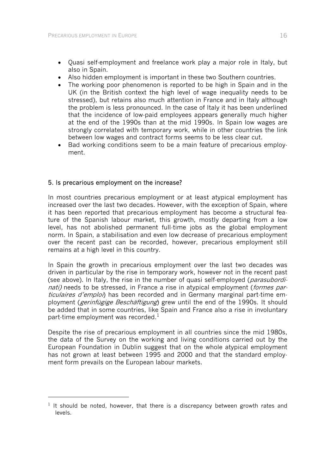- Quasi self-employment and freelance work play a major role in Italy, but also in Spain.
- Also hidden employment is important in these two Southern countries.
- The working poor phenomenon is reported to be high in Spain and in the UK (in the British context the high level of wage inequality needs to be stressed), but retains also much attention in France and in Italy although the problem is less pronounced. In the case of Italy it has been underlined that the incidence of low-paid employees appears generally much higher at the end of the 1990s than at the mid 1990s. In Spain low wages are strongly correlated with temporary work, while in other countries the link between low wages and contract forms seems to be less clear cut.
- Bad working conditions seem to be a main feature of precarious employment.

# 5. Is precarious employment on the increase?

-

In most countries precarious employment or at least atypical employment has increased over the last two decades. However, with the exception of Spain, where it has been reported that precarious employment has become a structural feature of the Spanish labour market, this growth, mostly departing from a low level, has not abolished permanent full-time jobs as the global employment norm. In Spain, a stabilisation and even low decrease of precarious employment over the recent past can be recorded, however, precarious employment still remains at a high level in this country.

In Spain the growth in precarious employment over the last two decades was driven in particular by the rise in temporary work, however not in the recent past (see above). In Italy, the rise in the number of quasi self-employed (parasubordinati) needs to be stressed, in France a rise in atypical employment (formes particulaires d'emploi) has been recorded and in Germany marginal part-time employment (*gerinfügige Beschäftigung*) grew until the end of the 1990s. It should be added that in some countries, like Spain and France also a rise in involuntary part-time employment was recorded. $<sup>1</sup>$ </sup>

Despite the rise of precarious employment in all countries since the mid 1980s, the data of the Survey on the working and living conditions carried out by the European Foundation in Dublin suggest that on the whole atypical employment has not grown at least between 1995 and 2000 and that the standard employment form prevails on the European labour markets.

 $1$  It should be noted, however, that there is a discrepancy between growth rates and levels.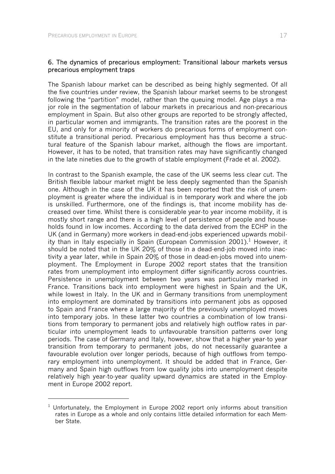-

#### 6. The dynamics of precarious employment: Transitional labour markets versus precarious employment traps

The Spanish labour market can be described as being highly segmented. Of all the five countries under review, the Spanish labour market seems to be strongest following the "partition" model, rather than the queuing model. Age plays a major role in the segmentation of labour markets in precarious and non-precarious employment in Spain. But also other groups are reported to be strongly affected, in particular women and immigrants. The transition rates are the poorest in the EU, and only for a minority of workers do precarious forms of employment constitute a transitional period. Precarious employment has thus become a structural feature of the Spanish labour market, although the flows are important. However, it has to be noted, that transition rates may have significantly changed in the late nineties due to the growth of stable employment (Frade et al. 2002).

In contrast to the Spanish example, the case of the UK seems less clear cut. The British flexible labour market might be less deeply segmented than the Spanish one. Although in the case of the UK it has been reported that the risk of unemployment is greater where the individual is in temporary work and where the job is unskilled. Furthermore, one of the findings is, that income mobility has decreased over time. Whilst there is considerable year-to year income mobility, it is mostly short range and there is a high level of persistence of people and households found in low incomes. According to the data derived from the ECHP in the UK (and in Germany) more workers in dead-end-jobs experienced upwards mobility than in Italy especially in Spain (European Commission 2001).<sup>1</sup> However, it should be noted that in the UK 20% of those in a dead-end-job moved into inactivity a year later, while in Spain 20% of those in dead-en-jobs moved into unemployment. The Employment in Europe 2002 report states that the transition rates from unemployment into employment differ significantly across countries. Persistence in unemployment between two years was particularly marked in France. Transitions back into employment were highest in Spain and the UK, while lowest in Italy. In the UK and in Germany transitions from unemployment into employment are dominated by transitions into permanent jobs as opposed to Spain and France where a large majority of the previously unemployed moves into temporary jobs. In these latter two countries a combination of low transitions from temporary to permanent jobs and relatively high outflow rates in particular into unemployment leads to unfavourable transition patterns over long periods. The case of Germany and Italy, however, show that a higher year-to year transition from temporary to permanent jobs, do not necessarily guarantee a favourable evolution over longer periods, because of high outflows from temporary employment into unemployment. It should be added that in France, Germany and Spain high outflows from low quality jobs into unemployment despite relatively high year-to-year quality upward dynamics are stated in the Employment in Europe 2002 report.

 $1$  Unfortunately, the Employment in Europe 2002 report only informs about transition rates in Europe as a whole and only contains little detailed information for each Member State.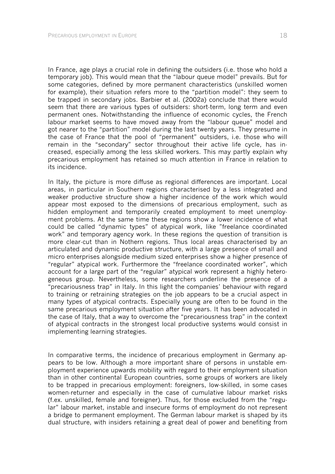In France, age plays a crucial role in defining the outsiders (i.e. those who hold a temporary job). This would mean that the "labour queue model" prevails. But for some categories, defined by more permanent characteristics (unskilled women for example), their situation refers more to the "partition model": they seem to be trapped in secondary jobs. Barbier et al. (2002a) conclude that there would seem that there are various types of outsiders: short-term, long term and even permanent ones. Notwithstanding the influence of economic cycles, the French labour market seems to have moved away from the "labour queue" model and got nearer to the "partition" model during the last twenty years. They presume in the case of France that the pool of "permanent" outsiders, i.e. those who will remain in the "secondary" sector throughout their active life cycle, has increased, especially among the less skilled workers. This may partly explain why precarious employment has retained so much attention in France in relation to its incidence.

In Italy, the picture is more diffuse as regional differences are important. Local areas, in particular in Southern regions characterised by a less integrated and weaker productive structure show a higher incidence of the work which would appear most exposed to the dimensions of precarious employment, such as hidden employment and temporarily created employment to meet unemployment problems. At the same time these regions show a lower incidence of what could be called "dynamic types" of atypical work, like "freelance coordinated work" and temporary agency work. In these regions the question of transition is more clear-cut than in Nothern regions. Thus local areas characterised by an articulated and dynamic productive structure, with a large presence of small and micro enterprises alongside medium sized enterprises show a higher presence of "regular" atypical work. Furthermore the "freelance coordinated worker", which account for a large part of the "regular" atypical work represent a highly heterogeneous group. Nevertheless, some researchers underline the presence of a "precariousness trap" in Italy. In this light the companies' behaviour with regard to training or retraining strategies on the job appears to be a crucial aspect in many types of atypical contracts. Especially young are often to be found in the same precarious employment situation after five years. It has been advocated in the case of Italy, that a way to overcome the "precariousness trap" in the context of atypical contracts in the strongest local productive systems would consist in implementing learning strategies.

In comparative terms, the incidence of precarious employment in Germany appears to be low. Although a more important share of persons in unstable employment experience upwards mobility with regard to their employment situation than in other continental European countries, some groups of workers are likely to be trapped in precarious employment: foreigners, low-skilled, in some cases women-returner and especially in the case of cumulative labour market risks (f.ex. unskilled, female and foreigner). Thus, for those excluded from the "regular" labour market, instable and insecure forms of employment do not represent a bridge to permanent employment. The German labour market is shaped by its dual structure, with insiders retaining a great deal of power and benefiting from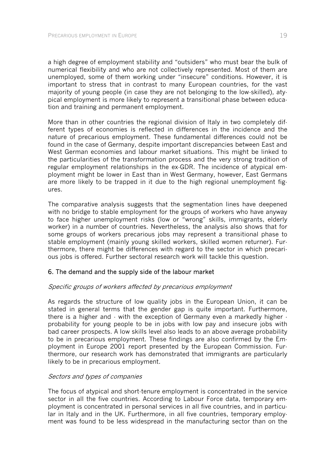a high degree of employment stability and "outsiders" who must bear the bulk of numerical flexibility and who are not collectively represented. Most of them are unemployed, some of them working under "insecure" conditions. However, it is important to stress that in contrast to many European countries, for the vast majority of young people (in case they are not belonging to the low-skilled), atypical employment is more likely to represent a transitional phase between education and training and permanent employment.

More than in other countries the regional division of Italy in two completely different types of economies is reflected in differences in the incidence and the nature of precarious employment. These fundamental differences could not be found in the case of Germany, despite important discrepancies between East and West German economies and labour market situations. This might be linked to the particularities of the transformation process and the very strong tradition of regular employment relationships in the ex-GDR. The incidence of atypical employment might be lower in East than in West Germany, however, East Germans are more likely to be trapped in it due to the high regional unemployment figures.

The comparative analysis suggests that the segmentation lines have deepened with no bridge to stable employment for the groups of workers who have anyway to face higher unemployment risks (low or "wrong" skills, immigrants, elderly worker) in a number of countries. Nevertheless, the analysis also shows that for some groups of workers precarious jobs may represent a transitional phase to stable employment (mainly young skilled workers, skilled women returner). Furthermore, there might be differences with regard to the sector in which precarious jobs is offered. Further sectoral research work will tackle this question.

#### 6. The demand and the supply side of the labour market

#### Specific groups of workers affected by precarious employment

As regards the structure of low quality jobs in the European Union, it can be stated in general terms that the gender gap is quite important. Furthermore, there is a higher and - with the exception of Germany even a markedly higher probability for young people to be in jobs with low pay and insecure jobs with bad career prospects. A low skills level also leads to an above average probability to be in precarious employment. These findings are also confirmed by the Employment in Europe 2001 report presented by the European Commission. Furthermore, our research work has demonstrated that immigrants are particularly likely to be in precarious employment.

#### Sectors and types of companies

The focus of atypical and short-tenure employment is concentrated in the service sector in all the five countries. According to Labour Force data, temporary employment is concentrated in personal services in all five countries, and in particular in Italy and in the UK. Furthermore, in all five countries, temporary employment was found to be less widespread in the manufacturing sector than on the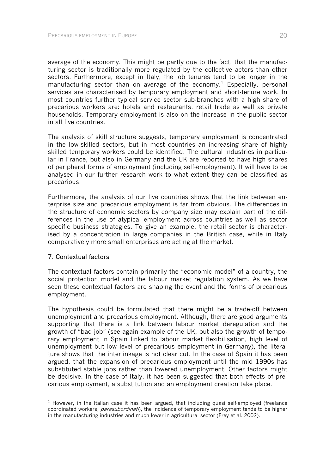average of the economy. This might be partly due to the fact, that the manufacturing sector is traditionally more regulated by the collective actors than other sectors. Furthermore, except in Italy, the job tenures tend to be longer in the manufacturing sector than on average of the economy.<sup>1</sup> Especially, personal services are characterised by temporary employment and short-tenure work. In most countries further typical service sector sub-branches with a high share of precarious workers are: hotels and restaurants, retail trade as well as private households. Temporary employment is also on the increase in the public sector in all five countries.

The analysis of skill structure suggests, temporary employment is concentrated in the low-skilled sectors, but in most countries an increasing share of highly skilled temporary workers could be identified. The cultural industries in particular in France, but also in Germany and the UK are reported to have high shares of peripheral forms of employment (including self-employment). It will have to be analysed in our further research work to what extent they can be classified as precarious.

Furthermore, the analysis of our five countries shows that the link between enterprise size and precarious employment is far from obvious. The differences in the structure of economic sectors by company size may explain part of the differences in the use of atypical employment across countries as well as sector specific business strategies. To give an example, the retail sector is characterised by a concentration in large companies in the British case, while in Italy comparatively more small enterprises are acting at the market.

#### 7. Contextual factors

l

The contextual factors contain primarily the "economic model" of a country, the social protection model and the labour market regulation system. As we have seen these contextual factors are shaping the event and the forms of precarious employment.

The hypothesis could be formulated that there might be a trade-off between unemployment and precarious employment. Although, there are good arguments supporting that there is a link between labour market deregulation and the growth of "bad job" (see again example of the UK, but also the growth of temporary employment in Spain linked to labour market flexibilisation, high level of unemployment but low level of precarious employment in Germany), the literature shows that the interlinkage is not clear cut. In the case of Spain it has been argued, that the expansion of precarious employment until the mid 1990s has substituted stable jobs rather than lowered unemployment. Other factors might be decisive. In the case of Italy, it has been suggested that both effects of precarious employment, a substitution and an employment creation take place.

 $1$  However, in the Italian case it has been argued, that including quasi self-employed (freelance coordinated workers, *parasubordinati*), the incidence of temporary employment tends to be higher in the manufacturing industries and much lower in agricultural sector (Frey et al. 2002).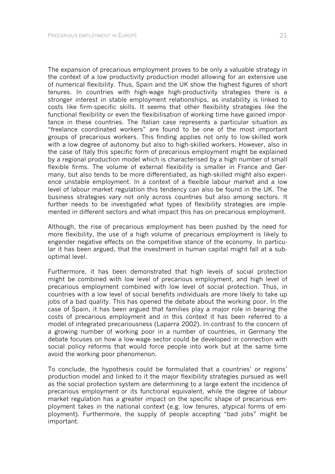The expansion of precarious employment proves to be only a valuable strategy in the context of a low productivity production model allowing for an extensive use of numerical flexibility. Thus, Spain and the UK show the highest figures of short tenures. In countries with high-wage high-productivity strategies there is a stronger interest in stable employment relationships, as instability is linked to costs like firm-specific skills. It seems that other flexibility strategies like the functional flexibility or even the flexibilisation of working time have gained importance in these countries. The Italian case represents a particular situation as "freelance coordinated workers" are found to be one of the most important groups of precarious workers. This finding applies not only to low-skilled work with a low degree of autonomy but also to high-skilled workers. However, also in the case of Italy this specific form of precarious employment might be explained by a regional production model which is characterised by a high number of small flexible firms. The volume of external flexibility is smaller in France and Germany, but also tends to be more differentiated, as high-skilled might also experience unstable employment. In a context of a flexible labour market and a low level of labour market regulation this tendency can also be found in the UK. The business strategies vary not only across countries but also among sectors. It further needs to be investigated what types of flexibility strategies are implemented in different sectors and what impact this has on precarious employment.

Although, the rise of precarious employment has been pushed by the need for more flexibility, the use of a high volume of precarious employment is likely to engender negative effects on the competitive stance of the economy. In particular it has been argued, that the investment in human capital might fall at a suboptimal level.

Furthermore, it has been demonstrated that high levels of social protection might be combined with low level of precarious employment, and high level of precarious employment combined with low level of social protection. Thus, in countries with a low level of social benefits individuals are more likely to take up jobs of a bad quality. This has opened the debate about the working poor. In the case of Spain, it has been argued that families play a major role in bearing the costs of precarious employment and in this context it has been referred to a model of integrated precariousness (Laparra 2002). In contrast to the concern of a growing number of working poor in a number of countries, in Germany the debate focuses on how a low-wage sector could be developed in connection with social policy reforms that would force people into work but at the same time avoid the working poor phenomenon.

To conclude, the hypothesis could be formulated that a countries' or regions' production model and linked to it the major flexibility strategies pursued as well as the social protection system are determining to a large extent the incidence of precarious employment or its functional equivalent, while the degree of labour market regulation has a greater impact on the specific shape of precarious employment takes in the national context (e.g. low tenures, atypical forms of employment). Furthermore, the supply of people accepting "bad jobs" might be important.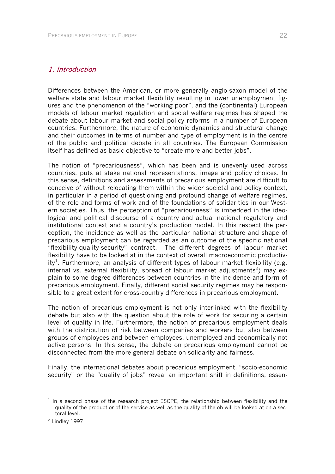#### 1. Introduction

Differences between the American, or more generally anglo-saxon model of the welfare state and labour market flexibility resulting in lower unemployment figures and the phenomenon of the "working poor", and the (continental) European models of labour market regulation and social welfare regimes has shaped the debate about labour market and social policy reforms in a number of European countries. Furthermore, the nature of economic dynamics and structural change and their outcomes in terms of number and type of employment is in the centre of the public and political debate in all countries. The European Commission itself has defined as basic objective to "create more and better jobs".

The notion of "precariousness", which has been and is unevenly used across countries, puts at stake national representations, image and policy choices. In this sense, definitions and assessments of precarious employment are difficult to conceive of without relocating them within the wider societal and policy context, in particular in a period of questioning and profound change of welfare regimes, of the role and forms of work and of the foundations of solidarities in our Western societies. Thus, the perception of "precariousness" is imbedded in the ideological and political discourse of a country and actual national regulatory and institutional context and a country's production model. In this respect the perception, the incidence as well as the particular national structure and shape of precarious employment can be regarded as an outcome of the specific national "flexibility-quality-security" contract. The different degrees of labour market flexibility have to be looked at in the context of overall macroeconomic productivity<sup>1</sup>. Furthermore, an analysis of different types of labour market flexibility (e.g. internal vs. external flexibility, spread of labour market adjustments<sup>2</sup>) may explain to some degree differences between countries in the incidence and form of precarious employment. Finally, different social security regimes may be responsible to a great extent for cross-country differences in precarious employment.

The notion of precarious employment is not only interlinked with the flexibility debate but also with the question about the role of work for securing a certain level of quality in life. Furthermore, the notion of precarious employment deals with the distribution of risk between companies and workers but also between groups of employees and between employees, unemployed and economically not active persons. In this sense, the debate on precarious employment cannot be disconnected from the more general debate on solidarity and fairness.

Finally, the international debates about precarious employment, "socio-economic security" or the "quality of jobs" reveal an important shift in definitions, essen-

l

 $<sup>1</sup>$  In a second phase of the research project ESOPE, the relationship between flexibility and the</sup> quality of the product or of the service as well as the quality of the ob will be looked at on a sectoral level.

<sup>2</sup> Lindley 1997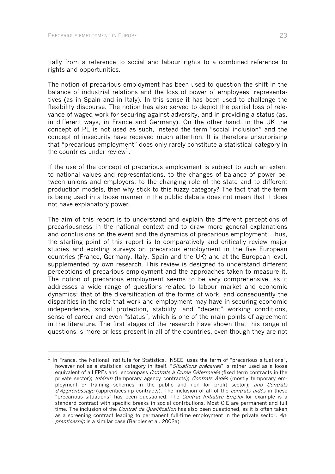-

tially from a reference to social and labour rights to a combined reference to rights and opportunities.

The notion of precarious employment has been used to question the shift in the balance of industrial relations and the loss of power of employees' representatives (as in Spain and in Italy). In this sense it has been used to challenge the flexibility discourse. The notion has also served to depict the partial loss of relevance of waged work for securing against adversity, and in providing a status (as, in different ways, in France and Germany). On the other hand, in the UK the concept of PE is not used as such, instead the term "social inclusion" and the concept of insecurity have received much attention. It is therefore unsurprising that "precarious employment" does only rarely constitute a statistical category in the countries under review $1$ .

If the use of the concept of precarious employment is subject to such an extent to national values and representations, to the changes of balance of power between unions and employers, to the changing role of the state and to different production models, then why stick to this fuzzy category? The fact that the term is being used in a loose manner in the public debate does not mean that it does not have explanatory power.

The aim of this report is to understand and explain the different perceptions of precariousness in the national context and to draw more general explanations and conclusions on the event and the dynamics of precarious employment. Thus, the starting point of this report is to comparatively and critically review major studies and existing surveys on precarious employment in the five European countries (France, Germany, Italy, Spain and the UK) and at the European level, supplemented by own research. This review is designed to understand different perceptions of precarious employment and the approaches taken to measure it. The notion of precarious employment seems to be very comprehensive, as it addresses a wide range of questions related to labour market and economic dynamics: that of the diversification of the forms of work, and consequently the disparities in the role that work and employment may have in securing economic independence, social protection, stability, and "decent" working conditions, sense of career and even "status", which is one of the main points of agreement in the literature. The first stages of the research have shown that this range of questions is more or less present in all of the countries, even though they are not

 $1$  In France, the National Institute for Statistics, INSEE, uses the term of "precarious situations", however not as a statistical category in itself. "Situations précaires" is rather used as a loose equivalent of all FPEs and encompass Contrats à Durée Déterminée (fixed term contracts in the private sector); Intérim (temporary agency contracts); Contrats Aidés (mostly temporary employment or training schemes in the public and non for profit sector); and Contrats d'Apprentissage (apprenticeship contracts). The inclusion of all of the contrats aidés in these "precarious situations" has been questioned. The *Contrat Initiative Emploi* for example is a standard contract with specific breaks in social contrbutions. Most CIE are permanent and full time. The inclusion of the *Contrat de Qualification* has also been questioned, as it is often taken as a screening contract leading to permanent full-time employment in the private sector.  $Ap$ prenticeship is a similar case (Barbier et al. 2002a).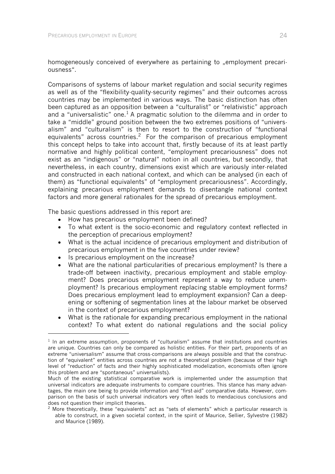homogeneously conceived of everywhere as pertaining to "employment precariousness".

Comparisons of systems of labour market regulation and social security regimes as well as of the "flexibility-quality-security regimes" and their outcomes across countries may be implemented in various ways. The basic distinction has often been captured as an opposition between a "culturalist" or "relativistic" approach and a "universalistic" one.<sup>1</sup> A pragmatic solution to the dilemma and in order to take a "middle" ground position between the two extremes positions of "universalism" and "culturalism" is then to resort to the construction of "functional equivalents" across countries.<sup>2</sup> For the comparison of precarious employment this concept helps to take into account that, firstly because of its at least partly normative and highly political content, "employment precariousness" does not exist as an "indigenous" or "natural" notion in all countries, but secondly, that nevertheless, in each country, dimensions exist which are variously inter-related and constructed in each national context, and which can be analysed (in each of them) as "functional equivalents" of "employment precariousness". Accordingly, explaining precarious employment demands to disentangle national context factors and more general rationales for the spread of precarious employment.

The basic questions addressed in this report are:

- How has precarious employment been defined?
- To what extent is the socio-economic and regulatory context reflected in the perception of precarious employment?
- What is the actual incidence of precarious employment and distribution of precarious employment in the five countries under review?
- Is precarious employment on the increase?

-

- What are the national particularities of precarious employment? Is there a trade-off between inactivity, precarious employment and stable employment? Does precarious employment represent a way to reduce unemployment? Is precarious employment replacing stable employment forms? Does precarious employment lead to employment expansion? Can a deepening or softening of segmentation lines at the labour market be observed in the context of precarious employment?
- What is the rationale for expanding precarious employment in the national context? To what extent do national regulations and the social policy

 $1$  In an extreme assumption, proponents of "culturalism" assume that institutions and countries are unique. Countries can only be compared as holistic entities. For their part, proponents of an extreme "universalism" assume that cross-comparisons are always possible and that the construction of "equivalent" entities across countries are not a theoretical problem (because of their high level of "reduction" of facts and their highly sophisticated modelization, economists often ignore this problem and are "spontaneous" universalists).

Much of the existing statistical comparative work is implemented under the assumption that universal indicators are adequate instruments to compare countries. This stance has many advantages, the main one being to provide information and "first-aid" comparative data. However, comparison on the basis of such universal indicators very often leads to mendacious conclusions and does not question their implicit theories.

 $2$  More theoretically, these "equivalents" act as "sets of elements" which a particular research is able to construct, in a given societal context, in the spirit of Maurice, Sellier, Sylvestre (1982) and Maurice (1989).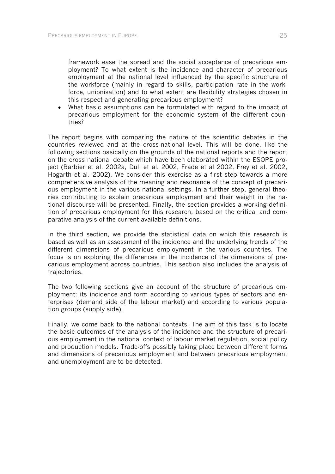framework ease the spread and the social acceptance of precarious employment? To what extent is the incidence and character of precarious employment at the national level influenced by the specific structure of the workforce (mainly in regard to skills, participation rate in the workforce, unionisation) and to what extent are flexibility strategies chosen in this respect and generating precarious employment?

• What basic assumptions can be formulated with regard to the impact of precarious employment for the economic system of the different countries?

The report begins with comparing the nature of the scientific debates in the countries reviewed and at the cross-national level. This will be done, like the following sections basically on the grounds of the national reports and the report on the cross national debate which have been elaborated within the ESOPE project (Barbier et al. 2002a, Düll et al. 2002, Frade et al 2002, Frey et al. 2002, Hogarth et al. 2002). We consider this exercise as a first step towards a more comprehensive analysis of the meaning and resonance of the concept of precarious employment in the various national settings. In a further step, general theories contributing to explain precarious employment and their weight in the national discourse will be presented. Finally, the section provides a working definition of precarious employment for this research, based on the critical and comparative analysis of the current available definitions.

In the third section, we provide the statistical data on which this research is based as well as an assessment of the incidence and the underlying trends of the different dimensions of precarious employment in the various countries. The focus is on exploring the differences in the incidence of the dimensions of precarious employment across countries. This section also includes the analysis of trajectories.

The two following sections give an account of the structure of precarious employment: its incidence and form according to various types of sectors and enterprises (demand side of the labour market) and according to various population groups (supply side).

Finally, we come back to the national contexts. The aim of this task is to locate the basic outcomes of the analysis of the incidence and the structure of precarious employment in the national context of labour market regulation, social policy and production models. Trade-offs possibly taking place between different forms and dimensions of precarious employment and between precarious employment and unemployment are to be detected.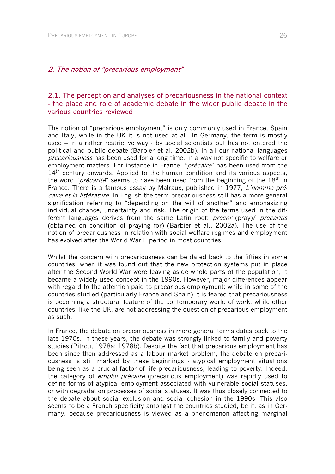#### 2. The notion of "precarious employment"

# 2.1. The perception and analyses of precariousness in the national context - the place and role of academic debate in the wider public debate in the various countries reviewed

The notion of "precarious employment" is only commonly used in France, Spain and Italy, while in the UK it is not used at all. In Germany, the term is mostly used – in a rather restrictive way - by social scientists but has not entered the political and public debate (Barbier et al. 2002b). In all our national languages precariousness has been used for a long time, in a way not specific to welfare or employment matters. For instance in France, "*précaire*" has been used from the  $14<sup>th</sup>$  century onwards. Applied to the human condition and its various aspects, the word "*précarité*" seems to have been used from the beginning of the  $18<sup>th</sup>$  in France. There is a famous essay by Malraux, published in 1977, L'homme précaire et la littérature. In English the term precariousness still has a more general signification referring to "depending on the will of another" and emphasizing individual chance, uncertainty and risk. The origin of the terms used in the different languages derives from the same Latin root: *precor* (pray)/ *precarius* (obtained on condition of praying for) (Barbier et al., 2002a). The use of the notion of precariousness in relation with social welfare regimes and employment has evolved after the World War II period in most countries.

Whilst the concern with precariousness can be dated back to the fifties in some countries, when it was found out that the new protection systems put in place after the Second World War were leaving aside whole parts of the population, it became a widely used concept in the 1990s. However, major differences appear with regard to the attention paid to precarious employment: while in some of the countries studied (particularly France and Spain) it is feared that precariousness is becoming a structural feature of the contemporary world of work, while other countries, like the UK, are not addressing the question of precarious employment as such.

In France, the debate on precariousness in more general terms dates back to the late 1970s. In these years, the debate was strongly linked to family and poverty studies (Pitrou, 1978a; 1978b). Despite the fact that precarious employment has been since then addressed as a labour market problem, the debate on precariousness is still marked by these beginnings - atypical employment situations being seen as a crucial factor of life precariousness, leading to poverty. Indeed, the category of *emploi précaire* (precarious employment) was rapidly used to define forms of atypical employment associated with vulnerable social statuses, or with degradation processes of social statuses. It was thus closely connected to the debate about social exclusion and social cohesion in the 1990s. This also seems to be a French specificity amongst the countries studied, be it, as in Germany, because precariousness is viewed as a phenomenon affecting marginal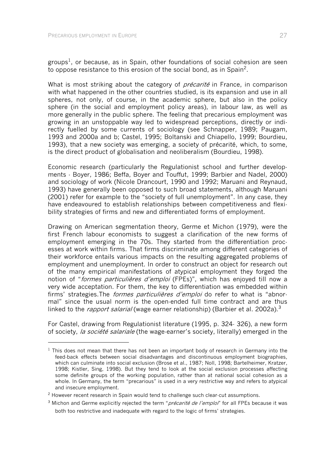1

groups<sup>1</sup>, or because, as in Spain, other foundations of social cohesion are seen to oppose resistance to this erosion of the social bond, as in Spain<sup>2</sup>.

What is most striking about the category of *précarité* in France, in comparison with what happened in the other countries studied, is its expansion and use in all spheres, not only, of course, in the academic sphere, but also in the policy sphere (in the social and employment policy areas), in labour law, as well as more generally in the public sphere. The feeling that precarious employment was growing in an unstoppable way led to widespread perceptions, directly or indirectly fuelled by some currents of sociology (see Schnapper, 1989; Paugam, 1993 and 2000a and b; Castel, 1995; Boltanski and Chiapello, 1999; Bourdieu, 1993), that a new society was emerging, a society of précarité, which, to some, is the direct product of globalisation and neoliberalism (Bourdieu, 1998).

Economic research (particularly the Regulationist school and further developments - Boyer, 1986; Beffa, Boyer and Touffut, 1999; Barbier and Nadel, 2000) and sociology of work (Nicole Drancourt, 1990 and 1992; Maruani and Reynaud, 1993) have generally been opposed to such broad statements, although Maruani (2001) refer for example to the "society of full unemployment". In any case, they have endeavoured to establish relationships between competitiveness and flexibility strategies of firms and new and differentiated forms of employment.

Drawing on American segmentation theory, Germe et Michon (1979), were the first French labour economists to suggest a clarification of the new forms of employment emerging in the 70s. They started from the differentiation processes at work within firms. That firms discriminate among different categories of their workforce entails various impacts on the resulting aggregated problems of employment and unemployment. In order to construct an object for research out of the many empirical manifestations of atypical employment they forged the notion of "formes particulières d'emploi (FPEs)", which has enjoyed till now a very wide acceptation. For them, the key to differentiation was embedded within firms' strategies. The *formes particulières d'emploi* do refer to what is "abnormal" since the usual norm is the open-ended full time contract and are thus linked to the *rapport salarial* (wage earner relationship) (Barbier et al. 2002a).<sup>3</sup>

For Castel, drawing from Regulationist literature (1995, p. 324- 326), a new form of society, *la société salariale* (the wage-earner's society, literally) emerged in the

 $1$  This does not mean that there has not been an important body of research in Germany into the feed-back effects between social disadvantages and discontinuous employment biographies, which can culminate into social exclusion (Brose et al., 1987; Noll, 1998; Bartelheimer, Kratzer, 1998; Kistler, Sing, 1998). But they tend to look at the social exclusion processes affecting some definite groups of the working population, rather than at national social cohesion as a whole. In Germany, the term "precarious" is used in a very restrictive way and refers to atypical and insecure employment.

<sup>&</sup>lt;sup>2</sup> However recent research in Spain would tend to challenge such clear-cut assumptions.

 $3$  Michon and Germe explicitly rejected the term "*précarité de l'emploi*" for all FPEs because it was both too restrictive and inadequate with regard to the logic of firms' strategies.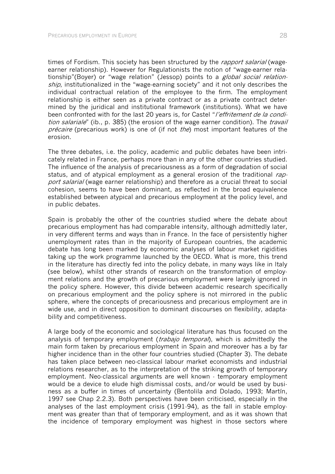times of Fordism. This society has been structured by the *rapport salarial* (wageearner relationship). However for Regulationists the notion of "wage-earner relationship"(Boyer) or "wage relation" (Jessop) points to a *global social relation*ship, institutionalized in the "wage-earning society" and it not only describes the individual contractual relation of the employee to the firm. The employment relationship is either seen as a private contract or as a private contract determined by the juridical and institutional framework (institutions). What we have been confronted with for the last 20 years is, for Castel "*l'effritement de la condi*tion salariale" (ib., p. 385) (the erosion of the wage earner condition). The *travail* précaire (precarious work) is one of (if not the) most important features of the erosion.

The three debates, i.e. the policy, academic and public debates have been intricately related in France, perhaps more than in any of the other countries studied. The influence of the analysis of precariousness as a form of degradation of social status, and of atypical employment as a general erosion of the traditional  $rap$ port salarial (wage earner relationship) and therefore as a crucial threat to social cohesion, seems to have been dominant, as reflected in the broad equivalence established between atypical and precarious employment at the policy level, and in public debates.

Spain is probably the other of the countries studied where the debate about precarious employment has had comparable intensity, although admittedly later, in very different terms and ways than in France. In the face of persistently higher unemployment rates than in the majority of European countries, the academic debate has long been marked by economic analyses of labour market rigidities taking up the work programme launched by the OECD. What is more, this trend in the literature has directly fed into the policy debate, in many ways like in Italy (see below), whilst other strands of research on the transformation of employment relations and the growth of precarious employment were largely ignored in the policy sphere. However, this divide between academic research specifically on precarious employment and the policy sphere is not mirrored in the public sphere, where the concepts of precariousness and precarious employment are in wide use, and in direct opposition to dominant discourses on flexibility, adaptability and competitiveness.

A large body of the economic and sociological literature has thus focused on the analysis of temporary employment *(trabajo temporal*), which is admittedly the main form taken by precarious employment in Spain and moreover has a by far higher incidence than in the other four countries studied (Chapter 3). The debate has taken place between neo-classical labour market economists and industrial relations researcher, as to the interpretation of the striking growth of temporary employment. Neo-classical arguments are well known - temporary employment would be a device to elude high dismissal costs, and/or would be used by business as a buffer in times of uncertainty (Bentolila and Dolado, 1993; Martín, 1997 see Chap 2.2.3). Both perspectives have been criticised, especially in the analyses of the last employment crisis (1991-94), as the fall in stable employment was greater than that of temporary employment, and as it was shown that the incidence of temporary employment was highest in those sectors where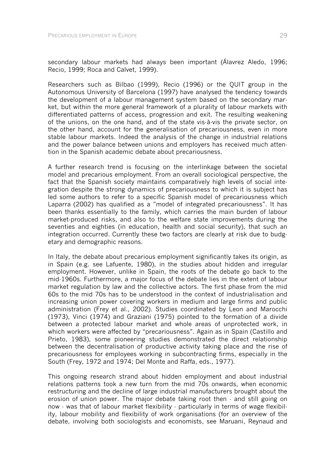secondary labour markets had always been important (Álavrez Aledo, 1996; Recio, 1999; Roca and Calvet, 1999).

Researchers such as Bilbao (1999), Recio (1996) or the QUIT group in the Autonomous University of Barcelona (1997) have analysed the tendency towards the development of a labour management system based on the secondary market, but within the more general framework of a plurality of labour markets with differentiated patterns of access, progression and exit. The resulting weakening of the unions, on the one hand, and of the state vis-à-vis the private sector, on the other hand, account for the generalisation of precariousness, even in more stable labour markets. Indeed the analysis of the change in industrial relations and the power balance between unions and employers has received much attention in the Spanish academic debate about precariousness.

A further research trend is focusing on the interlinkage between the societal model and precarious employment. From an overall sociological perspective, the fact that the Spanish society maintains comparatively high levels of social integration despite the strong dynamics of precariousness to which it is subject has led some authors to refer to a specific Spanish model of precariousness which Laparra (2002) has qualified as a "model of integrated precariousness". It has been thanks essentially to the family, which carries the main burden of labour market-produced risks, and also to the welfare state improvements during the seventies and eighties (in education, health and social security), that such an integration occurred. Currently these two factors are clearly at risk due to budgetary and demographic reasons.

In Italy, the debate about precarious employment significantly takes its origin, as in Spain (e.g. see Lafuente, 1980), in the studies about hidden and irregular employment. However, unlike in Spain, the roots of the debate go back to the mid-1960s. Furthermore, a major focus of the debate lies in the extent of labour market regulation by law and the collective actors. The first phase from the mid 60s to the mid 70s has to be understood in the context of industrialisation and increasing union power covering workers in medium and large firms and public administration (Frey et al., 2002). Studies coordinated by Leon and Marocchi (1973), Vinci (1974) and Graziani (1975) pointed to the formation of a divide between a protected labour market and whole areas of unprotected work, in which workers were affected by "precariousness". Again as in Spain (Castillo and Prieto, 1983), some pioneering studies demonstrated the direct relationship between the decentralisation of productive activity taking place and the rise of precariousness for employees working in subcontracting firms, especially in the South (Frey, 1972 and 1974; Del Monte and Raffa, eds., 1977).

This ongoing research strand about hidden employment and about industrial relations patterns took a new turn from the mid 70s onwards, when economic restructuring and the decline of large industrial manufacturers brought about the erosion of union power. The major debate taking root then - and still going on now - was that of labour market flexibility - particularly in terms of wage flexibility, labour mobility and flexibility of work organisations (for an overview of the debate, involving both sociologists and economists, see Maruani, Reynaud and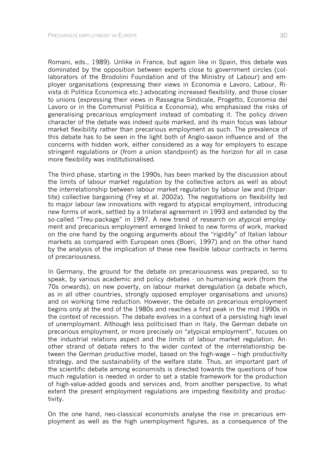Romani, eds., 1989). Unlike in France, but again like in Spain, this debate was dominated by the opposition between experts close to government circles (collaborators of the Brodolini Foundation and of the Ministry of Labour) and employer organisations (expressing their views in Economia e Lavoro, Labour, Rivista di Politica Economica etc.) advocating increased flexibility, and those closer to unions (expressing their views in Rassegna Sindicale, Progetto, Economia del Lavoro or in the Communist Politica e Economia), who emphasised the risks of generalising precarious employment instead of combating it. The policy driven character of the debate was indeed quite marked, and its main focus was labour market flexibility rather than precarious employment as such. The prevalence of this debate has to be seen in the light both of Anglo-saxon influence and of the concerns with hidden work, either considered as a way for employers to escape stringent regulations or (from a union standpoint) as the horizon for all in case more flexibility was institutionalised.

The third phase, starting in the 1990s, has been marked by the discussion about the limits of labour market regulation by the collective actors as well as about the interrelationship between labour market regulation by labour law and (tripartite) collective bargaining (Frey et al. 2002a). The negotiations on flexibility led to major labour law innovations with regard to atypical employment, introducing new forms of work, settled by a trilateral agreement in 1993 and extended by the so-called "Treu-package" in 1997. A new trend of research on atypical employment and precarious employment emerged linked to new forms of work, marked on the one hand by the ongoing arguments about the "rigidity" of Italian labour markets as compared with European ones (Boeri, 1997) and on the other hand by the analysis of the implication of these new flexible labour contracts in terms of precariousness.

In Germany, the ground for the debate on precariousness was prepared, so to speak, by various academic and policy debates - on humanising work (from the 70s onwards), on new poverty, on labour market deregulation (a debate which, as in all other countries, strongly opposed employer organisations and unions) and on working time reduction. However, the debate on precarious employment begins only at the end of the 1980s and reaches a first peak in the mid 1990s in the context of recession. The debate evolves in a context of a persisting high level of unemployment. Although less politicised than in Italy, the German debate on precarious employment, or more precisely on "atypical employment", focuses on the industrial relations aspect and the limits of labour market regulation. Another strand of debate refers to the wider context of the interrelationship between the German productive model, based on the high-wage – high productivity strategy, and the sustainability of the welfare state. Thus, an important part of the scientific debate among economists is directed towards the questions of how much regulation is needed in order to set a stable framework for the production of high-value-added goods and services and, from another perspective, to what extent the present employment regulations are impeding flexibility and productivity.

On the one hand, neo-classical economists analyse the rise in precarious employment as well as the high unemployment figures, as a consequence of the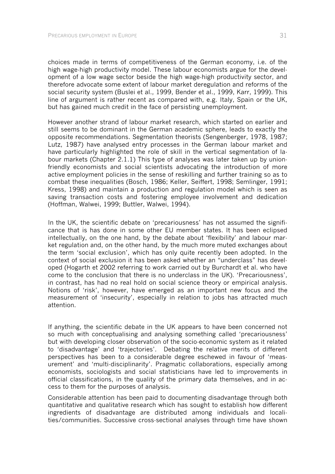choices made in terms of competitiveness of the German economy, i.e. of the high wage-high productivity model. These labour economists argue for the development of a low wage sector beside the high wage-high productivity sector, and therefore advocate some extent of labour market deregulation and reforms of the social security system (Buslei et al., 1999, Bender et al., 1999, Karr, 1999). This line of argument is rather recent as compared with, e.g. Italy, Spain or the UK, but has gained much credit in the face of persisting unemployment.

However another strand of labour market research, which started on earlier and still seems to be dominant in the German academic sphere, leads to exactly the opposite recommendations. Segmentation theorists (Sengenberger, 1978, 1987; Lutz, 1987) have analysed entry processes in the German labour market and have particularly highlighted the role of skill in the vertical segmentation of labour markets (Chapter 2.1.1) This type of analyses was later taken up by unionfriendly economists and social scientists advocating the introduction of more active employment policies in the sense of reskilling and further training so as to combat these inequalities (Bosch, 1986; Keller, Seiffert, 1998; Semlinger, 1991; Kress, 1998) and maintain a production and regulation model which is seen as saving transaction costs and fostering employee involvement and dedication (Hoffman, Walwei, 1999; Buttler, Walwei, 1994).

In the UK, the scientific debate on 'precariousness' has not assumed the significance that is has done in some other EU member states. It has been eclipsed intellectually, on the one hand, by the debate about 'flexibility' and labour market regulation and, on the other hand, by the much more muted exchanges about the term 'social exclusion', which has only quite recently been adopted. In the context of social exclusion it has been asked whether an "underclass" has developed (Hogarth et 2002 referring to work carried out by Burchardt et al. who have come to the conclusion that there is no underclass in the UK). 'Precariousness', in contrast, has had no real hold on social science theory or empirical analysis. Notions of 'risk', however, have emerged as an important new focus and the measurement of 'insecurity', especially in relation to jobs has attracted much attention.

If anything, the scientific debate in the UK appears to have been concerned not so much with conceptualising and analysing something called 'precariousness' but with developing closer observation of the socio-economic system as it related to 'disadvantage' and 'trajectories'. Debating the relative merits of different perspectives has been to a considerable degree eschewed in favour of 'measurement' and 'multi-disciplinarity'. Pragmatic collaborations, especially among economists, sociologists and social statisticians have led to improvements in official classifications, in the quality of the primary data themselves, and in access to them for the purposes of analysis.

Considerable attention has been paid to documenting disadvantage through both quantitative and qualitative research which has sought to establish how different ingredients of disadvantage are distributed among individuals and localities/communities. Successive cross-sectional analyses through time have shown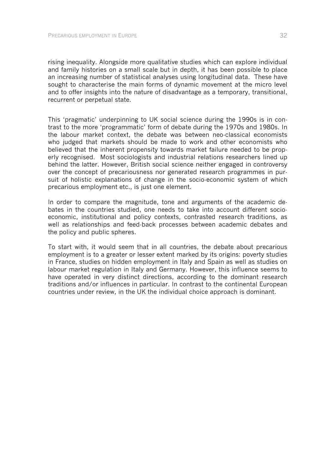rising inequality. Alongside more qualitative studies which can explore individual and family histories on a small scale but in depth, it has been possible to place an increasing number of statistical analyses using longitudinal data. These have sought to characterise the main forms of dynamic movement at the micro level and to offer insights into the nature of disadvantage as a temporary, transitional, recurrent or perpetual state.

This 'pragmatic' underpinning to UK social science during the 1990s is in contrast to the more 'programmatic' form of debate during the 1970s and 1980s. In the labour market context, the debate was between neo-classical economists who judged that markets should be made to work and other economists who believed that the inherent propensity towards market failure needed to be properly recognised. Most sociologists and industrial relations researchers lined up behind the latter. However, British social science neither engaged in controversy over the concept of precariousness nor generated research programmes in pursuit of holistic explanations of change in the socio-economic system of which precarious employment etc., is just one element.

In order to compare the magnitude, tone and arguments of the academic debates in the countries studied, one needs to take into account different socioeconomic, institutional and policy contexts, contrasted research traditions, as well as relationships and feed-back processes between academic debates and the policy and public spheres.

To start with, it would seem that in all countries, the debate about precarious employment is to a greater or lesser extent marked by its origins: poverty studies in France, studies on hidden employment in Italy and Spain as well as studies on labour market regulation in Italy and Germany. However, this influence seems to have operated in very distinct directions, according to the dominant research traditions and/or influences in particular. In contrast to the continental European countries under review, in the UK the individual choice approach is dominant.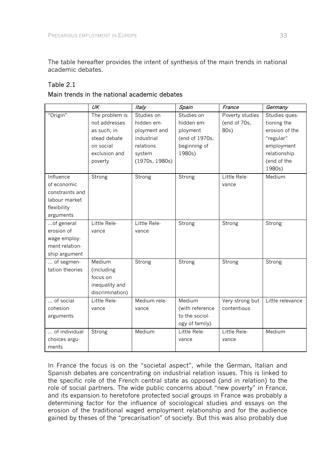The table hereafter provides the intent of synthesis of the main trends in national academic debates.

# Table 2.1

|  |  | Main trends in the national academic debates |  |
|--|--|----------------------------------------------|--|
|  |  |                                              |  |

|                 | $\overline{\textit{UK}}$ | <b>Italy</b>   | Spain           | France          | Germany          |
|-----------------|--------------------------|----------------|-----------------|-----------------|------------------|
| "Origin"        | The problem is           | Studies on     | Studies on      | Poverty studies | Studies ques-    |
|                 | not addresses            | hidden em-     | hidden em-      | (end of 70s,    | tioning the      |
|                 | as such, in-             | ployment and   | ployment        | 80s)            | erosion of the   |
|                 | stead debate             | industrial     | (end of 1970s,  |                 | "regular"        |
|                 | on social                | relations      | beginning of    |                 | employment       |
|                 | exclusion and            | system         | 1980s)          |                 | relationship     |
|                 | poverty                  | (1970s, 1980s) |                 |                 | (end of the      |
|                 |                          |                |                 |                 | 1980s)           |
| Influence       | Strong                   | Strong         | Strong          | Little Rele-    | Medium           |
| of economic     |                          |                |                 | vance           |                  |
| constraints and |                          |                |                 |                 |                  |
| labour market   |                          |                |                 |                 |                  |
| flexibility     |                          |                |                 |                 |                  |
| arguments       |                          |                |                 |                 |                  |
| of general      | Little Rele-             | Little Rele-   | Strong          | Strong          | Strong           |
| erosion of      | vance                    | vance          |                 |                 |                  |
| wage employ-    |                          |                |                 |                 |                  |
| ment relation-  |                          |                |                 |                 |                  |
| ship argument   |                          |                |                 |                 |                  |
| of segmen-      | Medium                   | Strong         | Strong          | Strong          | Strong           |
| tation theories | (including               |                |                 |                 |                  |
|                 | focus on                 |                |                 |                 |                  |
|                 | inequality and           |                |                 |                 |                  |
|                 | discrimination)          |                |                 |                 |                  |
| of social       | Little Rele-             | Medium rele-   | Medium          | Very strong but | Little relevance |
| cohesion        | vance                    | vance          | (with reference | contentious     |                  |
| arguments       |                          |                | to the sociol-  |                 |                  |
|                 |                          |                | ogy of family)  |                 |                  |
| of individual   | Strong                   | Medium         | Little Rele-    | Little Rele-    | Medium           |
| choices argu-   |                          |                | vance           | vance           |                  |
| ments           |                          |                |                 |                 |                  |

In France the focus is on the "societal aspect", while the German, Italian and Spanish debates are concentrating on industrial relation issues. This is linked to the specific role of the French central state as opposed (and in relation) to the role of social partners. The wide public concerns about "new poverty" in France, and its expansion to heretofore protected social groups in France was probably a determining factor for the influence of sociological studies and essays on the erosion of the traditional waged employment relationship and for the audience gained by theses of the "precarisation" of society. But this was also probably due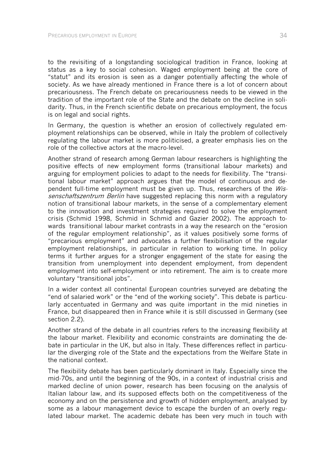to the revisiting of a longstanding sociological tradition in France, looking at status as a key to social cohesion. Waged employment being at the core of "statut" and its erosion is seen as a danger potentially affecting the whole of society. As we have already mentioned in France there is a lot of concern about precariousness. The French debate on precariousness needs to be viewed in the tradition of the important role of the State and the debate on the decline in solidarity. Thus, in the French scientific debate on precarious employment, the focus is on legal and social rights.

In Germany, the question is whether an erosion of collectively regulated employment relationships can be observed, while in Italy the problem of collectively regulating the labour market is more politicised, a greater emphasis lies on the role of the collective actors at the macro-level.

Another strand of research among German labour researchers is highlighting the positive effects of new employment forms (transitional labour markets) and arguing for employment policies to adapt to the needs for flexibility. The "transitional labour market" approach argues that the model of continuous and dependent full-time employment must be given up. Thus, researchers of the Wissenschaftszentrum Berlin have suggested replacing this norm with a regulatory notion of transitional labour markets, in the sense of a complementary element to the innovation and investment strategies required to solve the employment crisis (Schmid 1998, Schmid in Schmid and Gazier 2002). The approach towards transitional labour market contrasts in a way the research on the "erosion of the regular employment relationship", as it values positively some forms of "precarious employment" and advocates a further flexibilisation of the regular employment relationships, in particular in relation to working time. In policy terms it further argues for a stronger engagement of the state for easing the transition from unemployment into dependent employment, from dependent employment into self-employment or into retirement. The aim is to create more voluntary "transitional jobs".

In a wider context all continental European countries surveyed are debating the "end of salaried work" or the "end of the working society". This debate is particularly accentuated in Germany and was quite important in the mid nineties in France, but disappeared then in France while it is still discussed in Germany (see section 2.2).

Another strand of the debate in all countries refers to the increasing flexibility at the labour market. Flexibility and economic constraints are dominating the debate in particular in the UK, but also in Italy. These differences reflect in particular the diverging role of the State and the expectations from the Welfare State in the national context.

The flexibility debate has been particularly dominant in Italy. Especially since the mid-70s, and until the beginning of the 90s, in a context of industrial crisis and marked decline of union power, research has been focusing on the analysis of Italian labour law, and its supposed effects both on the competitiveness of the economy and on the persistence and growth of hidden employment, analysed by some as a labour management device to escape the burden of an overly regulated labour market. The academic debate has been very much in touch with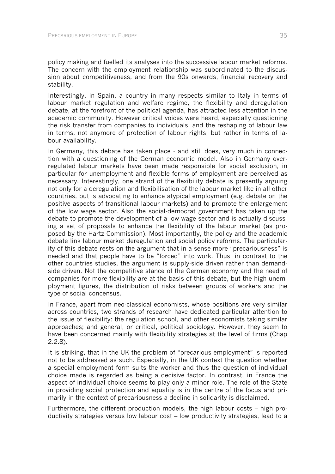policy making and fuelled its analyses into the successive labour market reforms. The concern with the employment relationship was subordinated to the discussion about competitiveness, and from the 90s onwards, financial recovery and stability.

Interestingly, in Spain, a country in many respects similar to Italy in terms of labour market regulation and welfare regime, the flexibility and deregulation debate, at the forefront of the political agenda, has attracted less attention in the academic community. However critical voices were heard, especially questioning the risk transfer from companies to individuals, and the reshaping of labour law in terms, not anymore of protection of labour rights, but rather in terms of labour availability.

In Germany, this debate has taken place - and still does, very much in connection with a questioning of the German economic model. Also in Germany overregulated labour markets have been made responsible for social exclusion, in particular for unemployment and flexible forms of employment are perceived as necessary. Interestingly, one strand of the flexibility debate is presently arguing not only for a deregulation and flexibilisation of the labour market like in all other countries, but is advocating to enhance atypical employment (e.g. debate on the positive aspects of transitional labour markets) and to promote the enlargement of the low wage sector. Also the social-democrat government has taken up the debate to promote the development of a low wage sector and is actually discussing a set of proposals to enhance the flexibility of the labour market (as proposed by the Hartz Commission). Most importantly, the policy and the academic debate link labour market deregulation and social policy reforms. The particularity of this debate rests on the argument that in a sense more "precariousness" is needed and that people have to be "forced" into work. Thus, in contrast to the other countries studies, the argument is supply-side driven rather than demandside driven. Not the competitive stance of the German economy and the need of companies for more flexibility are at the basis of this debate, but the high unemployment figures, the distribution of risks between groups of workers and the type of social concensus.

In France, apart from neo-classical economists, whose positions are very similar across countries, two strands of research have dedicated particular attention to the issue of flexibility: the regulation school, and other economists taking similar approaches; and general, or critical, political sociology. However, they seem to have been concerned mainly with flexibility strategies at the level of firms (Chap 2.2.8).

It is striking, that in the UK the problem of "precarious employment" is reported not to be addressed as such. Especially, in the UK context the question whether a special employment form suits the worker and thus the question of individual choice made is regarded as being a decisive factor. In contrast, in France the aspect of individual choice seems to play only a minor role. The role of the State in providing social protection and equality is in the centre of the focus and primarily in the context of precariousness a decline in solidarity is disclaimed.

Furthermore, the different production models, the high labour costs – high productivity strategies versus low labour cost – low productivity strategies, lead to a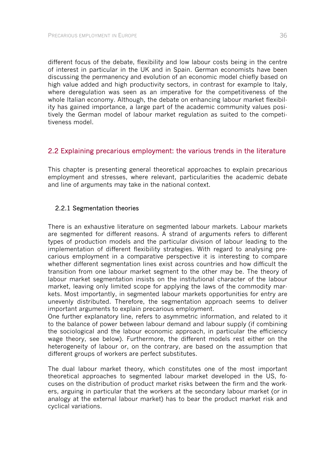different focus of the debate, flexibility and low labour costs being in the centre of interest in particular in the UK and in Spain. German economists have been discussing the permanency and evolution of an economic model chiefly based on high value added and high productivity sectors, in contrast for example to Italy, where deregulation was seen as an imperative for the competitiveness of the whole Italian economy. Although, the debate on enhancing labour market flexibility has gained importance, a large part of the academic community values positively the German model of labour market regulation as suited to the competitiveness model.

# 2.2 Explaining precarious employment: the various trends in the literature

This chapter is presenting general theoretical approaches to explain precarious employment and stresses, where relevant, particularities the academic debate and line of arguments may take in the national context.

### 2.2.1 Segmentation theories

There is an exhaustive literature on segmented labour markets. Labour markets are segmented for different reasons. A strand of arguments refers to different types of production models and the particular division of labour leading to the implementation of different flexibility strategies. With regard to analysing precarious employment in a comparative perspective it is interesting to compare whether different segmentation lines exist across countries and how difficult the transition from one labour market segment to the other may be. The theory of labour market segmentation insists on the institutional character of the labour market, leaving only limited scope for applying the laws of the commodity markets. Most importantly, in segmented labour markets opportunities for entry are unevenly distributed. Therefore, the segmentation approach seems to deliver important arguments to explain precarious employment.

One further explanatory line, refers to asymmetric information, and related to it to the balance of power between labour demand and labour supply (if combining the sociological and the labour economic approach, in particular the efficiency wage theory, see below). Furthermore, the different models rest either on the heterogeneity of labour or, on the contrary, are based on the assumption that different groups of workers are perfect substitutes.

The dual labour market theory, which constitutes one of the most important theoretical approaches to segmented labour market developed in the US, focuses on the distribution of product market risks between the firm and the workers, arguing in particular that the workers at the secondary labour market (or in analogy at the external labour market) has to bear the product market risk and cyclical variations.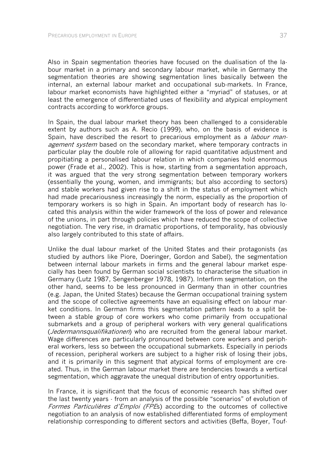Also in Spain segmentation theories have focused on the dualisation of the labour market in a primary and secondary labour market, while in Germany the segmentation theories are showing segmentation lines basically between the internal, an external labour market and occupational sub-markets. In France, labour market economists have highlighted either a "myriad" of statuses, or at least the emergence of differentiated uses of flexibility and atypical employment contracts according to workforce groups.

In Spain, the dual labour market theory has been challenged to a considerable extent by authors such as A. Recio (1999), who, on the basis of evidence is Spain, have described the resort to precarious employment as a *labour man*agement system based on the secondary market, where temporary contracts in particular play the double role of allowing for rapid quantitative adjustment and propitiating a personalised labour relation in which companies hold enormous power (Frade et al., 2002). This is how, starting from a segmentation approach, it was argued that the very strong segmentation between temporary workers (essentially the young, women, and immigrants; but also according to sectors) and stable workers had given rise to a shift in the status of employment which had made precariousness increasingly the norm, especially as the proportion of temporary workers is so high in Spain. An important body of research has located this analysis within the wider framework of the loss of power and relevance of the unions, in part through policies which have reduced the scope of collective negotiation. The very rise, in dramatic proportions, of temporality, has obviously also largely contributed to this state of affairs.

Unlike the dual labour market of the United States and their protagonists (as studied by authors like Piore, Doeringer, Gordon and Sabel), the segmentation between internal labour markets in firms and the general labour market especially has been found by German social scientists to characterise the situation in Germany (Lutz 1987, Sengenberger 1978, 1987). Interfirm segmentation, on the other hand, seems to be less pronounced in Germany than in other countries (e.g. Japan, the United States) because the German occupational training system and the scope of collective agreements have an equalising effect on labour market conditions. In German firms this segmentation pattern leads to a split between a stable group of core workers who come primarily from occupational submarkets and a group of peripheral workers with very general qualifications (*Jedermannsqualifikationen*) who are recruited from the general labour market. Wage differences are particularly pronounced between core workers and peripheral workers, less so between the occupational submarkets. Especially in periods of recession, peripheral workers are subject to a higher risk of losing their jobs, and it is primarily in this segment that atypical forms of employment are created. Thus, in the German labour market there are tendencies towards a vertical segmentation, which aggravate the unequal distribution of entry opportunities.

In France, it is significant that the focus of economic research has shifted over the last twenty years - from an analysis of the possible "scenarios" of evolution of Formes Particulières d'Emploi (FPEs) according to the outcomes of collective negotiation to an analysis of now established differentiated forms of employment relationship corresponding to different sectors and activities (Beffa, Boyer, Touf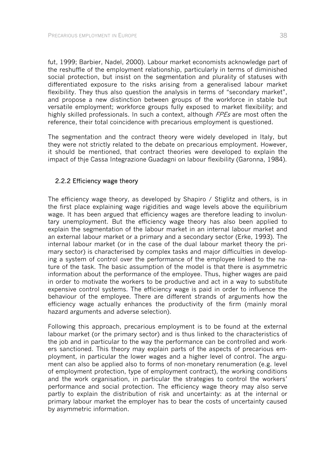fut, 1999; Barbier, Nadel, 2000). Labour market economists acknowledge part of the reshuffle of the employment relationship, particularly in terms of diminished social protection, but insist on the segmentation and plurality of statuses with differentiated exposure to the risks arising from a generalised labour market flexibility. They thus also question the analysis in terms of "secondary market", and propose a new distinction between groups of the workforce in stable but versatile employment; workforce groups fully exposed to market flexibility; and highly skilled professionals. In such a context, although *FPEs* are most often the reference, their total coincidence with precarious employment is questioned.

The segmentation and the contract theory were widely developed in Italy, but they were not strictly related to the debate on precarious employment. However, it should be mentioned, that contract theories were developed to explain the impact of thje Cassa Integrazione Guadagni on labour flexibility (Garonna, 1984).

# 2.2.2 Efficiency wage theory

The efficiency wage theory, as developed by Shapiro / Stiglitz and others, is in the first place explaining wage rigidities and wage levels above the equilibrium wage. It has been argued that efficiency wages are therefore leading to involuntary unemployment. But the efficiency wage theory has also been applied to explain the segmentation of the labour market in an internal labour market and an external labour market or a primary and a secondary sector (Erke, 1993). The internal labour market (or in the case of the dual labour market theory the primary sector) is characterised by complex tasks and major difficulties in developing a system of control over the performance of the employee linked to the nature of the task. The basic assumption of the model is that there is asymmetric information about the performance of the employee. Thus, higher wages are paid in order to motivate the workers to be productive and act in a way to substitute expensive control systems. The efficiency wage is paid in order to influence the behaviour of the employee. There are different strands of arguments how the efficiency wage actually enhances the productivity of the firm (mainly moral hazard arguments and adverse selection).

Following this approach, precarious employment is to be found at the external labour market (or the primary sector) and is thus linked to the characteristics of the job and in particular to the way the performance can be controlled and workers sanctioned. This theory may explain parts of the aspects of precarious employment, in particular the lower wages and a higher level of control. The argument can also be applied also to forms of non-monetary renumeration (e.g. level of employment protection, type of employment contract), the working conditions and the work organisation, in particular the strategies to control the workers' performance and social protection. The efficiency wage theory may also serve partly to explain the distribution of risk and uncertainty: as at the internal or primary labour market the employer has to bear the costs of uncertainty caused by asymmetric information.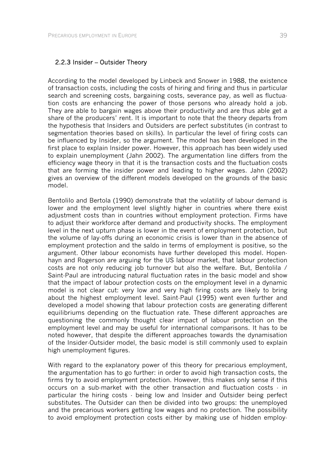### 2.2.3 Insider – Outsider Theory

According to the model developed by Linbeck and Snower in 1988, the existence of transaction costs, including the costs of hiring and firing and thus in particular search and screening costs, bargaining costs, severance pay, as well as fluctuation costs are enhancing the power of those persons who already hold a job. They are able to bargain wages above their productivity and are thus able get a share of the producers' rent. It is important to note that the theory departs from the hypothesis that Insiders and Outsiders are perfect substitutes (in contrast to segmentation theories based on skills). In particular the level of firing costs can be influenced by Insider, so the argument. The model has been developed in the first place to explain Insider power. However, this approach has been widely used to explain unemployment (Jahn 2002). The argumentation line differs from the efficiency wage theory in that it is the transaction costs and the fluctuation costs that are forming the insider power and leading to higher wages. Jahn (2002) gives an overview of the different models developed on the grounds of the basic model.

Bentolilo and Bertola (1990) demonstrate that the volatility of labour demand is lower and the employment level slightly higher in countries where there exist adjustment costs than in countries without employment protection. Firms have to adjust their workforce after demand and productivity shocks. The employment level in the next upturn phase is lower in the event of employment protection, but the volume of lay-offs during an economic crisis is lower than in the absence of employment protection and the saldo in terms of employment is positive, so the argument. Other labour economists have further developed this model. Hopenhayn and Rogerson are arguing for the US labour market, that labour protection costs are not only reducing job turnover but also the welfare. But, Bentolila / Saint-Paul are introducing natural fluctuation rates in the basic model and show that the impact of labour protection costs on the employment level in a dynamic model is not clear cut: very low and very high firing costs are likely to bring about the highest employment level. Saint-Paul (1995) went even further and developed a model showing that labour protection costs are generating different equilibriums depending on the fluctuation rate. These different approaches are questioning the commonly thought clear impact of labour protection on the employment level and may be useful for international comparisons. It has to be noted however, that despite the different approaches towards the dynamisation of the Insider-Outsider model, the basic model is still commonly used to explain high unemployment figures.

With regard to the explanatory power of this theory for precarious employment, the argumentation has to go further: in order to avoid high transaction costs, the firms try to avoid employment protection. However, this makes only sense if this occurs on a sub-market with the other transaction and fluctuation costs - in particular the hiring costs - being low and Insider and Outsider being perfect substitutes. The Outsider can then be divided into two groups: the unemployed and the precarious workers getting low wages and no protection. The possibility to avoid employment protection costs either by making use of hidden employ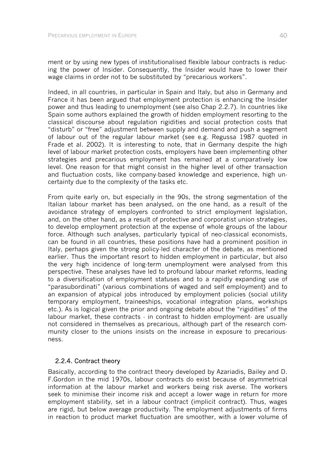ment or by using new types of institutionalised flexible labour contracts is reducing the power of Insider. Consequently, the Insider would have to lower their wage claims in order not to be substituted by "precarious workers".

Indeed, in all countries, in particular in Spain and Italy, but also in Germany and France it has been argued that employment protection is enhancing the Insider power and thus leading to unemployment (see also Chap 2.2.7). In countries like Spain some authors explained the growth of hidden employment resorting to the classical discourse about regulation rigidities and social protection costs that "disturb" or "free" adjustment between supply and demand and push a segment of labour out of the regular labour market (see e.g. Regussa 1987 quoted in Frade et al. 2002). It is interesting to note, that in Germany despite the high level of labour market protection costs, employers have been implementing other strategies and precarious employment has remained at a comparatively low level. One reason for that might consist in the higher level of other transaction and fluctuation costs, like company-based knowledge and experience, high uncertainty due to the complexity of the tasks etc.

From quite early on, but especially in the 90s, the strong segmentation of the Italian labour market has been analysed, on the one hand, as a result of the avoidance strategy of employers confronted to strict employment legislation, and, on the other hand, as a result of protective and corporatist union strategies, to develop employment protection at the expense of whole groups of the labour force. Although such analyses, particularly typical of neo-classical economists, can be found in all countries, these positions have had a prominent position in Italy, perhaps given the strong policy-led character of the debate, as mentioned earlier. Thus the important resort to hidden employment in particular, but also the very high incidence of long-term unemployment were analysed from this perspective. These analyses have led to profound labour market reforms, leading to a diversification of employment statuses and to a rapidly expanding use of "parasubordinati" (various combinations of waged and self employment) and to an expansion of atypical jobs introduced by employment policies (social utility temporary employment, traineeships, vocational integration plans, workships etc.). As is logical given the prior and ongoing debate about the "rigidities" of the labour market, these contracts  $\cdot$  in contrast to hidden employment $\cdot$  are usually not considered in themselves as precarious, although part of the research community closer to the unions insists on the increase in exposure to precariousness.

### 2.2.4. Contract theory

Basically, according to the contract theory developed by Azariadis, Bailey and D. F.Gordon in the mid 1970s, labour contracts do exist because of asymmetrical information at the labour market and workers being risk averse. The workers seek to minimise their income risk and accept a lower wage in return for more employment stability, set in a labour contract (implicit contract). Thus, wages are rigid, but below average productivity. The employment adjustments of firms in reaction to product market fluctuation are smoother, with a lower volume of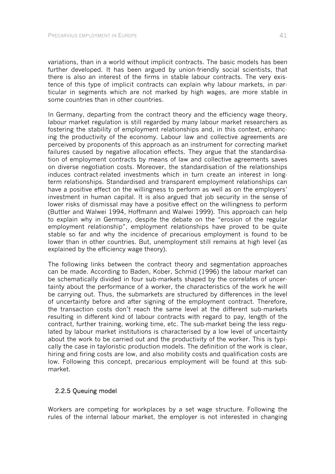variations, than in a world without implicit contracts. The basic models has been further developed. It has been argued by union-friendly social scientists, that there is also an interest of the firms in stable labour contracts. The very existence of this type of implicit contracts can explain why labour markets, in particular in segments which are not marked by high wages, are more stable in some countries than in other countries.

In Germany, departing from the contract theory and the efficiency wage theory, labour market regulation is still regarded by many labour market researchers as fostering the stability of employment relationships and, in this context, enhancing the productivity of the economy. Labour law and collective agreements are perceived by proponents of this approach as an instrument for correcting market failures caused by negative allocation effects. They argue that the standardisation of employment contracts by means of law and collective agreements saves on diverse negotiation costs. Moreover, the standardisation of the relationships induces contract-related investments which in turn create an interest in longterm relationships. Standardised and transparent employment relationships can have a positive effect on the willingness to perform as well as on the employers' investment in human capital. It is also argued that job security in the sense of lower risks of dismissal may have a positive effect on the willingness to perform (Buttler and Walwei 1994, Hoffmann and Walwei 1999). This approach can help to explain why in Germany, despite the debate on the "erosion of the regular employment relationship", employment relationships have proved to be quite stable so far and why the incidence of precarious employment is found to be lower than in other countries. But, unemployment still remains at high level (as explained by the efficiency wage theory).

The following links between the contract theory and segmentation approaches can be made. According to Baden, Kober, Schmid (1996) the labour market can be schematically divided in four sub-markets shaped by the correlates of uncertainty about the performance of a worker, the characteristics of the work he will be carrying out. Thus, the submarkets are structured by differences in the level of uncertainty before and after signing of the employment contract. Therefore, the transaction costs don't reach the same level at the different sub-markets resulting in different kind of labour contracts with regard to pay, length of the contract, further training, working time, etc. The sub-market being the less regulated by labour market institutions is characterised by a low level of uncertainty about the work to be carried out and the productivity of the worker. This is typically the case in tayloristic production models. The definition of the work is clear, hiring and firing costs are low, and also mobility costs and qualification costs are low. Following this concept, precarious employment will be found at this submarket.

### 2.2.5 Queuing model

Workers are competing for workplaces by a set wage structure. Following the rules of the internal labour market, the employer is not interested in changing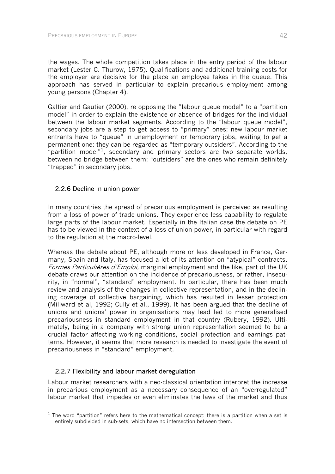the wages. The whole competition takes place in the entry period of the labour market (Lester C. Thurow, 1975). Qualifications and additional training costs for the employer are decisive for the place an employee takes in the queue. This approach has served in particular to explain precarious employment among young persons (Chapter 4).

Galtier and Gautier (2000), re opposing the "labour queue model" to a "partition model" in order to explain the existence or absence of bridges for the individual between the labour market segments. According to the "labour queue model", secondary jobs are a step to get access to "primary" ones; new labour market entrants have to "queue" in unemployment or temporary jobs, waiting to get a permanent one; they can be regarded as "temporary outsiders". According to the "partition model"<sup>1</sup>, secondary and primary sectors are two separate worlds, between no bridge between them; "outsiders" are the ones who remain definitely "trapped" in secondary jobs.

# 2.2.6 Decline in union power

In many countries the spread of precarious employment is perceived as resulting from a loss of power of trade unions. They experience less capability to regulate large parts of the labour market. Especially in the Italian case the debate on PE has to be viewed in the context of a loss of union power, in particular with regard to the regulation at the macro-level.

Whereas the debate about PE, although more or less developed in France, Germany, Spain and Italy, has focused a lot of its attention on "atypical" contracts, Formes Particulières d'Emploi, marginal employment and the like, part of the UK debate draws our attention on the incidence of precariousness, or rather, insecurity, in "normal", "standard" employment. In particular, there has been much review and analysis of the changes in collective representation, and in the declining coverage of collective bargaining, which has resulted in lesser protection (Millward et al, 1992; Cully et al., 1999). It has been argued that the decline of unions and unions' power in organisations may lead led to more generalised precariousness in standard employment in that country (Rubery, 1992). Ultimately, being in a company with strong union representation seemed to be a crucial factor affecting working conditions, social protection and earnings patterns. However, it seems that more research is needed to investigate the event of precariousness in "standard" employment.

# 2.2.7 Flexibility and labour market deregulation

l

Labour market researchers with a neo-classical orientation interpret the increase in precarious employment as a necessary consequence of an "overregulated" labour market that impedes or even eliminates the laws of the market and thus

 $1$  The word "partition" refers here to the mathematical concept: there is a partition when a set is entirely subdivided in sub-sets, which have no intersection between them.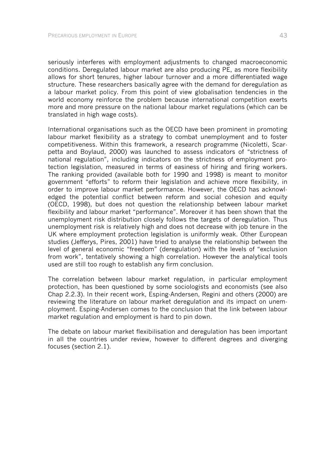seriously interferes with employment adjustments to changed macroeconomic conditions. Deregulated labour market are also producing PE, as more flexibility allows for short tenures, higher labour turnover and a more differentiated wage structure. These researchers basically agree with the demand for deregulation as a labour market policy. From this point of view globalisation tendencies in the world economy reinforce the problem because international competition exerts more and more pressure on the national labour market regulations (which can be translated in high wage costs).

International organisations such as the OECD have been prominent in promoting labour market flexibility as a strategy to combat unemployment and to foster competitiveness. Within this framework, a research programme (Nicoletti, Scarpetta and Boylaud, 2000) was launched to assess indicators of "strictness of national regulation", including indicators on the strictness of employment protection legislation, measured in terms of easiness of hiring and firing workers. The ranking provided (available both for 1990 and 1998) is meant to monitor government "efforts" to reform their legislation and achieve more flexibility, in order to improve labour market performance. However, the OECD has acknowledged the potential conflict between reform and social cohesion and equity (OECD, 1998), but does not question the relationship between labour market flexibility and labour market "performance". Moreover it has been shown that the unemployment risk distribution closely follows the targets of deregulation. Thus unemployment risk is relatively high and does not decrease with job tenure in the UK where employment protection legislation is uniformly weak. Other European studies (Jefferys, Pires, 2001) have tried to analyse the relationship between the level of general economic "freedom" (deregulation) with the levels of "exclusion from work", tentatively showing a high correlation. However the analytical tools used are still too rough to establish any firm conclusion.

The correlation between labour market regulation, in particular employment protection, has been questioned by some sociologists and economists (see also Chap 2.2.3). In their recent work, Esping-Andersen, Regini and others (2000) are reviewing the literature on labour market deregulation and its impact on unemployment. Esping-Andersen comes to the conclusion that the link between labour market regulation and employment is hard to pin down.

The debate on labour market flexibilisation and deregulation has been important in all the countries under review, however to different degrees and diverging focuses (section 2.1).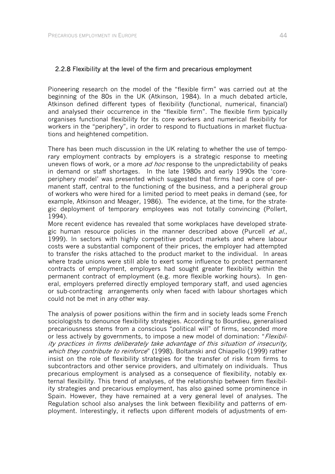Pioneering research on the model of the "flexible firm" was carried out at the beginning of the 80s in the UK (Atkinson, 1984). In a much debated article, Atkinson defined different types of flexibility (functional, numerical, financial) and analysed their occurrence in the "flexible firm". The flexible firm typically organises functional flexibility for its core workers and numerical flexibility for workers in the "periphery", in order to respond to fluctuations in market fluctuations and heightened competition.

There has been much discussion in the UK relating to whether the use of temporary employment contracts by employers is a strategic response to meeting uneven flows of work, or a more ad hoc response to the unpredictability of peaks in demand or staff shortages. In the late 1980s and early 1990s the 'coreperiphery model' was presented which suggested that firms had a core of permanent staff, central to the functioning of the business, and a peripheral group of workers who were hired for a limited period to meet peaks in demand (see, for example, Atkinson and Meager, 1986). The evidence, at the time, for the strategic deployment of temporary employees was not totally convincing (Pollert, 1994).

More recent evidence has revealed that some workplaces have developed strategic human resource policies in the manner described above (Purcell et al., 1999). In sectors with highly competitive product markets and where labour costs were a substantial component of their prices, the employer had attempted to transfer the risks attached to the product market to the individual. In areas where trade unions were still able to exert some influence to protect permanent contracts of employment, employers had sought greater flexibility within the permanent contract of employment (e.g. more flexible working hours). In general, employers preferred directly employed temporary staff, and used agencies or sub-contracting arrangements only when faced with labour shortages which could not be met in any other way.

The analysis of power positions within the firm and in society leads some French sociologists to denounce flexibility strategies. According to Bourdieu, generalised precariousness stems from a conscious "political will" of firms, seconded more or less actively by governments, to impose a new model of domination: "*Flexibil*ity practices in firms deliberately take advantage of this situation of insecurity, which they contribute to reinforce" (1998). Boltanski and Chiapello (1999) rather insist on the role of flexibility strategies for the transfer of risk from firms to subcontractors and other service providers, and ultimately on individuals. Thus precarious employment is analysed as a consequence of flexibility, notably external flexibility. This trend of analyses, of the relationship between firm flexibility strategies and precarious employment, has also gained some prominence in Spain. However, they have remained at a very general level of analyses. The Regulation school also analyses the link between flexibility and patterns of employment. Interestingly, it reflects upon different models of adjustments of em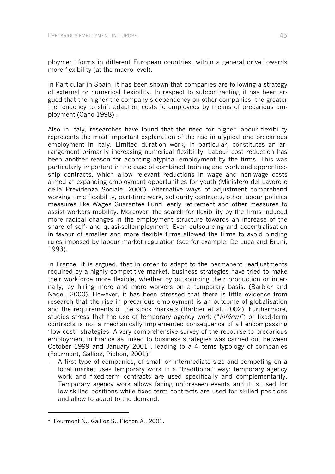ployment forms in different European countries, within a general drive towards more flexibility (at the macro level).

In Particular in Spain, it has been shown that companies are following a strategy of external or numerical flexibility. In respect to subcontracting it has been argued that the higher the company's dependency on other companies, the greater the tendency to shift adaption costs to employees by means of precarious employment (Cano 1998) .

Also in Italy, researches have found that the need for higher labour flexibility represents the most important explanation of the rise in atypical and precarious employment in Italy. Limited duration work, in particular, constitutes an arrangement primarily increasing numerical flexibility. Labour cost reduction has been another reason for adopting atypical employment by the firms. This was particularly important in the case of combined training and work and apprenticeship contracts, which allow relevant reductions in wage and non-wage costs aimed at expanding employment opportunities for youth (Ministero del Lavoro e della Previdenza Sociale, 2000). Alternative ways of adjustment comprehend working time flexibility, part-time work, solidarity contracts, other labour policies measures like Wages Guarantee Fund, early retirement and other measures to assist workers mobility. Moreover, the search for flexibility by the firms induced more radical changes in the employment structure towards an increase of the share of self- and quasi-selfemployment. Even outsourcing and decentralisation in favour of smaller and more flexible firms allowed the firms to avoid binding rules imposed by labour market regulation (see for example, De Luca and Bruni, 1993).

In France, it is argued, that in order to adapt to the permanent readjustments required by a highly competitive market, business strategies have tried to make their workforce more flexible, whether by outsourcing their production or internally, by hiring more and more workers on a temporary basis. (Barbier and Nadel, 2000). However, it has been stressed that there is little evidence from research that the rise in precarious employment is an outcome of globalisation and the requirements of the stock markets (Barbier et al. 2002). Furthermore, studies stress that the use of temporary agency work ("intérim") or fixed-term contracts is not a mechanically implemented consequence of all encompassing "low cost" strategies. A very comprehensive survey of the recourse to precarious employment in France as linked to business strategies was carried out between October 1999 and January 2001<sup>1</sup>, leading to a 4-items typology of companies (Fourmont, Gallioz, Pichon, 2001):

A first type of companies, of small or intermediate size and competing on a local market uses temporary work in a "traditional" way: temporary agency work and fixed-term contracts are used specifically and complementarily. Temporary agency work allows facing unforeseen events and it is used for low-skilled positions while fixed-term contracts are used for skilled positions and allow to adapt to the demand.

-

<sup>&</sup>lt;sup>1</sup> Fourmont N., Gallioz S., Pichon A., 2001.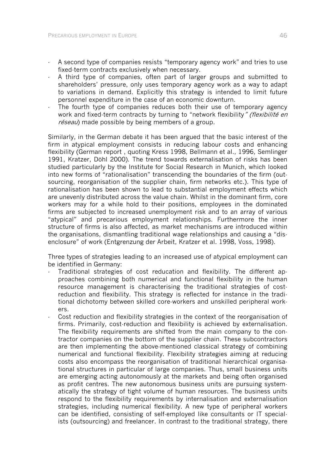- A second type of companies resists "temporary agency work" and tries to use fixed-term contracts exclusively when necessary.
- A third type of companies, often part of larger groups and submitted to shareholders' pressure, only uses temporary agency work as a way to adapt to variations in demand. Explicitly this strategy is intended to limit future personnel expenditure in the case of an economic downturn.
- The fourth type of companies reduces both their use of temporary agency work and fixed-term contracts by turning to "network flexibility" (flexibilité en réseau) made possible by being members of a group.

Similarly, in the German debate it has been argued that the basic interest of the firm in atypical employment consists in reducing labour costs and enhancing flexibility (German report , quoting Kress 1998, Bellmann et al., 1996, Semlinger 1991, Kratzer, Döhl 2000). The trend towards externalisation of risks has been studied particularly by the Institute for Social Research in Munich, which looked into new forms of "rationalisation" transcending the boundaries of the firm (outsourcing, reorganisation of the supplier chain, firm networks etc.). This type of rationalisation has been shown to lead to substantial employment effects which are unevenly distributed across the value chain. Whilst in the dominant firm, core workers may for a while hold to their positions, employees in the dominated firms are subjected to increased unemployment risk and to an array of various "atypical" and precarious employment relationships. Furthermore the inner structure of firms is also affected, as market mechanisms are introduced within the organisations, dismantling traditional wage relationships and causing a "disenclosure" of work (Entgrenzung der Arbeit, Kratzer et al. 1998, Voss, 1998).

Three types of strategies leading to an increased use of atypical employment can be identified in Germany:

- Traditional strategies of cost reducation and flexibility. The different approaches combining both numerical and functional flexibility in the human resource management is characterising the traditional strategies of costreduction and flexibility. This strategy is reflected for instance in the traditional dichotomy between skilled core-workers and unskilled peripheral workers.
- Cost reduction and flexibility strategies in the context of the reorganisation of firms. Primarily, cost-reduction and flexibility is achieved by externalisation. The flexibility requirements are shifted from the main company to the contractor companies on the bottom of the supplier chain. These subcontractors are then implementing the above-mentioned classical strategy of combining numerical and functional flexibility. Flexibility strategies aiming at reducing costs also encompass the reorganisation of traditional hierarchical organisational structures in particular of large companies. Thus, small business units are emerging acting autonomously at the markets and being often organised as profit centres. The new autonomous business units are pursuing systematically the strategy of tight volume of human resources. The business units respond to the flexibility requirements by internalisation and externalisation strategies, including numerical flexibility. A new type of peripheral workers can be identified, consisting of self-employed like consultants or IT specialists (outsourcing) and freelancer. In contrast to the traditional strategy, there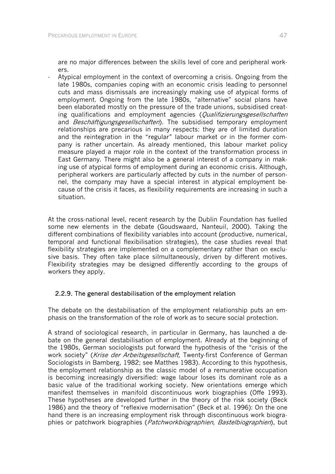are no major differences between the skills level of core and peripheral workers.

- Atypical employment in the context of overcoming a crisis. Ongoing from the late 1980s, companies coping with an economic crisis leading to personnel cuts and mass dismissals are increasingly making use of atypical forms of employment. Ongoing from the late 1980s, "alternative" social plans have been elaborated mostly on the pressure of the trade unions, subsidised creating qualifications and employment agencies (*Qualifizierungsgesellschaften* and *Beschäftigungsgesellschaften*). The subsidised temporary employment relationships are precarious in many respects: they are of limited duration and the reintegration in the "regular" labour market or in the former company is rather uncertain. As already mentioned, this labour market policy measure played a major role in the context of the transformation process in East Germany. There might also be a general interest of a company in making use of atypical forms of employment during an economic crisis. Although, peripheral workers are particularly affected by cuts in the number of personnel, the company may have a special interest in atypical employment because of the crisis it faces, as flexibility requirements are increasing in such a situation.

At the cross-national level, recent research by the Dublin Foundation has fuelled some new elements in the debate (Goudswaard, Nanteuil, 2000). Taking the different combinations of flexibility variables into account (productive, numerical, temporal and functional flexibilisation strategies), the case studies reveal that flexibility strategies are implemented on a complementary rather than on exclusive basis. They often take place silmultaneously, driven by different motives. Flexibility strategies may be designed differently according to the groups of workers they apply.

# 2.2.9. The general destabilisation of the employment relation

The debate on the destabilisation of the employment relationship puts an emphasis on the transformation of the role of work as to secure social protection.

A strand of sociological research, in particular in Germany, has launched a debate on the general destabilisation of employment. Already at the beginning of the 1980s, German sociologists put forward the hypothesis of the "crisis of the work society" (Krise der Arbeitsgesellschaft, Twenty-first Conference of German Sociologists in Bamberg, 1982; see Matthes 1983). According to this hypothesis, the employment relationship as the classic model of a remunerative occupation is becoming increasingly diversified: wage labour loses its dominant role as a basic value of the traditional working society. New orientations emerge which manifest themselves in manifold discontinuous work biographies (Offe 1993). These hypotheses are developed further in the theory of the risk society (Beck 1986) and the theory of "reflexive modernisation" (Beck et al. 1996): On the one hand there is an increasing employment risk through discontinuous work biographies or patchwork biographies (Patchworkbiographien, Bastelbiographien), but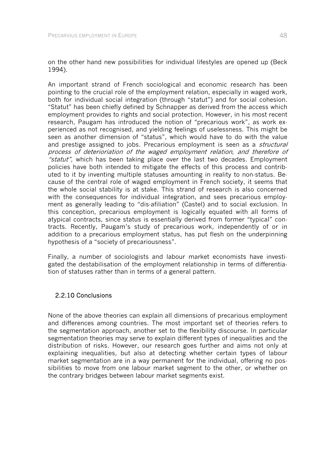on the other hand new possibilities for individual lifestyles are opened up (Beck 1994).

An important strand of French sociological and economic research has been pointing to the crucial role of the employment relation, especially in waged work, both for individual social integration (through "statut") and for social cohesion. "Statut" has been chiefly defined by Schnapper as derived from the access which employment provides to rights and social protection. However, in his most recent research, Paugam has introduced the notion of "precarious work", as work experienced as not recognised, and yielding feelings of uselessness. This might be seen as another dimension of "status", which would have to do with the value and prestige assigned to jobs. Precarious employment is seen as a *structural* process of deterioriation of the waged employment relation, and therefore of "statut", which has been taking place over the last two decades. Employment policies have both intended to mitigate the effects of this process and contributed to it by inventing multiple statuses amounting in reality to non-status. Because of the central role of waged employment in French society, it seems that the whole social stability is at stake. This strand of research is also concerned with the consequences for individual integration, and sees precarious employment as generally leading to "dis-afiliation" (Castel) and to social exclusion. In this conception, precarious employment is logically equated with all forms of atypical contracts, since status is essentially derived from former "typical" contracts. Recently, Paugam's study of precarious work, independently of or in addition to a precarious employment status, has put flesh on the underpinning hypothesis of a "society of precariousness".

Finally, a number of sociologists and labour market economists have investigated the destabilisation of the employment relationship in terms of differentiation of statuses rather than in terms of a general pattern.

# 2.2.10 Conclusions

None of the above theories can explain all dimensions of precarious employment and differences among countries. The most important set of theories refers to the segmentation approach, another set to the flexibility discourse. In particular segmentation theories may serve to explain different types of inequalities and the distribution of risks. However, our research goes further and aims not only at explaining inequalities, but also at detecting whether certain types of labour market segmentation are in a way permanent for the individual, offering no possibilities to move from one labour market segment to the other, or whether on the contrary bridges between labour market segments exist.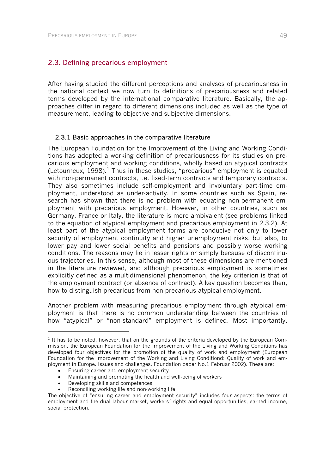## 2.3. Defining precarious employment

After having studied the different perceptions and analyses of precariousness in the national context we now turn to definitions of precariousness and related terms developed by the international comparative literature. Basically, the approaches differ in regard to different dimensions included as well as the type of measurement, leading to objective and subjective dimensions.

### 2.3.1 Basic approaches in the comparative literature

The European Foundation for the Improvement of the Living and Working Conditions has adopted a working definition of precariousness for its studies on precarious employment and working conditions, wholly based on atypical contracts (Letourneux, 1998).<sup>1</sup> Thus in these studies, "precarious" employment is equated with non-permanent contracts, i.e. fixed-term contracts and temporary contracts. They also sometimes include self-employment and involuntary part-time employment, understood as under-activity. In some countries such as Spain, research has shown that there is no problem with equating non-permanent employment with precarious employment. However, in other countries, such as Germany, France or Italy, the literature is more ambivalent (see problems linked to the equation of atypical employment and precarious employment in 2.3.2). At least part of the atypical employment forms are conducive not only to lower security of employment continuity and higher unemployment risks, but also, to lower pay and lower social benefits and pensions and possibly worse working conditions. The reasons may lie in lesser rights or simply because of discontinuous trajectories. In this sense, although most of these dimensions are mentioned in the literature reviewed, and although precarious employment is sometimes explicitly defined as a multidimensional phenomenon, the key criterion is that of the employment contract (or absence of contract). A key question becomes then, how to distinguish precarious from non-precarious atypical employment.

Another problem with measuring precarious employment through atypical employment is that there is no common understanding between the countries of how "atypical" or "non-standard" employment is defined. Most importantly,

-

 $<sup>1</sup>$  It has to be noted, however, that on the grounds of the criteria developed by the European Com-</sup> mission, the European Foundation for the Improvement of the Living and Working Conditions has developed four objectives for the promotion of the quality of work and employment (European Foundation for the Improvement of the Working and Living Conditiond: Quality of work and employment in Europe. Issues and challenges. Foundation paper No.1 Februar 2002). These are:

<sup>•</sup> Ensuring career and employment security

<sup>•</sup> Maintaining and promoting the health and well-being of workers

<sup>•</sup> Developing skills and competences

Reconciling working life and non-working life

The objective of "ensuring career and employment security" includes four aspects: the terms of employment and the dual labour market, workers´ rights and equal opportunities, earned income, social protection.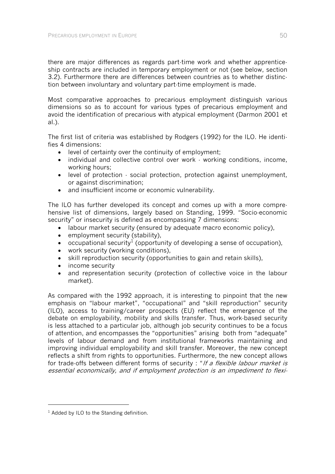there are major differences as regards part-time work and whether apprenticeship contracts are included in temporary employment or not (see below, section 3.2). Furthermore there are differences between countries as to whether distinction between involuntary and voluntary part-time employment is made.

Most comparative approaches to precarious employment distinguish various dimensions so as to account for various types of precarious employment and avoid the identification of precarious with atypical employment (Darmon 2001 et al.).

The first list of criteria was established by Rodgers (1992) for the ILO. He identifies 4 dimensions:

- level of certainty over the continuity of employment;
- individual and collective control over work working conditions, income, working hours;
- level of protection social protection, protection against unemployment, or against discrimination;
- and insufficient income or economic vulnerability.

The ILO has further developed its concept and comes up with a more comprehensive list of dimensions, largely based on Standing, 1999. "Socio-economic security" or insecurity is defined as encompassing 7 dimensions:

- labour market security (ensured by adequate macro economic policy),
- employment security (stability).
- occupational security<sup>1</sup> (opportunity of developing a sense of occupation),
- work security (working conditions),
- skill reproduction security (opportunities to gain and retain skills),
- income security
- and representation security (protection of collective voice in the labour market).

As compared with the 1992 approach, it is interesting to pinpoint that the new emphasis on "labour market", "occupational" and "skill reproduction" security (ILO), access to training/career prospects (EU) reflect the emergence of the debate on employability, mobility and skills transfer. Thus, work-based security is less attached to a particular job, although job security continues to be a focus of attention, and encompasses the "opportunities" arising both from "adequate" levels of labour demand and from institutional frameworks maintaining and improving individual employability and skill transfer. Moreover, the new concept reflects a shift from rights to opportunities. Furthermore, the new concept allows for trade-offs between different forms of security : "If a flexible labour market is essential economically, and if employment protection is an impediment to flexi-

-

 $1$  Added by ILO to the Standing definition.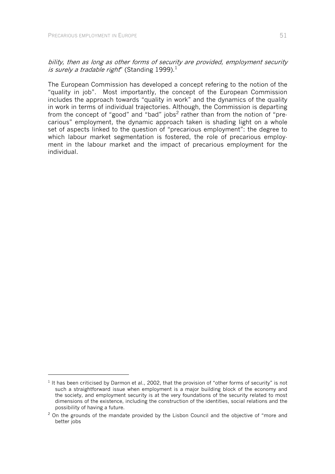l

bility, then as long as other forms of security are provided, employment security is surely a tradable right" (Standing 1999).<sup>1</sup>

The European Commission has developed a concept refering to the notion of the "quality in job". Most importantly, the concept of the European Commission includes the approach towards "quality in work" and the dynamics of the quality in work in terms of individual trajectories. Although, the Commission is departing from the concept of "good" and "bad" jobs<sup>2</sup> rather than from the notion of "precarious" employment, the dynamic approach taken is shading light on a whole set of aspects linked to the question of "precarious employment": the degree to which labour market segmentation is fostered, the role of precarious employment in the labour market and the impact of precarious employment for the individual.

 $1$  It has been criticised by Darmon et al., 2002, that the provision of "other forms of security" is not such a straightforward issue when employment is a major building block of the economy and the society, and employment security is at the very foundations of the security related to most dimensions of the existence, including the construction of the identities, social relations and the possibility of having a future.

<sup>&</sup>lt;sup>2</sup> On the grounds of the mandate provided by the Lisbon Council and the objective of "more and better jobs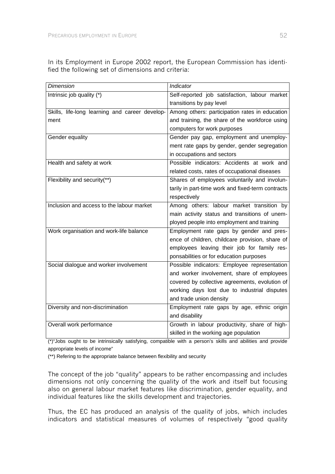In its Employment in Europe 2002 report, the European Commission has identified the following set of dimensions and criteria:

| <b>Dimension</b>                               | Indicator                                         |
|------------------------------------------------|---------------------------------------------------|
| Intrinsic job quality $(*)$                    | Self-reported job satisfaction, labour market     |
|                                                | transitions by pay level                          |
| Skills, life-long learning and career develop- | Among others: participation rates in education    |
| ment                                           | and training, the share of the workforce using    |
|                                                | computers for work purposes                       |
| Gender equality                                | Gender pay gap, employment and unemploy-          |
|                                                | ment rate gaps by gender, gender segregation      |
|                                                | in occupations and sectors                        |
| Health and safety at work                      | Possible indicators: Accidents at work and        |
|                                                | related costs, rates of occupational diseases     |
| Flexibility and security(**)                   | Shares of employees voluntarily and involun-      |
|                                                | tarily in part-time work and fixed-term contracts |
|                                                | respectively                                      |
| Inclusion and access to the labour market      | Among others: labour market transition by         |
|                                                | main activity status and transitions of unem-     |
|                                                | ployed people into employment and training        |
| Work organisation and work-life balance        | Employment rate gaps by gender and pres-          |
|                                                | ence of children, childcare provision, share of   |
|                                                | employees leaving their job for family res-       |
|                                                | ponsabilities or for education purposes           |
| Social dialogue and worker involvement         | Possible indicators: Employee representation      |
|                                                | and worker involvement, share of employees        |
|                                                | covered by collective agreements, evolution of    |
|                                                | working days lost due to industrial disputes      |
|                                                | and trade union density                           |
| Diversity and non-discrimination               | Employment rate gaps by age, ethnic origin        |
|                                                | and disability                                    |
| Overall work performance                       | Growth in labour productivity, share of high-     |
|                                                | skilled in the working age population             |

(\*)"Jobs ought to be intrinsically satisfying, compatible with a person's skills and abilities and provide appropriate levels of income"

(\*\*) Refering to the appropriate balance between flexibility and security

The concept of the job "quality" appears to be rather encompassing and includes dimensions not only concerning the quality of the work and itself but focusing also on general labour market features like discrimination, gender equality, and individual features like the skills development and trajectories.

Thus, the EC has produced an analysis of the quality of jobs, which includes indicators and statistical measures of volumes of respectively "good quality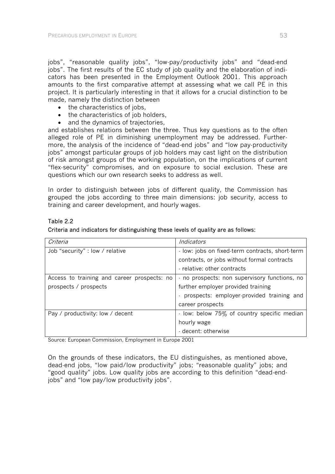jobs", "reasonable quality jobs", "low-pay/productivity jobs" and "dead-end jobs". The first results of the EC study of job quality and the elaboration of indicators has been presented in the Employment Outlook 2001. This approach amounts to the first comparative attempt at assessing what we call PE in this project. It is particularly interesting in that it allows for a crucial distinction to be made, namely the distinction between

- the characteristics of jobs,
- the characteristics of iob holders.
- and the dynamics of trajectories.

and establishes relations between the three. Thus key questions as to the often alleged role of PE in diminishing unemployment may be addressed. Furthermore, the analysis of the incidence of "dead-end jobs" and "low pay-productivity jobs" amongst particular groups of job holders may cast light on the distribution of risk amongst groups of the working population, on the implications of current "flex-security" compromises, and on exposure to social exclusion. These are questions which our own research seeks to address as well.

In order to distinguish between jobs of different quality, the Commission has grouped the jobs according to three main dimensions: job security, access to training and career development, and hourly wages.

# Table 2.2

### Criteria and indicators for distinguishing these levels of quality are as follows:

| Criteria                                    | Indicators                                      |
|---------------------------------------------|-------------------------------------------------|
| Job "security" : low / relative             | - low: jobs on fixed-term contracts, short-term |
|                                             | contracts, or jobs without formal contracts     |
|                                             | · relative: other contracts                     |
| Access to training and career prospects: no | no prospects: non supervisory functions, no     |
| prospects / prospects                       | further employer provided training              |
|                                             | prospects: employer-provided training and       |
|                                             | career prospects                                |
| Pay / productivity: low / decent            | - low: below 75% of country specific median     |
|                                             | hourly wage                                     |
|                                             | - decent: otherwise                             |

Source: European Commission, Employment in Europe 2001

On the grounds of these indicators, the EU distinguishes, as mentioned above, dead-end jobs, "low paid/low productivity" jobs; "reasonable quality" jobs; and "good quality" jobs. Low quality jobs are according to this definition "dead-endjobs" and "low pay/low productivity jobs".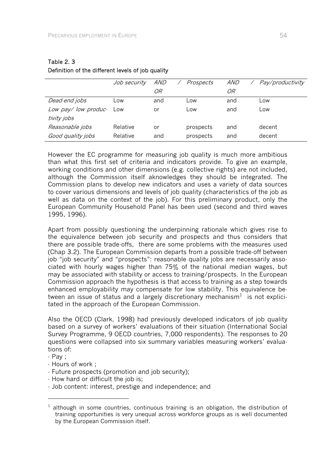|                     | Job security | <i>AND</i> | Prospects | <i>AND</i> | Pay/productivity |
|---------------------|--------------|------------|-----------|------------|------------------|
|                     |              | OR         |           | OR         |                  |
| Dead-end jobs       | Low          | and        | ∟0W       | and        | Low              |
| Low pay/low produc- | Low          | or         | Low       | and        | Low              |
| tivity jobs         |              |            |           |            |                  |
| Reasonable jobs     | Relative     | or         | prospects | and        | decent           |
| Good quality jobs   | Relative     | and        | prospects | and        | decent           |

## Table 2. 3 Definition of the different levels of job quality

However the EC programme for measuring job quality is much more ambitious than what this first set of criteria and indicators provide. To give an example, working conditions and other dimensions (e.g. collective rights) are not included, although the Commission itself aknowledges they should be integrated. The Commission plans to develop new indicators and uses a variety of data sources to cover various dimensions and levels of job quality (characteristics of the job as well as data on the context of the job). For this preliminary product, only the European Community Household Panel has been used (second and third waves 1995, 1996).

Apart from possibly questioning the underpinning rationale which gives rise to the equivalence between job security and prospects and thus considers that there are possible trade-offs, there are some problems with the measures used (Chap 3.2). The European Commission departs from a possible trade-off between job "job security" and "prospects": reasonable quality jobs are necessarily associated with hourly wages higher than 75% of the national median wages, but may be associated with stability or access to training/prospects. In the European Commission approach the hypothesis is that access to training as a step towards enhanced employability may compensate for low stability. This equivalence between an issue of status and a largely discretionary mechanism<sup>1</sup> is not explicitated in the approach of the European Commission.

Also the OECD (Clark, 1998) had previously developed indicators of job quality based on a survey of workers' evaluations of their situation (International Social Survey Programme, 9 OECD countries, 7,000 respondents). The responses to 20 questions were collapsed into six summary variables measuring workers' evaluations of:

- Pay ;

-

- Hours of work ;
- Future prospects (promotion and job security);
- How hard or difficult the job is;
- Job content: interest, prestige and independence; and

 $<sup>1</sup>$  although in some countries, continuous training is an obligation, the distribution of</sup> training opportunities is very unequal across workforce groups as is well documented by the European Commission itself.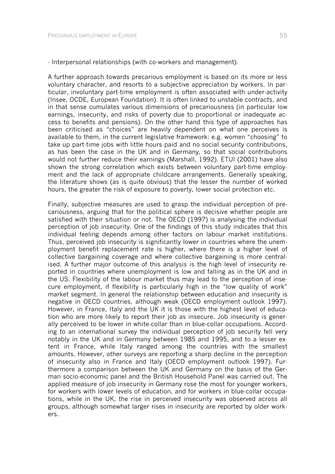- Interpersonal relationships (with co-workers and management).

A further approach towards precarious employment is based on its more or less voluntary character, and resorts to a subjective appreciation by workers. In particular, involuntary part-time employment is often associated with under-activity (Insee, OCDE, European Foundation). It is often linked to unstable contracts, and in that sense cumulates various dimensions of precariousness (in particular low earnings, insecurity, and risks of poverty due to proportional or inadequate access to benefits and pensions). On the other hand this type of approaches has been criticised as "choices" are heavily dependent on what one perceives is available to them, in the current legislative framework: e.g. women "choosing" to take up part-time jobs with little hours paid and no social security contributions, as has been the case in the UK and in Germany, so that social contributions would not further reduce their earnings (Marshall, 1992). ETUI (2001) have also shown the strong correlation which exists between voluntary part-time employment and the lack of appropriate childcare arrangements. Generally speaking, the literature shows (as is quite obvious) that the lesser the number of worked hours, the greater the risk of exposure to poverty, lower social protection etc.

Finally, subjective measures are used to grasp the individual perception of precariousness, arguing that for the political sphere is decisive whether people are satisfied with their situation or not. The OECD (1997) is analysing the individual perception of job insecurity. One of the findings of this study indicates that this individual feeling depends among other factors on labour market institutions. Thus, perceived job insecurity is significantly lower in countries where the unemployment benefit replacement rate is higher, where there is a higher level of collective bargaining coverage and where collective bargaining is more centralised. A further major outcome of this analysis is the high level of insecurity reported in countries where unemployment is low and falling as in the UK and in the US. Flexibility of the labour market thus may lead to the perception of insecure employment, if flexibility is particularly high in the "low quality of work" market segment. In general the relationship between education and insecurity is negative in OECD countries, although weak (OECD employment outlook 1997). However, in France, Italy and the UK it is those with the highest level of education who are more likely to report their job as insecure. Job insecurity is generally perceived to be lower in white-collar than in blue-collar occupations. According to an international survey the individual perception of job security fell very notably in the UK and in Germany between 1985 and 1995, and to a lesser extent in France, while Italy ranged among the countries with the smallest amounts. However, other surveys are reporting a sharp decline in the perception of insecurity also in France and Italy (OECD employment outlook 1997). Furthermore a comparison between the UK and Germany on the basis of the German socio-economic panel and the British Household Panel was carried out. The applied measure of job insecurity in Germany rose the most for younger workers, for workers with lower levels of education, and for workers in blue-collar occupations, while in the UK, the rise in perceived insecurity was observed across all groups, although somewhat larger rises in insecurity are reported by older workers.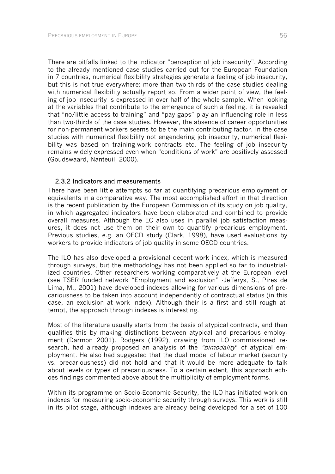There are pitfalls linked to the indicator "perception of job insecurity". According to the already mentioned case studies carried out for the European Foundation in 7 countries, numerical flexibility strategies generate a feeling of job insecurity, but this is not true everywhere: more than two-thirds of the case studies dealing with numerical flexibility actually report so. From a wider point of view, the feeling of job insecurity is expressed in over half of the whole sample. When looking at the variables that contribute to the emergence of such a feeling, it is revealed that "no/little access to training" and "pay gaps" play an influencing role in less than two-thirds of the case studies. However, the absence of career opportunities for non-permanent workers seems to be the main contributing factor. In the case studies with numerical flexibility not engendering job insecurity, numerical flexibility was based on training-work contracts etc. The feeling of job insecurity remains widely expressed even when "conditions of work" are positively assessed (Goudswaard, Nanteuil, 2000).

### 2.3.2 Indicators and measurements

There have been little attempts so far at quantifying precarious employment or equivalents in a comparative way. The most accomplished effort in that direction is the recent publication by the European Commission of its study on job quality, in which aggregated indicators have been elaborated and combined to provide overall measures. Although the EC also uses in parallel job satisfaction measures, it does not use them on their own to quantify precarious employment. Previous studies, e.g. an OECD study (Clark, 1998), have used evaluations by workers to provide indicators of job quality in some OECD countries.

The ILO has also developed a provisional decent work index, which is measured through surveys, but the methodology has not been applied so far to industrialized countries. Other researchers working comparatively at the European level (see TSER funded network "Employment and exclusion" -Jefferys, S., Pires de Lima, M., 2001) have developed indexes allowing for various dimensions of precariousness to be taken into account independently of contractual status (in this case, an exclusion at work index). Although their is a first and still rough attempt, the approach through indexes is interesting.

Most of the literature usually starts from the basis of atypical contracts, and then qualifies this by making distinctions between atypical and precarious employment (Darmon 2001). Rodgers (1992), drawing from ILO commissioned research, had already proposed an analysis of the "bimodality" of atypical employment. He also had suggested that the dual model of labour market (security vs. precariousness) did not hold and that it would be more adequate to talk about levels or types of precariousness. To a certain extent, this approach echoes findings commented above about the multiplicity of employment forms.

Within its programme on Socio-Economic Security, the ILO has initiated work on indexes for measuring socio-economic security through surveys. This work is still in its pilot stage, although indexes are already being developed for a set of 100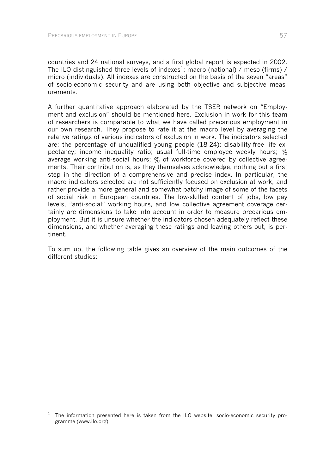l

countries and 24 national surveys, and a first global report is expected in 2002. The ILO distinguished three levels of indexes<sup>1</sup>: macro (national) / meso (firms) / micro (individuals). All indexes are constructed on the basis of the seven "areas" of socio-economic security and are using both objective and subjective measurements.

A further quantitative approach elaborated by the TSER network on "Employment and exclusion" should be mentioned here. Exclusion in work for this team of researchers is comparable to what we have called precarious employment in our own research. They propose to rate it at the macro level by averaging the relative ratings of various indicators of exclusion in work. The indicators selected are: the percentage of unqualified young people (18-24); disability-free life expectancy; income inequality ratio; usual full-time employee weekly hours;  $\%$ average working anti-social hours; % of workforce covered by collective agreements. Their contribution is, as they themselves acknowledge, nothing but a first step in the direction of a comprehensive and precise index. In particular, the macro indicators selected are not sufficiently focused on exclusion at work, and rather provide a more general and somewhat patchy image of some of the facets of social risk in European countries. The low-skilled content of jobs, low pay levels, "anti-social" working hours, and low collective agreement coverage certainly are dimensions to take into account in order to measure precarious employment. But it is unsure whether the indicators chosen adequately reflect these dimensions, and whether averaging these ratings and leaving others out, is pertinent.

To sum up, the following table gives an overview of the main outcomes of the different studies:

 $1$  The information presented here is taken from the ILO website, socio-economic security programme (www.ilo.org).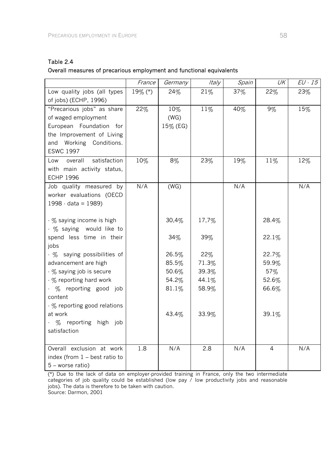| Table 2.4                                                            |
|----------------------------------------------------------------------|
| Overall measures of precarious employment and functional equivalents |

|                                                                                                                                                          | France  | Germany                 | Italy          | Spain | UK             | $EU \cdot 15$ |
|----------------------------------------------------------------------------------------------------------------------------------------------------------|---------|-------------------------|----------------|-------|----------------|---------------|
| Low quality jobs (all types<br>of jobs) (ECHP, 1996)                                                                                                     | 19% (*) | 24%                     | 21%            | 37%   | 22%            | 23%           |
| "Precarious jobs" as share<br>of waged employment<br>European Foundation for<br>the Improvement of Living<br>and Working Conditions.<br><b>ESWC 1997</b> | 22%     | 10%<br>(WG)<br>15% (EG) | 11%            | 40%   | $9\%$          | 15%           |
| satisfaction<br>overall<br>Low<br>with main activity status,<br><b>ECHP 1996</b>                                                                         | 10%     | $8\%$                   | 23%            | 19%   | 11%            | 12%           |
| Job quality measured by<br>worker evaluations (OECD<br>$1998 \cdot data = 1989$                                                                          | N/A     | (WG)                    |                | N/A   |                | N/A           |
| - % saying income is high<br>- % saying would like to                                                                                                    |         | 30,4%                   | 17,7%          |       | 28.4%          |               |
| spend less time in their<br>jobs                                                                                                                         |         | 34%                     | 39%            |       | 22.1%          |               |
| - % saying possibilities of                                                                                                                              |         | 26.5%                   | 22%            |       | 22.7%          |               |
| advancement are high                                                                                                                                     |         | 85.5%                   | 71.3%          |       | 59.9%          |               |
| - % saying job is secure                                                                                                                                 |         | 50.6%                   | 39.3%          |       | 57%            |               |
| - % reporting hard work<br>- % reporting good job<br>content                                                                                             |         | 54.2%<br>81.1%          | 44.1%<br>58.9% |       | 52.6%<br>66.6% |               |
| - % reporting good relations<br>at work<br>- % reporting high job<br>satisfaction                                                                        |         | 43.4%                   | 33.9%          |       | 39.1%          |               |
| Overall exclusion at work<br>index (from 1 - best ratio to<br>5 - worse ratio)                                                                           | 1.8     | N/A                     | 2.8            | N/A   | 4              | N/A           |

(\*) Due to the lack of data on employer-provided training in France, only the two intermediate categories of job quality could be established (low pay / low productivity jobs and reasonable jobs). The data is therefore to be taken with caution. Source: Darmon, 2001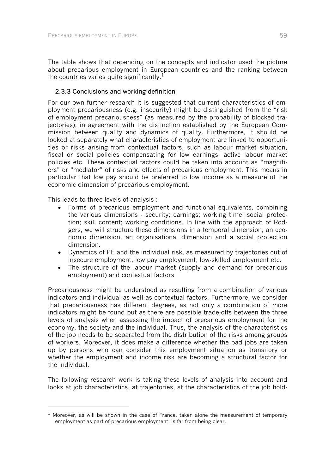The table shows that depending on the concepts and indicator used the picture about precarious employment in European countries and the ranking between the countries varies quite significantly.<sup>1</sup>

# 2.3.3 Conclusions and working definition

For our own further research it is suggested that current characteristics of employment precariousness (e.g. insecurity) might be distinguished from the "risk of employment precariousness" (as measured by the probability of blocked trajectories), in agreement with the distinction established by the European Commission between quality and dynamics of quality. Furthermore, it should be looked at separately what characteristics of employment are linked to opportunities or risks arising from contextual factors, such as labour market situation, fiscal or social policies compensating for low earnings, active labour market policies etc. These contextual factors could be taken into account as "magnifiers" or "mediator" of risks and effects of precarious employment. This means in particular that low pay should be preferred to low income as a measure of the economic dimension of precarious employment.

This leads to three levels of analysis :

-

- Forms of precarious employment and functional equivalents, combining the various dimensions - security; earnings; working time; social protection; skill content; working conditions. In line with the approach of Rodgers, we will structure these dimensions in a temporal dimension, an economic dimension, an organisational dimension and a social protection dimension.
- Dynamics of PE and the individual risk, as measured by trajectories out of insecure employment, low pay employment, low-skilled employment etc.
- The structure of the labour market (supply and demand for precarious employment) and contextual factors

Precariousness might be understood as resulting from a combination of various indicators and individual as well as contextual factors. Furthermore, we consider that precariousness has different degrees, as not only a combination of more indicators might be found but as there are possible trade-offs between the three levels of analysis when assessing the impact of precarious employment for the economy, the society and the individual. Thus, the analysis of the characteristics of the job needs to be separated from the distribution of the risks among groups of workers. Moreover, it does make a difference whether the bad jobs are taken up by persons who can consider this employment situation as transitory or whether the employment and income risk are becoming a structural factor for the individual.

The following research work is taking these levels of analysis into account and looks at job characteristics, at trajectories, at the characteristics of the job hold-

 $1$  Moreover, as will be shown in the case of France, taken alone the measurement of temporary employment as part of precarious employment is far from being clear.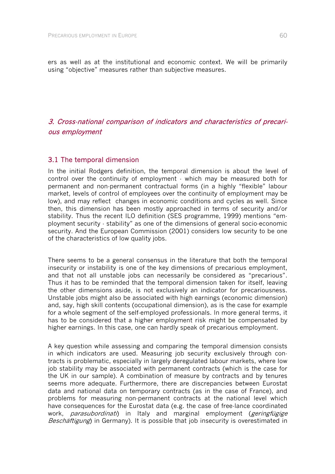ers as well as at the institutional and economic context. We will be primarily using "objective" measures rather than subjective measures.

# 3. Cross-national comparison of indicators and characteristics of precarious employment

## 3.1 The temporal dimension

In the initial Rodgers definition, the temporal dimension is about the level of control over the continuity of employment - which may be measured both for permanent and non-permanent contractual forms (in a highly "flexible" labour market, levels of control of employees over the continuity of employment may be low), and may reflect changes in economic conditions and cycles as well. Since then, this dimension has been mostly approached in terms of security and/or stability. Thus the recent ILO definition (SES programme, 1999) mentions "employment security - stability" as one of the dimensions of general socio-economic security. And the European Commission (2001) considers low security to be one of the characteristics of low quality jobs.

There seems to be a general consensus in the literature that both the temporal insecurity or instability is one of the key dimensions of precarious employment, and that not all unstable jobs can necessarily be considered as "precarious". Thus it has to be reminded that the temporal dimension taken for itself, leaving the other dimensions aside, is not exclusively an indicator for precariousness. Unstable jobs might also be associated with high earnings (economic dimension) and, say, high skill contents (occupational dimension), as is the case for example for a whole segment of the self-employed professionals. In more general terms, it has to be considered that a higher employment risk might be compensated by higher earnings. In this case, one can hardly speak of precarious employment.

A key question while assessing and comparing the temporal dimension consists in which indicators are used. Measuring job security exclusively through contracts is problematic, especially in largely deregulated labour markets, where low job stability may be associated with permanent contracts (which is the case for the UK in our sample). A combination of measure by contracts and by tenures seems more adequate. Furthermore, there are discrepancies between Eurostat data and national data on temporary contracts (as in the case of France), and problems for measuring non-permanent contracts at the national level which have consequences for the Eurostat data (e.g. the case of free-lance coordinated work, *parasubordinati*) in Italy and marginal employment (*geringfügige* Beschäftigung) in Germany). It is possible that job insecurity is overestimated in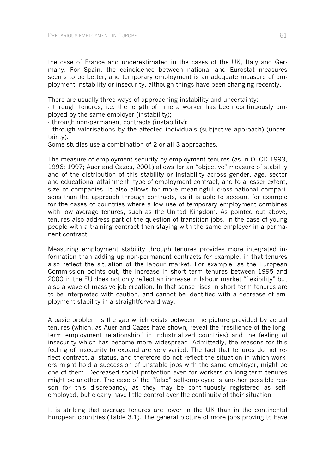the case of France and underestimated in the cases of the UK, Italy and Germany. For Spain, the coincidence between national and Eurostat measures seems to be better, and temporary employment is an adequate measure of employment instability or insecurity, although things have been changing recently.

There are usually three ways of approaching instability and uncertainty:

- through tenures, i.e. the length of time a worker has been continuously employed by the same employer (instability);

- through non-permanent contracts (instability);

- through valorisations by the affected individuals (subjective approach) (uncertainty).

Some studies use a combination of 2 or all 3 approaches.

The measure of employment security by employment tenures (as in OECD 1993, 1996; 1997; Auer and Cazes, 2001) allows for an "objective" measure of stability and of the distribution of this stability or instability across gender, age, sector and educational attainment, type of employment contract, and to a lesser extent, size of companies. It also allows for more meaningful cross-national comparisons than the approach through contracts, as it is able to account for example for the cases of countries where a low use of temporary employment combines with low average tenures, such as the United Kingdom. As pointed out above, tenures also address part of the question of transition jobs, in the case of young people with a training contract then staying with the same employer in a permanent contract.

Measuring employment stability through tenures provides more integrated information than adding up non-permanent contracts for example, in that tenures also reflect the situation of the labour market. For example, as the European Commission points out, the increase in short term tenures between 1995 and 2000 in the EU does not only reflect an increase in labour market "flexibility" but also a wave of massive job creation. In that sense rises in short term tenures are to be interpreted with caution, and cannot be identified with a decrease of employment stability in a straightforward way.

A basic problem is the gap which exists between the picture provided by actual tenures (which, as Auer and Cazes have shown, reveal the "resilience of the longterm employment relationship" in industrialized countries) and the feeling of insecurity which has become more widespread. Admittedly, the reasons for this feeling of insecurity to expand are very varied. The fact that tenures do not reflect contractual status, and therefore do not reflect the situation in which workers might hold a succession of unstable jobs with the same employer, might be one of them. Decreased social protection even for workers on long-term tenures might be another. The case of the "false" self-employed is another possible reason for this discrepancy, as they may be continuously registered as selfemployed, but clearly have little control over the continuity of their situation.

It is striking that average tenures are lower in the UK than in the continental European countries (Table 3.1). The general picture of more jobs proving to have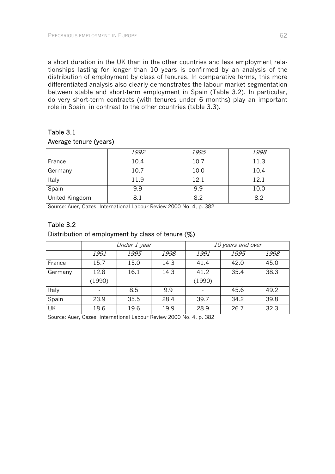a short duration in the UK than in the other countries and less employment relationships lasting for longer than 10 years is confirmed by an analysis of the distribution of employment by class of tenures. In comparative terms, this more differentiated analysis also clearly demonstrates the labour market segmentation between stable and short-term employment in Spain (Table 3.2). In particular, do very short-term contracts (with tenures under 6 months) play an important role in Spain, in contrast to the other countries (table 3.3).

## Table 3.1

### Average tenure (years)

|                       | 1992 | 1995 | 1998 |
|-----------------------|------|------|------|
| France                | 10.4 | 10.7 | 11.3 |
| Germany               | 10.7 | 10.0 | 10.4 |
| Italy                 | 11.9 | 12.1 | 12.1 |
| Spain                 | 9.9  | 9.9  | 10.0 |
| <b>United Kingdom</b> | 8.1  | 8.2  | 82   |

Source: Auer, Cazes, International Labour Review 2000 No. 4, p. 382

# Table 3.2

## Distribution of employment by class of tenure (%)

|         | Under 1 year |      |      | 10 years and over |             |      |
|---------|--------------|------|------|-------------------|-------------|------|
|         | <i>1991</i>  | 1995 | 1998 | 1991              | <i>1995</i> | 1998 |
| France  | 15.7         | 15.0 | 14.3 | 41.4              | 42.0        | 45.0 |
| Germany | 12.8         | 16.1 | 14.3 | 41.2              | 35.4        | 38.3 |
|         | (1990)       |      |      | (1990)            |             |      |
| Italy   |              | 8.5  | 9.9  |                   | 45.6        | 49.2 |
| Spain   | 23.9         | 35.5 | 28.4 | 39.7              | 34.2        | 39.8 |
| UK      | 18.6         | 19.6 | 19.9 | 28.9              | 26.7        | 32.3 |

Source: Auer, Cazes, International Labour Review 2000 No. 4, p. 382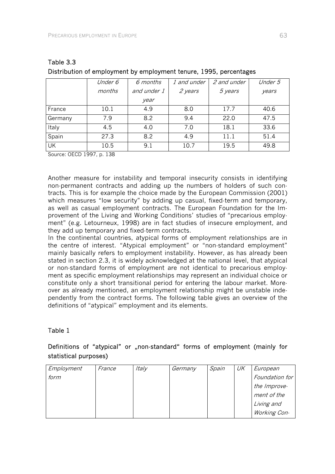|           | Under 6 | 6 months    | 1 and under | 2 and under | Under 5 |
|-----------|---------|-------------|-------------|-------------|---------|
|           | months  | and under 1 | 2 years     | 5 years     | years   |
|           |         | year        |             |             |         |
| France    | 10.1    | 4.9         | 8.0         | 17.7        | 40.6    |
| Germany   | 7.9     | 8.2         | 9.4         | 22.0        | 47.5    |
| Italy     | 4.5     | 4.0         | 7.0         | 18.1        | 33.6    |
| Spain     | 27.3    | 8.2         | 4.9         | 11.1        | 51.4    |
| <b>UK</b> | 10.5    | 9.1         | 10.7        | 19.5        | 49.8    |

| Table 3.3 |                                                                    |
|-----------|--------------------------------------------------------------------|
|           | Distribution of employment by employment tenure, 1995, percentages |

Source: OECD 1997, p. 138

Another measure for instability and temporal insecurity consists in identifying non-permanent contracts and adding up the numbers of holders of such contracts. This is for example the choice made by the European Commission (2001) which measures "low security" by adding up casual, fixed-term and temporary, as well as casual employment contracts. The European Foundation for the Improvement of the Living and Working Conditions' studies of "precarious employment" (e.g. Letourneux, 1998) are in fact studies of insecure employment, and they add up temporary and fixed-term contracts.

In the continental countries, atypical forms of employment relationships are in the centre of interest. "Atypical employment" or "non-standard employment" mainly basically refers to employment instability. However, as has already been stated in section 2.3, it is widely acknowledged at the national level, that atypical or non-standard forms of employment are not identical to precarious employment as specific employment relationships may represent an individual choice or constitute only a short transitional period for entering the labour market. Moreover as already mentioned, an employment relationship might be unstable independently from the contract forms. The following table gives an overview of the definitions of "atypical" employment and its elements.

# Table 1

# Definitions of "atypical" or "non-standard" forms of employment (mainly for statistical purposes)

| Employment | France | Italy | Germany | Spain | UK | European       |
|------------|--------|-------|---------|-------|----|----------------|
| form       |        |       |         |       |    | Foundation for |
|            |        |       |         |       |    | the Improve-   |
|            |        |       |         |       |    | ment of the    |
|            |        |       |         |       |    | Living and     |
|            |        |       |         |       |    | Working Con-   |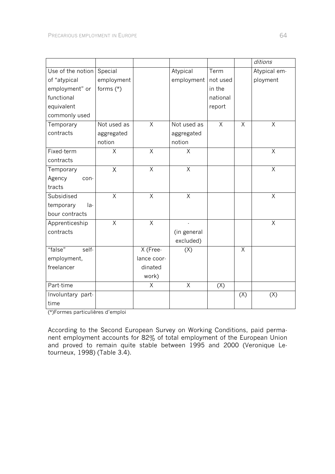|                   |             |                |             |          |         | ditions        |
|-------------------|-------------|----------------|-------------|----------|---------|----------------|
| Use of the notion | Special     |                | Atypical    | Term     |         | Atypical em-   |
| of "atypical      | employment  |                | employment  | not used |         | ployment       |
| employment" or    | forms (*)   |                |             | in the   |         |                |
| functional        |             |                |             | national |         |                |
| equivalent        |             |                |             | report   |         |                |
| commonly used     |             |                |             |          |         |                |
| Temporary         | Not used as | $\sf X$        | Not used as | $\times$ | $\sf X$ | Χ              |
| contracts         | aggregated  |                | aggregated  |          |         |                |
|                   | notion      |                | notion      |          |         |                |
| Fixed-term        | Χ           | Χ              | Χ           |          |         | Χ              |
| contracts         |             |                |             |          |         |                |
| Temporary         | Χ           | $\sf X$        | $\sf X$     |          |         | $\sf X$        |
| Agency<br>con-    |             |                |             |          |         |                |
| tracts            |             |                |             |          |         |                |
| Subsidised        | $\sf X$     | $\sf X$        | $\sf X$     |          |         | X              |
| temporary<br>la-  |             |                |             |          |         |                |
| bour contracts    |             |                |             |          |         |                |
| Apprenticeship    | $\sf X$     | $\overline{X}$ |             |          |         | $\overline{X}$ |
| contracts         |             |                | (in general |          |         |                |
|                   |             |                | excluded)   |          |         |                |
| "false"<br>self-  |             | X (Free-       | (X)         |          | X       |                |
| employment,       |             | lance coor-    |             |          |         |                |
| freelancer        |             | dinated        |             |          |         |                |
|                   |             | work)          |             |          |         |                |
| Part-time         |             | Χ              | $\sf X$     | (X)      |         |                |
| Involuntary part- |             |                |             |          | (X)     | (X)            |
| time              |             |                |             |          |         |                |

(\*)Formes particulières d'emploi

According to the Second European Survey on Working Conditions, paid permanent employment accounts for 82% of total employment of the European Union and proved to remain quite stable between 1995 and 2000 (Veronique Letourneux, 1998) (Table 3.4).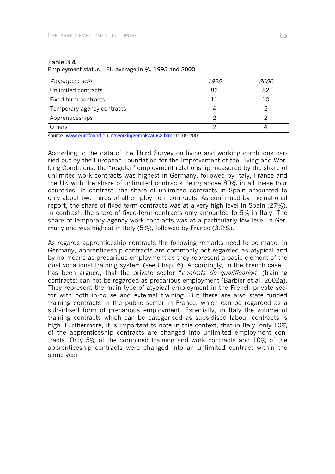| <b>Employees with</b>      | <i>1995</i> | <i>2000</i> |
|----------------------------|-------------|-------------|
| Unlimited contracts        | 82          | 82          |
| Fixed-term contracts       |             |             |
| Temporary agency contracts |             |             |
| Apprenticeships            |             |             |
| <b>Others</b>              |             |             |

### Table 3.4 Employment status – EU average in  $\%$ , 1995 and 2000

source: www.eurofound.eu.int/working/emplstatus2.htm, 12.09.2001

According to the data of the Third Survey on living and working conditions carried out by the European Foundation for the Improvement of the Living and Working Conditions, the "regular" employment relationship measured by the share of unlimited work contracts was highest in Germany, followed by Italy, France and the UK with the share of unlimited contracts being above 80% in all these four countries. In contrast, the share of unlimited contracts in Spain amounted to only about two thirds of all employment contracts. As confirmed by the national report, the share of fixed-term contracts was at a very high level in Spain (27%). In contrast, the share of fixed-term contracts only amounted to 5% in Italy. The share of temporary agency work contracts was at a particularly low level in Germany and was highest in Italy (5%), followed by France (3.2%).

As regards apprenticeship contracts the following remarks need to be made: in Germany, apprenticeship contracts are commonly not regarded as atypical and by no means as precarious employment as they represent a basic element of the dual vocational training system (see Chap. 6). Accordingly, in the French case it has been argued, that the private sector "*contrats de qualification*" (training contracts) can not be regarded as precarious employment (Barbier et al. 2002a). They represent the main type of atypical employment in the French private sector with both in-house and external training. But there are also state funded training contracts in the public sector in France, which can be regarded as a subsidised form of precarious employment. Especially, in Italy the volume of training contracts which can be categorised as subsidised labour contracts is high. Furthermore, it is important to note in this context, that in Italy, only 10% of the apprenticeship contracts are changed into unlimited employment contracts. Only 5% of the combined training and work contracts and 10% of the apprenticeship contracts were changed into an unlimited contract within the same year.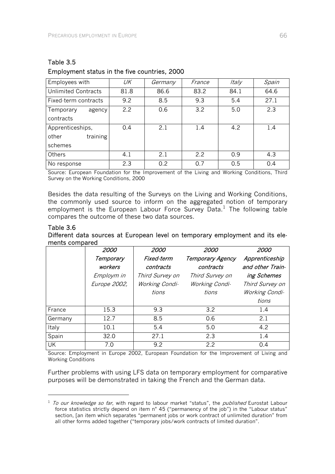l

| Employees with             | UK   | Germany | France | Italy | Spain |
|----------------------------|------|---------|--------|-------|-------|
| <b>Unlimited Contracts</b> | 81.8 | 86.6    | 83.2   | 84.1  | 64.6  |
| Fixed-term contracts       | 9.2  | 8.5     | 9.3    | 5.4   | 27.1  |
| Temporary<br>agency        | 2.2  | 0.6     | 3.2    | 5.0   | 2.3   |
| contracts                  |      |         |        |       |       |
| Apprenticeships,           | 0.4  | 2.1     | 1.4    | 4.2   | 1.4   |
| training<br>other          |      |         |        |       |       |
| schemes                    |      |         |        |       |       |
| <b>Others</b>              | 4.1  | 2.1     | 2.2    | 0.9   | 4.3   |
| No response                | 2.3  | 0.2     | 07     | 0.5   | 0.4   |

# Table 3.5 Employment status in the five countries, 2000

Source: European Foundation for the Improvement of the Living and Working Conditions, Third Survey on the Working Conditions, 2000

Besides the data resulting of the Surveys on the Living and Working Conditions, the commonly used source to inform on the aggregated notion of temporary employment is the European Labour Force Survey Data.<sup>1</sup> The following table compares the outcome of these two data sources.

#### Table 3.6 Different data sources at European level on temporary employment and its elements compared

|         | 2000                 | 2000                    | 2000                          | 2000                               |
|---------|----------------------|-------------------------|-------------------------------|------------------------------------|
|         | Temporary<br>workers | Fixed-term<br>contracts | Temporary Agency<br>contracts | Apprenticeship<br>and other Train- |
|         | Employm in           | Third Survey on         | Third Survey on               | ing Schemes                        |
|         | Europe 2002,         | Working Condi-          | Working Condi-                | Third Survey on                    |
|         |                      | tions                   | tions                         | Working Condi-                     |
|         |                      |                         |                               | tions                              |
| France  | 15.3                 | 9.3                     | 3.2                           | 1.4                                |
| Germany | 12.7                 | 8.5                     | 0.6                           | 2.1                                |
| Italy   | 10.1                 | 5.4                     | 5.0                           | 4.2                                |
| Spain   | 32.0                 | 27.1                    | 2.3                           | 1.4                                |
| UK      | 7.0                  | 9.2                     | 22                            | 0.4                                |

Source: Employment in Europe 2002, European Foundation for the Improvement of Living and Working Conditions

Further problems with using LFS data on temporary employment for comparative purposes will be demonstrated in taking the French and the German data.

 $1$  To our knowledge so far, with regard to labour market "status", the *published* Eurostat Labour force statistics strictly depend on item n° 45 ("permanency of the job") in the "Labour status" section, [an item which separates "permanent jobs or work contract of unlimited duration" from all other forms added together ("temporary jobs/work contracts of limited duration".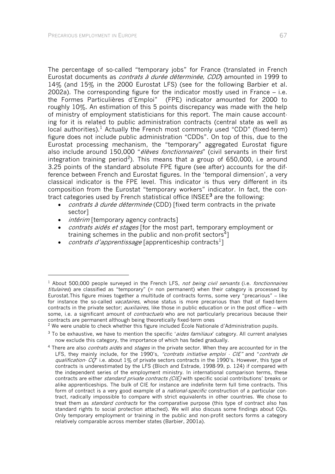The percentage of so-called "temporary jobs" for France (translated in French Eurostat documents as *contrats à durée déterminée, CDD*) amounted in 1999 to 14% (and 15% in the 2000 Eurostat LFS) (see for the following Barbier et al. 2002a). The corresponding figure for the indicator mostly used in France – i.e. the Formes Particulières d'Emploi" (FPE) indicator amounted for 2000 to roughly 10%. An estimation of this 5 points discrepancy was made with the help of ministry of employment statisticians for this report. The main cause accounting for it is related to public administration contracts (central state as well as local authorities).<sup>1</sup> Actually the French most commonly used "CDD" (fixed-term) figure does not include public administration "CDDs". On top of this, due to the Eurostat processing mechanism, the "temporary" aggregated Eurostat figure also include around 150,000 "élèves fonctionnaires" (civil servants in their first integration training period<sup>2</sup>). This means that a group of 650,000, i.e around 3.25 points of the standard absolute FPE figure (see after) accounts for the difference between French and Eurostat figures. In the 'temporal dimension', a very classical indicator is the FPE level. This indicator is thus very different in its composition from the Eurostat "temporary workers" indicator. In fact, the contract categories used by French statistical office INSEE<sup>3</sup> are the following:

- *contrats à durée déterminée* (CDD) [fixed term contracts in the private sector]
- *intérim* [temporary agency contracts]

-

- *contrats aidés et stages* [for the most part, temporary employment or training schemes in the public and non-profit sectors<sup>4</sup>]
- *contrats d'apprentissage* [apprenticeship contracts<sup>1</sup>]

<sup>&</sup>lt;sup>1</sup> About 500,000 people surveyed in the French LFS, not being civil servants (i.e. fonctionnaires titulaires) are classified as "temporary" (= non permanent) when their category is processed by Eurostat.This figure mixes together a multitude of contracts forms, some very "precarious" – like for instance the so-called *vacataires*, whose status is more precarious than that of fixed-term contracts in the private sector; *auxiliaires*, like those in public education or in the post office – with some, i.e. a significant amount of *contractuels* who are not particularly precarious because their contracts are permanent although being theoretically fixed-term ones

 $2$  We were unable to check whether this figure included École Nationale d'Administration pupils.

<sup>&</sup>lt;sup>3</sup> To be exhaustive, we have to mention the specific 'aides familiaux' category. All current analyses now exclude this category, the importance of which has faded gradually.

<sup>&</sup>lt;sup>4</sup> There are also *contrats aidés* and *stages* in the private sector. When they are accounted for in the LFS, they mainly include, for the 1990's, "contrats initiative emploi  $\cdot$  CIE" and "contrats de qualification-  $CQ$ " i.e. about 1% of private sectors contracts in the 1990's. However, this type of contracts is underestimated by the LFS (Bloch and Estrade, 1998-99, p. 124) if compared with the independent series of the employment ministry. In international comparison terms, these contracts are either standard private contracts (CIE) with specific social contributions' breaks or alike apprenticeships. The bulk of CIE for instance are indefinite term full time contracts. This form of contract is a very good example of a *national-specific* construction of a particular contract, radically impossible to compare with strict equivalents in other countries. We chose to treat them as *standard contracts* for the comparative purpose (this type of contract also has standard rights to social protection attached). We will also discuss some findings about CQs. Only temporary employment or training in the public and non-profit sectors forms a category relatively comparable across member states (Barbier, 2001a).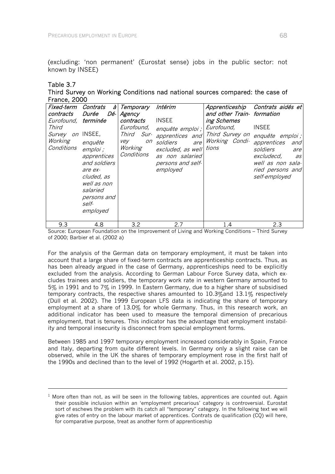(excluding: 'non permanent' (Eurostat sense) jobs in the public sector: not known by INSEE)

### Table 3.7

-

Third Survey on Working Conditions nad national sources compared: the case of France, 2000

| Fixed-term<br>contracts<br>Eurofound,<br>Third<br><i>Survey</i><br>Working<br>Conditions | Contrats<br>a l<br>Durée<br>Dé-l<br>terminée<br>on INSEE,<br>enquête<br>emploi ;<br>apprentices<br>and soldiers<br>are ex-<br>cluded, as<br>well as non<br>salaried<br>persons and<br>self-<br>employed | Temporary<br>Agency<br>contracts<br>Eurofound,<br>Third Sur-<br>vey<br>on<br>Working<br>Conditions | Intérim<br><b>INSEE</b><br>enquête emploi ;<br>apprentices and<br>soldiers<br>are<br>excluded, as well<br>as non salaried<br>persons and self-<br>employed | Apprenticeship<br>and other Train- formation<br>ing Schemes<br>Eurofound,<br>Third Survey on<br>Working Condi-<br>tions | Contrats aidés et<br><b>INSEE</b><br>enquête emploi;<br>apprentices<br>and<br>soldiers<br>are<br>excludecd,<br>as<br>well as non sala-<br>ried persons and<br>self-employed |
|------------------------------------------------------------------------------------------|---------------------------------------------------------------------------------------------------------------------------------------------------------------------------------------------------------|----------------------------------------------------------------------------------------------------|------------------------------------------------------------------------------------------------------------------------------------------------------------|-------------------------------------------------------------------------------------------------------------------------|-----------------------------------------------------------------------------------------------------------------------------------------------------------------------------|
| 9.3                                                                                      | 4.8                                                                                                                                                                                                     | 3.2                                                                                                | 27                                                                                                                                                         | 1.4                                                                                                                     | 2.3                                                                                                                                                                         |

Source: European Foundation on the Improvement of Living and Working Conditions – Third Survey of 2000; Barbier et al. (2002 a)

For the analysis of the German data on temporary employment, it must be taken into account that a large share of fixed-term contracts are apprenticeship contracts. Thus, as has been already argued in the case of Germany, apprenticeships need to be explicitly excluded from the analysis. According to German Labour Force Survey data, which excludes trainees and soldiers, the temporary work rate in western Germany amounted to 5% in 1991 and to 7% in 1999. In Eastern Germany, due to a higher share of subsidised temporary contracts, the respective shares amounted to 10.3%and 13.1% respectively (Düll et al. 2002). The 1999 European LFS data is indicating the share of temporary employment at a share of 13.0% for whole Germany. Thus, in this research work, an additional indicator has been used to measure the temporal dimension of precarious employment, that is tenures. This indicator has the advantage that employment instability and temporal insecurity is disconnect from special employment forms.

Between 1985 and 1997 temporary employment increased considerably in Spain, France and Italy, departing from quite different levels. In Germany only a slight raise can be observed, while in the UK the shares of temporary employment rose in the first half of the 1990s and declined than to the level of 1992 (Hogarth et al. 2002, p.15).

 $1$  More often than not, as will be seen in the following tables, apprentices are counted out. Again their possible inclusion within an 'employment precarious' category is controversial. Eurostat sort of eschews the problem with its catch all "temporary" category. In the following text we will give rates of entry on the labour market of apprentices. Contrats de qualification (CQ) will here, for comparative purpose, treat as another form of apprenticeship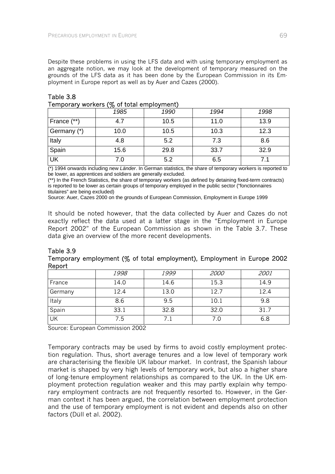Despite these problems in using the LFS data and with using temporary employment as an aggregate notion, we may look at the development of temporary measured on the grounds of the LFS data as it has been done by the European Commission in its Employment in Europe report as well as by Auer and Cazes (2000).

| <b>TUTTION OF WORKS</b> (70 UP total UITIDIU) ITCHILD |      |      |      |      |  |
|-------------------------------------------------------|------|------|------|------|--|
|                                                       | 1985 | 1990 | 1994 | 1998 |  |
| France (**)                                           | 4.7  | 10.5 | 11.0 | 13.9 |  |
| Germany (*)                                           | 10.0 | 10.5 | 10.3 | 12.3 |  |
| Italy                                                 | 4.8  | 5.2  | 7.3  | 8.6  |  |
| Spain                                                 | 15.6 | 29.8 | 33.7 | 32.9 |  |
| $\overline{\mathsf{UK}}$                              | 7.0  | 5.2  | 6.5  |      |  |

#### Table 3.8 Temporary workers (% of total employment)

(\*) 1994 onwards including new *Länder*. In German statistics, the share of temporary workers is reported to be lower, as apprentices and soldiers are generally excluded.

(\*\*) In the French Statistics, the share of temporary workers (as defined by detaining fixed-term contracts) is reported to be lower as certain groups of temporary employed in the public sector ("fonctionnaires titulaires" are being excluded)

Source: Auer, Cazes 2000 on the grounds of European Commission, Employment in Europe 1999

It should be noted however, that the data collected by Auer and Cazes do not exactly reflect the data used at a latter stage in the "Employment in Europe Report 2002" of the European Commission as shown in the Table 3.7. These data give an overview of the more recent developments.

### Table 3.9 Temporary employment (% of total employment), Employment in Europe 2002 Report

|           | 1998 | 1999 | <i>2000</i> | 2001 |
|-----------|------|------|-------------|------|
| France    | 14.0 | 14.6 | 15.3        | 14.9 |
| Germany   | 12.4 | 13.0 | 12.7        | 12.4 |
| Italy     | 8.6  | 9.5  | 10.1        | 9.8  |
| Spain     | 33.1 | 32.8 | 32.0        | 31.7 |
| <b>UK</b> | 7.5  |      | 7.0         | 6.8  |

Source: European Commission 2002

Temporary contracts may be used by firms to avoid costly employment protection regulation. Thus, short average tenures and a low level of temporary work are characterising the flexible UK labour market. In contrast, the Spanish labour market is shaped by very high levels of temporary work, but also a higher share of long-tenure employment relationships as compared to the UK. In the UK employment protection regulation weaker and this may partly explain why temporary employment contracts are not frequently resorted to. However, in the German context it has been argued, the correlation between employment protection and the use of temporary employment is not evident and depends also on other factors (Düll et al. 2002).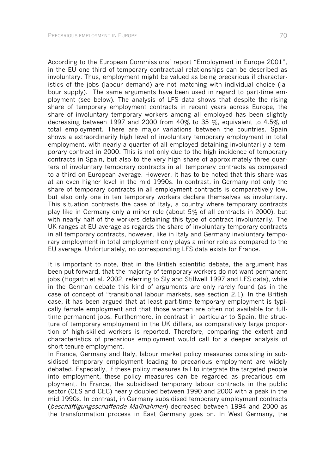According to the European Commissions' report "Employment in Europe 2001", in the EU one third of temporary contractual relationships can be described as involuntary. Thus, employment might be valued as being precarious if characteristics of the jobs (labour demand) are not matching with individual choice (labour supply). The same arguments have been used in regard to part-time employment (see below). The analysis of LFS data shows that despite the rising share of temporary employment contracts in recent years across Europe, the share of involuntary temporary workers among all employed has been slightly decreasing between 1997 and 2000 from 40% to 35 %, equivalent to 4.5% of total employment. There are major variations between the countries. Spain shows a extraordinarily high level of involuntary temporary employment in total employment, with nearly a quarter of all employed detaining involuntarily a temporary contract in 2000. This is not only due to the high incidence of temporary contracts in Spain, but also to the very high share of approximately three quarters of involuntary temporary contracts in all temporary contracts as compared to a third on European average. However, it has to be noted that this share was at an even higher level in the mid 1990s. In contrast, in Germany not only the share of temporary contracts in all employment contracts is comparatively low, but also only one in ten temporary workers declare themselves as involuntary. This situation contrasts the case of Italy, a country where temporary contracts play like in Germany only a minor role (about 5% of all contracts in 2000), but with nearly half of the workers detaining this type of contract involuntarily. The UK ranges at EU average as regards the share of involuntary temporary contracts in all temporary contracts, however, like in Italy and Germany involuntary temporary employment in total employment only plays a minor role as compared to the EU average. Unfortunately, no corresponding LFS data exists for France.

It is important to note, that in the British scientific debate, the argument has been put forward, that the majority of temporary workers do not want permanent jobs (Hogarth et al. 2002, referring to Sly and Stillwell 1997 and LFS data), while in the German debate this kind of arguments are only rarely found (as in the case of concept of "transitional labour markets, see section 2.1). In the British case, it has been argued that at least part-time temporary employment is typically female employment and that those women are often not available for fulltime permanent jobs. Furthermore, in contrast in particular to Spain, the structure of temporary employment in the UK differs, as comparatively large proportion of high-skilled workers is reported. Therefore, comparing the extent and characteristics of precarious employment would call for a deeper analysis of short-tenure employment.

In France, Germany and Italy, labour market policy measures consisting in subsidised temporary employment leading to precarious employment are widely debated. Especially, if these policy measures fail to integrate the targeted people into employment, these policy measures can be regarded as precarious employment. In France, the subsidised temporary labour contracts in the public sector (CES and CEC) nearly doubled between 1990 and 2000 with a peak in the mid 1990s. In contrast, in Germany subsidised temporary employment contracts (beschäftigungsschaffende Maßnahmen) decreased between 1994 and 2000 as the transformation process in East Germany goes on. In West Germany, the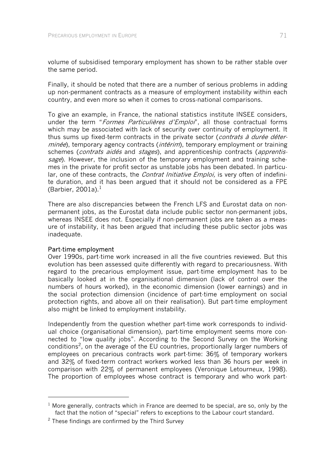volume of subsidised temporary employment has shown to be rather stable over the same period.

Finally, it should be noted that there are a number of serious problems in adding up non-permanent contracts as a measure of employment instability within each country, and even more so when it comes to cross-national comparisons.

To give an example, in France, the national statistics institute INSEE considers, under the term "Formes Particulières d'Emploi", all those contractual forms which may be associated with lack of security over continuity of employment. It thus sums up fixed-term contracts in the private sector (*contrats à durée déter*minée), temporary agency contracts (*intérim*), temporary employment or training schemes (contrats aidés and stages), and apprenticeship contracts (apprentissage). However, the inclusion of the temporary employment and training schemes in the private for profit sector as unstable jobs has been debated. In particular, one of these contracts, the *Contrat Initiative Emploi*, is very often of indefinite duration, and it has been argued that it should not be considered as a FPE (Barbier, 2001a). $<sup>1</sup>$ </sup>

There are also discrepancies between the French LFS and Eurostat data on nonpermanent jobs, as the Eurostat data include public sector non-permanent jobs, whereas INSEE does not. Especially if non-permanent jobs are taken as a measure of instability, it has been argued that including these public sector jobs was inadequate.

### Part-time employment

-

Over 1990s, part-time work increased in all the five countries reviewed. But this evolution has been assessed quite differently with regard to precariousness. With regard to the precarious employment issue, part-time employment has to be basically looked at in the organisational dimension (lack of control over the numbers of hours worked), in the economic dimension (lower earnings) and in the social protection dimension (incidence of part-time employment on social protection rights, and above all on their realisation). But part-time employment also might be linked to employment instability.

Independently from the question whether part-time work corresponds to individual choice (organisational dimension), part-time employment seems more connected to "low quality jobs". According to the Second Survey on the Working conditions<sup>2</sup>, on the average of the EU countries, proportionally larger numbers of employees on precarious contracts work part-time: 36% of temporary workers and 32% of fixed-term contract workers worked less than 36 hours per week in comparison with 22% of permanent employees (Veronique Letourneux, 1998). The proportion of employees whose contract is temporary and who work part-

 $1$  More generally, contracts which in France are deemed to be special, are so, only by the fact that the notion of "special" refers to exceptions to the Labour court standard.

 $2$  These findings are confirmed by the Third Survey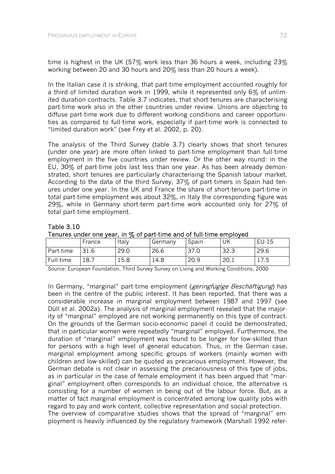Table 3.10

time is highest in the UK (57% work less than 36 hours a week, including  $23\%$ working between 20 and 30 hours and 20% less than 20 hours a week).

In the Italian case it is striking, that part-time employment accounted roughly for a third of limited duration work in 1999, while it represented only 6% of unlimited duration contracts. Table 3.7 indicates, that short tenures are characterising part-time work also in the other countries under review. Unions are objecting to diffuse part-time work due to different working conditions and career opportunities as compared to full-time work, especially if part-time work is connected to "limited duration work" (see Frey et al. 2002, p. 20).

The analysis of the Third Survey (table 3.7) clearly shows that short tenures (under one year) are more often linked to part-time employment than full-time employment in the five countries under review. Or the other way round: in the EU, 30% of part-time jobs last less than one year. As has been already demonstrated, short tenures are particularly characterising the Spanish labour market. According to the data of the third Survey, 37% of part-timers in Spain had tenures under one year. In the UK and France the share of short-tenure part-time in total part-time employment was about 32%, in Italy the corresponding figure was 29%, while in Germany short-term part-time work accounted only for 27% of total part-time employment.

| Tenures under one year, in % of part-time and of full-time employed |        |       |         |         |      |        |
|---------------------------------------------------------------------|--------|-------|---------|---------|------|--------|
|                                                                     | France | Italy | Germany | I Spain | UK   | "EU-15 |
| Part-time                                                           | 31.6   | 29.0  | 26.6    | 37.0    | 32.3 | 29.6   |

| Full-time | 18.7 | 15.8 | 14.8                                                                                    | 120.9 | 120.1 | 17.5 |
|-----------|------|------|-----------------------------------------------------------------------------------------|-------|-------|------|
|           |      |      | Source: European Foundation, Third Survey Survey on Living and Working Conditions, 2000 |       |       |      |

In Germany, "marginal" part-time employment (*geringfügige Beschäftigung*) has been in the centre of the public interest. It has been reported, that there was a considerable increase in marginal employment between 1987 and 1997 (see Düll et al. 2002a). The analysis of marginal employment revealed that the majority of "marginal" employed are not working permanently on this type of contract. On the grounds of the German socio-economic panel it could be demonstrated, that in particular women were repeatedly "marginal" employed. Furthermore, the duration of "marginal" employment was found to be longer for low-skilled than for persons with a high level of general education. Thus, in the German case, marginal employment among specific groups of workers (mainly women with children and low-skilled) can be quoted as precarious employment. However, the German debate is not clear in assessing the precariousness of this type of jobs, as in particular in the case of female employment it has been argued that "marginal" employment often corresponds to an individual choice, the alternative is consisting for a number of women in being out of the labour force. But, as a matter of fact marginal employment is concentrated among low quality jobs with regard to pay and work content, collective representation and social protection. The overview of comparative studies shows that the spread of "marginal" employment is heavily influenced by the regulatory framework (Marshall 1992 refer-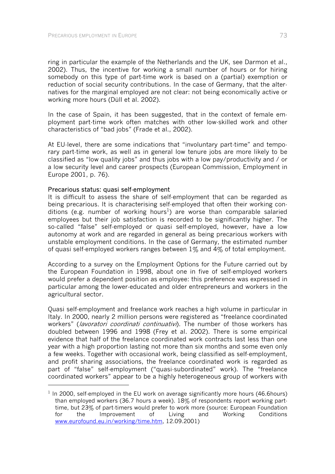ring in particular the example of the Netherlands and the UK, see Darmon et al., 2002). Thus, the incentive for working a small number of hours or for hiring somebody on this type of part-time work is based on a (partial) exemption or reduction of social security contributions. In the case of Germany, that the alternatives for the marginal employed are not clear: not being economically active or working more hours (Düll et al. 2002).

In the case of Spain, it has been suggested, that in the context of female employment part-time work often matches with other low-skilled work and other characteristics of "bad jobs" (Frade et al., 2002).

At EU-level, there are some indications that "involuntary part-time" and temporary part-time work, as well as in general low tenure jobs are more likely to be classified as "low quality jobs" and thus jobs with a low pay/productivity and / or a low security level and career prospects (European Commission, Employment in Europe 2001, p. 76).

#### Precarious status: quasi self-employment

-

It is difficult to assess the share of self-employment that can be regarded as being precarious. It is characterising self-employed that often their working conditions (e.g. number of working hours<sup>1</sup>) are worse than comparable salaried employees but their job satisfaction is recorded to be significantly higher. The so-called "false" self-employed or quasi self-employed, however, have a low autonomy at work and are regarded in general as being precarious workers with unstable employment conditions. In the case of Germany, the estimated number of quasi self-employed workers ranges between  $1\%$  and  $4\%$  of total employment.

According to a survey on the Employment Options for the Future carried out by the European Foundation in 1998, about one in five of self-employed workers would prefer a dependent position as employee: this preference was expressed in particular among the lower-educated and older entrepreneurs and workers in the agricultural sector.

Quasi self-employment and freelance work reaches a high volume in particular in Italy. In 2000, nearly 2 million persons were registered as "freelance coordinated workers" (*lavoratori coordinati continuativi*). The number of those workers has doubled between 1996 and 1998 (Frey et al. 2002). There is some empirical evidence that half of the freelance coordinated work contracts last less than one year with a high proportion lasting not more than six months and some even only a few weeks. Together with occasional work, being classified as self-employment, and profit sharing associations, the freelance coordinated work is regarded as part of "false" self-employment ("quasi-subordinated" work). The "freelance coordinated workers" appear to be a highly heterogeneous group of workers with

 $1$  In 2000, self-employed in the EU work on average significantly more hours (46.6 hours) than employed workers (36.7 hours a week). 18% of respondents report working parttime, but 23% of part-timers would prefer to work more (source: European Foundation for the Improvement of Living and Working Conditions www.eurofound.eu.in/working/time.htm, 12.09.2001)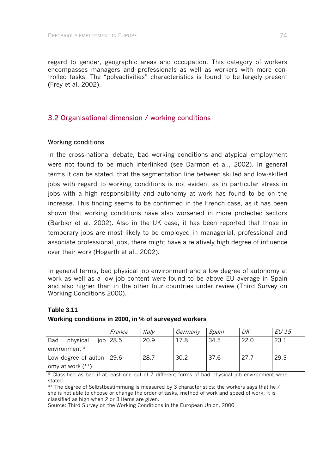regard to gender, geographic areas and occupation. This category of workers encompasses managers and professionals as well as workers with more controlled tasks. The "polyactivities" characteristics is found to be largely present (Frey et al. 2002).

## 3.2 Organisational dimension / working conditions

### Working conditions

In the cross-national debate, bad working conditions and atypical employment were not found to be much interlinked (see Darmon et al., 2002). In general terms it can be stated, that the segmentation line between skilled and low-skilled jobs with regard to working conditions is not evident as in particular stress in jobs with a high responsibility and autonomy at work has found to be on the increase. This finding seems to be confirmed in the French case, as it has been shown that working conditions have also worsened in more protected sectors (Barbier et al. 2002). Also in the UK case, it has been reported that those in temporary jobs are most likely to be employed in managerial, professional and associate professional jobs, there might have a relatively high degree of influence over their work (Hogarth et al., 2002).

In general terms, bad physical job environment and a low degree of autonomy at work as well as a low job content were found to be above EU average in Spain and also higher than in the other four countries under review (Third Survey on Working Conditions 2000).

#### **Table 3.11**

#### **Working conditions in 2000, in % of surveyed workers**

|                              | France                | <i>Italy</i> | Germany | Spain | UK   | EU 15 |
|------------------------------|-----------------------|--------------|---------|-------|------|-------|
| Bad<br>physical              | $\overline{10b}$ 28.5 | 20.9         | 17.8    | 34.5  | 22.0 | 23.1  |
| environment *                |                       |              |         |       |      |       |
| Low degree of auton $ 29.6 $ |                       | 28.7         | 30.2    | 37.6  | 27.7 | 29.3  |
| omy at work $(**)$           |                       |              |         |       |      |       |

\* Classified as bad if at least one out of 7 different forms of bad physical job environment were stated.

\*\* The degree of Selbstbestimmung is measured by 3 characteristics: the workers says that he / she is not able to choose or change the order of tasks, method of work and speed of work. It is classified as high when 2 or 3 items are given.

Source: Third Survey on the Working Conditions in the European Union, 2000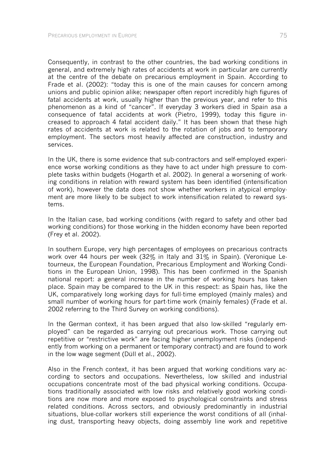Consequently, in contrast to the other countries, the bad working conditions in general, and extremely high rates of accidents at work in particular are currently at the centre of the debate on precarious employment in Spain. According to Frade et al. (2002): "today this is one of the main causes for concern among unions and public opinion alike; newspaper often report incredibly high figures of fatal accidents at work, usually higher than the previous year, and refer to this phenomenon as a kind of "cancer". If everyday 3 workers died in Spain asa a consequence of fatal accidents at work (Pietro, 1999), today this figure increased to approach 4 fatal accident daily." It has been shown that these high rates of accidents at work is related to the rotation of jobs and to temporary employment. The sectors most heavily affected are construction, industry and services.

In the UK, there is some evidence that sub-contractors and self-employed experience worse working conditions as they have to act under high pressure to complete tasks within budgets (Hogarth et al. 2002). In general a worsening of working conditions in relation with reward system has been identified (intensification of work), however the data does not show whether workers in atypical employment are more likely to be subject to work intensification related to reward systems.

In the Italian case, bad working conditions (with regard to safety and other bad working conditions) for those working in the hidden economy have been reported (Frey et al. 2002).

In southern Europe, very high percentages of employees on precarious contracts work over 44 hours per week (32% in Italy and 31% in Spain). (Veronique Letourneux, the European Foundation, Precarious Employment and Working Conditions in the European Union, 1998). This has been confirmed in the Spanish national report: a general increase in the number of working hours has taken place. Spain may be compared to the UK in this respect: as Spain has, like the UK, comparatively long working days for full-time employed (mainly males) and small number of working hours for part-time work (mainly females) (Frade et al. 2002 referring to the Third Survey on working conditions).

In the German context, it has been argued that also low-skilled "regularly employed" can be regarded as carrying out precarious work. Those carrying out repetitive or "restrictive work" are facing higher unemployment risks (independently from working on a permanent or temporary contract) and are found to work in the low wage segment (Düll et al., 2002).

Also in the French context, it has been argued that working conditions vary according to sectors and occupations. Nevertheless, low skilled and industrial occupations concentrate most of the bad physical working conditions. Occupations traditionally associated with low risks and relatively good working conditions are now more and more exposed to psychological constraints and stress related conditions. Across sectors, and obviously predominantly in industrial situations, blue-collar workers still experience the worst conditions of all (inhaling dust, transporting heavy objects, doing assembly line work and repetitive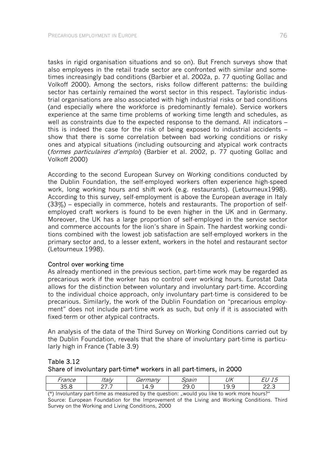tasks in rigid organisation situations and so on). But French surveys show that also employees in the retail trade sector are confronted with similar and sometimes increasingly bad conditions (Barbier et al. 2002a, p. 77 quoting Gollac and Volkoff 2000). Among the sectors, risks follow different patterns: the building sector has certainly remained the worst sector in this respect. Tayloristic industrial organisations are also associated with high industrial risks or bad conditions (and especially where the workforce is predominantly female). Service workers experience at the same time problems of working time length and schedules, as well as constraints due to the expected response to the demand. All indicators – this is indeed the case for the risk of being exposed to industrial accidents – show that there is some correlation between bad working conditions or risky ones and atypical situations (including outsourcing and atypical work contracts (formes particulaires d'emploi) (Barbier et al. 2002, p. 77 quoting Gollac and Volkoff 2000)

According to the second European Survey on Working conditions conducted by the Dublin Foundation, the self-employed workers often experience high-speed work, long working hours and shift work (e.g. restaurants). (Letourneux1998). According to this survey, self-employment is above the European average in Italy (33%) – especially in commerce, hotels and restaurants. The proportion of selfemployed craft workers is found to be even higher in the UK and in Germany. Moreover, the UK has a large proportion of self-employed in the service sector and commerce accounts for the lion's share in Spain. The hardest working conditions combined with the lowest job satisfaction are self-employed workers in the primary sector and, to a lesser extent, workers in the hotel and restaurant sector (Letourneux 1998).

#### Control over working time

As already mentioned in the previous section, part-time work may be regarded as precarious work if the worker has no control over working hours. Eurostat Data allows for the distinction between voluntary and involuntary part-time. According to the individual choice approach, only involuntary part-time is considered to be precarious. Similarly, the work of the Dublin Foundation on "precarious employment" does not include part-time work as such, but only if it is associated with fixed-term or other atypical contracts.

An analysis of the data of the Third Survey on Working Conditions carried out by the Dublin Foundation, reveals that the share of involuntary part-time is particularly high in France (Table 3.9)

#### Table 3.12 Share of involuntary part-time\* workers in all part-timers, in 2000

| -ranco<br>ance       | $+211.$<br>. taiv | Germany             | pain         | UK                    | -                     |
|----------------------|-------------------|---------------------|--------------|-----------------------|-----------------------|
| つに<br>$\sim$<br>◡.◡  | -<br>. .          | $\overline{ }$<br>_ | ∩∩<br>-<br>◡ | $\sim$<br>ີ<br>◡<br>. | $\sim$ $\sim$<br>22.J |
| $\sim$ $\sim$ $\sim$ | . .               | $\blacksquare$      |              | $\cdots$              | $\sim$                |

(\*) Involuntary part-time as measured by the question: "would you like to work more hours?" Source: European Foundation for the Improvement of the Living and Working Conditions. Third Survey on the Working and Living Conditions, 2000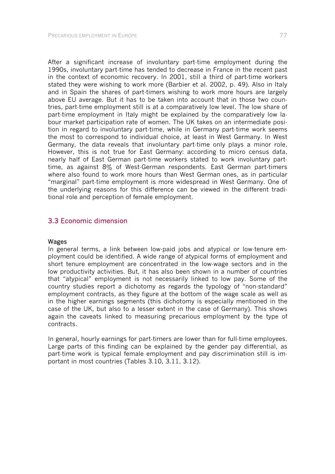After a significant increase of involuntary part-time employment during the 1990s, involuntary part-time has tended to decrease in France in the recent past in the context of economic recovery. In 2001, still a third of part-time workers stated they were wishing to work more (Barbier et al. 2002, p. 49). Also in Italy and in Spain the shares of part-timers wishing to work more hours are largely above EU average. But it has to be taken into account that in those two countries, part-time employment still is at a comparatively low level. The low share of part-time employment in Italy might be explained by the comparatively low labour market participation rate of women. The UK takes on an intermediate position in regard to involuntary part-time, while in Germany part-time work seems the most to correspond to individual choice, at least in West Germany. In West Germany, the data reveals that involuntary part-time only plays a minor role. However, this is not true for East Germany: according to micro census data, nearly half of East German part-time workers stated to work involuntary parttime, as against 8% of West-German respondents. East German part-timers where also found to work more hours than West German ones, as in particular "marginal" part-time employment is more widespread in West Germany. One of the underlying reasons for this difference can be viewed in the different traditional role and perception of female employment.

## 3.3 Economic dimension

#### Wages

In general terms, a link between low-paid jobs and atypical or low-tenure employment could be identified. A wide range of atypical forms of employment and short tenure employment are concentrated in the low-wage sectors and in the low productivity activities. But, it has also been shown in a number of countries that "atypical" employment is not necessarily linked to low pay. Some of the country studies report a dichotomy as regards the typology of "non-standard" employment contracts, as they figure at the bottom of the wage scale as well as in the higher earnings segments (this dichotomy is especially mentioned in the case of the UK, but also to a lesser extent in the case of Germany). This shows again the caveats linked to measuring precarious employment by the type of contracts.

In general, hourly earnings for part-timers are lower than for full-time employees. Large parts of this finding can be explained by the gender pay differential, as part-time work is typical female employment and pay discrimination still is important in most countries (Tables 3.10, 3.11, 3.12).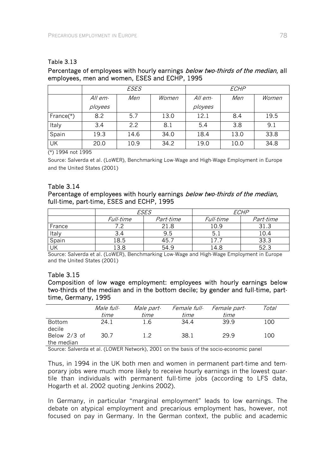#### Table 3.13

## Percentage of employees with hourly earnings below two-thirds of the median, all employees, men and women, ESES and ECHP, 1995

|              | ESES    |      |       | ECHP    |      |       |
|--------------|---------|------|-------|---------|------|-------|
|              | All em- | Men  | Women | All em· | Men  | Women |
|              | ployees |      |       | ployees |      |       |
| France $(*)$ | 8.2     | 5.7  | 13.0  | 12.1    | 8.4  | 19.5  |
| Italy        | 3.4     | 2.2  | 8.1   | 5.4     | 3.8  | 9.1   |
| Spain        | 19.3    | 14.6 | 34.0  | 18.4    | 13.0 | 33.8  |
| UK           | 20.0    | 10.9 | 34.2  | 19.0    | 10.0 | 34.8  |

(\*) 1994 not 1995

Source: Salverda et al. (LoWER), Benchmarking Low-Wage and High-Wage Employment in Europe and the United States (2001)

### Table 3.14

### Percentage of employees with hourly earnings below two-thirds of the median, full-time, part-time, ESES and ECHP, 1995

|        |           | <b>ESES</b> | <i>ECHP</i> |           |  |
|--------|-----------|-------------|-------------|-----------|--|
|        | Full-time | Part-time   | Full-time   | Part-time |  |
| France |           | 21.8        | .0.9        |           |  |
| Italy  | 3.4       | 9.5         | 5.I         | 10.4      |  |
| Spain  | 18.5      | 45.         |             | 33.3      |  |
| UK     | .3.8      | 54.9        | l 4.8       | 52.       |  |

Source: Salverda et al. (LoWER), Benchmarking Low-Wage and High-Wage Employment in Europe and the United States (2001)

#### Table 3.15

Composition of low wage employment: employees with hourly earnings below two-thirds of the median and in the bottom decile; by gender and full-time, parttime, Germany, 1995

|                            | Male full- | <i>Male part-</i> | Female full- | <i>Female part-</i> | Total |
|----------------------------|------------|-------------------|--------------|---------------------|-------|
|                            | time       | time              | tıme         | time                |       |
| Bottom<br>decile           | 24.1       | 1.6               | 34.4         | 39.9                | 100   |
| Below 2/3 of<br>the median | 30.7       | 12                | 38.1         | 29.9                | 100   |

Source: Salverda et al. (LOWER Network), 2001 on the basis of the socio-economic panel

Thus, in 1994 in the UK both men and women in permanent part-time and temporary jobs were much more likely to receive hourly earnings in the lowest quartile than individuals with permanent full-time jobs (according to LFS data, Hogarth et al. 2002 quoting Jenkins 2002).

In Germany, in particular "marginal employment" leads to low earnings. The debate on atypical employment and precarious employment has, however, not focused on pay in Germany. In the German context, the public and academic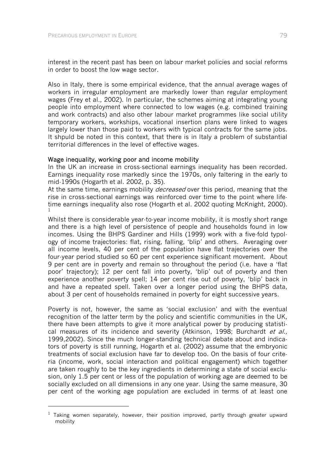-

interest in the recent past has been on labour market policies and social reforms in order to boost the low wage sector.

Also in Italy, there is some empirical evidence, that the annual average wages of workers in irregular employment are markedly lower than regular employment wages (Frey et al., 2002). In particular, the schemes aiming at integrating young people into employment where connected to low wages (e.g. combined training and work contracts) and also other labour market programmes like social utility temporary workers, workships, vocational insertion plans were linked to wages largely lower than those paid to workers with typical contracts for the same jobs. It shpuld be noted in this context, that there is in Italy a problem of substantial territorial differences in the level of effective wages.

#### Wage inequality, working poor and income mobility

In the UK an increase in cross-sectional earnings inequality has been recorded. Earnings inequality rose markedly since the 1970s, only faltering in the early to mid-1990s (Hogarth et al. 2002, p. 35).

At the same time, earnings mobility *decreased* over this period, meaning that the rise in cross-sectional earnings was reinforced over time to the point where lifetime earnings inequality also rose (Hogarth et al. 2002 quoting McKnight, 2000). 1

Whilst there is considerable year-to-year income mobility, it is mostly short range and there is a high level of persistence of people and households found in low incomes. Using the BHPS Gardiner and Hills (1999) work with a five-fold typology of income trajectories: flat, rising, falling, 'blip' and others. Averaging over all income levels, 40 per cent of the population have flat trajectories over the four-year period studied so 60 per cent experience significant movement. About 9 per cent are in poverty and remain so throughout the period (i.e. have a 'flat poor' trajectory); 12 per cent fall into poverty, 'blip' out of poverty and then experience another poverty spell; 14 per cent rise out of poverty, 'blip' back in and have a repeated spell. Taken over a longer period using the BHPS data, about 3 per cent of households remained in poverty for eight successive years.

Poverty is not, however, the same as 'social exclusion' and with the eventual recognition of the latter term by the policy and scientific communities in the UK, there have been attempts to give it more analytical power by producing statistical measures of its incidence and severity (Atkinson, 1998; Burchardt et al., 1999,2002). Since the much longer-standing technical debate about and indicators of poverty is still running, Hogarth et al. (2002) assume that the embryonic treatments of social exclusion have far to develop too. On the basis of four criteria (income, work, social interaction and political engagement) which together are taken roughly to be the key ingredients in determining a state of social exclusion, only 1.5 per cent or less of the population of working age are deemed to be socially excluded on all dimensions in any one year. Using the same measure, 30 per cent of the working age population are excluded in terms of at least one

 $1$  Taking women separately, however, their position improved, partly through greater upward mobility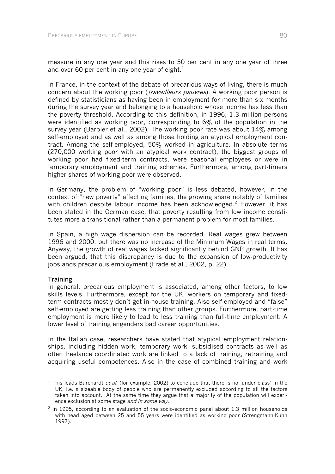measure in any one year and this rises to 50 per cent in any one year of three and over 60 per cent in any one year of eight.<sup>1</sup>

In France, in the context of the debate of precarious ways of living, there is much concern about the working poor (*travailleurs pauvres*). A working poor person is defined by statisticians as having been in employment for more than six months during the survey year and belonging to a household whose income has less than the poverty threshold. According to this definition, in 1996, 1.3 million persons were identified as working poor, corresponding to 6% of the population in the survey year (Barbier et al., 2002). The working poor rate was about 14% among self-employed and as well as among those holding an atypical employment contract. Among the self-employed, 50% worked in agriculture. In absolute terms (270,000 working poor with an atypical work contract), the biggest groups of working poor had fixed-term contracts, were seasonal employees or were in temporary employment and training schemes. Furthermore, among part-timers higher shares of working poor were observed.

In Germany, the problem of "working poor" is less debated, however, in the context of "new poverty" affecting families, the growing share notably of families with children despite labour income has been acknowledged.<sup>2</sup> However, it has been stated in the German case, that poverty resulting from low income constitutes more a transitional rather than a permanent problem for most families.

In Spain, a high wage dispersion can be recorded. Real wages grew between 1996 and 2000, but there was no increase of the Minimum Wages in real terms. Anyway, the growth of real wages lacked significantly behind GNP growth. It has been argued, that this discrepancy is due to the expansion of low-productivity jobs ands precarious employment (Frade et al., 2002, p. 22).

#### **Training**

-

In general, precarious employment is associated, among other factors, to low skills levels. Furthermore, except for the UK, workers on temporary and fixedterm contracts mostly don't get in-house training. Also self-employed and "false" self-employed are getting less training than other groups. Furthermore, part-time employment is more likely to lead to less training than full-time employment. A lower level of training engenders bad career opportunities.

In the Italian case, researchers have stated that atypical employment relationships, including hidden work, temporary work, subsidised contracts as well as often freelance coordinated work are linked to a lack of training, retraining and acquiring useful competences. Also in the case of combined training and work

<sup>&</sup>lt;sup>1</sup> This leads Burchardt *et al.* (for example, 2002) to conclude that there is no 'under class' in the UK, i.e. a sizeable body of people who are permanently excluded according to all the factors taken into account. At the same time they argue that a majority of the population will experience exclusion at some stage *and in some way*.

 $2$  In 1995, according to an evaluation of the socio-economic panel about 1,3 million households with head aged between 25 and 55 years were identified as working poor (Strengmann-Kuhn 1997).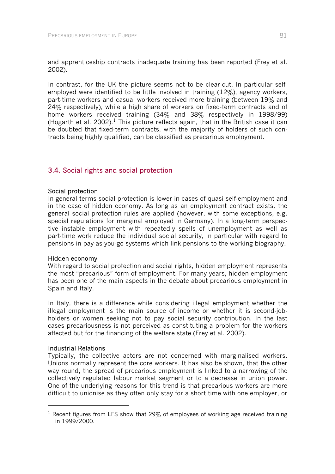and apprenticeship contracts inadequate training has been reported (Frey et al. 2002).

In contrast, for the UK the picture seems not to be clear-cut. In particular selfemployed were identified to be little involved in training (12%), agency workers, part-time workers and casual workers received more training (between 19% and 24% respectively), while a high share of workers on fixed-term contracts and of home workers received training (34% and 38% respectively in 1998/99) (Hogarth et al. 2002).<sup>1</sup> This picture reflects again, that in the British case it can be doubted that fixed-term contracts, with the majority of holders of such contracts being highly qualified, can be classified as precarious employment.

## 3.4. Social rights and social protection

#### Social protection

In general terms social protection is lower in cases of quasi self-employment and in the case of hidden economy. As long as an employment contract exists, the general social protection rules are applied (however, with some exceptions, e.g. special regulations for marginal employed in Germany). In a long-term perspective instable employment with repeatedly spells of unemployment as well as part-time work reduce the individual social security, in particular with regard to pensions in pay-as-you-go systems which link pensions to the working biography.

#### Hidden economy

With regard to social protection and social rights, hidden employment represents the most "precarious" form of employment. For many years, hidden employment has been one of the main aspects in the debate about precarious employment in Spain and Italy.

In Italy, there is a difference while considering illegal employment whether the illegal employment is the main source of income or whether it is second-jobholders or women seeking not to pay social security contribution. In the last cases precariousness is not perceived as constituting a problem for the workers affected but for the financing of the welfare state (Frey et al. 2002).

#### Industrial Relations

-

Typically, the collective actors are not concerned with marginalised workers. Unions normally represent the core workers. It has also be shown, that the other way round, the spread of precarious employment is linked to a narrowing of the collectively regulated labour market segment or to a decrease in union power. One of the underlying reasons for this trend is that precarious workers are more difficult to unionise as they often only stay for a short time with one employer, or

<sup>&</sup>lt;sup>1</sup> Recent figures from LFS show that 29% of employees of working age received training in 1999/2000.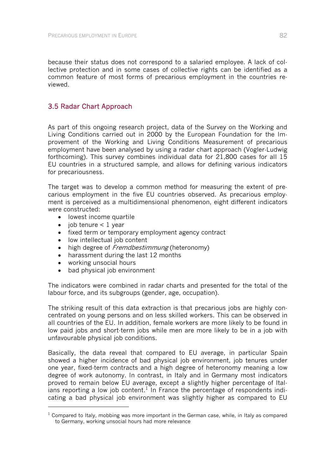because their status does not correspond to a salaried employee. A lack of collective protection and in some cases of collective rights can be identified as a common feature of most forms of precarious employment in the countries reviewed.

## 3.5 Radar Chart Approach

As part of this ongoing research project, data of the Survey on the Working and Living Conditions carried out in 2000 by the European Foundation for the Improvement of the Working and Living Conditions Measurement of precarious employment have been analysed by using a radar chart approach (Vogler-Ludwig forthcoming). This survey combines individual data for 21,800 cases for all 15 EU countries in a structured sample, and allows for defining various indicators for precariousness.

The target was to develop a common method for measuring the extent of precarious employment in the five EU countries observed. As precarious employment is perceived as a multidimensional phenomenon, eight different indicators were constructed:

- lowest income quartile
- $\bullet$  job tenure  $\lt 1$  year
- fixed term or temporary employment agency contract
- low intellectual job content
- high degree of *Fremdbestimmung* (heteronomy)
- harassment during the last 12 months
- working unsocial hours

l

• bad physical job environment

The indicators were combined in radar charts and presented for the total of the labour force, and its subgroups (gender, age, occupation).

The striking result of this data extraction is that precarious jobs are highly concentrated on young persons and on less skilled workers. This can be observed in all countries of the EU. In addition, female workers are more likely to be found in low paid jobs and short-term jobs while men are more likely to be in a job with unfavourable physical job conditions.

Basically, the data reveal that compared to EU average, in particular Spain showed a higher incidence of bad physical job environment, job tenures under one year, fixed-term contracts and a high degree of heteronomy meaning a low degree of work autonomy. In contrast, in Italy and in Germany most indicators proved to remain below EU average, except a slightly higher percentage of Italians reporting a low job content.<sup>1</sup> In France the percentage of respondents indicating a bad physical job environment was slightly higher as compared to EU

 $<sup>1</sup>$  Compared to Italy, mobbing was more important in the German case, while, in Italy as compared</sup> to Germany, working unsocial hours had more relevance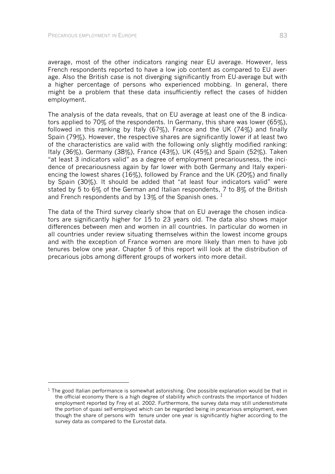l

average, most of the other indicators ranging near EU average. However, less French respondents reported to have a low job content as compared to EU average. Also the British case is not diverging significantly from EU-average but with a higher percentage of persons who experienced mobbing. In general, there might be a problem that these data insufficiently reflect the cases of hidden employment.

The analysis of the data reveals, that on EU average at least one of the 8 indicators applied to 70% of the respondents. In Germany, this share was lower (65%), followed in this ranking by Italy (67%), France and the UK (74%) and finally Spain (79%). However, the respective shares are significantly lower if at least two of the characteristics are valid with the following only slightly modified ranking: Italy (36%), Germany (38%), France (43%), UK (45%) and Spain (52%). Taken "at least 3 indicators valid" as a degree of employment precariousness, the incidence of precariousness again by far lower with both Germany and Italy experiencing the lowest shares (16%), followed by France and the UK (20%) and finally by Spain (30%). It should be added that "at least four indicators valid" were stated by 5 to 6% of the German and Italian respondents, 7 to 8% of the British and French respondents and by 13% of the Spanish ones.  $1$ 

The data of the Third survey clearly show that on EU average the chosen indicators are significantly higher for 15 to 23 years old. The data also shows major differences between men and women in all countries. In particular do women in all countries under review situating themselves within the lowest income groups and with the exception of France women are more likely than men to have job tenures below one year. Chapter 5 of this report will look at the distribution of precarious jobs among different groups of workers into more detail.

 $<sup>1</sup>$  The good Italian performance is somewhat astonishing. One possible explanation would be that in</sup> the official economy there is a high degree of stability which contrasts the importance of hidden employment reported by Frey et al. 2002. Furthermore, the survey data may still underestimate the portion of quasi self-employed which can be regarded being in precarious employment, even though the share of persons with tenure under one year is significantly higher according to the survey data as compared to the Eurostat data.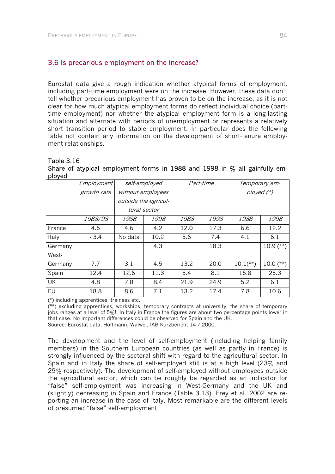## 3.6 Is precarious employment on the increase?

Eurostat data give a rough indication whether atypical forms of employment, including part-time employment were on the increase. However, these data don't tell whether precarious employment has proven to be on the increase, as it is not clear for how much atypical employment forms do reflect individual choice (parttime employment) nor whether the atypical employment form is a long-lasting situation and alternate with periods of unemployment or represents a relatively short transition period to stable employment. In particular does the following table not contain any information on the development of short-tenure employment relationships.

#### Table 3.16

Share of atypical employment forms in 1988 and 1998 in  $\%$  all gainfully employed

|           | <i>Employment</i> |         | self-employed        |      | Part-time |                        | Temporary em- |  |
|-----------|-------------------|---------|----------------------|------|-----------|------------------------|---------------|--|
|           | growth rate       |         | without employees    |      |           | ployed $({}^*)$        |               |  |
|           |                   |         | outside the agricul- |      |           |                        |               |  |
|           |                   |         | tural sector         |      |           |                        |               |  |
|           | 1988/98           | 1988    | 1998                 | 1988 | 1998      | 1988                   | 1998          |  |
| France    | 4.5               | 4.6     | 4.2                  | 12.0 | 17.3      | 6.6                    | 12.2          |  |
| Italy     | $-3.4$            | No data | 10.2                 | 5.6  | 7.4       | 4.1                    | 6.1           |  |
| Germany   |                   |         | 4.3                  |      | 18.3      |                        | $10.9$ (**)   |  |
| West-     |                   |         |                      |      |           |                        |               |  |
| Germany   | 7.7               | 3.1     | 4.5                  | 13.2 | 20.0      | $10.1$ <sup>**</sup> ) | $10.0$ (**)   |  |
| Spain     | 12.4              | 12.6    | 11.3                 | 5.4  | 8.1       | 15.8                   | 25.3          |  |
| <b>UK</b> | 4.8               | 7.8     | 8.4                  | 21.9 | 24.9      | 5.2                    | 6.1           |  |
| EU        | 18.8              | 8.6     | 7.1                  | 13.2 | 17.4      | 7.8                    | 10.6          |  |

(\*) including apprentices, trainees etc.

 $\chi^2$ ) excluding apprentices, workships, temporary contracts at university, the share of temporary iobs ranges at a level of 5%!. In Italy in France the figures are about two percentage points lower in that case. No important differences could be observed for Spain and the UK.

Source: Eurostat data, Hoffmann, Walwei, IAB Kurzbericht 14 / 2000.

The development and the level of self-employment (including helping family members) in the Southern European countries (as well as partly in France) is strongly influenced by the sectoral shift with regard to the agricultural sector. In Spain and in Italy the share of self-employed still is at a high level (23% and 29% respectively). The development of self-employed without employees outside the agricultural sector, which can be roughly be regarded as an indicator for "false" self-employment was increasing in West-Germany and the UK and (slightly) decreasing in Spain and France (Table 3.13). Frey et al. 2002 are reporting an increase in the case of Italy. Most remarkable are the different levels of presumed "false" self-employment.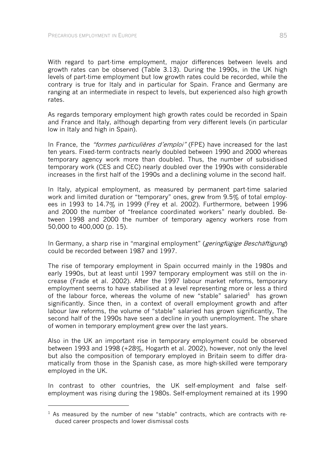-

With regard to part-time employment, major differences between levels and growth rates can be observed (Table 3.13). During the 1990s, in the UK high levels of part-time employment but low growth rates could be recorded, while the contrary is true for Italy and in particular for Spain. France and Germany are ranging at an intermediate in respect to levels, but experienced also high growth rates.

As regards temporary employment high growth rates could be recorded in Spain and France and Italy, although departing from very different levels (in particular low in Italy and high in Spain).

In France, the "formes particulières d'emploi" (FPE) have increased for the last ten years. Fixed-term contracts nearly doubled between 1990 and 2000 whereas temporary agency work more than doubled. Thus, the number of subsidised temporary work (CES and CEC) nearly doubled over the 1990s with considerable increases in the first half of the 1990s and a declining volume in the second half.

In Italy, atypical employment, as measured by permanent part-time salaried work and limited duration or "temporary" ones, grew from 9.5% of total employees in 1993 to 14.7% in 1999 (Frey et al. 2002). Furthermore, between 1996 and 2000 the number of "freelance coordinated workers" nearly doubled. Between 1998 and 2000 the number of temporary agency workers rose from 50,000 to 400,000 (p. 15).

In Germany, a sharp rise in "marginal employment" (*geringfügige Beschäftigung*) could be recorded between 1987 and 1997.

The rise of temporary employment in Spain occurred mainly in the 1980s and early 1990s, but at least until 1997 temporary employment was still on the increase (Frade et al. 2002). After the 1997 labour market reforms, temporary employment seems to have stabilised at a level representing more or less a third of the labour force, whereas the volume of new "stable" salaried<sup>1</sup> has grown significantly. Since then, in a context of overall employment growth and after labour law reforms, the volume of "stable" salaried has grown significantly, The second half of the 1990s have seen a decline in youth unemployment. The share of women in temporary employment grew over the last years.

Also in the UK an important rise in temporary employment could be observed between 1993 and 1998 (+28%, Hogarth et al. 2002), however, not only the level but also the composition of temporary employed in Britain seem to differ dramatically from those in the Spanish case, as more high-skilled were temporary employed in the UK.

In contrast to other countries, the UK self-employment and false selfemployment was rising during the 1980s. Self-employment remained at its 1990

 $1$  As measured by the number of new "stable" contracts, which are contracts with reduced career prospects and lower dismissal costs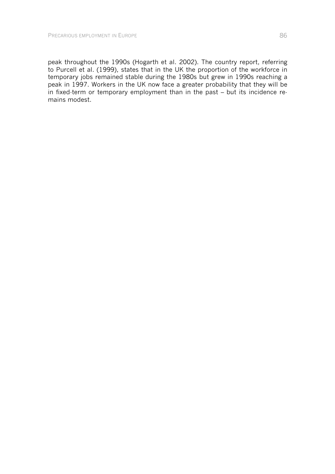peak throughout the 1990s (Hogarth et al. 2002). The country report, referring to Purcell et al. (1999), states that in the UK the proportion of the workforce in temporary jobs remained stable during the 1980s but grew in 1990s reaching a peak in 1997. Workers in the UK now face a greater probability that they will be in fixed-term or temporary employment than in the past – but its incidence remains modest.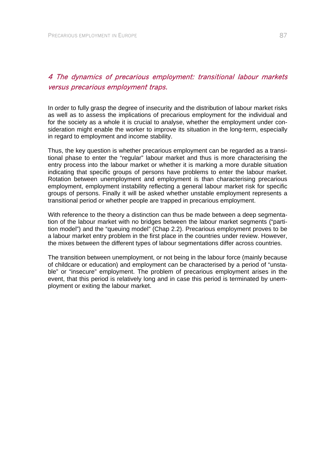# 4 The dynamics of precarious employment: transitional labour markets versus precarious employment traps.

In order to fully grasp the degree of insecurity and the distribution of labour market risks as well as to assess the implications of precarious employment for the individual and for the society as a whole it is crucial to analyse, whether the employment under consideration might enable the worker to improve its situation in the long-term, especially in regard to employment and income stability.

Thus, the key question is whether precarious employment can be regarded as a transitional phase to enter the "regular" labour market and thus is more characterising the entry process into the labour market or whether it is marking a more durable situation indicating that specific groups of persons have problems to enter the labour market. Rotation between unemployment and employment is than characterising precarious employment, employment instability reflecting a general labour market risk for specific groups of persons. Finally it will be asked whether unstable employment represents a transitional period or whether people are trapped in precarious employment.

With reference to the theory a distinction can thus be made between a deep segmentation of the labour market with no bridges between the labour market segments ("partition model") and the "queuing model" (Chap 2.2). Precarious employment proves to be a labour market entry problem in the first place in the countries under review. However, the mixes between the different types of labour segmentations differ across countries.

The transition between unemployment, or not being in the labour force (mainly because of childcare or education) and employment can be characterised by a period of "unstable" or "insecure" employment. The problem of precarious employment arises in the event, that this period is relatively long and in case this period is terminated by unemployment or exiting the labour market.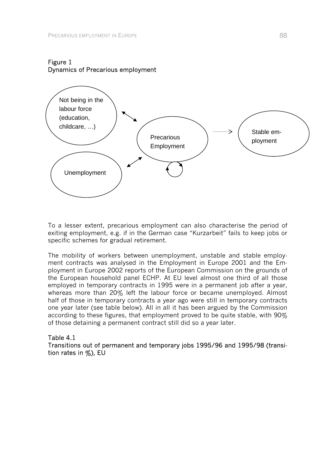### Figure 1 Dynamics of Precarious employment



To a lesser extent, precarious employment can also characterise the period of exiting employment, e.g. if in the German case "Kurzarbeit" fails to keep jobs or specific schemes for gradual retirement.

The mobility of workers between unemployment, unstable and stable employment contracts was analysed in the Employment in Europe 2001 and the Employment in Europe 2002 reports of the European Commission on the grounds of the European household panel ECHP. At EU level almost one third of all those employed in temporary contracts in 1995 were in a permanent job after a year, whereas more than 20% left the labour force or became unemployed. Almost half of those in temporary contracts a year ago were still in temporary contracts one year later (see table below). All in all it has been argued by the Commission according to these figures, that employment proved to be quite stable, with 90% of those detaining a permanent contract still did so a year later.

## Table 4.1 Transitions out of permanent and temporary jobs 1995/96 and 1995/98 (transition rates in %), EU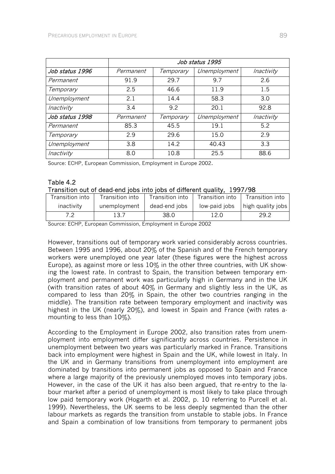|                 | Job status 1995 |           |              |            |  |  |  |  |
|-----------------|-----------------|-----------|--------------|------------|--|--|--|--|
| Job status 1996 | Permanent       | Temporary | Unemployment | Inactivity |  |  |  |  |
| Permanent       | 91.9            | 29.7      | 9.7          | 2.6        |  |  |  |  |
| Temporary       | 2.5             | 46.6      | 11.9         | 1.5        |  |  |  |  |
| Unemployment    | 2.1             | 14.4      | 58.3         | 3.0        |  |  |  |  |
| Inactivity      | 3.4             | 9.2       | 20.1         | 92.8       |  |  |  |  |
| Job status 1998 | Permanent       | Temporary | Unemployment | Inactivity |  |  |  |  |
| Permanent       | 85.3            | 45.5      | 19.1         | 5.2        |  |  |  |  |
| Temporary       | 2.9             | 29.6      | 15.0         | 2.9        |  |  |  |  |
| Unemployment    | 3.8             | 14.2      | 40.43        | 3.3        |  |  |  |  |
| Inactivity      | 8.0             | 10.8      | 25.5         | 88.6       |  |  |  |  |

Source: ECHP, European Commission, Employment in Europe 2002.

#### Table 4.2 Transition out of dead-end jobs into jobs of different quality, 1997/98

|                 | $11$ and the case of about the lower metallier of annotone diagnets. If $2277720$ |                 |      |                                   |
|-----------------|-----------------------------------------------------------------------------------|-----------------|------|-----------------------------------|
| Transition into | Transition into                                                                   | Transition into |      | Transition into   Transition into |
| inactivity      | unemployment                                                                      | dead-end jobs   |      | low-paid jobs   high quality jobs |
|                 | 13.7                                                                              | 38.0            | 12.0 | 29.2                              |

Source: ECHP, European Commission, Employment in Europe 2002

However, transitions out of temporary work varied considerably across countries. Between 1995 and 1996, about 20% of the Spanish and of the French temporary workers were unemployed one year later (these figures were the highest across Europe), as against more or less 10% in the other three countries, with UK showing the lowest rate. In contrast to Spain, the transition between temporary employment and permanent work was particularly high in Germany and in the UK (with transition rates of about 40% in Germany and slightly less in the UK, as compared to less than 20% in Spain, the other two countries ranging in the middle). The transition rate between temporary employment and inactivity was highest in the UK (nearly 20%), and lowest in Spain and France (with rates amounting to less than 10%).

According to the Employment in Europe 2002, also transition rates from unemployment into employment differ significantly across countries. Persistence in unemployment between two years was particularly marked in France. Transitions back into employment were highest in Spain and the UK, while lowest in Italy. In the UK and in Germany transitions from unemployment into employment are dominated by transitions into permanent jobs as opposed to Spain and France where a large majority of the previously unemployed moves into temporary jobs. However, in the case of the UK it has also been argued, that re-entry to the labour market after a period of unemployment is most likely to take place through low paid temporary work (Hogarth et al. 2002, p. 10 referring to Purcell et al. 1999). Nevertheless, the UK seems to be less deeply segmented than the other labour markets as regards the transition from unstable to stable jobs. In France and Spain a combination of low transitions from temporary to permanent jobs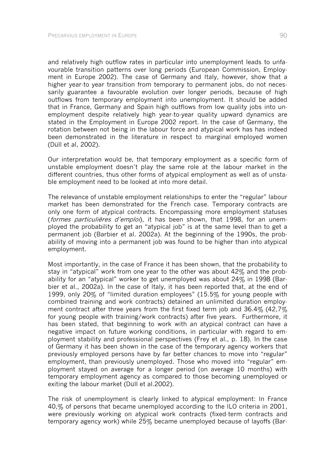and relatively high outflow rates in particular into unemployment leads to unfavourable transition patterns over long periods (European Commission, Employment in Europe 2002). The case of Germany and Italy, however, show that a higher year-to year transition from temporary to permanent jobs, do not necessarily guarantee a favourable evolution over longer periods, because of high outflows from temporary employment into unemployment. It should be added that in France, Germany and Spain high outflows from low quality jobs into unemployment despite relatively high year-to-year quality upward dynamics are stated in the Employment in Europe 2002 report. In the case of Germany, the rotation between not being in the labour force and atypical work has has indeed been demonstrated in the literature in respect to marginal employed women (Düll et al, 2002).

Our interpretation would be, that temporary employment as a specific form of unstable employment doesn't play the same role at the labour market in the different countries, thus other forms of atypical employment as well as of unstable employment need to be looked at into more detail.

The relevance of unstable employment relationships to enter the "regular" labour market has been demonstrated for the French case. Temporary contracts are only one form of atypical contracts. Encompassing more employment statuses (formes particulières d'emplon, it has been shown, that 1998, for an unemployed the probability to get an "atypical job" is at the same level than to get a permanent job (Barbier et al. 2002a). At the beginning of the 1990s, the probability of moving into a permanent job was found to be higher than into atypical employment.

Most importantly, in the case of France it has been shown, that the probability to stay in "atypical" work from one year to the other was about 42% and the probability for an "atypical" worker to get unemployed was about 24% in 1998 (Barbier et al., 2002a). In the case of Italy, it has been reported that, at the end of 1999, only 20% of "limited duration employees" (15.5% for young people with combined training and work contracts) detained an unlimited duration employment contract after three years from the first fixed term job and  $36.4\%$  (42,7%) for young people with training/work contracts) after five years. Furthermore, it has been stated, that beginning to work with an atypical contract can have a negative impact on future working conditions, in particular with regard to employment stability and professional perspectives (Frey et al., p. 18). In the case of Germany it has been shown in the case of the temporary agency workers that previously employed persons have by far better chances to move into "regular" employment, than previously unemployed. Those who moved into "regular" employment stayed on average for a longer period (on average 10 months) with temporary employment agency as compared to those becoming unemployed or exiting the labour market (Düll et al.2002).

The risk of unemployment is clearly linked to atypical employment: In France 40,% of persons that became unemployed according to the ILO criteria in 2001, were previously working on atypical work contracts (fixed-term contracts and temporary agency work) while 25% became unemployed because of layoffs (Bar-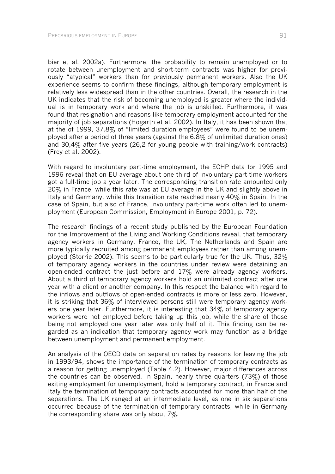bier et al. 2002a). Furthermore, the probability to remain unemployed or to rotate between unemployment and short-term contracts was higher for previously "atypical" workers than for previously permanent workers. Also the UK experience seems to confirm these findings, although temporary employment is relatively less widespread than in the other countries. Overall, the research in the UK indicates that the risk of becoming unemployed is greater where the individual is in temporary work and where the job is unskilled. Furthermore, it was found that resignation and reasons like temporary employment accounted for the majority of job separations (Hogarth et al. 2002). In Italy, it has been shown that at the of 1999, 37.8% of "limited duration employees" were found to be unemployed after a period of three years (against the 6.8% of unlimited duration ones) and 30,4% after five years (26,2 for young people with training/work contracts) (Frey et al. 2002).

With regard to involuntary part-time employment, the ECHP data for 1995 and 1996 reveal that on EU average about one third of involuntary part-time workers got a full-time job a year later. The corresponding transition rate amounted only 20% in France, while this rate was at EU average in the UK and slightly above in Italy and Germany, while this transition rate reached nearly 40% in Spain. In the case of Spain, but also of France, involuntary part-time work often led to unemployment (European Commission, Employment in Europe 2001, p. 72).

The research findings of a recent study published by the European Foundation for the Improvement of the Living and Working Conditions reveal, that temporary agency workers in Germany, France, the UK, The Netherlands and Spain are more typically recruited among permanent employees rather than among unemployed (Storrie 2002). This seems to be particularly true for the UK. Thus, 32% of temporary agency workers in the countries under review were detaining an open-ended contract the just before and 17% were already agency workers. About a third of temporary agency workers hold an unlimited contract after one year with a client or another company. In this respect the balance with regard to the inflows and outflows of open-ended contracts is more or less zero. However, it is striking that 36% of interviewed persons still were temporary agency workers one year later. Furthermore, it is interesting that 34% of temporary agency workers were not employed before taking up this job, while the share of those being not employed one year later was only half of it. This finding can be regarded as an indication that temporary agency work may function as a bridge between unemployment and permanent employment.

An analysis of the OECD data on separation rates by reasons for leaving the job in 1993/94, shows the importance of the termination of temporary contracts as a reason for getting unemployed (Table 4.2). However, major differences across the countries can be observed. In Spain, nearly three quarters (73%) of those exiting employment for unemployment, hold a temporary contract, in France and Italy the termination of temporary contracts accounted for more than half of the separations. The UK ranged at an intermediate level, as one in six separations occurred because of the termination of temporary contracts, while in Germany the corresponding share was only about  $7\%$ .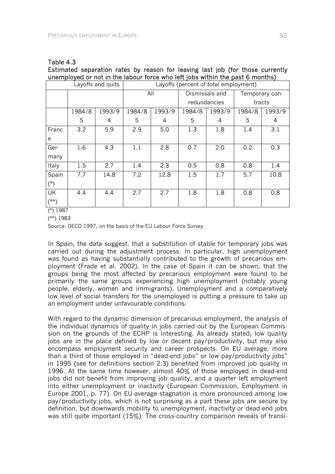### Table 4.3

Estimated separation rates by reason for leaving last job (for those currently unemployed or not in the labour force who left jobs within the past 6 months)

|        |        | Layoffs and quits | Layoffs (percent of total employment) |        |                |              |                |        |
|--------|--------|-------------------|---------------------------------------|--------|----------------|--------------|----------------|--------|
|        |        |                   | All                                   |        | Dismissals and |              | Temporary con- |        |
|        |        |                   |                                       |        |                | redundancies | tracts         |        |
|        | 1984/8 | 1993/9            | 1984/8                                | 1993/9 | 1984/8         | 1993/9       | 1984/8         | 1993/9 |
|        | 5      | 4                 | 5                                     | 4      | 5              | 4            | 5              | 4      |
| Franc  | 3.2    | 5.9               | 2.9                                   | 5.0    | 1.3            | 1.8          | 1.4            | 3.1    |
| e      |        |                   |                                       |        |                |              |                |        |
| Ger-   | 1.6    | 4.3               | 1.1                                   | 2.8    | 0.7            | 2.0          | 0.2            | 0.3    |
| many   |        |                   |                                       |        |                |              |                |        |
| Italy  | 1.5    | 2.7               | 1.4                                   | 2.3    | 0.5            | 0.8          | 0.8            | 1.4    |
| Spain  | 7.7    | 14.8              | 7.2                                   | 12.8   | 1.5            | 1.7          | 5.7            | 10.8   |
| $(*)$  |        |                   |                                       |        |                |              |                |        |
| UK     | 4.4    | 4.4               | 2.7                                   | 2.7    | 1.8            | 1.8          | 0.8            | 0.8    |
| $(**)$ |        |                   |                                       |        |                |              |                |        |

(\*) 1987

Source: OECD 1997, on the basis of the EU Labour Force Survey

In Spain, the data suggest, that a substitution of stable for temporary jobs was carried out during the adjustment process. In particular, high unemployment was found as having substantially contributed to the growth of precarious employment (Frade et al. 2002). In the case of Spain it can be shown, that the groups being the most affected by precarious employment were found to be primarily the same groups experiencing high unemployment (notably young people, elderly, women and immigrants). Unemployment and a comparatively low level of social transfers for the unemployed is putting a pressure to take up an employment under unfavourable conditions.

With regard to the dynamic dimension of precarious employment, the analysis of the individual dynamics of quality in jobs carried out by the European Commission on the grounds of the ECHP is interesting. As already stated, low quality jobs are in the place defined by low or decent pay/productivity, but may also encompass employment security and career prospects. On EU average, more than a third of those employed in "dead-end jobs" or low pay/productivity jobs" in 1995 (see for definitions section 2.3) benefited from improved job quality in 1996. At the same time however, almost 40% of those employed in dead-end jobs did not benefit from improving job quality, and a quarter left employment into either unemployment or inactivity (European Commission, Employment in Europe 2001, p. 77). On EU-average stagnation is more pronounced among low pay/productivity jobs, which is not surprising as a part these jobs are secure by definition, but downwards mobility to unemployment, inactivity or dead-end jobs was still quite important (15%). The cross-country comparison reveals of transi-

<sup>(\*\*) 1983</sup>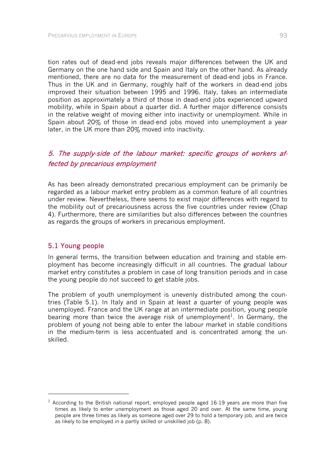tion rates out of dead-end jobs reveals major differences between the UK and Germany on the one hand side and Spain and Italy on the other hand. As already mentioned, there are no data for the measurement of dead-end jobs in France. Thus in the UK and in Germany, roughly half of the workers in dead-end jobs improved their situation between 1995 and 1996. Italy, takes an intermediate position as approximately a third of those in dead-end jobs experienced upward mobility, while in Spain about a quarter did. A further major difference consists in the relative weight of moving either into inactivity or unemployment. While in Spain about 20% of those in dead-end jobs moved into unemployment a year later, in the UK more than 20% moved into inactivity.

# 5. The supply-side of the labour market: specific groups of workers affected by precarious employment

As has been already demonstrated precarious employment can be primarily be regarded as a labour market entry problem as a common feature of all countries under review. Nevertheless, there seems to exist major differences with regard to the mobility out of precariousness across the five countries under review (Chap 4). Furthermore, there are similarities but also differences between the countries as regards the groups of workers in precarious employment.

## 5.1 Young people

-

In general terms, the transition between education and training and stable employment has become increasingly difficult in all countries. The gradual labour market entry constitutes a problem in case of long transition periods and in case the young people do not succeed to get stable jobs.

The problem of youth unemployment is unevenly distributed among the countries (Table 5.1). In Italy and in Spain at least a quarter of young people was unemployed. France and the UK range at an intermediate position, young people bearing more than twice the average risk of unemployment<sup>1</sup>. In Germany, the problem of young not being able to enter the labour market in stable conditions in the medium-term is less accentuated and is concentrated among the unskilled.

 $1$  According to the British national report, employed people aged 16-19 years are more than five times as likely to enter unemployment as those aged 20 and over. At the same time, young people are three times as likely as someone aged over 29 to hold a temporary job, and are twice as likely to be employed in a partly skilled or unskilled job (p. 8).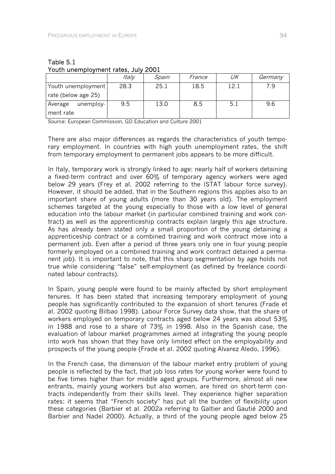|                      | Italy | Spain | France | UK   | Germany |
|----------------------|-------|-------|--------|------|---------|
| Youth unemployment   | 28.3  | 25.1  | 18.5   | 12.1 | 7.9     |
| rate (below age 25)  |       |       |        |      |         |
| unemploy-<br>Average | 9.5   | 13.0  | 8.5    | 5.1  | 9.6     |
| ment rate            |       |       |        |      |         |

#### Table 5.1 Youth unemployment rates, July 2001

Source: European Commission, GD Education and Culture 2001

There are also major differences as regards the characteristics of youth temporary employment. In countries with high youth unemployment rates, the shift from temporary employment to permanent jobs appears to be more difficult.

In Italy, temporary work is strongly linked to age: nearly half of workers detaining a fixed-term contract and over 60% of temporary agency workers were aged below 29 years (Frey et al. 2002 referring to the ISTAT labour force survey). However, it should be added, that in the Southern regions this applies also to an important share of young adults (more than 30 years old). The employment schemes targeted at the young especially to those with a low level of general education into the labour market (in particular combined training and work contract) as well as the apprenticeship contracts explain largely this age structure. As has already been stated only a small proportion of the young detaining a apprenticeship contract or a combined training and work contract move into a permanent job. Even after a period of three years only one in four young people formerly employed on a combined training and work contract detained a permanent job). It is important to note, that this sharp segmentation by age holds not true while considering "false" self-employment (as defined by freelance coordinated labour contracts).

In Spain, young people were found to be mainly affected by short employment tenures. It has been stated that increasing temporary employment of young people has significantly contributed to the expansion of short tenures (Frade et al. 2002 quoting Bilbao 1998). Labour Force Survey data show, that the share of workers employed on temporary contracts aged below 24 years was about 53% in 1988 and rose to a share of 73% in 1998. Also in the Spanish case, the evaluation of labour market programmes aimed at integrating the young people into work has shown that they have only limited effect on the employability and prospects of the young people (Frade et al. 2002 quoting Alvarez Aledo, 1996).

In the French case, the dimension of the labour market entry problem of young people is reflected by the fact, that job loss rates for young worker were found to be five times higher than for middle aged groups. Furthermore, almost all new entrants, mainly young workers but also women, are hired on short-term contracts independently from their skills level. They experience higher separation rates: it seems that "French society" has put all the burden of flexibility upon these categories (Barbier et al. 2002a referring to Galtier and Gautié 2000 and Barbier and Nadel 2000). Actually, a third of the young people aged below 25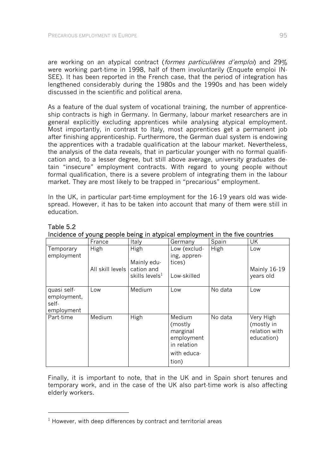are working on an atypical contract (formes particulières d'emploi) and 29% were working part-time in 1998, half of them involuntarily (Enquete emploi IN-SEE). It has been reported in the French case, that the period of integration has lengthened considerably during the 1980s and the 1990s and has been widely discussed in the scientific and political arena.

As a feature of the dual system of vocational training, the number of apprenticeship contracts is high in Germany. In Germany, labour market researchers are in general explicitly excluding apprentices while analysing atypical employment. Most importantly, in contrast to Italy, most apprentices get a permanent job after finishing apprenticeship. Furthermore, the German dual system is endowing the apprentices with a tradable qualification at the labour market. Nevertheless, the analysis of the data reveals, that in particular younger with no formal qualification and, to a lesser degree, but still above average, university graduates detain "insecure" employment contracts. With regard to young people without formal qualification, there is a severe problem of integrating them in the labour market. They are most likely to be trapped in "precarious" employment.

In the UK, in particular part-time employment for the 16-19 years old was widespread. However, it has to be taken into account that many of them were still in education.

|                                                   | France                   | Italy                                                  | Germany                                                                             | Spain   | UK                                                     |
|---------------------------------------------------|--------------------------|--------------------------------------------------------|-------------------------------------------------------------------------------------|---------|--------------------------------------------------------|
| Temporary<br>employment                           | High<br>All skill levels | High<br>Mainly edu-<br>cation and<br>skills levels $1$ | Low (exclud-<br>ing, appren-<br>tices)<br>Low-skilled                               | High    | Low<br>Mainly 16-19<br>years old                       |
| quasi self-<br>employment,<br>self-<br>employment | Low                      | Medium                                                 | Low                                                                                 | No data | Low                                                    |
| Part-time                                         | Medium                   | High                                                   | Medium<br>(mostly)<br>marginal<br>employment<br>in relation<br>with educa-<br>tion) | No data | Very High<br>(mostly in<br>relation with<br>education) |

Table 5.2 Incidence of young people being in atypical employment in the five countries

Finally, it is important to note, that in the UK and in Spain short tenures and temporary work, and in the case of the UK also part-time work is also affecting elderly workers.

-

 $1$  However, with deep differences by contract and territorial areas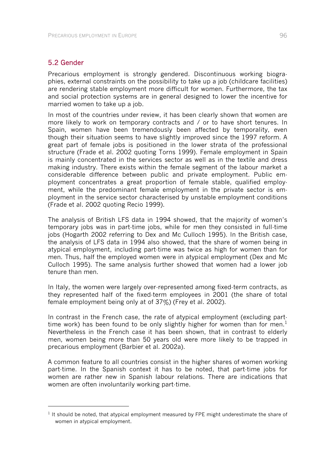## 5.2 Gender

-

Precarious employment is strongly gendered. Discontinuous working biographies, external constraints on the possibility to take up a job (childcare facilities) are rendering stable employment more difficult for women. Furthermore, the tax and social protection systems are in general designed to lower the incentive for married women to take up a job.

In most of the countries under review, it has been clearly shown that women are more likely to work on temporary contracts and / or to have short tenures. In Spain, women have been tremendously been affected by temporality, even though their situation seems to have slightly improved since the 1997 reform. A great part of female jobs is positioned in the lower strata of the professional structure (Frade et al. 2002 quoting Torns 1999). Female employment in Spain is mainly concentrated in the services sector as well as in the textile and dress making industry. There exists within the female segment of the labour market a considerable difference between public and private employment. Public employment concentrates a great proportion of female stable, qualified employment, while the predominant female employment in the private sector is employment in the service sector characterised by unstable employment conditions (Frade et al. 2002 quoting Recio 1999).

The analysis of British LFS data in 1994 showed, that the majority of women's temporary jobs was in part-time jobs, while for men they consisted in full-time jobs (Hogarth 2002 referring to Dex and Mc Culloch 1995). In the British case, the analysis of LFS data in 1994 also showed, that the share of women being in atypical employment, including part-time was twice as high for women than for men. Thus, half the employed women were in atypical employment (Dex and Mc Culloch 1995). The same analysis further showed that women had a lower job tenure than men.

In Italy, the women were largely over-represented among fixed-term contracts, as they represented half of the fixed-term employees in 2001 (the share of total female employment being only at of 37%) (Frey et al. 2002).

In contrast in the French case, the rate of atypical employment (excluding parttime work) has been found to be only slightly higher for women than for men.<sup>1</sup> Nevertheless in the French case it has been shown, that in contrast to elderly men, women being more than 50 years old were more likely to be trapped in precarious employment (Barbier et al. 2002a).

A common feature to all countries consist in the higher shares of women working part-time. In the Spanish context it has to be noted, that part-time jobs for women are rather new in Spanish labour relations. There are indications that women are often involuntarily working part-time.

 $<sup>1</sup>$  It should be noted, that atypical employment measured by FPE might underestimate the share of</sup> women in atypical employment.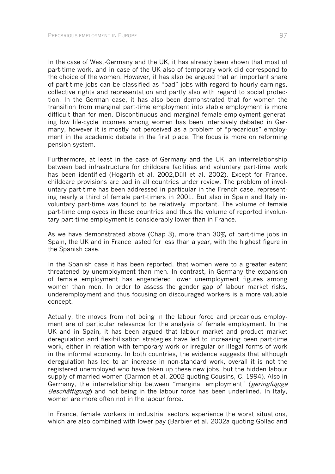In the case of West-Germany and the UK, it has already been shown that most of part-time work, and in case of the UK also of temporary work did correspond to the choice of the women. However, it has also be argued that an important share of part-time jobs can be classified as "bad" jobs with regard to hourly earnings, collective rights and representation and partly also with regard to social protection. In the German case, it has also been demonstrated that for women the transition from marginal part-time employment into stable employment is more difficult than for men. Discontinuous and marginal female employment generating low life-cycle incomes among women has been intensively debated in Germany, however it is mostly not perceived as a problem of "precarious" employment in the academic debate in the first place. The focus is more on reforming pension system.

Furthermore, at least in the case of Germany and the UK, an interrelationship between bad infrastructure for childcare facilities and voluntary part-time work has been identified (Hogarth et al. 2002,Düll et al. 2002). Except for France, childcare provisions are bad in all countries under review. The problem of involuntary part-time has been addressed in particular in the French case, representing nearly a third of female part-timers in 2001. But also in Spain and Italy involuntary part-time was found to be relatively important. The volume of female part-time employees in these countries and thus the volume of reported involuntary part-time employment is considerably lower than in France.

As we have demonstrated above (Chap 3), more than 30% of part-time jobs in Spain, the UK and in France lasted for less than a year, with the highest figure in the Spanish case.

In the Spanish case it has been reported, that women were to a greater extent threatened by unemployment than men. In contrast, in Germany the expansion of female employment has engendered lower unemployment figures among women than men. In order to assess the gender gap of labour market risks, underemployment and thus focusing on discouraged workers is a more valuable concept.

Actually, the moves from not being in the labour force and precarious employment are of particular relevance for the analysis of female employment. In the UK and in Spain, it has been argued that labour market and product market deregulation and flexibilisation strategies have led to increasing been part-time work, either in relation with temporary work or irregular or illegal forms of work in the informal economy. In both countries, the evidence suggests that although deregulation has led to an increase in non-standard work, overall it is not the registered unemployed who have taken up these new jobs, but the hidden labour supply of married women (Darmon et al. 2002 quoting Cousins, C. 1994). Also in Germany, the interrelationship between "marginal employment" (*geringfügige* Beschäftigung) and not being in the labour force has been underlined. In Italy, women are more often not in the labour force.

In France, female workers in industrial sectors experience the worst situations, which are also combined with lower pay (Barbier et al. 2002a quoting Gollac and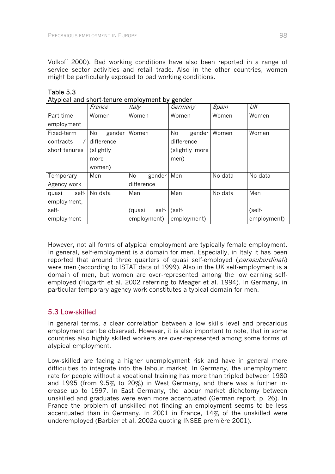Volkoff 2000). Bad working conditions have also been reported in a range of service sector activities and retail trade. Also in the other countries, women might be particularly exposed to bad working conditions.

| Alypical and short-tendre employment by gender |              |                 |                |         |             |  |  |
|------------------------------------------------|--------------|-----------------|----------------|---------|-------------|--|--|
|                                                | France       | Italy           | Germany        | Spain   | UK          |  |  |
| Part-time                                      | Women        | Women           | Women          | Women   | Women       |  |  |
| employment                                     |              |                 |                |         |             |  |  |
| Fixed-term                                     | No<br>gender | Women           | No<br>gender   | Women   | Women       |  |  |
| contracts                                      | difference   |                 | difference     |         |             |  |  |
| short tenures<br>(slightly                     |              |                 | (slightly more |         |             |  |  |
| more                                           |              |                 | men)           |         |             |  |  |
|                                                | women)       |                 |                |         |             |  |  |
| Temporary                                      | Men          | No<br>gender    | Men            | No data | No data     |  |  |
| Agency work                                    |              | difference      |                |         |             |  |  |
| self-<br>quasi                                 | No data      | Men             | Men            | No data | Men         |  |  |
| employment,                                    |              |                 |                |         |             |  |  |
| self-                                          |              | self-<br>(quasi | (self-         |         | (self-      |  |  |
| employment                                     |              | employment)     | employment)    |         | employment) |  |  |

Table 5.3 Atypical and short-tenure employment by gender

However, not all forms of atypical employment are typically female employment. In general, self-employment is a domain for men. Especially, in Italy it has been reported that around three quarters of quasi self-employed (parasubordinati) were men (according to ISTAT data of 1999). Also in the UK self-employment is a domain of men, but women are over-represented among the low earning selfemployed (Hogarth et al. 2002 referring to Meager et al. 1994). In Germany, in particular temporary agency work constitutes a typical domain for men.

## 5.3 Low-skilled

In general terms, a clear correlation between a low skills level and precarious employment can be observed. However, it is also important to note, that in some countries also highly skilled workers are over-represented among some forms of atypical employment.

Low-skilled are facing a higher unemployment risk and have in general more difficulties to integrate into the labour market. In Germany, the unemployment rate for people without a vocational training has more than tripled between 1980 and 1995 (from 9.5% to 20%) in West Germany, and there was a further increase up to 1997. In East Germany, the labour market dichotomy between unskilled and graduates were even more accentuated (German report, p. 26). In France the problem of unskilled not finding an employment seems to be less accentuated than in Germany. In 2001 in France, 14% of the unskilled were underemployed (Barbier et al. 2002a quoting INSEE première 2001).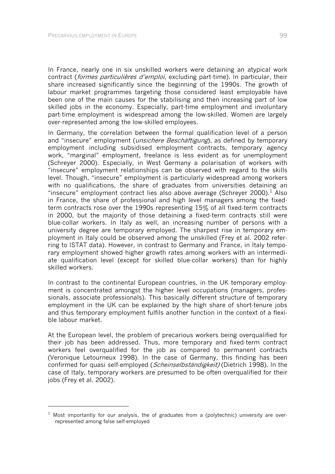-

In France, nearly one in six unskilled workers were detaining an atypical work contract (formes particulières d'emploi, excluding part-time). In particular, their share increased significantly since the beginning of the 1990s. The growth of labour market programmes targeting those considered least employable have been one of the main causes for the stabilising and then increasing part of low skilled jobs in the economy. Especially, part-time employment and involuntary part-time employment is widespread among the low-skilled. Women are largely over-represented among the low-skilled employees.

In Germany, the correlation between the formal qualification level of a person and "insecure" employment (*unsichere Beschäftigung*), as defined by temporary employment including subsidised employment contracts, temporary agency work, "marginal" employment, freelance is less evident as for unemployment (Schreyer 2000). Especially, in West Germany a polarisation of workers with "insecure" employment relationships can be observed with regard to the skills level. Though, "insecure" employment is particularly widespread among workers with no qualifications, the share of graduates from universities detaining an "insecure" employment contract lies also above average (Schreyer 2000). $<sup>1</sup>$  Also</sup> in France, the share of professional and high level managers among the fixedterm contracts rose over the 1990s representing 15% of all fixed-term contracts in 2000, but the majority of those detaining a fixed-term contracts still were blue-collar workers. In Italy as well, an increasing number of persons with a university degree are temporary employed. The sharpest rise in temporary employment in Italy could be observed among the unskilled (Frey et al. 2002 referring to ISTAT data). However, in contrast to Germany and France, in Italy temporary employment showed higher growth rates among workers with an intermediate qualification level (except for skilled blue-collar workers) than for highly skilled workers.

In contrast to the continental European countries, in the UK temporary employment is concentrated amongst the higher level occupations (managers, professionals, associate professionals). This basically different structure of temporary employment in the UK can be explained by the high share of short-tenure jobs and thus temporary employment fulfils another function in the context of a flexible labour market.

At the European level, the problem of precarious workers being overqualified for their job has been addressed. Thus, more temporary and fixed-term contract workers feel overqualified for the job as compared to permanent contracts (Veronique Letourneux 1998). In the case of Germany, this finding has been confirmed for quasi self-employed (*Scheinselbständigkeit*) (Dietrich 1998). In the case of Italy, temporary workers are presumed to be often overqualified for their jobs (Frey et al. 2002).

 $1$  Most importantly for our analysis, the of graduates from a (polytechnic) university are overrepresented among false self-employed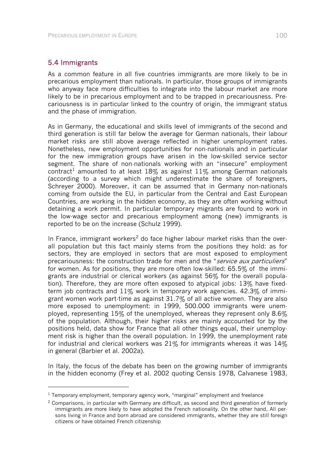## 5.4 Immigrants

l

As a common feature in all five countries immigrants are more likely to be in precarious employment than nationals. In particular, those groups of immigrants who anyway face more difficulties to integrate into the labour market are more likely to be in precarious employment and to be trapped in precariousness. Precariousness is in particular linked to the country of origin, the immigrant status and the phase of immigration.

As in Germany, the educational and skills level of immigrants of the second and third generation is still far below the average for German nationals, their labour market risks are still above average reflected in higher unemployment rates. Nonetheless, new employment opportunities for non-nationals and in particular for the new immigration groups have arisen in the low-skilled service sector segment. The share of non-nationals working with an "insecure" employment contract<sup>1</sup> amounted to at least 18% as against 11% among German nationals (according to a survey which might underestimate the share of foreigners, Schreyer 2000). Moreover, it can be assumed that in Germany non-nationals coming from outside the EU, in particular from the Central and East European Countries, are working in the hidden economy, as they are often working without detaining a work permit. In particular temporary migrants are found to work in the low-wage sector and precarious employment among (new) immigrants is reported to be on the increase (Schulz 1999).

In France, immigrant workers<sup>2</sup> do face higher labour market risks than the overall population but this fact mainly stems from the positions they hold: as for sectors, they are employed in sectors that are most exposed to employment precariousness: the construction trade for men and the "service aux particuliers" for women. As for positions, they are more often low-skilled: 65.5% of the immigrants are industrial or clerical workers (as against 56% for the overall population). Therefore, they are more often exposed to atypical jobs: 13% have fixedterm job contracts and  $11\%$  work in temporary work agencies. 42.3% of immigrant women work part-time as against 31.7% of all active women. They are also more exposed to unemployment: in 1999, 500.000 immigrants were unemployed, representing 15% of the unemployed, whereas they represent only 8.6% of the population. Although, their higher risks are mainly accounted for by the positions held, data show for France that all other things equal, their unemployment risk is higher than the overall population. In 1999, the unemployment rate for industrial and clerical workers was  $21\%$  for immigrants whereas it was  $14\%$ in general (Barbier et al. 2002a).

In Italy, the focus of the debate has been on the growing number of immigrants in the hidden economy (Frey et al. 2002 quoting Censis 1978, Calvanese 1983,

 $<sup>1</sup>$  Temporary employment, temporary agency work, "marginal" employment and freelance</sup>

 $2$  Comparisons, in particular with Germany are difficult, as second and third generation of formerly immigrants are more likely to have adopted the French nationality. On the other hand, All persons living in France and born abroad are considered immigrants, whether they are still foreign citizens or have obtained French citizenship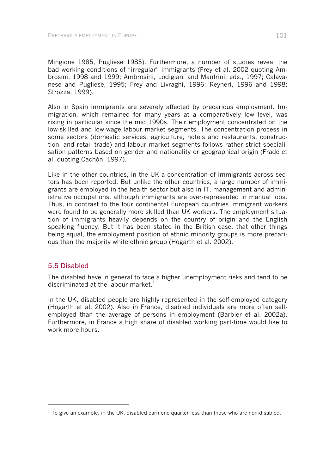Mingione 1985, Pugliese 1985). Furthermore, a number of studies reveal the bad working conditions of "irregular" immigrants (Frey et al. 2002 quoting Ambrosini, 1998 and 1999; Ambrosini, Lodigiani and Manfrini, eds., 1997; Calavanese and Pugliese, 1995; Frey and Livraghi, 1996; Reyneri, 1996 and 1998; Strozza, 1999).

Also in Spain immigrants are severely affected by precarious employment. Immigration, which remained for many years at a comparatively low level, was rising in particular since the mid 1990s. Their employment concentrated on the low-skilled and low-wage labour market segments. The concentration process in some sectors (domestic services, agriculture, hotels and restaurants, construction, and retail trade) and labour market segments follows rather strict specialisation patterns based on gender and nationality or geographical origin (Frade et al. quoting Cachón, 1997).

Like in the other countries, in the UK a concentration of immigrants across sectors has been reported. But unlike the other countries, a large number of immigrants are employed in the health sector but also in IT, management and administrative occupations, although immigrants are over-represented in manual jobs. Thus, in contrast to the four continental European countries immigrant workers were found to be generally more skilled than UK workers. The employment situation of immigrants heavily depends on the country of origin and the English speaking fluency. But it has been stated in the British case, that other things being equal, the employment position of ethnic minority groups is more precarious than the majority white ethnic group (Hogarth et al. 2002).

## 5.5 Disabled

1

The disabled have in general to face a higher unemployment risks and tend to be discriminated at the labour market.<sup>1</sup>

In the UK, disabled people are highly represented in the self-employed category (Hogarth et al. 2002). Also in France, disabled individuals are more often selfemployed than the average of persons in employment (Barbier et al. 2002a). Furthermore, in France a high share of disabled working part-time would like to work more hours.

 $1$  To give an example, in the UK, disabled earn one quarter less than those who are non-disabled.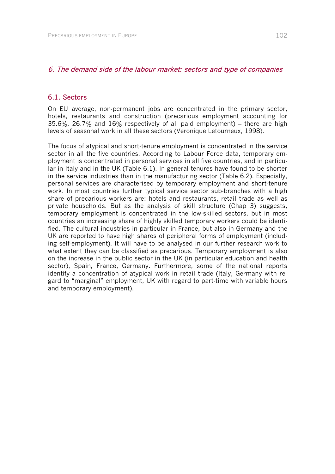## 6. The demand side of the labour market: sectors and type of companies

## 6.1. Sectors

On EU average, non-permanent jobs are concentrated in the primary sector, hotels, restaurants and construction (precarious employment accounting for 35.6%, 26.7% and 16% respectively of all paid employment) – there are high levels of seasonal work in all these sectors (Veronique Letourneux, 1998).

The focus of atypical and short-tenure employment is concentrated in the service sector in all the five countries. According to Labour Force data, temporary employment is concentrated in personal services in all five countries, and in particular in Italy and in the UK (Table 6.1). In general tenures have found to be shorter in the service industries than in the manufacturing sector (Table 6.2). Especially, personal services are characterised by temporary employment and short-tenure work. In most countries further typical service sector sub-branches with a high share of precarious workers are: hotels and restaurants, retail trade as well as private households. But as the analysis of skill structure (Chap 3) suggests, temporary employment is concentrated in the low-skilled sectors, but in most countries an increasing share of highly skilled temporary workers could be identified. The cultural industries in particular in France, but also in Germany and the UK are reported to have high shares of peripheral forms of employment (including self-employment). It will have to be analysed in our further research work to what extent they can be classified as precarious. Temporary employment is also on the increase in the public sector in the UK (in particular education and health sector), Spain, France, Germany. Furthermore, some of the national reports identify a concentration of atypical work in retail trade (Italy, Germany with regard to "marginal" employment, UK with regard to part-time with variable hours and temporary employment).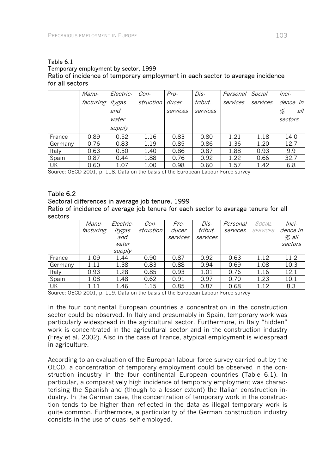#### Table 6.1 Temporary employment by sector, 1999 Ratio of incidence of temporary employment in each sector to average incidence for all sectors

|         | Manu-     | Electric- | Con-      | Pro-     | Dis-     | Personal | Social   | $Inci-$  |
|---------|-----------|-----------|-----------|----------|----------|----------|----------|----------|
|         | facturing | itygas    | struction | ducer    | tribut.  | services | services | dence in |
|         |           | and       |           | services | services |          |          | all<br>% |
|         |           | water     |           |          |          |          |          | sectors  |
|         |           | supply    |           |          |          |          |          |          |
| France  | 0.89      | 0.52      | 1.16      | 0.83     | 0.80     | 1.21     | 1.18     | 14.0     |
| Germany | 0.76      | 0.83      | 1.19      | 0.85     | 0.86     | 1.36     | 1.20     | 12.7     |
| Italy   | 0.63      | 0.50      | 1.40      | 0.86     | 0.87     | 1.88     | 0.93     | 9.9      |
| Spain   | 0.87      | 0.44      | 1.88      | 0.76     | 0.92     | 1.22     | 0.66     | 32.7     |
| UK      | 0.60      | 1.07      | 1.00      | 0.98     | 0.60     | 1.57     | 1.42     | 6.8      |

Source: OECD 2001, p. 118. Data on the basis of the European Labour Force survey

#### Table 6.2

## Sectoral differences in average job tenure, 1999 Ratio of incidence of average job tenure for each sector to average tenure for all sectors

|         | Manu-     | Electric- | Con-      | Pro-     | Dis-     | Personal | SOCIAL          | $Inci-$  |
|---------|-----------|-----------|-----------|----------|----------|----------|-----------------|----------|
|         | facturing | itygas    | struction | ducer    | tribut.  | services | <b>SERVICES</b> | dence in |
|         |           | and       |           | services | services |          |                 | $%$ all  |
|         |           | water     |           |          |          |          |                 | sectors  |
|         |           | supply    |           |          |          |          |                 |          |
| France  | 1.09      | 1.44      | 0.90      | 0.87     | 0.92     | 0.63     | 1.12            | 11.2     |
| Germany | 1.11      | 1.38      | 0.83      | 0.88     | 0.94     | 0.69     | 1.08            | 10.3     |
| Italy   | 0.93      | 1.28      | 0.85      | 0.93     | 1.01     | 0.76     | 1.16            | 12.1     |
| Spain   | 1.08      | 1.48      | 0.62      | 0.91     | 0.97     | 0.70     | 1.23            | 10.1     |
| UK      | 1.11      | 1.46      | 1.15      | 0.85     | 0.87     | 0.68     | 1.12            | 8.3      |

Source: OECD 2001, p. 119. Data on the basis of the European Labour Force survey

In the four continental European countries a concentration in the construction sector could be observed. In Italy and presumably in Spain, temporary work was particularly widespread in the agricultural sector. Furthermore, in Italy "hidden" work is concentrated in the agricultural sector and in the construction industry (Frey et al. 2002). Also in the case of France, atypical employment is widespread in agriculture.

According to an evaluation of the European labour force survey carried out by the OECD, a concentration of temporary employment could be observed in the construction industry in the four continental European countries (Table 6.1). In particular, a comparatively high incidence of temporary employment was characterising the Spanish and (though to a lesser extent) the Italian construction industry. In the German case, the concentration of temporary work in the construction tends to be higher than reflected in the data as illegal temporary work is quite common. Furthermore, a particularity of the German construction industry consists in the use of quasi self-employed.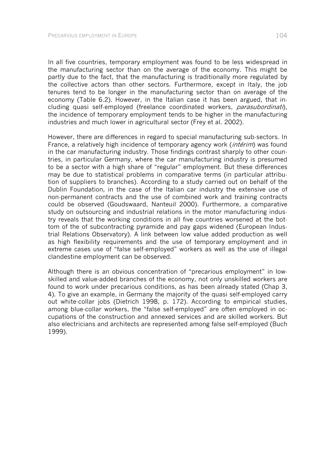In all five countries, temporary employment was found to be less widespread in the manufacturing sector than on the average of the economy. This might be partly due to the fact, that the manufacturing is traditionally more regulated by the collective actors than other sectors. Furthermore, except in Italy, the job tenures tend to be longer in the manufacturing sector than on average of the economy (Table 6.2). However, in the Italian case it has been argued, that including quasi self-employed (freelance coordinated workers, *parasubordinati*), the incidence of temporary employment tends to be higher in the manufacturing industries and much lower in agricultural sector (Frey et al. 2002).

However, there are differences in regard to special manufacturing sub-sectors. In France, a relatively high incidence of temporary agency work *(intérim*) was found in the car manufacturing industry. Those findings contrast sharply to other countries, in particular Germany, where the car manufacturing industry is presumed to be a sector with a high share of "regular" employment. But these differences may be due to statistical problems in comparative terms (in particular attribution of suppliers to branches). According to a study carried out on behalf of the Dublin Foundation, in the case of the Italian car industry the extensive use of non-permanent contracts and the use of combined work and training contracts could be observed (Goudswaard, Nanteuil 2000). Furthermore, a comparative study on outsourcing and industrial relations in the motor manufacturing industry reveals that the working conditions in all five countries worsened at the bottom of the of subcontracting pyramide and pay gaps widened (European Industrial Relations Observatory). A link between low value added production as well as high flexibility requirements and the use of temporary employment and in extreme cases use of "false self-employed" workers as well as the use of illegal clandestine employment can be observed.

Although there is an obvious concentration of "precarious employment" in lowskilled and value-added branches of the economy, not only unskilled workers are found to work under precarious conditions, as has been already stated (Chap 3, 4). To give an example, in Germany the majority of the quasi self-employed carry out white-collar jobs (Dietrich 1998, p. 172). According to empirical studies, among blue-collar workers, the "false self-employed" are often employed in occupations of the construction and annexed services and are skilled workers. But also electricians and architects are represented among false self-employed (Buch 1999).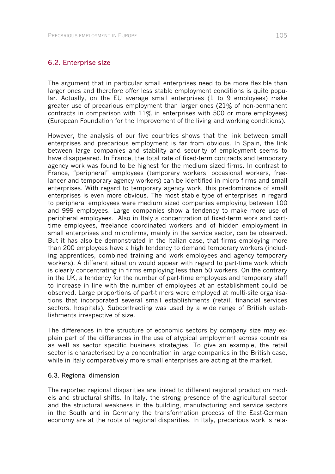## 6.2. Enterprise size

The argument that in particular small enterprises need to be more flexible than larger ones and therefore offer less stable employment conditions is quite popular. Actually, on the EU average small enterprises (1 to 9 employees) make greater use of precarious employment than larger ones (21% of non-permanent contracts in comparison with  $11\%$  in enterprises with 500 or more employees) (European Foundation for the Improvement of the living and working conditions).

However, the analysis of our five countries shows that the link between small enterprises and precarious employment is far from obvious. In Spain, the link between large companies and stability and security of employment seems to have disappeared. In France, the total rate of fixed-term contracts and temporary agency work was found to be highest for the medium sized firms. In contrast to France, "peripheral" employees (temporary workers, occasional workers, freelancer and temporary agency workers) can be identified in micro firms and small enterprises. With regard to temporary agency work, this predominance of small enterprises is even more obvious. The most stable type of enterprises in regard to peripheral employees were medium sized companies employing between 100 and 999 employees. Large companies show a tendency to make more use of peripheral employees. Also in Italy a concentration of fixed-term work and parttime employees, freelance coordinated workers and of hidden employment in small enterprises and microfirms, mainly in the service sector, can be observed. But it has also be demonstrated in the Italian case, that firms employing more than 200 employees have a high tendency to demand temporary workers (including apprentices, combined training and work employees and agency temporary workers). A different situation would appear with regard to part-time work which is clearly concentrating in firms employing less than 50 workers. On the contrary in the UK, a tendency for the number of part-time employees and temporary staff to increase in line with the number of employees at an establishment could be observed. Large proportions of part-timers were employed at multi-site organisations that incorporated several small establishments (retail, financial services sectors, hospitals). Subcontracting was used by a wide range of British establishments irrespective of size.

The differences in the structure of economic sectors by company size may explain part of the differences in the use of atypical employment across countries as well as sector specific business strategies. To give an example, the retail sector is characterised by a concentration in large companies in the British case, while in Italy comparatively more small enterprises are acting at the market.

#### 6.3. Regional dimension

The reported regional disparities are linked to different regional production models and structural shifts. In Italy, the strong presence of the agricultural sector and the structural weakness in the building, manufacturing and service sectors in the South and in Germany the transformation process of the East-German economy are at the roots of regional disparities. In Italy, precarious work is rela-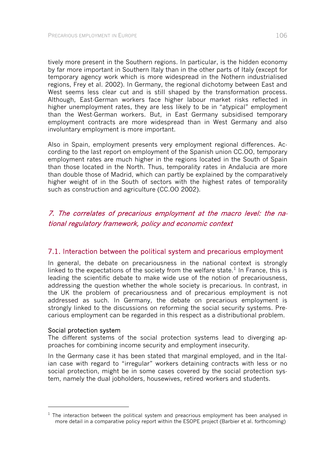tively more present in the Southern regions. In particular, is the hidden economy by far more important in Southern Italy than in the other parts of Italy (except for temporary agency work which is more widespread in the Nothern industrialised regions, Frey et al. 2002). In Germany, the regional dichotomy between East and West seems less clear cut and is still shaped by the transformation process. Although, East-German workers face higher labour market risks reflected in higher unemployment rates, they are less likely to be in "atypical" employment than the West-German workers. But, in East Germany subsidised temporary employment contracts are more widespread than in West Germany and also involuntary employment is more important.

Also in Spain, employment presents very employment regional differences. According to the last report on employment of the Spanish union CC.OO, temporary employment rates are much higher in the regions located in the South of Spain than those located in the North. Thus, temporality rates in Andalucia are more than double those of Madrid, which can partly be explained by the comparatively higher weight of in the South of sectors with the highest rates of temporality such as construction and agriculture (CC.OO 2002).

# 7. The correlates of precarious employment at the macro level: the national regulatory framework, policy and economic context

## 7.1. Interaction between the political system and precarious employment

In general, the debate on precariousness in the national context is strongly linked to the expectations of the society from the welfare state.<sup>1</sup> In France, this is leading the scientific debate to make wide use of the notion of precariousness, addressing the question whether the whole society is precarious. In contrast, in the UK the problem of precariousness and of precarious employment is not addressed as such. In Germany, the debate on precarious employment is strongly linked to the discussions on reforming the social security systems. Precarious employment can be regarded in this respect as a distributional problem.

#### Social protection system

l

The different systems of the social protection systems lead to diverging approaches for combining income security and employment insecurity.

In the Germany case it has been stated that marginal employed, and in the Italian case with regard to "irregular" workers detaining contracts with less or no social protection, might be in some cases covered by the social protection system, namely the dual jobholders, housewives, retired workers and students.

 $<sup>1</sup>$  The interaction between the political system and preacrious employment has been analysed in</sup> more detail in a comparative policy report within the ESOPE project (Barbier et al. forthcoming)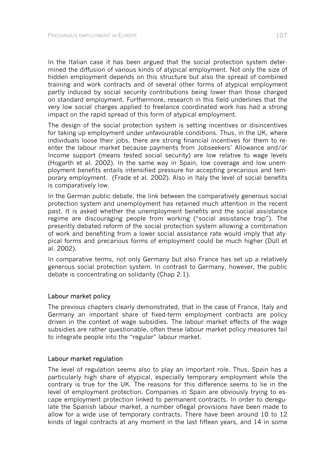In the Italian case it has been argued that the social protection system determined the diffusion of various kinds of atypical employment. Not only the size of hidden employment depends on this structure but also the spread of combined training and work contracts and of several other forms of atypical employment partly induced by social security contributions being lower than those charged on standard employment. Furthermore, research in this field underlines that the very low social charges applied to freelance coordinated work has had a strong impact on the rapid spread of this form of atypical employment.

The design of the social protection system is setting incentives or disincentives for taking up employment under unfavourable conditions. Thus, in the UK, where individuals loose their jobs, there are strong financial incentives for them to reenter the labour market because payments from Jobseekers' Allowance and/or Income support (means tested social security) are low relative to wage levels (Hogarth et al. 2002). In the same way in Spain, low coverage and low unemployment benefits entails intensified pressure for accepting precarious and temporary employment. (Frade et al. 2002). Also in Italy the level of social benefits is comparatively low.

In the German public debate, the link between the comparatively generous social protection system and unemployment has retained much attention in the recent past. It is asked whether the unemployment benefits and the social assistance regime are discouraging people from working ("social assistance trap"). The presently debated reform of the social protection system allowing a combination of work and benefiting from a lower social assistance rate would imply that atypical forms and precarious forms of employment could be much higher (Düll et al. 2002).

In comparative terms, not only Germany but also France has set up a relatively generous social protection system. In contrast to Germany, however, the public debate is concentrating on solidarity (Chap 2.1).

#### Labour market policy

The previous chapters clearly demonstrated, that in the case of France, Italy and Germany an important share of fixed-term employment contracts are policy driven in the context of wage subsidies. The labour market effects of the wage subsidies are rather questionable, often these labour market policy measures fail to integrate people into the "regular" labour market.

#### Labour market regulation

The level of regulation seems also to play an important role. Thus, Spain has a particularly high share of atypical, especially temporary employment while the contrary is true for the UK. The reasons for this difference seems to lie in the level of employment protection. Companies in Spain are obviously trying to escape employment protection linked to permanent contracts. In order to deregulate the Spanish labour market, a number oflegal provisions have been made to allow for a wide use of temporary contracts. There have been around 10 to 12 kinds of legal contracts at any moment in the last fifteen years, and 14 in some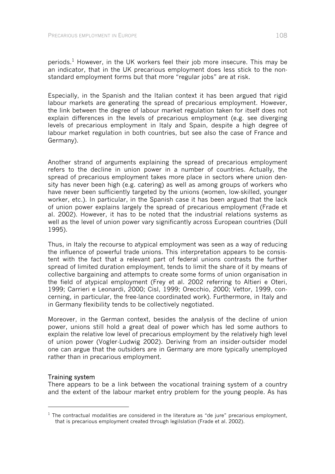periods.<sup>1</sup> However, in the UK workers feel their job more insecure. This may be an indicator, that in the UK precarious employment does less stick to the nonstandard employment forms but that more "regular jobs" are at risk.

Especially, in the Spanish and the Italian context it has been argued that rigid labour markets are generating the spread of precarious employment. However, the link between the degree of labour market regulation taken for itself does not explain differences in the levels of precarious employment (e.g. see diverging levels of precarious employment in Italy and Spain, despite a high degree of labour market regulation in both countries, but see also the case of France and Germany).

Another strand of arguments explaining the spread of precarious employment refers to the decline in union power in a number of countries. Actually, the spread of precarious employment takes more place in sectors where union density has never been high (e.g. catering) as well as among groups of workers who have never been sufficiently targeted by the unions (women, low-skilled, younger worker, etc.). In particular, in the Spanish case it has been argued that the lack of union power explains largely the spread of precarious employment (Frade et al. 2002). However, it has to be noted that the industrial relations systems as well as the level of union power vary significantly across European countries (Düll 1995).

Thus, in Italy the recourse to atypical employment was seen as a way of reducing the influence of powerful trade unions. This interpretation appears to be consistent with the fact that a relevant part of federal unions contrasts the further spread of limited duration employment, tends to limit the share of it by means of collective bargaining and attempts to create some forms of union organisation in the field of atypical employment (Frey et al. 2002 referring to Altieri e Oteri, 1999; Carrieri e Leonardi, 2000; Cisl, 1999; Orecchio, 2000; Vettor, 1999, concerning, in particular, the free-lance coordinated work). Furthermore, in Italy and in Germany flexibility tends to be collectively negotiated.

Moreover, in the German context, besides the analysis of the decline of union power, unions still hold a great deal of power which has led some authors to explain the relative low level of precarious employment by the relatively high level of union power (Vogler-Ludwig 2002). Deriving from an insider-outsider model one can argue that the outsiders are in Germany are more typically unemployed rather than in precarious employment.

# Training system

l

There appears to be a link between the vocational training system of a country and the extent of the labour market entry problem for the young people. As has

 $1$  The contractual modalities are considered in the literature as "de jure" precarious employment, that is precarious employment created through legilslation (Frade et al. 2002).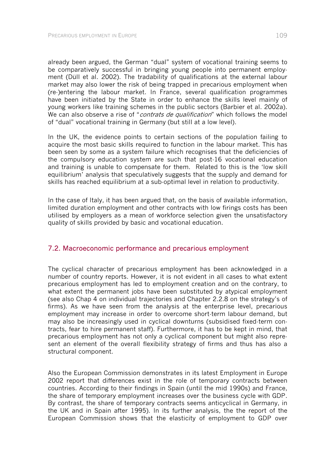already been argued, the German "dual" system of vocational training seems to be comparatively successful in bringing young people into permanent employment (Düll et al. 2002). The tradability of qualifications at the external labour market may also lower the risk of being trapped in precarious employment when (re-)entering the labour market. In France, several qualification programmes have been initiated by the State in order to enhance the skills level mainly of young workers like training schemes in the public sectors (Barbier et al. 2002a). We can also observe a rise of "*contrats de qualification*" which follows the model of "dual" vocational training in Germany (but still at a low level).

In the UK, the evidence points to certain sections of the population failing to acquire the most basic skills required to function in the labour market. This has been seen by some as a system failure which recognises that the deficiencies of the compulsory education system are such that post-16 vocational education and training is unable to compensate for them. Related to this is the 'low skill equilibrium' analysis that speculatively suggests that the supply and demand for skills has reached equilibrium at a sub-optimal level in relation to productivity.

In the case of Italy, it has been argued that, on the basis of available information, limited duration employment and other contracts with low firings costs has been utilised by employers as a mean of workforce selection given the unsatisfactory quality of skills provided by basic and vocational education.

# 7.2. Macroeconomic performance and precarious employment

The cyclical character of precarious employment has been acknowledged in a number of country reports. However, it is not evident in all cases to what extent precarious employment has led to employment creation and on the contrary, to what extent the permanent jobs have been substituted by atypical employment (see also Chap 4 on individual trajectories and Chapter 2.2.8 on the strategy's of firms). As we have seen from the analysis at the enterprise level, precarious employment may increase in order to overcome short-term labour demand, but may also be increasingly used in cyclical downturns (subsidised fixed-term contracts, fear to hire permanent staff). Furthermore, it has to be kept in mind, that precarious employment has not only a cyclical component but might also represent an element of the overall flexibility strategy of firms and thus has also a structural component.

Also the European Commission demonstrates in its latest Employment in Europe 2002 report that differences exist in the role of temporary contracts between countries. According to their findings in Spain (until the mid 1990s) and France, the share of temporary employment increases over the business cycle with GDP. By contrast, the share of temporary contracts seems anticyclical in Germany, in the UK and in Spain after 1995). In its further analysis, the the report of the European Commission shows that the elasticity of employment to GDP over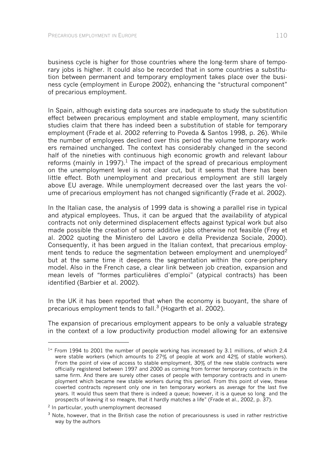business cycle is higher for those countries where the long-term share of temporary jobs is higher. It could also be recorded that in some countries a substitution between permanent and temporary employment takes place over the business cycle (employment in Europe 2002), enhancing the "structural component" of precarious employment.

In Spain, although existing data sources are inadequate to study the substitution effect between precarious employment and stable employment, many scientific studies claim that there has indeed been a substitution of stable for temporary employment (Frade et al. 2002 referring to Poveda & Santos 1998, p. 26). While the number of employees declined over this period the volume temporary workers remained unchanged. The context has considerably changed in the second half of the nineties with continuous high economic growth and relevant labour reforms (mainly in 1997).<sup>1</sup> The impact of the spread of precarious employment on the unemployment level is not clear cut, but it seems that there has been little effect. Both unemployment and precarious employment are still largely above EU average. While unemployment decreased over the last years the volume of precarious employment has not changed significantly (Frade et al. 2002).

In the Italian case, the analysis of 1999 data is showing a parallel rise in typical and atypical employees. Thus, it can be argued that the availability of atypical contracts not only determined displacement effects against typical work but also made possible the creation of some additive jobs otherwise not feasible (Frey et al. 2002 quoting the Ministero del Lavoro e della Previdenza Sociale, 2000). Consequently, it has been argued in the Italian context, that precarious employment tends to reduce the segmentation between employment and unemploved $2$ but at the same time it deepens the segmentation within the core-periphery model. Also in the French case, a clear link between job creation, expansion and mean levels of "formes particulières d'emploi" (atypical contracts) has been identified (Barbier et al. 2002).

In the UK it has been reported that when the economy is buoyant, the share of precarious employment tends to fall.<sup>3</sup> (Hogarth et al. 2002).

The expansion of precarious employment appears to be only a valuable strategy in the context of a low productivity production model allowing for an extensive

l

 $1<sup>4</sup>$  From 1994 to 2001 the number of people working has increased by 3.1 millions, of which 2.4 were stable workers (which amounts to 27% of people at work and 42% of stable workers). From the point of view of access to stable employment, 30% of the new stable contracts were officially registered between 1997 and 2000 as coming from former temporary contracts in the same firm. And there are surely other cases of people with temporary contracts and in unemployment which became new stable workers during this period. From this point of view, these coverted contracts represent only one in ten temporary workers as average for the last five years. It would thus seem that there is indeed a queue; however, it is a queue so long and the prospects of leaving it so meagre, that it hardly matches a life" (Frade et al., 2002, p. 37).

<sup>2</sup> In particular, youth unemployment decreased

 $3$  Note, however, that in the British case the notion of precariousness is used in rather restrictive way by the authors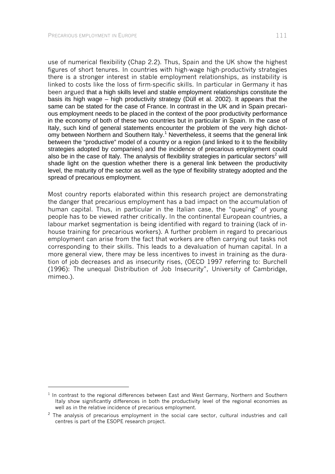l

use of numerical flexibility (Chap 2.2). Thus, Spain and the UK show the highest figures of short tenures. In countries with high-wage high-productivity strategies there is a stronger interest in stable employment relationships, as instability is linked to costs like the loss of firm-specific skills. In particular in Germany it has been argued that a high skills level and stable employment relationships constitute the basis its high wage – high productivity strategy (Düll et al. 2002). It appears that the same can be stated for the case of France. In contrast in the UK and in Spain precarious employment needs to be placed in the context of the poor productivity performance in the economy of both of these two countries but in particular in Spain. In the case of Italy, such kind of general statements encounter the problem of the very high dichotomy between Northern and Southern Italy.<sup>1</sup> Nevertheless, it seems that the general link between the "productive" model of a country or a region (and linked to it to the flexibility strategies adopted by companies) and the incidence of precarious employment could also be in the case of Italy. The analysis of flexibility strategies in particular sectors<sup>2</sup> will shade light on the question whether there is a general link between the productivity level, the maturity of the sector as well as the type of flexibility strategy adopted and the spread of precarious employment.

Most country reports elaborated within this research project are demonstrating the danger that precarious employment has a bad impact on the accumulation of human capital. Thus, in particular in the Italian case, the "queuing" of young people has to be viewed rather critically. In the continental European countries, a labour market segmentation is being identified with regard to training (lack of inhouse training for precarious workers). A further problem in regard to precarious employment can arise from the fact that workers are often carrying out tasks not corresponding to their skills. This leads to a devaluation of human capital. In a more general view, there may be less incentives to invest in training as the duration of job decreases and as insecurity rises, (OECD 1997 referring to: Burchell (1996): The unequal Distribution of Job Insecurity", University of Cambridge, mimeo.).

 $1$  In contrast to the regional differences between East and West Germany, Northern and Southern Italy show significantly differences in both the productivity level of the regional economies as well as in the relative incidence of precarious employment.

 $2$  The analysis of precarious employment in the social care sector, cultural industries and call centres is part of the ESOPE research project.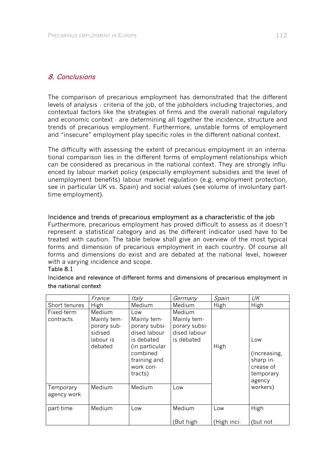# 8. Conclusions

The comparison of precarious employment has demonstrated that the different levels of analysis - criteria of the job, of the jobholders including trajectories, and contextual factors like the strategies of firms and the overall national regulatory and economic context - are determining all together the incidence, structure and trends of precarious employment. Furthermore, unstable forms of employment and "insecure" employment play specific roles in the different national context.

The difficulty with assessing the extent of precarious employment in an international comparison lies in the different forms of employment relationships which can be considered as precarious in the national context. They are strongly influenced by labour market policy (especially employment subsidies and the level of unemployment benefits) labour market regulation (e.g. employment protection, see in particular UK vs. Spain) and social values (see volume of involuntary parttime employment).

#### Incidence and trends of precarious employment as a characteristic of the job

Furthermore, precarious employment has proved difficult to assess as it doesn't represent a statistical category and as the different indicator used have to be treated with caution. The table below shall give an overview of the most typical forms and dimension of precarious employment in each country. Of course all forms and dimensions do exist and are debated at the national level, however with a varying incidence and scope.

# Table 8.1

|                                      | France                                                                            | Italy                                                                                                                                             | Germany                                                                     | Spain       | UK                                                                               |
|--------------------------------------|-----------------------------------------------------------------------------------|---------------------------------------------------------------------------------------------------------------------------------------------------|-----------------------------------------------------------------------------|-------------|----------------------------------------------------------------------------------|
| <b>Short tenures</b>                 | High                                                                              | Medium                                                                                                                                            | Medium                                                                      | High        | High                                                                             |
| Fixed-term<br>contracts<br>Temporary | Medium<br>Mainly tem-<br>porary sub-<br>sidised<br>labour is<br>debated<br>Medium | Low<br>Mainly tem-<br>porary subsi-<br>dised labour<br>is debated<br>(in particular<br>combined<br>training and<br>work con-<br>tracts)<br>Medium | Medium<br>Mainly tem-<br>porary subsi-<br>dised labour<br>is debated<br>Low | High        | Low<br>(increasing,<br>sharp in-<br>crease of<br>temporary<br>agency<br>workers) |
| agency work                          |                                                                                   |                                                                                                                                                   |                                                                             |             |                                                                                  |
| part-time                            | Medium                                                                            | Low                                                                                                                                               | Medium                                                                      | Low         | High                                                                             |
|                                      |                                                                                   |                                                                                                                                                   | (But high                                                                   | (High inci- | (but not                                                                         |

## Incidence and relevance of different forms and dimensions of precarious employment in the national context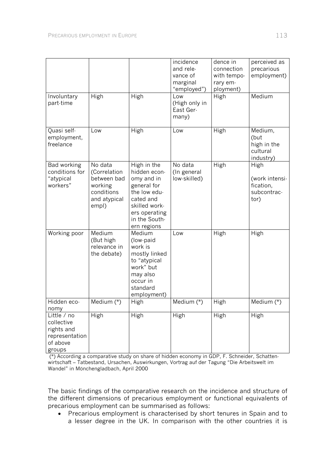| Involuntary                                                                     | High                                                                                     | High                                                                                                                                                    | incidence<br>and rele-<br>vance of<br>marginal<br>"employed")<br>Low | dence in<br>connection<br>with tempo-<br>rary em-<br>ployment)<br>High | perceived as<br>precarious<br>employment)<br>Medium        |
|---------------------------------------------------------------------------------|------------------------------------------------------------------------------------------|---------------------------------------------------------------------------------------------------------------------------------------------------------|----------------------------------------------------------------------|------------------------------------------------------------------------|------------------------------------------------------------|
| part-time                                                                       |                                                                                          |                                                                                                                                                         | (High only in<br>East Ger-<br>many)                                  |                                                                        |                                                            |
| Quasi self-<br>employment,<br>freelance                                         | Low                                                                                      | High                                                                                                                                                    | Low                                                                  | High                                                                   | Medium,<br>(but<br>high in the<br>cultural<br>industry)    |
| Bad working<br>conditions for<br>"atypical<br>workers"                          | No data<br>(Correlation<br>between bad<br>working<br>conditions<br>and atypical<br>empl) | High in the<br>hidden econ-<br>omy and in<br>general for<br>the low edu-<br>cated and<br>skilled work-<br>ers operating<br>in the South-<br>ern regions | No data<br>(In general<br>low-skilled)                               | High                                                                   | High<br>(work intensi-<br>fication,<br>subcontrac-<br>tor) |
| Working poor                                                                    | Medium<br>(But high<br>relevance in<br>the debate)                                       | Medium<br>(low-paid<br>work is<br>mostly linked<br>to "atypical<br>work" but<br>may also<br>occur in<br>standard<br>employment)                         | Low                                                                  | High                                                                   | High                                                       |
| Hidden eco-<br>nomy                                                             | Medium $(*)$                                                                             | High                                                                                                                                                    | Medium $(*)$                                                         | High                                                                   | Medium $(*)$                                               |
| Little / no<br>collective<br>rights and<br>representation<br>of above<br>groups | High                                                                                     | High                                                                                                                                                    | High                                                                 | High                                                                   | High                                                       |

 (\*) According a comparative study on share of hidden economy in GDP, F. Schneider, Schattenwirtschaft – Tatbestand, Ursachen, Auswirkungen, Vortrag auf der Tagung "Die Arbeitswelt im Wandel" in Mönchengladbach, April 2000

The basic findings of the comparative research on the incidence and structure of the different dimensions of precarious employment or functional equivalents of precarious employment can be summarised as follows:

• Precarious employment is characterised by short tenures in Spain and to a lesser degree in the UK. In comparison with the other countries it is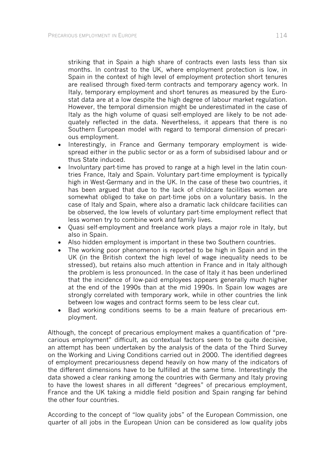striking that in Spain a high share of contracts even lasts less than six months. In contrast to the UK, where employment protection is low, in Spain in the context of high level of employment protection short tenures are realised through fixed-term contracts and temporary agency work. In Italy, temporary employment and short tenures as measured by the Eurostat data are at a low despite the high degree of labour market regulation. However, the temporal dimension might be underestimated in the case of Italy as the high volume of quasi self-employed are likely to be not adequately reflected in the data. Nevertheless, it appears that there is no Southern European model with regard to temporal dimension of precarious employment.

- Interestingly, in France and Germany temporary employment is widespread either in the public sector or as a form of subsidised labour and or thus State induced.
- Involuntary part-time has proved to range at a high level in the latin countries France, Italy and Spain. Voluntary part-time employment is typically high in West-Germany and in the UK. In the case of these two countries, it has been argued that due to the lack of childcare facilities women are somewhat obliged to take on part-time jobs on a voluntary basis. In the case of Italy and Spain, where also a dramatic lack childcare facilities can be observed, the low levels of voluntary part-time employment reflect that less women try to combine work and family lives.
- Quasi self-employment and freelance work plays a major role in Italy, but also in Spain.
- Also hidden employment is important in these two Southern countries.
- The working poor phenomenon is reported to be high in Spain and in the UK (in the British context the high level of wage inequality needs to be stressed), but retains also much attention in France and in Italy although the problem is less pronounced. In the case of Italy it has been underlined that the incidence of low-paid employees appears generally much higher at the end of the 1990s than at the mid 1990s. In Spain low wages are strongly correlated with temporary work, while in other countries the link between low wages and contract forms seem to be less clear cut.
- Bad working conditions seems to be a main feature of precarious employment.

Although, the concept of precarious employment makes a quantification of "precarious employment" difficult, as contextual factors seem to be quite decisive, an attempt has been undertaken by the analysis of the data of the Third Survey on the Working and Living Conditions carried out in 2000. The identified degrees of employment precariousness depend heavily on how many of the indicators of the different dimensions have to be fulfilled at the same time. Interestingly the data showed a clear ranking among the countries with Germany and Italy proving to have the lowest shares in all different "degrees" of precarious employment, France and the UK taking a middle field position and Spain ranging far behind the other four countries.

According to the concept of "low quality jobs" of the European Commission, one quarter of all jobs in the European Union can be considered as low quality jobs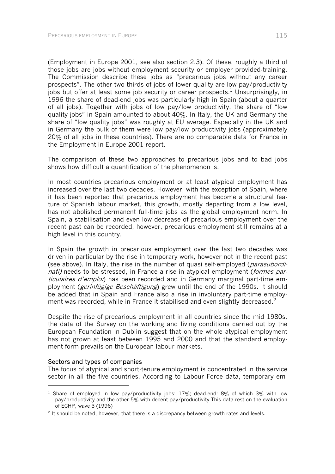(Employment in Europe 2001, see also section 2.3). Of these, roughly a third of those jobs are jobs without employment security or employer provided-training. The Commission describe these jobs as "precarious jobs without any career prospects". The other two thirds of jobs of lower quality are low pay/productivity jobs but offer at least some job security or career prospects.<sup>1</sup> Unsurprisingly, in 1996 the share of dead-end jobs was particularly high in Spain (about a quarter of all jobs). Together with jobs of low pay/low productivity, the share of "low quality jobs" in Spain amounted to about 40%. In Italy, the UK and Germany the share of "low quality jobs" was roughly at EU average. Especially in the UK and in Germany the bulk of them were low pay/low productivity jobs (approximately 20% of all jobs in these countries). There are no comparable data for France in the Employment in Europe 2001 report.

The comparison of these two approaches to precarious jobs and to bad jobs shows how difficult a quantification of the phenomenon is.

In most countries precarious employment or at least atypical employment has increased over the last two decades. However, with the exception of Spain, where it has been reported that precarious employment has become a structural feature of Spanish labour market, this growth, mostly departing from a low level, has not abolished permanent full-time jobs as the global employment norm. In Spain, a stabilisation and even low decrease of precarious employment over the recent past can be recorded, however, precarious employment still remains at a high level in this country.

In Spain the growth in precarious employment over the last two decades was driven in particular by the rise in temporary work, however not in the recent past (see above). In Italy, the rise in the number of quasi self-employed (*parasubordi*nati) needs to be stressed, in France a rise in atypical employment (*formes par*ticulaires d'emploi) has been recorded and in Germany marginal part-time employment (*gerinfügige Beschäftigung*) grew until the end of the 1990s. It should be added that in Spain and France also a rise in involuntary part-time employment was recorded, while in France it stabilised and even slightly decreased.<sup>2</sup>

Despite the rise of precarious employment in all countries since the mid 1980s, the data of the Survey on the working and living conditions carried out by the European Foundation in Dublin suggest that on the whole atypical employment has not grown at least between 1995 and 2000 and that the standard employment form prevails on the European labour markets.

#### Sectors and types of companies

l

The focus of atypical and short-tenure employment is concentrated in the service sector in all the five countries. According to Labour Force data, temporary em-

<sup>&</sup>lt;sup>1</sup> Share of employed in low pay/productivity jobs: 17%; dead-end: 8% of which 3% with low pay/productivity and the other 5% with decent pay/productivity.This data rest on the evaluation of ECHP, wave 3 (1996)

 $2$  It should be noted, however, that there is a discrepancy between growth rates and levels.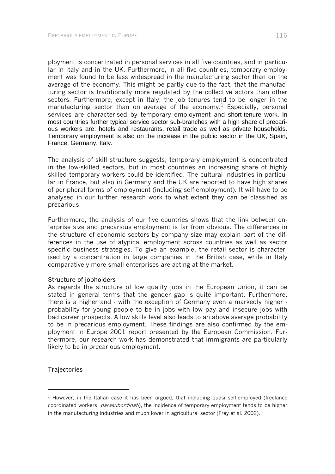ployment is concentrated in personal services in all five countries, and in particular in Italy and in the UK. Furthermore, in all five countries, temporary employment was found to be less widespread in the manufacturing sector than on the average of the economy. This might be partly due to the fact, that the manufacturing sector is traditionally more regulated by the collective actors than other sectors. Furthermore, except in Italy, the job tenures tend to be longer in the manufacturing sector than on average of the economy.<sup>1</sup> Especially, personal services are characterised by temporary employment and short-tenure work. In most countries further typical service sector sub-branches with a high share of precarious workers are: hotels and restaurants, retail trade as well as private households. Temporary employment is also on the increase in the public sector in the UK, Spain, France, Germany, Italy.

The analysis of skill structure suggests, temporary employment is concentrated in the low-skilled sectors, but in most countries an increasing share of highly skilled temporary workers could be identified. The cultural industries in particular in France, but also in Germany and the UK are reported to have high shares of peripheral forms of employment (including self-employment). It will have to be analysed in our further research work to what extent they can be classified as precarious.

Furthermore, the analysis of our five countries shows that the link between enterprise size and precarious employment is far from obvious. The differences in the structure of economic sectors by company size may explain part of the differences in the use of atypical employment across countries as well as sector specific business strategies. To give an example, the retail sector is characterised by a concentration in large companies in the British case, while in Italy comparatively more small enterprises are acting at the market.

#### Structure of jobholders

As regards the structure of low quality jobs in the European Union, it can be stated in general terms that the gender gap is quite important. Furthermore, there is a higher and - with the exception of Germany even a markedly higher probability for young people to be in jobs with low pay and insecure jobs with bad career prospects. A low skills level also leads to an above average probability to be in precarious employment. These findings are also confirmed by the employment in Europe 2001 report presented by the European Commission. Furthermore, our research work has demonstrated that immigrants are particularly likely to be in precarious employment.

# **Trajectories**

l

 $1$  However, in the Italian case it has been argued, that including quasi self-employed (freelance coordinated workers, *parasubordinati*), the incidence of temporary employment tends to be higher in the manufacturing industries and much lower in agricultural sector (Frey et al. 2002).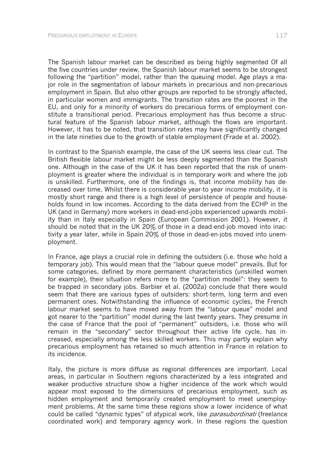The Spanish labour market can be described as being highly segmented Of all the five countries under review, the Spanish labour market seems to be strongest following the "partition" model, rather than the queuing model. Age plays a major role in the segmentation of labour markets in precarious and non-precarious employment in Spain. But also other groups are reported to be strongly affected, in particular women and immigrants. The transition rates are the poorest in the EU, and only for a minority of workers do precarious forms of employment constitute a transitional period. Precarious employment has thus become a structural feature of the Spanish labour market, although the flows are important. However, it has to be noted, that transition rates may have significantly changed in the late nineties due to the growth of stable employment (Frade et al. 2002).

In contrast to the Spanish example, the case of the UK seems less clear cut. The British flexible labour market might be less deeply segmented than the Spanish one. Although in the case of the UK it has been reported that the risk of unemployment is greater where the individual is in temporary work and where the job is unskilled. Furthermore, one of the findings is, that income mobility has decreased over time. Whilst there is considerable year-to year income mobility, it is mostly short range and there is a high level of persistence of people and households found in low incomes. According to the data derived from the ECHP in the UK (and in Germany) more workers in dead-end-jobs experienced upwards mobility than in Italy especially in Spain (European Commission 2001). However, it should be noted that in the UK 20% of those in a dead-end-job moved into inactivity a year later, while in Spain 20% of those in dead-en-jobs moved into unemployment.

In France, age plays a crucial role in defining the outsiders (i.e. those who hold a temporary job). This would mean that the "labour queue model" prevails. But for some categories, defined by more permanent characteristics (unskilled women for example), their situation refers more to the "partition model": they seem to be trapped in secondary jobs. Barbier et al. (2002a) conclude that there would seem that there are various types of outsiders: short-term, long term and even permanent ones. Notwithstanding the influence of economic cycles, the French labour market seems to have moved away from the "labour queue" model and got nearer to the "partition" model during the last twenty years. They presume in the case of France that the pool of "permanent" outsiders, i.e. those who will remain in the "secondary" sector throughout their active life cycle, has increased, especially among the less skilled workers. This may partly explain why precarious employment has retained so much attention in France in relation to its incidence.

Italy, the picture is more diffuse as regional differences are important. Local areas, in particular in Southern regions characterized by a less integrated and weaker productive structure show a higher incidence of the work which would appear most exposed to the dimensions of precarious employment, such as hidden employment and temporarily created employment to meet unemployment problems. At the same time these regions show a lower incidence of what could be called "dynamic types" of atypical work, like *parasubordinati* (freelance coordinated work) and temporary agency work. In these regions the question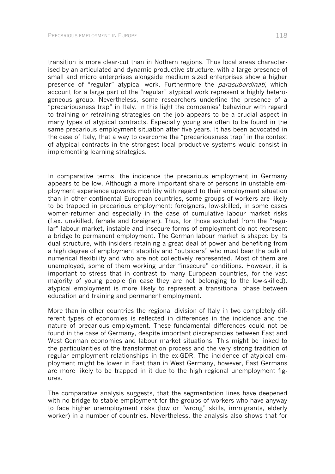transition is more clear-cut than in Nothern regions. Thus local areas characterised by an articulated and dynamic productive structure, with a large presence of small and micro enterprises alongside medium sized enterprises show a higher presence of "regular" atypical work. Furthermore the *parasubordinati*, which account for a large part of the "regular" atypical work represent a highly heterogeneous group. Nevertheless, some researchers underline the presence of a "precariousness trap" in Italy. In this light the companies' behaviour with regard to training or retraining strategies on the job appears to be a crucial aspect in many types of atypical contracts. Especially young are often to be found in the same precarious employment situation after five years. It has been advocated in the case of Italy, that a way to overcome the "precariousness trap" in the context of atypical contracts in the strongest local productive systems would consist in implementing learning strategies.

In comparative terms, the incidence the precarious employment in Germany appears to be low. Although a more important share of persons in unstable employment experience upwards mobility with regard to their employment situation than in other continental European countries, some groups of workers are likely to be trapped in precarious employment: foreigners, low-skilled, in some cases women-returner and especially in the case of cumulative labour market risks (f.ex. unskilled, female and foreigner). Thus, for those excluded from the "regular" labour market, instable and insecure forms of employment do not represent a bridge to permanent employment. The German labour market is shaped by its dual structure, with insiders retaining a great deal of power and benefiting from a high degree of employment stability and "outsiders" who must bear the bulk of numerical flexibility and who are not collectively represented. Most of them are unemployed, some of them working under "insecure" conditions. However, it is important to stress that in contrast to many European countries, for the vast majority of young people (in case they are not belonging to the low-skilled), atypical employment is more likely to represent a transitional phase between education and training and permanent employment.

More than in other countries the regional division of Italy in two completely different types of economies is reflected in differences in the incidence and the nature of precarious employment. These fundamental differences could not be found in the case of Germany, despite important discrepancies between East and West German economies and labour market situations. This might be linked to the particularities of the transformation process and the very strong tradition of regular employment relationships in the ex-GDR. The incidence of atypical employment might be lower in East than in West Germany, however, East Germans are more likely to be trapped in it due to the high regional unemployment figures.

The comparative analysis suggests, that the segmentation lines have deepened with no bridge to stable employment for the groups of workers who have anyway to face higher unemployment risks (low or "wrong" skills, immigrants, elderly worker) in a number of countries. Nevertheless, the analysis also shows that for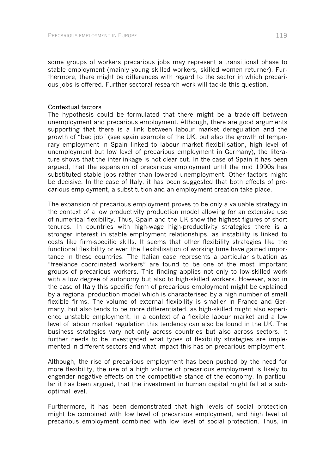some groups of workers precarious jobs may represent a transitional phase to stable employment (mainly young skilled workers, skilled women returner). Furthermore, there might be differences with regard to the sector in which precarious jobs is offered. Further sectoral research work will tackle this question.

#### Contextual factors

The hypothesis could be formulated that there might be a trade-off between unemployment and precarious employment. Although, there are good arguments supporting that there is a link between labour market deregulation and the growth of "bad job" (see again example of the UK, but also the growth of temporary employment in Spain linked to labour market flexibilisation, high level of unemployment but low level of precarious employment in Germany), the literature shows that the interlinkage is not clear cut. In the case of Spain it has been argued, that the expansion of precarious employment until the mid 1990s has substituted stable jobs rather than lowered unemployment. Other factors might be decisive. In the case of Italy, it has been suggested that both effects of precarious employment, a substitution and an employment creation take place.

The expansion of precarious employment proves to be only a valuable strategy in the context of a low productivity production model allowing for an extensive use of numerical flexibility. Thus, Spain and the UK show the highest figures of short tenures. In countries with high-wage high-productivity strategies there is a stronger interest in stable employment relationships, as instability is linked to costs like firm-specific skills. It seems that other flexibility strategies like the functional flexibility or even the flexibilisation of working time have gained importance in these countries. The Italian case represents a particular situation as "freelance coordinated workers" are found to be one of the most important groups of precarious workers. This finding applies not only to low-skilled work with a low degree of autonomy but also to high-skilled workers. However, also in the case of Italy this specific form of precarious employment might be explained by a regional production model which is characterised by a high number of small flexible firms. The volume of external flexibility is smaller in France and Germany, but also tends to be more differentiated, as high-skilled might also experience unstable employment. In a context of a flexible labour market and a low level of labour market regulation this tendency can also be found in the UK. The business strategies vary not only across countries but also across sectors. It further needs to be investigated what types of flexibility strategies are implemented in different sectors and what impact this has on precarious employment.

Although, the rise of precarious employment has been pushed by the need for more flexibility, the use of a high volume of precarious employment is likely to engender negative effects on the competitive stance of the economy. In particular it has been argued, that the investment in human capital might fall at a suboptimal level.

Furthermore, it has been demonstrated that high levels of social protection might be combined with low level of precarious employment, and high level of precarious employment combined with low level of social protection. Thus, in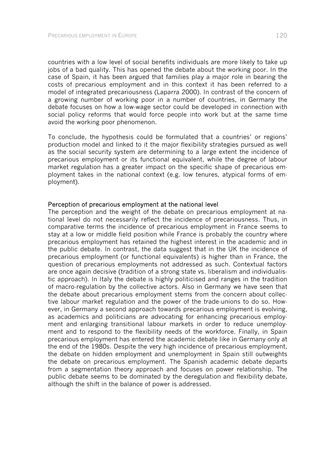countries with a low level of social benefits individuals are more likely to take up jobs of a bad quality. This has opened the debate about the working poor. In the case of Spain, it has been argued that families play a major role in bearing the costs of precarious employment and in this context it has been referred to a model of integrated precariousness (Laparra 2000). In contrast of the concern of a growing number of working poor in a number of countries, in Germany the debate focuses on how a low-wage sector could be developed in connection with social policy reforms that would force people into work but at the same time avoid the working poor phenomenon.

To conclude, the hypothesis could be formulated that a countries' or regions' production model and linked to it the major flexibility strategies pursued as well as the social security system are determining to a large extent the incidence of precarious employment or its functional equivalent, while the degree of labour market regulation has a greater impact on the specific shape of precarious employment takes in the national context (e.g. low tenures, atypical forms of employment).

#### Perception of precarious employment at the national level

The perception and the weight of the debate on precarious employment at national level do not necessarily reflect the incidence of precariousness. Thus, in comparative terms the incidence of precarious employment in France seems to stay at a low or middle field position while France is probably the country where precarious employment has retained the highest interest in the academic and in the public debate. In contrast, the data suggest that in the UK the incidence of precarious employment (or functional equivalents) is higher than in France, the question of precarious employments not addressed as such. Contextual factors are once again decisive (tradition of a strong state vs. liberalism and individualistic approach). In Italy the debate is highly politicised and ranges in the tradition of macro-regulation by the collective actors. Also in Germany we have seen that the debate about precarious employment stems from the concern about collective labour market regulation and the power of the trade-unions to do so. However, in Germany a second approach towards precarious employment is evolving, as academics and politicians are advocating for enhancing precarious employment and enlarging transitional labour markets in order to reduce unemployment and to respond to the flexibility needs of the workforce. Finally, in Spain precarious employment has entered the academic debate like in Germany only at the end of the 1980s. Despite the very high incidence of precarious employment, the debate on hidden employment and unemployment in Spain still outweights the debate on precarious employment. The Spanish academic debate departs from a segmentation theory approach and focuses on power relationship. The public debate seems to be dominated by the deregulation and flexibility debate, although the shift in the balance of power is addressed.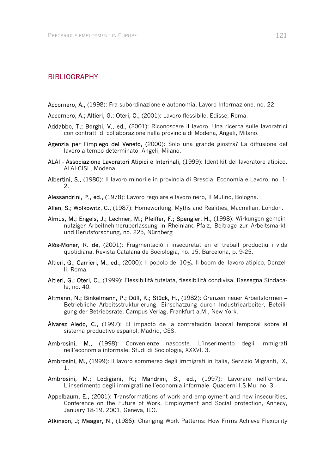## BIBLIOGRAPHY

Accornero, A., (1998): Fra subordinazione e autonomia, Lavoro Informazione, no. 22.

- Accornero, A.; Altieri, G.; Oteri, C., (2001): Lavoro flessibile, Edisse, Roma.
- Addabbo, T.; Borghi, V., ed., (2001): Riconoscere il lavoro. Una ricerca sulle lavoratrici con contratti di collaborazione nella provincia di Modena, Angeli, Milano.
- Agenzia per l'impiego del Veneto, (2000): Solo una grande giostra? La diffusione del lavoro a tempo determinato, Angeli, Milano.
- ALAI Associazione Lavoratori Atipici e Interinali, (1999): Identikit del lavoratore atipico, ALAI-CISL, Modena.
- Albertini, S., (1980): Il lavoro minorile in provincia di Brescia, Economia e Lavoro, no. 1- 2.
- Alessandrini, P., ed., (1978): Lavoro regolare e lavoro nero, Il Mulino, Bologna.

Allen, S.; Wolkowitz, C., (1987): Homeworking, Myths and Realities, Macmillan, London.

- Almus, M.; Engels, J.; Lechner, M.; Pfeiffer, F.; Spengler, H., (1998): Wirkungen gemeinnütziger Arbeitnehmerüberlassung in Rheinland-Pfalz, Beiträge zur Arbeitsmarktund Berufsforschung, no. 225, Nürnberg
- Alòs-Moner, R. de, (2001): Fragmentació i insecuretat en el treball productiu i vida quotidiana, Revista Catalana de Sociologia, no. 15, Barcelona, p. 9-25.
- Altieri, G.; Carrieri, M., ed., (2000): Il popolo del 10%. Il boom del lavoro atipico, Donzelli, Roma.
- Altieri, G.; Oteri, C., (1999): Flessibilità tutelata, flessibilità condivisa, Rassegna Sindacale, no. 40.
- Altmann, N.; Binkelmann, P.; Düll, K.; Stück, H., (1982): Grenzen neuer Arbeitsformen Betriebliche Arbeitsstrukturierung, Einschätzung durch Industriearbeiter, Beteiligung der Betriebsräte, Campus Verlag, Frankfurt a.M., New York.
- Álvarez Aledo, C., (1997): El impacto de la contratación laboral temporal sobre el sistema productivo español, Madrid, CES.
- Ambrosini, M., (1998): Convenienze nascoste. L'inserimento degli immigrati nell'economia informale, Studi di Sociologia, XXXVI, 3.
- Ambrosini, M., (1999): Il lavoro sommerso degli immigrati in Italia, Servizio Migranti, IX, 1.
- Ambrosini, M.; Lodigiani, R.; Mandrini, S., ed., (1997): Lavorare nell'ombra. L'inserimento degli immigrati nell'economia informale, Quaderni I.S.Mu, no. 3.
- Appelbaum, E., (2001): Transformations of work and employment and new insecurities, Conference on the Future of Work, Employment and Social protection, Annecy, January 18-19, 2001, Geneva, ILO.
- Atkinson, J; Meager, N., (1986): Changing Work Patterns: How Firms Achieve Flexibility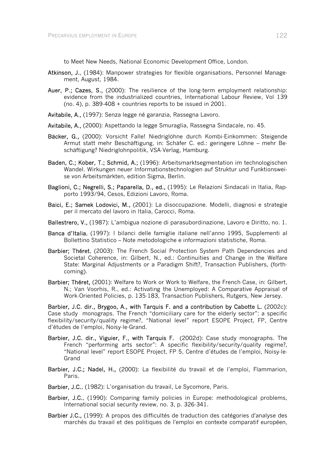to Meet New Needs, National Economic Development Office, London.

- Atkinson, J., (1984): Manpower strategies for flexible organisations, Personnel Management, August, 1984.
- Auer, P.; Cazes, S., (2000): The resilience of the long-term employment relationship: evidence from the industrialized countries, International Labour Review, Vol 139 (no. 4), p. 389-408 + countries reports to be issued in 2001.
- Avitabile, A., (1997): Senza legge né garanzia, Rassegna Lavoro.
- Avitabile, A., (2000): Aspettando la legge Smuraglia, Rassegna Sindacale, no. 45.
- Bäcker, G., (2000): Vorsicht Falle! Niedriglöhne durch Kombi-Einkommen: Steigende Armut statt mehr Beschäftigung, in: Schäfer C. ed.: geringere Löhne – mehr Beschäftigung? Niedriglohnpolitik, VSA-Verlag, Hamburg.
- Baden, C.; Kober, T.; Schmid, A.; (1996): Arbeitsmarktsegmentation im technologischen Wandel. Wirkungen neuer Informationstechnologien auf Struktur und Funktionsweise von Arbeitsmärkten, edition Sigma, Berlin.
- Baglioni, C.; Negrelli, S.; Paparella, D., ed., (1995): Le Relazioni Sindacali in Italia, Rapporto 1993/94, Cesos, Edizioni Lavoro, Roma.
- Baici, E.; Samek Lodovici, M., (2001): La disoccupazione. Modelli, diagnosi e strategie per il mercato del lavoro in Italia, Carocci, Roma.
- Ballestrero, V., (1987): L'ambigua nozione di parasubordinazione, Lavoro e Diritto, no. 1.
- Banca d'Italia, (1997): I bilanci delle famiglie italiane nell'anno 1995, Supplementi al Bollettino Statistico – Note metodologiche e informazioni statistiche, Roma.
- Barbier: Théret, (2003): The French Social Protection System Path Dependencies and Societal Coherence, in: Gilbert, N., ed.: Continuities and Change in the Welfare State: Marginal Adjustments or a Paradigm Shift?, Transaction Publishers, (forthcoming).
- Barbier; Théret, (2001): Welfare to Work or Work to Welfare, the French Case, in: Gilbert, N.; Van Voorhis, R., ed.: Activating the Unemployed: A Comparative Appraisal of Work-Oriented Policies, p. 135-183, Transaction Publishers, Rutgers, New Jersey.

Barbier, J.C. dir., Brygoo, A., with Tarquis F. and a contribution by Cabotte L. (2002c): Case study monograps. The French "domiciliary care for the elderly sector": a specific flexibility/security/quality regime?, "National level" report ESOPE Project, FP, Centre d'études de l'emploi, Noisy-le-Grand.

- Barbier, J.C. dir., Viguier, F., with Tarquis F. (2002d): Case study monographs. The French "performing arts sector": A specific flexibility/security/quality regime?, "National level" report ESOPE Project, FP 5, Centre d'études de l'emploi, Noisy-le-Grand
- Barbier, J.C.; Nadel, H., (2000): La flexibilité du travail et de l'emploi, Flammarion, Paris.
- Barbier, J.C., (1982): L'organisation du travail, Le Sycomore, Paris.
- Barbier, J.C., (1990): Comparing family policies in Europe: methodological problems, International social security review, no. 3, p. 326-341.
- Barbier J.C., (1999): A propos des difficultés de traduction des catégories d'analyse des marchés du travail et des politiques de l'emploi en contexte comparatif européen,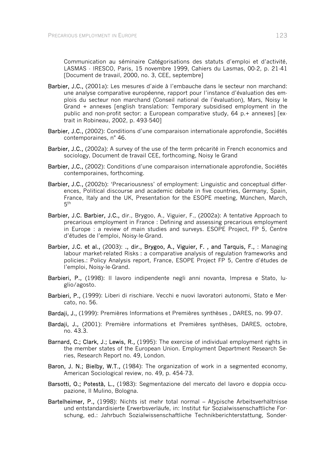Communication au séminaire Catégorisations des statuts d'emploi et d'activité, LASMAS - IRESCO, Paris, 15 novembre 1999, Cahiers du Lasmas, 00-2, p. 21-41 [Document de travail, 2000, no. 3, CEE, septembre]

- Barbier, J.C., (2001a): Les mesures d'aide à l'embauche dans le secteur non marchand: une analyse comparative européenne, rapport pour l'instance d'évaluation des emplois du secteur non marchand (Conseil national de l'évaluation), Mars, Noisy le Grand + annexes [english translation: Temporary subsidised employment in the public and non-profit sector: a European comparative study, 64 p.+ annexes] [extrait in Robineau, 2002, p. 493-540]
- Barbier, J.C., (2002): Conditions d'une comparaison internationale approfondie. Sociétés contemporaines, n° 46.
- Barbier, J.C., (2002a): A survey of the use of the term précarité in French economics and sociology, Document de travail CEE, forthcoming, Noisy le Grand
- Barbier, J.C., (2002): Conditions d'une comparaison internationale approfondie, Sociétés contemporaines, forthcoming.
- Barbier, J.C., (2002b): 'Precariousness' of employment: Linguistic and conceptual differences, Political discourse and academic debate in five countries, Germany, Spain, France, Italy and the UK, Presentation for the ESOPE meeting, München, March,  $5<sup>th</sup>$
- Barbier, J.C. Barbier, J.C., dir., Brygoo, A., Viguier, F., (2002a): A tentative Approach to precarious employment in France : Defining and assessing precarious employment in Europe : a review of main studies and surveys. ESOPE Project, FP 5, Centre d'études de l'emploi, Noisy-le-Grand.
- Barbier, J.C. et al., (2003): ., dir., Brygoo, A., Viguier, F., and Tarquis, F., : Managing labour market-related Risks : a comparative analysis of regulation frameworks and policies.: Policy Analysis report, France, ESOPE Project FP 5, Centre d'études de l'emploi, Noisy-le-Grand.
- Barbieri, P., (1998): Il lavoro indipendente negli anni novanta, Impresa e Stato, luglio/agosto.
- Barbieri, P., (1999): Liberi di rischiare. Vecchi e nuovi lavoratori autonomi, Stato e Mercato, no. 56.
- Bardaii, J., (1999): Premières Informations et Premières synthèses, DARES, no. 99-07.
- Bardaji, J., (2001): Première informations et Premières synthèses, DARES, octobre, no. 43.3.
- Barnard, C.; Clark, J.; Lewis, R., (1995): The exercise of individual employment rights in the member states of the European Union. Employment Department Research Series, Research Report no. 49, London.
- Baron, J. N.; Bielby, W.T., (1984): The organization of work in a segmented economy, American Sociological review, no. 49, p. 454-73.
- Barsotti, O.; Potestà, L., (1983): Segmentazione del mercato del lavoro e doppia occupazione, Il Mulino, Bologna.
- Bartelheimer, P., (1998): Nichts ist mehr total normal Atypische Arbeitsverhältnisse und entstandardisierte Erwerbsverläufe, in: Institut für Sozialwissenschaftliche Forschung, ed.: Jahrbuch Sozialwissenschaftliche Technikberichterstattung, Sonder-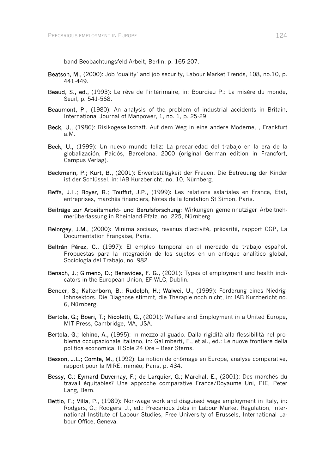band Beobachtungsfeld Arbeit, Berlin, p. 165-207.

- Beatson, M., (2000): Job 'quality' and job security, Labour Market Trends, 108, no.10, p. 441-449.
- Beaud, S., ed., (1993): Le rêve de l'intérimaire, in: Bourdieu P.: La misère du monde, Seuil, p. 541-568.
- Beaumont, P., (1980): An analysis of the problem of industrial accidents in Britain, International Journal of Manpower, 1, no. 1, p. 25-29.
- Beck, U., (1986): Risikogesellschaft. Auf dem Weg in eine andere Moderne, , Frankfurt a.M.
- Beck, U., (1999): Un nuevo mundo feliz: La precariedad del trabajo en la era de la globalización, Paidós, Barcelona, 2000 (original German edition in Francfort, Campus Verlag).
- Beckmann, P.; Kurt, B., (2001): Erwerbstätigkeit der Frauen. Die Betreuung der Kinder ist der Schlüssel, in: IAB Kurzbericht, no. 10, Nürnberg.
- Beffa, J.L.; Boyer, R.; Touffut, J.P., (1999): Les relations salariales en France, Etat, entreprises, marchés financiers, Notes de la fondation St Simon, Paris.
- Beiträge zur Arbeitsmarkt- und Berufsforschung: Wirkungen gemeinnütziger Arbeitnehmerüberlassung in Rheinland-Pfalz, no. 225, Nürnberg
- Belorgey, J.M., (2000): Minima sociaux, revenus d'activité, précarité, rapport CGP, La Documentation Française, Paris.
- Beltrán Pérez, C., (1997): El empleo temporal en el mercado de trabajo español. Propuestas para la integración de los sujetos en un enfoque analítico global, Sociología del Trabajo, no. 982.
- Benach, J.; Gimeno, D.; Benavides, F. G., (2001): Types of employment and health indicators in the European Union, EFIWLC, Dublin.
- Bender, S.; Kaltenborn, B.; Rudolph, H.; Walwei, U., (1999): Förderung eines Niedriglohnsektors. Die Diagnose stimmt, die Therapie noch nicht, in: IAB Kurzbericht no. 6, Nürnberg.
- Bertola, G.; Boeri, T.; Nicoletti, G., (2001): Welfare and Employment in a United Europe, MIT Press, Cambridge, MA, USA.
- Bertola, G.; Ichino, A., (1995): In mezzo al guado. Dalla rigidità alla flessibilità nel problema occupazionale italiano, in: Galimberti, F., et al., ed.: Le nuove frontiere della politica economica, Il Sole 24 Ore – Bear Sterns.
- Besson, J.L.; Comte, M., (1992): La notion de chômage en Europe, analyse comparative, rapport pour la MIRE, miméo, Paris, p. 434.
- Bessy, C.; Eymard Duvernay, F.; de Larquier, G.; Marchal, E., (2001): Des marchés du travail équitables? Une approche comparative France/Royaume Uni, PIE, Peter Lang, Bern.
- Bettio, F.; Villa, P., (1989): Non-wage work and disguised wage employment in Italy, in: Rodgers, G.; Rodgers, J., ed.: Precarious Jobs in Labour Market Regulation, International Institute of Labour Studies, Free University of Brussels, International Labour Office, Geneva.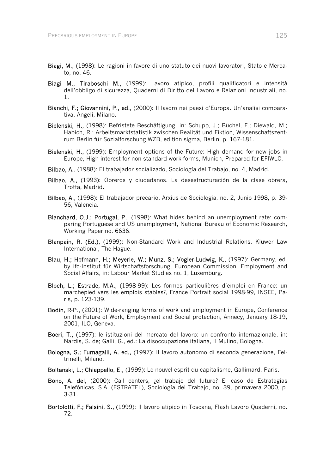- Biagi, M., (1998): Le ragioni in favore di uno statuto dei nuovi lavoratori, Stato e Mercato, no. 46.
- Biagi M., Tiraboschi M., (1999): Lavoro atipico, profili qualificatori e intensità dell'obbligo di sicurezza, Quaderni di Diritto del Lavoro e Relazioni Industriali, no. 1.
- Bianchi, F.; Giovannini, P., ed., (2000): Il lavoro nei paesi d'Europa. Un'analisi comparativa, Angeli, Milano.
- Bielenski, H., (1998): Befristete Beschäftigung, in: Schupp, J.; Büchel, F.; Diewald, M.; Habich, R.: Arbeitsmarktstatistik zwischen Realität und Fiktion, Wissenschaftszentrum Berlin für Sozialforschung WZB, edition sigma, Berlin, p. 167-181.
- Bielenski, H., (1999): Employment options of the Future: High demand for new jobs in Europe, High interest for non standard work-forms, Munich, Prepared for EFIWLC.
- Bilbao, A., (1988): El trabajador socializado, Sociología del Trabajo, no. 4, Madrid.
- Bilbao, A., (1993): Obreros y ciudadanos. La desestructuración de la clase obrera, Trotta, Madrid.
- Bilbao, A., (1998): El trabajador precario, Arxius de Sociologia, no. 2, Junio 1998, p. 39- 56, Valencia.
- Blanchard, O.J.; Portugal, P., (1998): What hides behind an unemployment rate: comparing Portuguese and US unemployment, National Bureau of Economic Research, Working Paper no. 6636.
- Blanpain, R. (Ed.), (1999): Non-Standard Work and Industrial Relations, Kluwer Law International, The Hague.
- Blau, H.; Hofmann, H.; Meyerle, W.; Munz, S.; Vogler-Ludwig, K., (1997): Germany, ed. by ifo-Institut für Wirtschaftsforschung, European Commission, Employment and Social Affairs, in: Labour Market Studies no. 1, Luxemburg.
- Bloch, L.; Estrade, M.A., (1998-99): Les formes particulières d'emploi en France: un marchepied vers les emplois stables?, France Portrait social 1998-99, INSEE, Paris, p. 123-139.
- Bodin, R-P., (2001): Wide-ranging forms of work and employment in Europe, Conference on the Future of Work, Employment and Social protection, Annecy, January 18-19, 2001, ILO, Geneva.
- Boeri, T., (1997): le istituzioni del mercato del lavoro: un confronto internazionale, in: Nardis, S. de; Galli, G., ed.: La disoccupazione italiana, Il Mulino, Bologna.
- Bologna, S.; Fumagalli, A. ed., (1997): Il lavoro autonomo di seconda generazione, Feltrinelli, Milano.
- Boltanski, L.; Chiappello, E., (1999): Le nouvel esprit du capitalisme, Gallimard, Paris.
- Bono, A. del, (2000): Call centers, ¿el trabajo del futuro? El caso de Estrategias Telefónicas, S.A. (ESTRATEL), Sociología del Trabajo, no. 39, primavera 2000, p. 3-31.
- Bortolotti, F.; Falsini, S., (1999): Il lavoro atipico in Toscana, Flash Lavoro Quaderni, no. 72.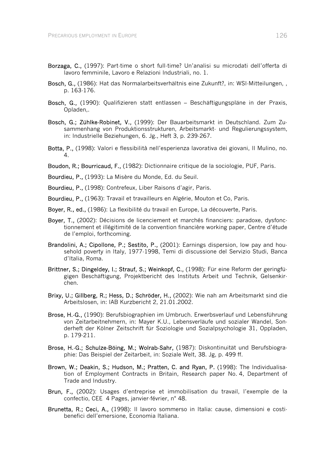- Borzaga, C., (1997): Part-time o short full-time? Un'analisi su microdati dell'offerta di lavoro femminile, Lavoro e Relazioni Industriali, no. 1.
- Bosch, G., (1986): Hat das Normalarbeitsverhältnis eine Zukunft?, in: WSI-Mitteilungen, , p. 163-176.
- Bosch, G., (1990): Qualifizieren statt entlassen Beschäftigungspläne in der Praxis, Opladen,.
- Bosch, G.; Zühlke-Robinet, V., (1999): Der Bauarbeitsmarkt in Deutschland. Zum Zusammenhang von Produktionsstrukturen, Arbeitsmarkt- und Regulierungssystem, in: Industrielle Beziehungen, 6. Jg., Heft 3, p. 239-267.
- Botta, P., (1998): Valori e flessibilità nell'esperienza lavorativa dei giovani, Il Mulino, no. 4.
- Boudon, R.; Bourricaud, F., (1982): Dictionnaire critique de la sociologie, PUF, Paris.
- Bourdieu, P., (1993): La Misère du Monde, Ed. du Seuil.
- Bourdieu, P., (1998): Contrefeux, Liber Raisons d'agir, Paris.
- Bourdieu, P., (1963): Travail et travailleurs en Algérie, Mouton et Co, Paris.
- Boyer, R., ed., (1986): La flexibilité du travail en Europe, La découverte, Paris.
- Boyer, T., (2002): Décisions de licenciement et marchés financiers: paradoxe, dysfonctionnement et illégitimité de la convention financière working paper, Centre d'étude de l'emploi, forthcoming.
- Brandolini, A.; Cipollone, P.; Sestito, P., (2001): Earnings dispersion, low pay and household poverty in Italy, 1977-1998, Temi di discussione del Servizio Studi, Banca d'Italia, Roma.
- Brittner, S.; Dingeldey, I.; Strauf, S.; Weinkopf, C., (1998): Für eine Reform der geringfügigen Beschäftigung, Projektbericht des Instituts Arbeit und Technik, Gelsenkirchen.
- Brixy, U.; Gillberg, R.; Hess, D.; Schröder, H., (2002): Wie nah am Arbeitsmarkt sind die Arbeitslosen, in: IAB Kurzbericht 2, 21.01.2002.
- Brose, H.-G., (1990): Berufsbiographien im Umbruch. Erwerbsverlauf und Lebensführung von Zeitarbeitnehmern, in: Mayer K.U., Lebensverläufe und sozialer Wandel, Sonderheft der Kölner Zeitschrift für Soziologie und Sozialpsychologie 31, Oppladen, p. 179-211.
- Brose, H.-G.; Schulze-Böing, M.; Wolrab-Sahr, (1987): Diskontinuität und Berufsbiographie: Das Beispiel der Zeitarbeit, in: Soziale Welt, 38. Jg, p. 499 ff.
- Brown, W.; Deakin, S.; Hudson, M.; Pratten, C. and Ryan, P. (1998): The Individualisation of Employment Contracts in Britain, Research paper No. 4, Department of Trade and Industry.
- Brun, F., (2002): Usages d'entreprise et immobilisation du travail, l'exemple de la confectio, CEE 4 Pages, janvier-février, n° 48.
- Brunetta, R.; Ceci, A., (1998): Il lavoro sommerso in Italia: cause, dimensioni e costibenefici dell'emersione, Economia Italiana.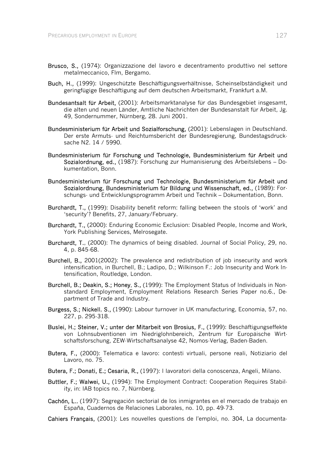- Brusco, S., (1974): Organizzazione del lavoro e decentramento produttivo nel settore metalmeccanico, Flm, Bergamo.
- Buch, H., (1999): Ungeschützte Beschäftigungsverhältnisse, Scheinselbständigkeit und geringfügige Beschäftigung auf dem deutschen Arbeitsmarkt, Frankfurt a.M.
- Bundesantsalt für Arbeit, (2001): Arbeitsmarktanalyse für das Bundesgebiet insgesamt, die alten und neuen Länder, Amtliche Nachrichten der Bundesanstalt für Arbeit, Jg. 49, Sondernummer, Nürnberg, 28. Juni 2001.
- Bundesministerium für Arbeit und Sozialforschung, (2001): Lebenslagen in Deutschland. Der erste Armuts- und Reichtumsbericht der Bundesregierung, Bundestagsdrucksache N2. 14 / 5990.
- Bundesministerium für Forschung und Technologie, Bundesministerium für Arbeit und Sozialordnung, ed., (1987): Forschung zur Humanisierung des Arbeitslebens – Dokumentation, Bonn.
- Bundesministerium für Forschung und Technologie, Bundesministerium für Arbeit und Sozialordnung, Bundesministerium für Bildung und Wissenschaft, ed., (1989): Forschungs- und Entwicklungsprogramm Arbeit und Technik – Dokumentation, Bonn.
- Burchardt, T., (1999): Disability benefit reform: falling between the stools of 'work' and 'security'? Benefits, 27, January/February.
- Burchardt, T., (2000): Enduring Economic Exclusion: Disabled People, Income and Work, York Publishing Services, Melrosegate.
- Burchardt, T., (2000): The dynamics of being disabled. Journal of Social Policy, 29, no. 4, p. 845-68.
- Burchell, B., 2001(2002): The prevalence and redistribution of job insecurity and work intensification, in Burchell, B.; Ladipo, D.; Wilkinson F.: Job Insecurity and Work Intensification, Routledge, London.
- Burchell, B.; Deakin, S.; Honey, S., (1999): The Employment Status of Individuals in Nonstandard Employment, Employment Relations Research Series Paper no.6., Department of Trade and Industry.
- Burgess, S.; Nickell, S., (1990): Labour turnover in UK manufacturing, Economia, 57, no. 227, p. 295-318.
- Buslei, H.; Steiner, V.; unter der Mitarbeit von Brosius, F., (1999): Beschäftigungseffekte von Lohnsubventionen im Niedriglohnbereich, Zentrum für Europäische Wirtschaftsforschung, ZEW-Wirtschaftsanalyse 42, Nomos-Verlag, Baden-Baden.
- Butera, F., (2000): Telematica e lavoro: contesti virtuali, persone reali, Notiziario del Lavoro, no. 75.
- Butera, F.; Donati, E.; Cesaria, R., (1997): I lavoratori della conoscenza, Angeli, Milano.
- Buttler, F.; Walwei, U., (1994): The Employment Contract: Cooperation Requires Stability, in: IAB topics no. 7, Nürnberg.
- Cachón, L., (1997): Segregación sectorial de los inmigrantes en el mercado de trabajo en España, Cuadernos de Relaciones Laborales, no. 10, pp. 49-73.
- Cahiers Français, (2001): Les nouvelles questions de l'emploi, no. 304, La documenta-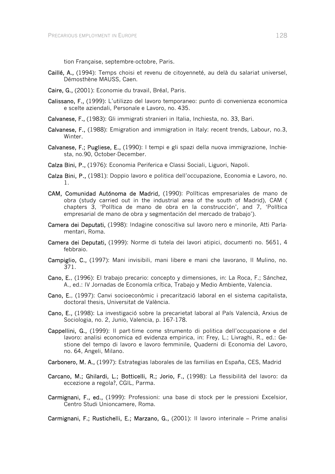tion Française, septembre-octobre, Paris.

- Caillé, A., (1994): Temps choisi et revenu de citoyenneté, au delà du salariat universel, Démosthène MAUSS, Caen.
- Caire, G., (2001): Economie du travail, Bréal, Paris.
- Calissano, F., (1999): L'utilizzo del lavoro temporaneo: punto di convenienza economica e scelte aziendali, Personale e Lavoro, no. 435.
- Calvanese, F., (1983): Gli immigrati stranieri in Italia, Inchiesta, no. 33, Bari.
- Calvanese, F., (1988): Emigration and immigration in Italy: recent trends, Labour, no.3, Winter.
- Calvanese, F.; Pugliese, E., (1990): I tempi e gli spazi della nuova immigrazione, Inchiesta, no.90, October-December.
- Calza Bini, P., (1976): Economia Periferica e Classi Sociali, Liguori, Napoli.
- Calza Bini, P., (1981): Doppio lavoro e politica dell'occupazione, Economia e Lavoro, no. 1.
- CAM, Comunidad Autónoma de Madrid, (1990): Políticas empresariales de mano de obra (study carried out in the industrial area of the south of Madrid), CAM ( chapters 3, 'Política de mano de obra en la construcción', and 7, 'Política empresarial de mano de obra y segmentación del mercado de trabajo').
- Camera dei Deputati, (1998): Indagine conoscitiva sul lavoro nero e minorile, Atti Parlamentari, Roma.
- Camera dei Deputati, (1999): Norme di tutela dei lavori atipici, documenti no. 5651, 4 febbraio.
- Campiglio, C., (1997): Mani invisibili, mani libere e mani che lavorano, Il Mulino, no. 371.
- Cano, E., (1996): El trabajo precario: concepto y dimensiones, in: La Roca, F.; Sánchez, A., ed.: IV Jornadas de Economía crítica, Trabajo y Medio Ambiente, Valencia.
- Cano, E., (1997): Canvi socioeconòmic i precarització laboral en el sistema capitalista, doctoral thesis, Universitat de València.
- Cano, E., (1998): La investigació sobre la precarietat laboral al País Valencià, Arxius de Sociologia, no. 2, Junio, Valencia, p. 167-178.
- Cappellini, G., (1999): Il part-time come strumento di politica dell'occupazione e del lavoro: analisi economica ed evidenza empirica, in: Frey, L.; Livraghi, R., ed.: Gestione del tempo di lavoro e lavoro femminile, Quaderni di Economia del Lavoro, no. 64, Angeli, Milano.
- Carbonero, M. A., (1997): Estrategias laborales de las familias en España, CES, Madrid
- Carcano, M.; Ghilardi, L.; Botticelli, R.; Jorio, F., (1998): La flessibilità del lavoro: da eccezione a regola?, CGIL, Parma.
- Carmignani, F., ed., (1999): Professioni: una base di stock per le pressioni Excelsior, Centro Studi Unioncamere, Roma.

Carmignani, F.; Rustichelli, E.; Marzano, G., (2001): Il lavoro interinale – Prime analisi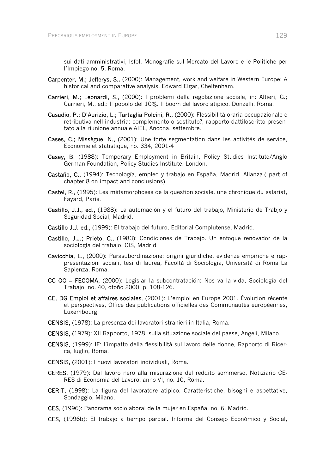sui dati amministrativi, Isfol, Monografie sul Mercato del Lavoro e le Politiche per l'Impiego no. 5, Roma.

- Carpenter, M.; Jefferys, S., (2000): Management, work and welfare in Western Europe: A historical and comparative analysis, Edward Elgar, Cheltenham.
- Carrieri, M.; Leonardi, S., (2000): I problemi della regolazione sociale, in: Altieri, G.; Carrieri, M., ed.: Il popolo del 10%. Il boom del lavoro atipico, Donzelli, Roma.
- Casadio, P.; D'Aurizio, L.; Tartaglia Polcini, R., (2000): Flessibilità oraria occupazionale e retributiva nell'industria: complemento o sostituto?, rapporto dattiloscritto presentato alla riunione annuale AIEL, Ancona, settembre.
- Cases, C.; Missègue, N., (2001): Une forte segmentation dans les activités de service, Economie et statistique, no. 334, 2001-4
- Casey, B. (1988): Temporary Employment in Britain, Policy Studies Institute/Anglo German Foundation, Policy Studies Institute. London.
- Castaño, C., (1994): Tecnología, empleo y trabajo en España, Madrid, Alianza. (part of chapter 8 on impact and conclusions).
- Castel, R., (1995): Les métamorphoses de la question sociale, une chronique du salariat, Fayard, Paris.
- Castillo, J.J., ed., (1988): La automación y el futuro del trabajo, Ministerio de Trabjo y Seguridad Social, Madrid.
- Castillo J.J. ed., (1999): El trabajo del futuro, Editorial Complutense, Madrid.
- Castillo, J.J.; Prieto, C., (1983): Condiciones de Trabajo. Un enfoque renovador de la sociología del trabajo, CIS, Madrid
- Cavicchia, L., (2000): Parasubordinazione: origini giuridiche, evidenze empiriche e rappresentazioni sociali, tesi di laurea, Facoltà di Sociologia, Università di Roma La Sapienza, Roma.
- CC OO FECOMA, (2000): Legislar la subcontratación: Nos va la vida, Sociología del Trabajo, no. 40, otoño 2000, p. 108-126.
- CE, DG Emploi et affaires sociales, (2001): L'emploi en Europe 2001. Évolution récente et perspectives, Office des publications officielles des Communautés européennes, Luxembourg.
- CENSIS, (1978): La presenza dei lavoratori stranieri in Italia, Roma.
- CENSIS, (1979): XII Rapporto, 1978, sulla situazione sociale del paese, Angeli, Milano.
- CENSIS, (1999): IF: l'impatto della flessibilità sul lavoro delle donne, Rapporto di Ricerca, luglio, Roma.
- CENSIS, (2001): I nuovi lavoratori individuali, Roma.
- CERES, (1979): Dal lavoro nero alla misurazione del reddito sommerso, Notiziario CE-RES di Economia del Lavoro, anno VI, no. 10, Roma.
- CERIT, (1998): La figura del lavoratore atipico. Caratteristiche, bisogni e aspettative, Sondaggio, Milano.
- CES, (1996): Panorama sociolaboral de la mujer en España, no. 6, Madrid.
- CES, (1996b): El trabajo a tiempo parcial. Informe del Consejo Económico y Social,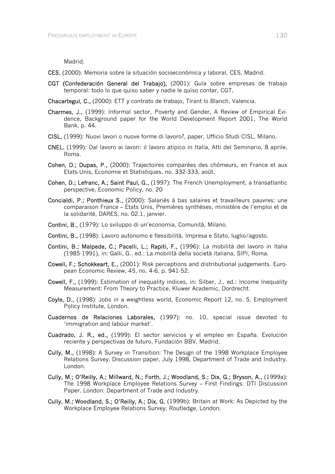Madrid.

- CES, (2000): Memoria sobre la situación socioeconómica y laboral, CES, Madrid.
- CGT (Confederación General del Trabajo), (2001): Guía sobre empresas de trabajo temporal: todo lo que quiso saber y nadie le quiso contar, CGT,
- Chacartegui, C., (2000): ETT y contrato de trabajo, Tirant lo Blanch, Valencia.
- Charmes, J., (1999): Informal sector, Poverty and Gender, A Review of Empirical Evidence, Background paper for the World Development Report 2001, The World Bank, p. 44.
- CISL, (1999): Nuovi lavori o nuove forme di lavoro?, paper, Ufficio Studi CISL, Milano.
- CNEL, (1999): Dal lavoro ai lavori: il lavoro atipico in Italia, Atti del Seminario, 8 aprile, Roma.
- Cohen, D.; Dupas, P., (2000): Trajectoires comparées des chômeurs, en France et aux Etats-Unis, Economie et Statistiques, no. 332-333, août.
- Cohen, D.; Lefranc, A.; Saint Paul, G., (1997): The French Unemployment, a transatlantic perspective, Economic Policy, no. 20
- Concialdi, P.; Ponthieux S., (2000): Salariés à bas salaires et travailleurs pauvres: une comparaison France – Etats Unis, Premières synthèses, ministère de l'emploi et de la solidarité, DARES, no. 02.1, janvier.
- Contini, B., (1979): Lo sviluppo di un'economia, Comunità, Milano.
- Contini, B., (1998): Lavoro autonomo e flessibilità, Impresa e Stato, luglio/agosto.
- Contini, B.; Malpede, C.; Pacelli, L.; Rapiti, F., (1996): La mobilità del lavoro in Italia (1985-1991), in: Galli, G.. ed.: La mobilità della società italiana, SIPI, Roma.
- Cowell, F.; Schokkeart, E., (2001): Risk perceptions and distributional judgements. European Economic Review, 45, no. 4-6, p. 941-52.
- Cowell, F., (1999): Estimation of inequality indices, in: Silber, J., ed.: Income Inequality Measurement: From Theory to Practice, Kluwer Academic, Dordrecht.
- Coyle, D., (1998): Jobs in a weightless world, Economic Report 12, no. 5, Employment Policy Institute, London.
- Cuadernos de Relaciones Laborales, (1997): no. 10, special issue devoted to 'immigration and labour market'.
- Cuadrado, J. R., ed., (1999): El sector servicios y el empleo en España. Evolución reciente y perspectivas de futuro, Fundación BBV, Madrid.
- Cully, M., (1998): A Survey in Transition: The Design of the 1998 Workplace Employee Relations Survey, Discussion paper, July 1998, Department of Trade and Industry, London.
- Cully, M.; O'Reilly, A.; Millward, N.; Forth, J.; Woodland, S.; Dix, G.; Bryson, A., (1999a): The 1998 Workplace Employee Relations Survey – First Findings. DTI Discussion Paper. London: Department of Trade and Industry.
- Cully, M.; Woodland, S.; O'Reilly, A.; Dix, G. (1999b): Britain at Work: As Depicted by the Workplace Employee Relations Survey, Routledge, London.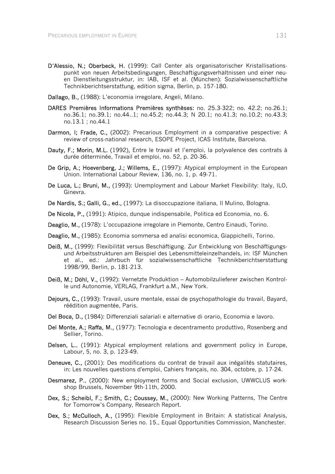- D'Alessio, N.; Oberbeck, H. (1999): Call Center als organisatorischer Kristallisationspunkt von neuen Arbeitsbedingungen, Beschäftigungsverhältnissen und einer neuen Dienstleitungsstruktur, in: IAB, ISF et al. (München): Sozialwissenschaftliche Technikberichtserstattung, edition sigma, Berlin, p. 157-180.
- Dallago, B., (1988): L'economia irregolare, Angeli, Milano.
- DARES Premières Informations Premières synthèses: no. 25.3-322; no. 42.2; no.26.1; no.36.1; no.39.1; no.44..1; no.45.2; no.44.3; N 20.1; no.41.3; no.10.2; no.43.3; no.13.1 ; no.44.1
- Darmon, I; Frade, C., (2002): Precarious Employment in a comparative pespective: A review of cross-national research, ESOPE Project, ICAS Institute, Barcelona.
- Dauty, F.; Morin, M.L. (1992), Entre le travail et l'emploi, la polyvalence des contrats à durée déterminée, Travail et emploi, no. 52, p. 20-36.
- De Grip, A.; Hoevenberg, J.; Willems, E., (1997): Atypical employment in the European Union. International Labour Review, 136, no. 1, p. 49-71.
- De Luca, L.; Bruni, M., (1993): Unemployment and Labour Market Flexibility: Italy, ILO, Ginevra.
- De Nardis, S.; Galli, G., ed., (1997): La disoccupazione italiana, Il Mulino, Bologna.
- De Nicola, P., (1991): Atipico, dunque indispensabile, Politica ed Economia, no. 6.
- Deaglio, M., (1978): L'occupazione irregolare in Piemonte, Centro Einaudi, Torino.
- Deaglio, M., (1985): Economia sommersa ed analisi economica, Giappichelli, Torino.
- Deiß, M., (1999): Flexibilität versus Beschäftigung. Zur Entwicklung von Beschäftigungsund Arbeitsstrukturen am Beispiel des Lebensmitteleinzelhandels, in: ISF München et al., ed.: Jahrbuch für sozialwissenschaftliche Technikberichtserstattung 1998/99, Berlin, p. 181-213.
- Deiß, M.; Döhl, V., (1992): Vernetzte Produktion Automobilzulieferer zwischen Kontrolle und Autonomie, VERLAG, Frankfurt a.M., New York.
- Dejours, C., (1993): Travail, usure mentale, essai de psychopathologie du travail, Bayard, réédition augmentée, Paris.
- Del Boca, D., (1984): Differenziali salariali e alternative di orario, Economia e lavoro.
- Del Monte, A.; Raffa, M., (1977): Tecnologia e decentramento produttivo, Rosenberg and Sellier, Torino.
- Delsen, L., (1991): Atypical employment relations and government policy in Europe, Labour, 5, no. 3, p. 123-49.
- Deneuve, C., (2001): Des modifications du contrat de travail aux inégalités statutaires, in: Les nouvelles questions d'emploi, Cahiers français, no. 304, octobre, p. 17-24.
- Desmarez, P., (2000): New employment forms and Social exclusion, UWWCLUS workshop Brussels, November 9th-11th, 2000.
- Dex, S.; Scheibl, F.; Smith, C.; Coussey, M., (2000): New Working Patterns, The Centre for Tomorrow's Company, Research Report.
- Dex, S.; McCulloch, A., (1995): Flexible Employment in Britain: A statistical Analysis, Research Discussion Series no. 15., Equal Opportunities Commission, Manchester.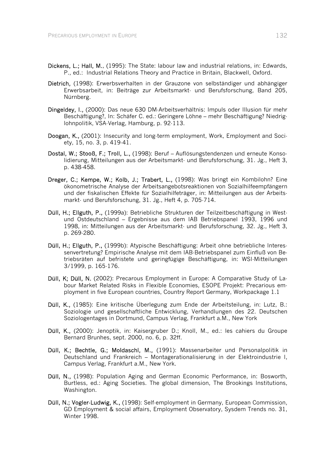- Dickens, L.; Hall, M., (1995): The State: labour law and industrial relations, in: Edwards, P., ed.: Industrial Relations Theory and Practice in Britain, Blackwell, Oxford.
- Dietrich, (1998): Erwerbsverhalten in der Grauzone von selbständiger und abhängiger Erwerbsarbeit, in: Beiträge zur Arbeitsmarkt- und Berufsforschung, Band 205, Nürnberg.
- Dingeldey, I., (2000): Das neue 630 DM-Arbeitsverhältnis: Impuls oder Illusion für mehr Beschäftigung?, In: Schäfer C. ed.: Geringere Löhne – mehr Beschäftigung? Niedriglohnpolitik, VSA-Verlag, Hamburg, p. 92-113.
- Doogan, K., (2001): Insecurity and long-term employment, Work, Employment and Society, 15, no. 3, p. 419-41.
- Dostal, W.; Stooß, F.; Troll, L., (1998): Beruf Auflösungstendenzen und erneute Konsolidierung, Mitteilungen aus der Arbeitsmarkt- und Berufsforschung, 31. Jg., Heft 3, p. 438-458.
- Dreger, C.; Kempe, W.; Kolb, J.; Trabert, L., (1998): Was bringt ein Kombilohn? Eine ökonometrische Analyse der Arbeitsangebotsreaktionen von Sozialhilfeempfängern und der fiskalischen Effekte für Sozialhilfeträger, in: Mitteilungen aus der Arbeitsmarkt- und Berufsforschung, 31. Jg., Heft 4, p. 705-714.
- Düll, H.; Ellguth, P., (1999a): Betriebliche Strukturen der Teilzeitbeschäftigung in Westund Ostdeutschland – Ergebnisse aus dem IAB Betriebspanel 1993, 1996 und 1998, in: Mitteilungen aus der Arbeitsmarkt- und Berufsforschung, 32. Jg., Heft 3, p. 269-280.
- Düll, H.; Ellguth, P., (1999b): Atypische Beschäftigung: Arbeit ohne betriebliche Interessenvertretung? Empirische Analyse mit dem IAB-Betriebspanel zum Einfluß von Betriebsräten auf befristete und geringfügige Beschäftigung, in: WSI-Mitteilungen 3/1999, p. 165-176.
- Düll, K; Düll, N. (2002): Precarous Employment in Europe: A Comparative Study of Labour Market Related Risks in Flexible Economies, ESOPE Projekt: Precarious employment in five European countries, Country Report Germany, Workpackage 1.1
- Düll, K., (1985): Eine kritische Überlegung zum Ende der Arbeitsteilung, in: Lutz, B.: Soziologie und gesellschaftliche Entwicklung, Verhandlungen des 22. Deutschen Soziologentages in Dortmund, Campus Verlag, Frankfurt a.M., New York
- Düll, K., (2000): Jenoptik, in: Kaisergruber D.; Knoll, M., ed.: les cahiers du Groupe Bernard Brunhes, sept. 2000, no. 6, p. 32ff.
- Düll, K.; Bechtle, G.; Moldaschl, M., (1991): Massenarbeiter und Personalpolitik in Deutschland und Frankreich – Montagerationalisierung in der Elektroindustrie I, Campus Verlag, Frankfurt a.M., New York.
- Düll, N., (1998): Population Aging and German Economic Performance, in: Bosworth, Burtless, ed.: Aging Societies. The global dimension, The Brookings Institutions, Washington.
- Düll, N.; Vogler-Ludwig, K., (1998): Self-employment in Germany, European Commission, GD Employment & social affairs, Employment Observatory, Sysdem Trends no. 31, Winter 1998.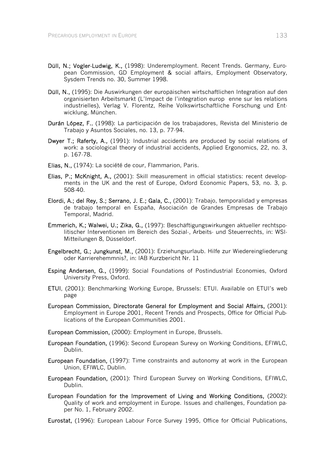- Düll, N.; Vogler-Ludwig, K., (1998): Underemployment. Recent Trends. Germany, European Commission, GD Employment & social affairs, Employment Observatory, Sysdem Trends no. 30, Summer 1998.
- Düll, N., (1995): Die Auswirkungen der europäischen wirtschaftlichen Integration auf den organisierten Arbeitsmarkt (L'Impact de l'integration europenne sur les relations industrielles), Verlag V. Florentz, Reihe Volkswirtschaftliche Forschung und Entwicklung, München.
- Durán López, F., (1998): La participación de los trabajadores, Revista del Ministerio de Trabajo y Asuntos Sociales, no. 13, p. 77-94.
- Dwyer T.; Raferty, A., (1991): Industrial accidents are produced by social relations of work: a sociological theory of industrial accidents, Applied Ergonomics, 22, no. 3, p. 167-78.
- Elias, N., (1974): La société de cour, Flammarion, Paris.
- Elias, P.; McKnight, A., (2001): Skill measurement in official statistics: recent developments in the UK and the rest of Europe, Oxford Economic Papers, 53, no. 3, p. 508-40.
- Elordi, A.; del Rey, S.; Serrano, J. E.; Gala, C., (2001): Trabajo, temporalidad y empresas de trabajo temporal en España, Asociación de Grandes Empresas de Trabajo Temporal, Madrid.
- Emmerich, K.; Walwei, U.; Zika, G., (1997): Beschäftigungswirkungen aktueller rechtspolitischer Interventionen im Bereich des Sozial-, Arbeits- und Steuerrechts, in: WSI-Mitteilungen 8, Düsseldorf.
- Engelbrecht, G.; Jungkunst, M., (2001): Erziehungsurlaub. Hilfe zur Wiedereingliederung oder Karrierehemmnis?, in: IAB Kurzbericht Nr. 11
- Esping Andersen, G., (1999): Social Foundations of Postindustrial Economies, Oxford University Press, Oxford.
- ETUI, (2001): Benchmarking Working Europe, Brussels: ETUI. Available on ETUI's web page
- European Commission, Directorate General for Employment and Social Affairs, (2001): Employment in Europe 2001, Recent Trends and Prospects, Office for Official Publications of the European Communities 2001.
- European Commission, (2000): Employment in Europe, Brussels.
- European Foundation, (1996): Second European Surevy on Working Conditions, EFIWLC, Dublin.
- European Foundation, (1997): Time constraints and autonomy at work in the European Union, EFIWLC, Dublin.
- European Foundation, (2001): Third European Survey on Working Conditions, EFIWLC, Dublin.
- European Foundation for the Improvement of Living and Working Conditions, (2002): Quality of work and employment in Europe. Issues and challenges, Foundation paper No. 1, February 2002.
- Eurostat, (1996): European Labour Force Survey 1995, Office for Official Publications,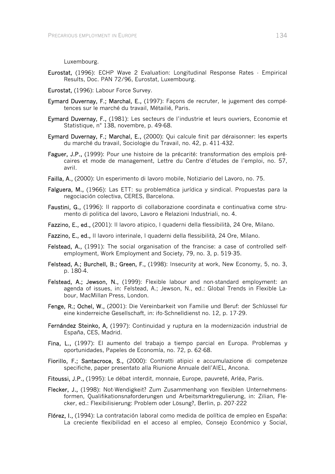Luxembourg.

- Eurostat, (1996): ECHP Wave 2 Evaluation: Longitudinal Response Rates Empirical Results, Doc. PAN 72/96, Eurostat, Luxembourg.
- Eurostat, (1996): Labour Force Survey.
- Eymard Duvernay, F.; Marchal, E., (1997): Façons de recruter, le jugement des compétences sur le marché du travail, Métailié, Paris.
- Eymard Duvernay, F., (1981): Les secteurs de l'industrie et leurs ouvriers, Economie et Statistique, n° 138, novembre, p. 49-68.
- Eymard Duvernay, F.; Marchal, E., (2000): Qui calcule finit par déraisonner: les experts du marché du travail, Sociologie du Travail, no. 42, p. 411-432.
- Faguer, J.P., (1999): Pour une histoire de la précarité: transformation des emplois précaires et mode de management, Lettre du Centre d'études de l'emploi, no. 57, avril.
- Failla, A., (2000): Un esperimento di lavoro mobile, Notiziario del Lavoro, no. 75.
- Falguera, M., (1966): Las ETT: su problemática jurídica y sindical. Propuestas para la negociación colectiva, CERES, Barcelona.
- Faustini, G., (1996): Il rapporto di collaborazione coordinata e continuativa come strumento di politica del lavoro, Lavoro e Relazioni Industriali, no. 4.
- Fazzino, E., ed., (2001): Il lavoro atipico, I quaderni della flessibilità, 24 Ore, Milano.
- Fazzino, E., ed., Il lavoro interinale, I quaderni della flessibilità, 24 Ore, Milano.
- Felstead, A., (1991): The social organisation of the francise: a case of controlled selfemployment, Work Employment and Society, 79, no. 3, p. 519-35.
- Felstead, A.; Burchell, B.; Green, F., (1998): Insecurity at work, New Economy, 5, no. 3, p. 180-4.
- Felstead, A.; Jewson, N., (1999): Flexible labour and non-standard employment: an agenda of issues, in: Felstead, A.; Jewson, N., ed.: Global Trends in Flexible Labour, MacMillan Press, London.
- Fenge, R.; Ochel, W., (2001): Die Vereinbarkeit von Familie und Beruf: der Schlüssel für eine kinderreiche Gesellschaft, in: ifo-Schnelldienst no. 12, p. 17-29.
- Fernández Steinko, A, (1997): Continuidad y ruptura en la modernización industrial de España, CES, Madrid.
- Fina, L., (1997): El aumento del trabajo a tiempo parcial en Europa. Problemas y oportunidades, Papeles de Economía, no. 72, p. 62-68.
- Fiorillo, F.; Santacroce, S., (2000): Contratti atipici e accumulazione di competenze specifiche, paper presentato alla Riunione Annuale dell'AIEL, Ancona.
- Fitoussi, J.P., (1995): Le débat interdit, monnaie, Europe, pauvreté, Arléa, Paris.
- Flecker, J., (1998): Not-Wendigkeit? Zum Zusammenhang von flexiblen Unternehmensformen, Qualifikationsnaforderungen und Arbeitsmarktregulierung, in: Zilian, Flecker, ed.: Flexibilisierung: Problem oder Lösung?, Berlin, p. 207-222
- Flórez, I., (1994): La contratación laboral como medida de política de empleo en España: La creciente flexibilidad en el acceso al empleo, Consejo Económico y Social,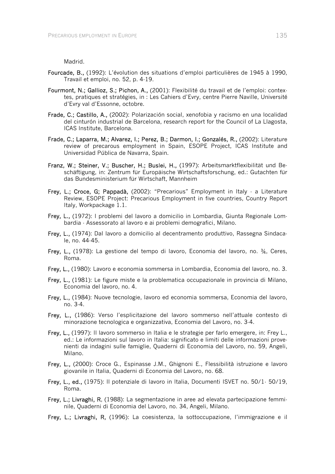Madrid.

- Fourcade, B., (1992): L'évolution des situations d'emploi particulières de 1945 à 1990, Travail et emploi, no. 52, p. 4-19.
- Fourmont, N.; Gallioz, S.; Pichon, A., (2001): Flexibilité du travail et de l'emploi: contextes, pratiques et stratégies, in : Les Cahiers d'Evry, centre Pierre Naville, Université d'Evry val d'Essonne, octobre.
- Frade, C.; Castillo, A., (2002): Polarización social, xenofobia y racismo en una localidad del cinturón industrial de Barcelona, research report for the Council of La Llagosta, ICAS Institute, Barcelona.
- Frade, C.; Laparra, M.; Alvarez, I.; Perez, B.; Darmon, I.; Gonzalés, R., (2002): Literature review of precarous employment in Spain, ESOPE Project, ICAS Institute and Universidad Pública de Navarra, Spain.
- Franz, W.; Steiner, V.; Buscher, H.; Buslei, H., (1997): Arbeitsmarktflexibilität und Beschäftigung, in: Zentrum für Europäische Wirtschaftsforschung, ed.: Gutachten für das Bundesministerium für Wirtschaft, Mannheim
- Frey, L.; Croce, G; Pappadà, (2002): "Precarious" Employment in Italy · a Literature Review, ESOPE Project: Precarious Employment in five countries, Country Report Italy, Workpackage 1.1.
- Frey, L., (1972): I problemi del lavoro a domicilio in Lombardia, Giunta Regionale Lombardia - Assessorato al lavoro e ai problemi demografici, Milano.
- Frey, L., (1974): Dal lavoro a domicilio al decentramento produttivo, Rassegna Sindacale, no. 44-45.
- Frey, L., (1978): La gestione del tempo di lavoro, Economia del lavoro, no. ¾, Ceres, Roma.
- Frey, L., (1980): Lavoro e economia sommersa in Lombardia, Economia del lavoro, no. 3.
- Frey, L., (1981): Le figure miste e la problematica occupazionale in provincia di Milano, Economia del lavoro, no. 4.
- Frey, L., (1984): Nuove tecnologie, lavoro ed economia sommersa, Economia del lavoro, no. 3-4.
- Frey, L., (1986): Verso l'esplicitazione del lavoro sommerso nell'attuale contesto di minorazione tecnologica e organizzativa, Economia del Lavoro, no. 3-4.
- Frey, L., (1997): Il lavoro sommerso in Italia e le strategie per farlo emergere, in: Frey L., ed.: Le informazioni sul lavoro in Italia: significato e limiti delle informazioni provenienti da indagini sulle famiglie, Quaderni di Economia del Lavoro, no. 59, Angeli, Milano.
- Frey, L., (2000): Croce G., Espinasse J.M., Ghignoni E., Flessibilità istruzione e lavoro giovanile in Italia, Quaderni di Economia del Lavoro, no. 68.
- Frey, L., ed., (1975): Il potenziale di lavoro in Italia, Documenti ISVET no. 50/1- 50/19, Roma.
- Frey, L.; Livraghi, R, (1988): La segmentazione in aree ad elevata partecipazione femminile, Quaderni di Economia del Lavoro, no. 34, Angeli, Milano.
- Frey, L.; Livraghi, R, (1996): La coesistenza, la sottoccupazione, l'immigrazione e il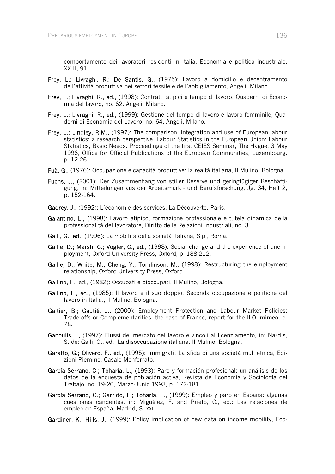comportamento dei lavoratori residenti in Italia, Economia e politica industriale, XXIII, 91.

- Frey, L.; Livraghi, R.; De Santis, G., (1975): Lavoro a domicilio e decentramento dell'attività produttiva nei settori tessile e dell'abbigliamento, Angeli, Milano.
- Frey, L.; Livraghi, R., ed., (1998): Contratti atipici e tempo di lavoro, Quaderni di Economia del lavoro, no. 62, Angeli, Milano.
- Frey, L.; Livraghi, R., ed., (1999): Gestione del tempo di lavoro e lavoro femminile, Quaderni di Economia del Lavoro, no. 64, Angeli, Milano.
- Frey, L.; Lindley, R.M., (1997): The comparison, integration and use of European labour statistics: a research perspective. Labour Statistics in the European Union: Labour Statistics, Basic Needs. Proceedings of the first CEIES Seminar, The Hague, 3 May 1996, Office for Official Publications of the European Communities, Luxembourg, p. 12-26.
- Fuà, G., (1976): Occupazione e capacità produttive: la realtà italiana, Il Mulino, Bologna.
- Fuchs, J., (2001): Der Zusammenhang von stiller Reserve und geringfügiger Beschäftigung, in: Mitteilungen aus der Arbeitsmarkt- und Berufsforschung, Jg. 34, Heft 2, p. 152-164.
- Gadrey, J., (1992): L'économie des services, La Découverte, Paris,
- Galantino, L., (1998): Lavoro atipico, formazione professionale e tutela dinamica della professionalità del lavoratore, Diritto delle Relazioni Industriali, no. 3.
- Galli, G., ed., (1996): La mobilità della società italiana, Sipi, Roma.
- Gallie, D.; Marsh, C.; Vogler, C., ed., (1998): Social change and the experience of unemployment, Oxford University Press, Oxford, p. 188-212.
- Gallie, D.; White, M.; Cheng, Y.; Tomlinson, M., (1998): Restructuring the employment relationship, Oxford University Press, Oxford.
- Gallino, L., ed., (1982): Occupati e bioccupati, Il Mulino, Bologna.
- Gallino, L., ed., (1985): Il lavoro e il suo doppio. Seconda occupazione e politiche del lavoro in Italia., Il Mulino, Bologna.
- Galtier, B.; Gautié, J., (2000): Employment Protection and Labour Market Policies: Trade-offs or Complementarities, the case of France, report for the ILO, mimeo, p. 78.
- Ganoulis, I., (1997): Flussi del mercato del lavoro e vincoli al licenziamento, in: Nardis, S. de; Galli, G., ed.: La disoccupazione italiana, Il Mulino, Bologna.
- Garatto, G.; Olivero, F., ed., (1995): Immigrati. La sfida di una società multietnica, Edizioni Piemme, Casale Monferrato.
- García Serrano, C.; Toharía, L., (1993): Paro y formación profesional: un análisis de los datos de la encuesta de población activa, Revista de Economía y Sociología del Trabajo, no. 19-20, Marzo-Junio 1993, p. 172-181.
- García Serrano, C.; Garrido, L.; Toharía, L., (1999): Empleo y paro en España: algunas cuestiones candentes, in: Miguélez, F. and Prieto, C., ed.: Las relaciones de empleo en España, Madrid, S. XXI.
- Gardiner, K.; Hills, J., (1999): Policy implication of new data on income mobility, Eco-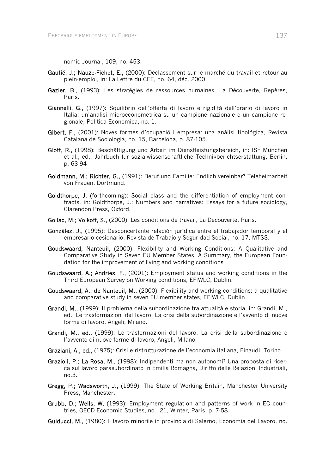nomic Journal, 109, no. 453.

- Gautié, J.; Nauze-Fichet, E., (2000): Déclassement sur le marché du travail et retour au plein-emploi, in: La Lettre du CEE, no. 64, déc. 2000.
- Gazier, B., (1993): Les stratégies de ressources humaines, La Découverte, Repères, Paris.
- Giannelli, G., (1997): Squilibrio dell'offerta di lavoro e rigidità dell'orario di lavoro in Italia: un'analisi microeconometrica su un campione nazionale e un campione regionale, Politica Economica, no. 1.
- Gibert, F., (2001): Noves formes d'ocupació i empresa: una anàlisi tipológica, Revista Catalana de Sociologia, no. 15, Barcelona, p. 87-105.
- Glott, R., (1998): Beschäftigung und Arbeit im Dienstleistungsbereich, in: ISF München et al., ed.: Jahrbuch für sozialwissenschaftliche Technikberichtserstattung, Berlin, p. 63-94
- Goldmann, M.; Richter, G., (1991): Beruf und Familie: Endlich vereinbar? Teleheimarbeit von Frauen, Dortmund.
- Goldthorpe. J. (forthcoming): Social class and the differentiation of employment contracts, in: Goldthorpe, J.: Numbers and narratives: Essays for a future sociology, Clarendon Press, Oxford.
- Gollac, M.: Volkoff, S., (2000): Les conditions de travail, La Découverte, Paris.
- González, J., (1995): Desconcertante relación jurídica entre el trabajador temporal y el empresario cesionario, Revista de Trabajo y Seguridad Social, no. 17, MTSS.
- Goudswaard, Nanteuil, (2000): Flexibility and Working Conditions: A Qualitative and Comparative Study in Seven EU Member States. A Summary, the European Foundation for the improvement of living and working conditions
- Goudswaard, A.; Andries, F., (2001): Employment status and working conditions in the Third European Survey on Working conditions, EFIWLC, Dublin.
- Goudswaard, A.; de Nanteuil, M., (2000): Flexibility and working conditions: a qualitative and comparative study in seven EU member states, EFIWLC, Dublin.
- Grandi, M., (1999): Il problema della subordinazione tra attualità e storia, in: Grandi, M., ed.: Le trasformazioni del lavoro. La crisi della subordinazione e l'avvento di nuove forme di lavoro, Angeli, Milano.
- Grandi, M., ed., (1999): Le trasformazioni del lavoro. La crisi della subordinazione e l'avvento di nuove forme di lavoro, Angeli, Milano.
- Graziani, A., ed., (1975): Crisi e ristrutturazione dell'economia italiana, Einaudi, Torino.
- Grazioli, P.; La Rosa, M., (1998): Indipendenti ma non autonomi? Una proposta di ricerca sul lavoro parasubordinato in Emilia Romagna, Diritto delle Relazioni Industriali, no.3.
- Gregg, P.; Wadsworth, J., (1999): The State of Working Britain, Manchester University Press, Manchester.
- Grubb, D.; Wells, W. (1993): Employment regulation and patterns of work in EC countries, OECD Economic Studies, no. 21, Winter, Paris, p. 7-58.
- Guiducci, M., (1980): Il lavoro minorile in provincia di Salerno, Economia del Lavoro, no.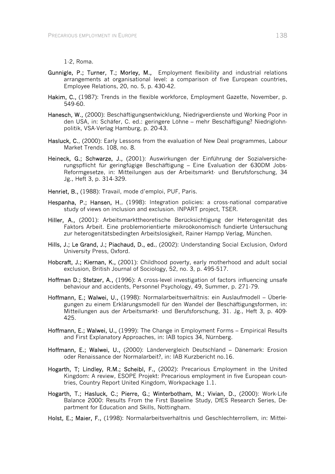1-2, Roma.

- Gunnigle, P.; Turner, T.; Morley, M., Employment flexibility and industrial relations arrangements at organisational level: a comparison of five European countries, Employee Relations, 20, no. 5, p. 430-42.
- Hakim, C., (1987): Trends in the flexible workforce, Employment Gazette, November, p. 549-60.
- Hanesch, W., (2000): Beschäftigungsentwicklung, Niedrigverdienste und Working Poor in den USA, in: Schäfer, C. ed.: geringere Löhne – mehr Beschäftigung? Niedriglohnpolitik, VSA-Verlag Hamburg, p. 20-43.
- Hasluck, C., (2000): Early Lessons from the evaluation of New Deal programmes, Labour Market Trends. 108, no. 8.
- Heineck, G.; Schwarze, J., (2001): Auswirkungen der Einführung der Sozialversicherungspflicht für geringfügige Beschäftigung – Eine Evaluation der 630DM Jobs-Reformgesetze, in: Mitteilungen aus der Arbeitsmarkt- und Berufsforschung, 34 Jg., Heft 3, p. 314-329.
- Henriet, B., (1988): Travail, mode d'emploi, PUF, Paris.
- Hespanha, P.; Hansen, H., (1998): Integration policies: a cross-national comparative study of views on inclusion and exclusion. INPART project, TSER.
- Hiller, A., (2001): Arbeitsmarkttheoretische Berücksichtigung der Heterogenität des Faktors Arbeit. Eine problemorientierte mikroökonomisch fundierte Untersuchung zur heterogenitätsbedingten Arbeitslosigkeit, Rainer Hampp Verlag, München.
- Hills, J.; Le Grand, J.; Piachaud, D., ed., (2002): Understanding Social Exclusion, Oxford University Press, Oxford.
- Hobcraft, J.; Kiernan, K., (2001): Childhood poverty, early motherhood and adult social exclusion, British Journal of Sociology, 52, no. 3, p. 495-517.
- Hoffman D.; Stetzer, A., (1996): A cross-level investigation of factors influencing unsafe behaviour and accidents, Personnel Psychology, 49, Summer, p. 271-79.
- Hoffmann, E.; Walwei, U., (1998): Normalarbeitsverhältnis: ein Auslaufmodell Überlegungen zu einem Erklärungsmodell für den Wandel der Beschäftigungsformen, in: Mitteilungen aus der Arbeitsmarkt- und Berufsforschung, 31. Jg., Heft 3, p. 409- 425.
- Hoffmann, E.; Walwei, U., (1999): The Change in Employment Forms Empirical Results and First Explanatory Approaches, in: IAB topics 34, Nürnberg.
- Hoffmann, E.; Walwei, U., (2000): Ländervergleich Deutschland Dänemark: Erosion oder Renaissance der Normalarbeit?, in: IAB Kurzbericht no.16.
- Hogarth, T; Lindley, R.M.; Scheibl, F., (2002): Precarious Employment in the United Kingdom: A review, ESOPE Projekt: Precarious employment in five European countries, Country Report United Kingdom, Workpackage 1.1.
- Hogarth, T.; Hasluck, C.; Pierre, G.; Winterbotham, M.; Vivian, D., (2000): Work-Life Balance 2000: Results From the First Baseline Study, DfES Research Series, Department for Education and Skills, Nottingham.
- Holst, E.; Maier, F., (1998): Normalarbeitsverhältnis und Geschlechterrollem, in: Mittei-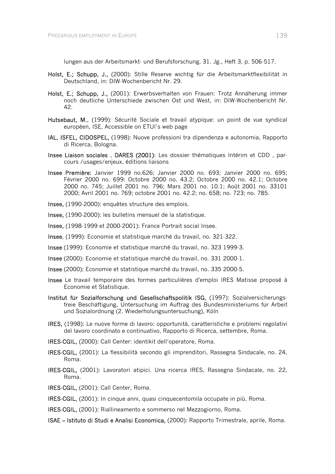lungen aus der Arbeitsmarkt- und Berufsforschung, 31. Jg., Heft 3, p. 506-517.

- Holst, E.; Schupp, J., (2000): Stille Reserve wichtig für die Arbeitsmarktflexibilität in Deutschland, in: DIW-Wochenbericht Nr. 29.
- Holst, E.; Schupp, J., (2001): Erwerbsverhalten von Frauen: Trotz Annäherung immer noch deutliche Unterschiede zwischen Ost und West, in: DIW-Wochenbericht Nr. 42.
- Hutsebaut, M., (1999): Sécurité Sociale et travail atypique: un point de vue syndical européen, ISE, Accessible on ETUI's web page
- IAL, ISFEL, CIDOSPEL, (1998): Nuove professioni tra dipendenza e autonomia, Rapporto di Ricerca, Bologna.
- Insee Liaison sociales , DARES (2001): Les dossier thématiques Intérim et CDD , parcours /usages/enjeux, éditions liaisons
- Insee Première: Janvier 1999 no.626; Janvier 2000 no. 693; Janvier 2000 no. 695; Février 2000 no. 699: Octobre 2000 no. 43.2; Octobre 2000 no. 42.1; Octobre 2000 no. 745; Juillet 2001 no. 796; Mars 2001 no. 10.1; Août 2001 no. 33101 2000; Avril 2001 no. 769; octobre 2001 no. 42.2; no. 658; no. 723; no. 785.
- Insee, (1990-2000): enquêtes structure des emplois.
- Insee, (1990-2000): les bulletins mensuel de la statistique.
- Insee, (1998-1999 et 2000-2001): France Portrait social Insee.
- Insee, (1999): Economie et statistique marché du travail, no. 321-322.
- Insee (1999): Economie et statistique marché du travail, no. 323 1999-3.
- Insee (2000): Economie et statistique marché du travail, no. 331 2000-1.
- Insee (2000): Economie et statistique marché du travail, no. 335 2000-5.
- Insee Le travail temporaire des formes particulières d'emploi IRES Matisse proposé à Economie et Statistique.
- Institut für Sozialforschung und Gesellschaftspolitik ISG, (1997): Sozialversicherungsfreie Beschäftigung, Untersuchung im Auftrag des Bundesministeriums für Arbeit und Sozialordnung (2. Wiederholungsuntersuchung), Köln
- IRES, (1998): Le nuove forme di lavoro: opportunità, caratteristiche e problemi regolativi del lavoro coordinato e continuativo, Rapporto di Ricerca, settembre, Roma.
- IRES-CGIL, (2000): Call Center: identikit dell'operatore, Roma.
- IRES-CGIL, (2001): La flessibilità secondo gli imprenditori, Rassegna Sindacale, no. 24, Roma.
- IRES-CGIL, (2001): Lavoratori atipici. Una ricerca IRES, Rassegna Sindacale, no. 22, Roma.
- IRES-CGIL, (2001): Call Center, Roma.
- IRES-CGIL, (2001): In cinque anni, quasi cinquecentomila occupate in più, Roma.
- IRES-CGIL, (2001): Riallineamento e sommerso nel Mezzogiorno, Roma.
- ISAE Istituto di Studi e Analisi Economica, (2000): Rapporto Trimestrale, aprile, Roma.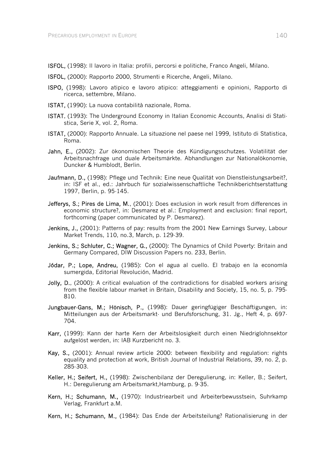- ISFOL, (1998): Il lavoro in Italia: profili, percorsi e politiche, Franco Angeli, Milano.
- ISFOL, (2000): Rapporto 2000, Strumenti e Ricerche, Angeli, Milano.
- ISPO, (1998): Lavoro atipico e lavoro atipico: atteggiamenti e opinioni, Rapporto di ricerca, settembre, Milano.
- ISTAT, (1990): La nuova contabilità nazionale, Roma.
- ISTAT, (1993): The Underground Economy in Italian Economic Accounts, Analisi di Statistica, Serie X, vol. 2, Roma.
- ISTAT, (2000): Rapporto Annuale. La situazione nel paese nel 1999, Istituto di Statistica, Roma.
- Jahn, E., (2002): Zur ökonomischen Theorie des Kündigungsschutzes. Volatilität der Arbeitsnachfrage und duale Arbeitsmärkte. Abhandlungen zur Nationalökonomie, Duncker & Humblodt, Berlin.
- Jaufmann, D., (1998): Pflege und Technik: Eine neue Qualität von Dienstleistungsarbeit?. in: ISF et al., ed.: Jahrbuch für sozialwissenschaftliche Technikberichtserstattung 1997, Berlin, p. 95-145.
- Jefferys, S.; Pires de Lima, M., (2001): Does exclusion in work result from differences in economic structure?, in: Desmarez et al.: Employment and exclusion: final report, forthcoming (paper communicated by P. Desmarez).
- Jenkins, J., (2001): Patterns of pay: results from the 2001 New Earnings Survey, Labour Market Trends, 110, no.3, March, p. 129-39.
- Jenkins, S.; Schluter, C.; Wagner, G., (2000): The Dynamics of Child Poverty: Britain and Germany Compared, DIW Discussion Papers no. 233, Berlin.
- Jódar, P.; Lope, Andreu, (1985): Con el agua al cuello. El trabajo en la economía sumergida, Editorial Revolución, Madrid.
- Jolly, D., (2000): A critical evaluation of the contradictions for disabled workers arising from the flexible labour market in Britain, Disability and Society, 15, no. 5, p. 795- 810.
- Jungbauer-Gans, M.; Hönisch, P., (1998): Dauer geringfügiger Beschäftigungen, in: Mitteilungen aus der Arbeitsmarkt- und Berufsforschung, 31. Jg., Heft 4, p. 697- 704.
- Karr, (1999): Kann der harte Kern der Arbeitslosigkeit durch einen Niedriglohnsektor aufgelöst werden, in: IAB Kurzbericht no. 3.
- Kay, S., (2001): Annual review article 2000: between flexibility and regulation: rights equality and protection at work, British Journal of Industrial Relations, 39, no. 2, p. 285-303.
- Keller, H.; Seifert, H., (1998): Zwischenbilanz der Deregulierung, in: Keller, B.; Seifert, H.: Deregulierung am Arbeitsmarkt,Hamburg, p. 9-35.
- Kern, H.; Schumann, M., (1970): Industriearbeit und Arbeiterbewusstsein, Suhrkamp Verlag, Frankfurt a.M.
- Kern, H.; Schumann, M., (1984): Das Ende der Arbeitsteilung? Rationalisierung in der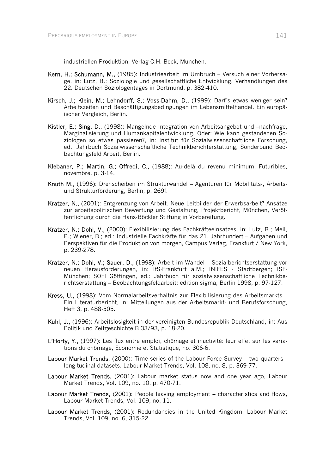industriellen Produktion, Verlag C.H. Beck, München.

- Kern, H.; Schumann, M., (1985): Industriearbeit im Umbruch Versuch einer Vorhersage, in: Lutz, B.: Soziologie und gesellschaftliche Entwicklung. Verhandlungen des 22. Deutschen Soziologentages in Dortmund, p. 382-410.
- Kirsch, J.; Klein, M.; Lehndorff, S.; Voss-Dahm, D., (1999): Darf´s etwas weniger sein? Arbeitszeiten und Beschäftigungsbedingungen im Lebensmittelhandel. Ein europäischer Vergleich, Berlin.
- Kistler, E.; Sing, D., (1998): Mangelnde Integration von Arbeitsangebot und –nachfrage, Marginalisierung und Humankapitalentwicklung. Oder: Wie kann gestandenen Soziologen so etwas passieren?, in: Institut für Sozialwissenschaftliche Forschung, ed.: Jahrbuch Sozialwissenschaftliche Technikberichterstattung, Sonderband Beobachtungsfeld Arbeit, Berlin.
- Klebaner, P.; Martin, G.; Offredi, C., (1988): Au-delà du revenu minimum, Futuribles, novembre, p. 3-14.
- Knuth M., (1996): Drehscheiben im Strukturwandel Agenturen für Mobilitäts-, Arbeitsund Strukturförderung, Berlin, p. 269f.
- Kratzer, N., (2001): Entgrenzung von Arbeit. Neue Leitbilder der Erwerbsarbeit? Ansätze zur arbeitspolitischen Bewertung und Gestaltung, Projektbericht, München, Veröffentlichung durch die Hans-Böckler Stiftung in Vorbereitung.
- Kratzer, N.; Döhl, V., (2000): Flexibilisierung des Fachkräfteeinsatzes, in: Lutz, B.; Meil, P.; Wiener, B.; ed.: Industrielle Fachkräfte für das 21. Jahrhundert – Aufgaben und Perspektiven für die Produktion von morgen, Campus Verlag, Frankfurt / New York, p. 239-278.
- Kratzer, N.; Döhl, V.; Sauer, D., (1998): Arbeit im Wandel Sozialberichtserstattung vor neuen Herausforderungen, in: IfS-Frankfurt a.M.; INIFES - Stadtbergen; ISF-München; SOFI Göttingen, ed.: Jahrbuch für sozialwissenschaftliche Technikberichtserstattung – Beobachtungsfeldarbeit; edition sigma, Berlin 1998, p. 97-127.
- Kress, U., (1998): Vom Normalarbeitsverhältnis zur Flexibilisierung des Arbeitsmarkts Ein Literaturbericht, in: Mitteilungen aus der Arbeitsmarkt- und Berufsforschung, Heft 3, p. 488-505.
- Kühl, J., (1996): Arbeitslosigkeit in der vereinigten Bundesrepublik Deutschland, in: Aus Politik und Zeitgeschichte B 33/93, p. 18-20.
- L'Horty, Y., (1997): Les flux entre emploi, chômage et inactivité: leur effet sur les variations du chômage, Economie et Statistique, no. 306-6.
- Labour Market Trends, (2000): Time series of the Labour Force Survey two quarters longitudinal datasets. Labour Market Trends, Vol. 108, no. 8, p. 369-77.
- Labour Market Trends, (2001): Labour market status now and one year ago, Labour Market Trends, Vol. 109, no. 10, p. 470-71.
- Labour Market Trends, (2001): People leaving employment characteristics and flows, Labour Market Trends, Vol. 109, no. 11.
- Labour Market Trends, (2001): Redundancies in the United Kingdom, Labour Market Trends, Vol. 109, no. 6, 315-22.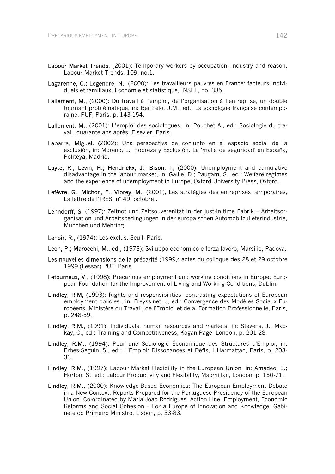- Labour Market Trends, (2001): Temporary workers by occupation, industry and reason, Labour Market Trends, 109, no.1.
- Lagarenne, C.; Legendre, N., (2000): Les travailleurs pauvres en France: facteurs individuels et familiaux, Economie et statistique, INSEE, no. 335.
- Lallement, M., (2000): Du travail à l'emploi, de l'organisation à l'entreprise, un double tournant problématique, in: Berthelot J.M., ed.: La sociologie française contemporaine, PUF, Paris, p. 143-154.
- Lallement, M., (2001): L'emploi des sociologues, in: Pouchet A., ed.: Sociologie du travail, quarante ans après, Elsevier, Paris.
- Laparra, Miguel, (2002): Una perspectiva de conjunto en el espacio social de la exclusión, in: Moreno, L.: Pobreza y Exclusión. La 'malla de seguridad' en España, Politeya, Madrid.
- Layte, R.; Levin, H.; Hendrickx, J.; Bison, I., (2000): Unemployment and cumulative disadvantage in the labour market, in: Gallie, D.; Paugam, S., ed.: Welfare regimes and the experience of unemployment in Europe, Oxford University Press, Oxford.
- Lefèvre, G., Michon, F., Viprey, M., (2001), Les stratégies des entreprises temporaires, La lettre de l'IRES, n° 49, octobre..
- Lehndorff, S. (1997): Zeitnot und Zeitsouverenität in der just-in-time Fabrik Arbeitsorganisation und Arbeitsbedingungen in der europäischen Automobilzulieferindustrie, München und Mehring.
- Lenoir, R., (1974): Les exclus, Seuil, Paris.
- Leon, P.; Marocchi, M., ed., (1973): Sviluppo economico e forza-lavoro, Marsilio, Padova.
- Les nouvelles dimensions de la précarité (1999): actes du colloque des 28 et 29 octobre 1999 (Lessor) PUF, Paris.
- Letourneux, V., (1998): Precarious employment and working conditions in Europe, European Foundation for the Improvement of Living and Working Conditions, Dublin.
- Lindley, R.M, (1993): Rights and responsibilities: contrasting expectations of European employment policies., in: Freyssinet, J, ed.: Convergence des Modèles Sociaux Européens, Ministère du Travail, de l'Emploi et de al Formation Professionnelle, Paris, p. 248-59.
- Lindley, R.M., (1991): Individuals, human resources and markets, in: Stevens, J.; Mackay, C., ed.: Training and Competitiveness, Kogan Page, London, p. 201-28.
- Lindley, R.M., (1994): Pour une Sociologie Économique des Structures d'Emploi, in: Erbes-Seguin, S., ed.: L'Emploi: Dissonances et Défis, L'Harmattan, Paris, p. 203- 33.
- Lindley, R.M., (1997): Labour Market Flexibility in the European Union, in: Amadeo, E.; Horton, S., ed.: Labour Productivity and Flexibility, Macmillan, London, p. 150-71.
- Lindley, R.M., (2000): Knowledge-Based Economies: The European Employment Debate in a New Context. Reports Prepared for the Portuguese Presidency of the European Union. Co-ordinated by Maria Joao Rodrigues. Action Line: Employment, Economic Reforms and Social Cohesion – For a Europe of Innovation and Knowledge. Gabinete do Primeiro Ministro, Lisbon, p. 33-83.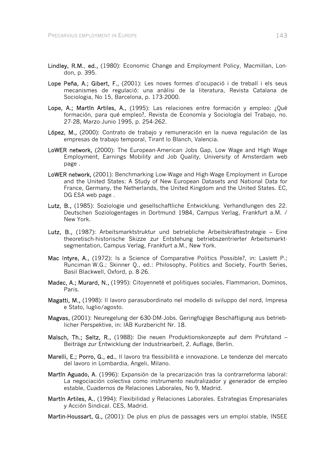- Lindley, R.M., ed., (1980): Economic Change and Employment Policy, Macmillan, London, p. 395.
- Lope Peña, A.; Gibert, F., (2001): Les noves formes d'ocupació i de treball i els seus mecanismes de regulació: una anàlisi de la literatura, Revista Catalana de Sociologia, No 15, Barcelona, p. 173-2000.
- Lope, A.; Martín Artiles, A., (1995): Las relaciones entre formación y empleo: ¿Qué formación, para qué empleo?, Revista de Economía y Sociología del Trabajo, no. 27-28, Marzo-Junio 1995, p. 254-262.
- López, M., (2000): Contrato de trabajo y remuneración en la nueva regulación de las empresas de trabajo temporal, Tirant lo Blanch, Valencia.
- LoWER network, (2000): The European-American Jobs Gap, Low Wage and High Wage Employment, Earnings Mobility and Job Quality, University of Amsterdam web page .
- LoWER network, (2001): Benchmarking Low-Wage and High-Wage Employment in Europe and the United States: A Study of New European Datasets and National Data for France, Germany, the Netherlands, the United Kingdom and the United States. EC, DG ESA web page .
- Lutz, B., (1985): Soziologie und gesellschaftliche Entwicklung. Verhandlungen des 22. Deutschen Soziologentages in Dortmund 1984, Campus Verlag, Frankfurt a.M. / New York.
- Lutz, B., (1987): Arbeitsmarktstruktur und betriebliche Arbeitskräftestrategie Eine theoretisch-historische Skizze zur Entstehung betriebszentrierter Arbeitsmarktsegmentation, Campus Verlag, Frankfurt a.M., New York.
- Mac Intyre, A., (1972): Is a Science of Comparative Politics Possible?, in: Laslett P.; Runciman W.G.; Skinner Q., ed.: Philosophy, Politics and Society, Fourth Series, Basil Blackwell, Oxford, p. 8-26.
- Madec, A.; Murard, N., (1995): Citoyenneté et politiques sociales, Flammarion, Dominos, Paris.
- Magatti, M., (1998): Il lavoro parasubordinato nel modello di sviluppo del nord, Impresa e Stato, luglio/agosto.
- Magvas, (2001): Neuregelung der 630-DM-Jobs. Geringfügige Beschäftigung aus betrieblicher Perspektive, in: IAB Kurzbericht Nr. 18.
- Malsch, Th.; Seltz, R., (1988): Die neuen Produktionskonzepte auf dem Prüfstand Beiträge zur Entwicklung der Industriearbeit, 2. Auflage, Berlin.
- Marelli, E.; Porro, G., ed., Il lavoro tra flessibilità e innovazione. Le tendenze del mercato del lavoro in Lombardia, Angeli, Milano.
- Martín Aguado, A. (1996): Expansión de la precarización tras la contrarreforma laboral: La negociación colectiva como instrumento neutralizador y generador de empleo estable, Cuadernos de Relaciones Laborales, No 9, Madrid.
- Martín Artiles, A., (1994): Flexibilidad y Relaciones Laborales. Estrategias Empresariales y Acción Sindical. CES, Madrid.
- Martin-Houssart, G., (2001): De plus en plus de passages vers un emploi stable, INSEE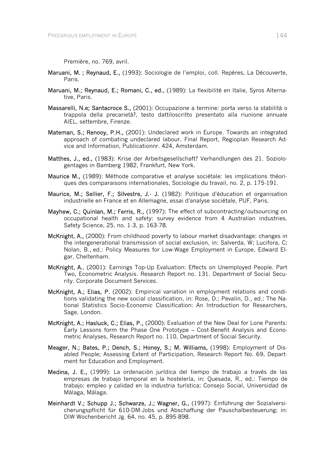Première, no. 769, avril.

- Maruani, M. ; Reynaud, E., (1993): Sociologie de l'emploi, coll. Repères, La Découverte, Paris.
- Maruani, M.; Reynaud, E.; Romani, C., ed., (1989): La flexibilité en Italie, Syros Alternative, Paris.
- Massarelli, N.e; Santacroce S., (2001): Occupazione a termine: porta verso la stabilità o trappola della precarietà?, testo dattiloscritto presentato alla riunione annuale AIEL, settembre, Firenze.
- Mateman, S.; Renooy, P.H., (2001): Undeclared work in Europe. Towards an integrated approach of combating undeclared labour. Final Report, Regioplan Research Advice and Information, Publicationnr. 424, Amsterdam.
- Matthes, J., ed., (1983): Krise der Arbeitsgesellschaft? Verhandlungen des 21. Soziologentages in Bamberg 1982, Frankfurt, New York.
- Maurice M., (1989): Méthode comparative et analyse sociétale: les implications théoriques des comparaisons internationales, Sociologie du travail, no. 2, p. 175-191.
- Maurice, M.; Sellier, F.; Silvestre, J.- J. (1982): Politique d'éducation et organisation industrielle en France et en Allemagne, essai d'analyse sociétale, PUF, Paris.
- Mayhew, C.; Quinlan, M.; Ferris, R., (1997): The effect of subcontracting/outsourcing on occupational health and safety: survey evidence from 4 Australian industries. Safety Science, 25, no. 1-3, p. 163-78.
- McKnight, A., (2000): From childhood poverty to labour market disadvantage: changes in the intergenerational transmission of social exclusion, in: Salverda, W; Lucifora, C; Nolan, B., ed.: Policy Measures for Low-Wage Employment in Europe, Edward Elgar, Cheltenham.
- McKnight, A., (2001): Earnings Top-Up Evaluation: Effects on Unemployed People. Part Two, Econometric Analysis. Research Report no. 131. Department of Social Security. Corporate Document Services.
- McKnight, A.; Elias, P. (2002): Empirical variation in employment relations and conditions validating the new social classification, in: Rose, D.; Pevalin, D., ed.: The National Statistics Socio-Economic Classification: An Introduction for Researchers, Sage, London.
- McKnight, A.; Hasluck, C.; Elias, P., (2000): Evaluation of the New Deal for Lone Parents: Early Lessons form the Phase One Prototype – Cost-Benefit Analysis and Econometric Analyses, Research Report no. 110, Department of Social Security.
- Meager, N.; Bates, P.; Dench, S.; Honey, S.; M. Williams, (1998): Employment of Disabled People; Assessing Extent of Participation, Research Report No. 69, Department for Education and Employment.
- Medina, J. E., (1999): La ordenación jurídica del tiempo de trabajo a través de las empresas de trabajo temporal en la hostelería, in: Quesada, R., ed.: Tiempo de trabajo: empleo y calidad en la industria turística; Consejo Social, Universidad de Málaga, Málaga.
- Meinhardt V.; Schupp J.; Schwarze, J.; Wagner, G., (1997): Einführung der Sozialversicherungspflicht für 610-DM-Jobs und Abschaffung der Pauschalbesteuerung; in: DIW Wochenbericht Jg. 64, no. 45, p. 895-898.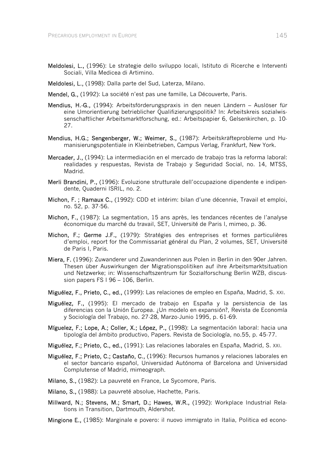- Meldolesi, L., (1996): Le strategie dello sviluppo locali, Istituto di Ricerche e Interventi Sociali, Villa Medicea di Artimino.
- Meldolesi, L., (1998): Dalla parte del Sud, Laterza, Milano.
- Mendel, G., (1992): La société n'est pas une famille, La Découverte, Paris.
- Mendius, H.-G., (1994): Arbeitsförderungspraxis in den neuen Ländern Auslöser für eine Umorientierung betrieblicher Qualifizierungspolitik? In: Arbeitskreis sozialwissenschaftlicher Arbeitsmarktforschung, ed.: Arbeitspapier 6, Gelsenkirchen, p. 10- 27.
- Mendius, H.G.; Sengenberger, W.; Weimer, S., (1987): Arbeitskräfteprobleme und Humanisierungspotentiale in Kleinbetrieben, Campus Verlag, Frankfurt, New York.
- Mercader, J., (1994): La intermediación en el mercado de trabajo tras la reforma laboral: realidades y respuestas, Revista de Trabajo y Seguridad Social, no. 14, MTSS, Madrid.
- Merli Brandini, P., (1996): Evoluzione strutturale dell'occupazione dipendente e indipendente, Quaderni ISRIL, no. 2.
- Michon, F. ; Ramaux C., (1992): CDD et intérim: bilan d'une décennie, Travail et emploi, no. 52, p. 37-56.
- Michon, F., (1987): La segmentation, 15 ans après, les tendances récentes de l'analyse économique du marché du travail, SET, Université de Paris I, mimeo, p. 36.
- Michon, F.; Germe J.F., (1979): Stratégies des entreprises et formes particulières d'emploi, report for the Commissariat général du Plan, 2 volumes, SET, Université de Paris I, Paris.
- Miera, F. (1996): Zuwanderer und Zuwanderinnen aus Polen in Berlin in den 90er Jahren. Thesen über Auswirkungen der Migrationspolitiken auf ihre Arbeitsmarktsituation und Netzwerke; in: Wissenschaftszentrum für Sozialforschung Berlin WZB, discussion papers FS I 96 – 106, Berlin.
- Miguélez, F., Prieto, C., ed., (1999): Las relaciones de empleo en España, Madrid, S. XXI.
- Miguélez, F., (1995): El mercado de trabajo en España y la persistencia de las diferencias con la Unión Europea. ¿Un modelo en expansión?, Revista de Economía y Sociología del Trabajo, no. 27-28, Marzo-Junio 1995, p. 61-69.
- Míguelez, F.; Lope, A.; Coller, X.; López, P., (1998): La segmentación laboral: hacia una tipología del ámbito productivo, Papers. Revista de Sociología, no.55, p. 45-77.
- Miguélez, F.; Prieto, C., ed., (1991): Las relaciones laborales en España, Madrid, S. XXI.
- Miguélez, F.; Prieto, C.; Castaño, C., (1996): Recursos humanos y relaciones laborales en el sector bancario español, Universidad Autónoma of Barcelona and Universidad Complutense of Madrid, mimeograph.
- Milano, S., (1982): La pauvreté en France, Le Sycomore, Paris.
- Milano, S., (1988): La pauvreté absolue, Hachette, Paris.
- Millward, N.; Stevens, M.; Smart, D.; Hawes, W.R., (1992): Workplace Industrial Relations in Transition, Dartmouth, Aldershot.
- Mingione E., (1985): Marginale e povero: il nuovo immigrato in Italia, Politica ed econo-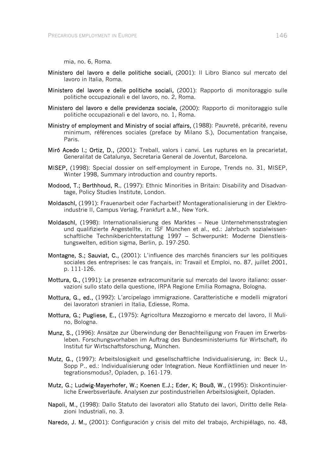mia, no. 6, Roma.

- Ministero del lavoro e delle politiche sociali, (2001): Il Libro Bianco sul mercato del lavoro in Italia, Roma.
- Ministero del lavoro e delle politiche sociali, (2001): Rapporto di monitoraggio sulle politiche occupazionali e del lavoro, no. 2, Roma.
- Ministero del lavoro e delle previdenza sociale, (2000): Rapporto di monitoraggio sulle politiche occupazionali e del lavoro, no. 1, Roma.
- Ministry of employment and Ministry of social affairs, (1988): Pauvreté, précarité, revenu minimum, références sociales (preface by Milano S.), Documentation française, Paris.
- Miró Acedo I.; Ortiz, D., (2001): Treball, valors i canvi. Les ruptures en la precarietat, Generalitat de Catalunya, Secretaria General de Joventut, Barcelona.
- MISEP, (1998): Special dossier on self-employment in Europe, Trends no. 31, MISEP, Winter 1998, Summary introduction and country reports.
- Modood, T.; Berthhoud, R., (1997): Ethnic Minorities in Britain: Disability and Disadvantage, Policy Studies Institute, London.
- Moldaschl, (1991): Frauenarbeit oder Facharbeit? Montagerationalisierung in der Elektroindustrie II, Campus Verlag, Frankfurt a.M., New York.
- Moldaschl, (1998): Internationalisierung des Marktes Neue Unternehmensstrategien und qualifizierte Angestellte, in: ISF München et al., ed.: Jahrbuch sozialwissenschaftliche Technikberichterstattung 1997 – Schwerpunkt: Moderne Dienstleistungswelten, edition sigma, Berlin, p. 197-250.
- Montagne, S.; Sauviat, C., (2001): L'influence des marchés financiers sur les politiques sociales des entreprises: le cas français, in: Travail et Emploi, no. 87, juillet 2001, p. 111-126.
- Mottura, G., (1991): Le presenze extracomunitarie sul mercato del lavoro italiano: osservazioni sullo stato della questione, IRPA Regione Emilia Romagna, Bologna.
- Mottura, G., ed., (1992): L'arcipelago immigrazione. Caratteristiche e modelli migratori dei lavoratori stranieri in Italia, Ediesse, Roma.
- Mottura, G.; Pugliese, E., (1975): Agricoltura Mezzogiorno e mercato del lavoro, Il Mulino, Bologna.
- Munz, S., (1996): Ansätze zur Überwindung der Benachteiligung von Frauen im Erwerbsleben. Forschungsvorhaben im Auftrag des Bundesministeriums für Wirtschaft, ifo Institut für Wirtschaftsforschung, München.
- Mutz, G., (1997): Arbeitslosigkeit und gesellschaftliche Individualisierung, in: Beck U., Sopp P., ed.: Individualisierung oder Integration. Neue Konfliktlinien und neuer Integrationsmodus?, Opladen, p. 161-179.
- Mutz, G.; Ludwig-Mayerhofer, W.; Koenen E.J.; Eder, K; Bouß, W., (1995): Diskontinuierliche Erwerbsverläufe. Analysen zur postindustriellen Arbeitslosigkeit, Opladen.
- Napoli, M., (1998): Dallo Statuto dei lavoratori allo Statuto dei lavori, Diritto delle Relazioni Industriali, no. 3.
- Naredo, J. M., (2001): Configuración y crisis del mito del trabajo, Archipiélago, no. 48,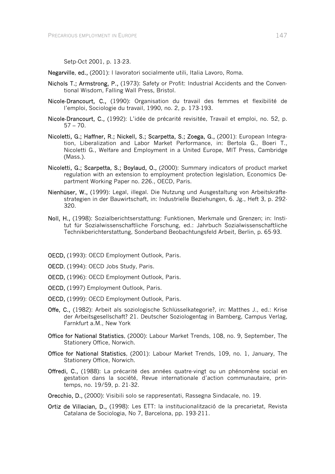Setp-Oct 2001, p. 13-23.

Negarville, ed., (2001): I lavoratori socialmente utili, Italia Lavoro, Roma.

- Nichols T.; Armstrong, P., (1973): Safety or Profit: Industrial Accidents and the Conventional Wisdom, Falling Wall Press, Bristol.
- Nicole-Drancourt, C., (1990): Organisation du travail des femmes et flexibilité de l'emploi, Sociologie du travail, 1990, no. 2, p. 173-193.
- Nicole-Drancourt, C., (1992): L'idée de précarité revisitée, Travail et emploi, no. 52, p.  $57 - 70.$
- Nicoletti, G.; Haffner, R.; Nickell, S.; Scarpetta, S.; Zoega, G., (2001): European Integration, Liberalization and Labor Market Performance, in: Bertola G., Boeri T., Nicoletti G., Welfare and Employment in a United Europe, MIT Press, Cambridge (Mass.).
- Nicoletti, G.; Scarpetta, S.; Boylaud, O., (2000): Summary indicators of product market regulation with an extension to employment protection legislation, Economics Department Working Paper no. 226., OECD, Paris.
- Nienhüser, W., (1999): Legal, illegal. Die Nutzung und Ausgestaltung von Arbeitskräftestrategien in der Bauwirtschaft, in: Industrielle Beziehungen, 6. Jg., Heft 3, p. 292- 320.
- Noll, H., (1998): Sozialberichtserstattung: Funktionen, Merkmale und Grenzen; in: Institut für Sozialwissenschaftliche Forschung, ed.: Jahrbuch Sozialwissenschaftliche Technikberichterstattung, Sonderband Beobachtungsfeld Arbeit, Berlin, p. 65-93.
- OECD, (1993): OECD Employment Outlook, Paris.
- OECD, (1994): OECD Jobs Study, Paris.
- OECD, (1996): OECD Employment Outlook, Paris.
- OECD, (1997) Employment Outlook, Paris.
- OECD, (1999): OECD Employment Outlook, Paris.
- Offe, C., (1982): Arbeit als soziologische Schlüsselkategorie?, in: Matthes J., ed.: Krise der Arbeitsgesellschaft? 21. Deutscher Soziologentag in Bamberg, Campus Verlag, Farnkfurt a.M., New York
- Office for National Statistics, (2000): Labour Market Trends, 108, no. 9, September, The Stationery Office, Norwich.
- Office for National Statistics, (2001): Labour Market Trends, 109, no. 1, January, The Stationery Office, Norwich.
- Offredi, C., (1988): La précarité des années quatre-vingt ou un phénomène social en gestation dans la société, Revue internationale d'action communautaire, printemps, no. 19/59, p. 21-32.
- Orecchio, D., (2000): Visibili solo se rappresentati, Rassegna Sindacale, no. 19.
- Ortiz de Villacian, D., (1998): Les ETT: la institucionalització de la precarietat, Revista Catalana de Sociologia, No 7, Barcelona, pp. 193-211.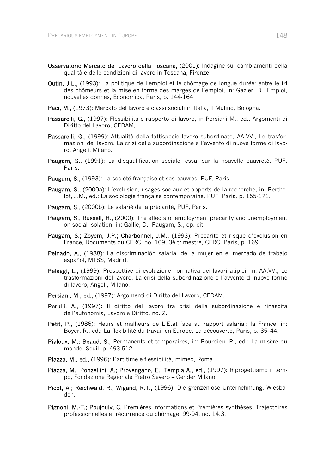- Osservatorio Mercato del Lavoro della Toscana, (2001): Indagine sui cambiamenti della qualità e delle condizioni di lavoro in Toscana, Firenze.
- Outin, J.L., (1993): La politique de l'emploi et le chômage de longue durée: entre le tri des chômeurs et la mise en forme des marges de l'emploi, in: Gazier, B., Emploi, nouvelles donnes, Economica, Paris, p. 144-164.
- Paci, M., (1973): Mercato del lavoro e classi sociali in Italia, Il Mulino, Bologna.
- Passarelli, G., (1997): Flessibilità e rapporto di lavoro, in Persiani M., ed., Argomenti di Diritto del Lavoro, CEDAM,
- Passarelli, G., (1999): Attualità della fattispecie lavoro subordinato, AA.VV., Le trasformazioni del lavoro. La crisi della subordinazione e l'avvento di nuove forme di lavoro, Angeli, Milano.
- Paugam, S., (1991): La disqualification sociale, essai sur la nouvelle pauvreté, PUF, Paris.
- Paugam, S., (1993): La société française et ses pauvres, PUF, Paris.
- Paugam, S., (2000a): L'exclusion, usages sociaux et apports de la recherche, in: Berthelot, J.M., ed.: La sociologie française contemporaine, PUF, Paris, p. 155-171.
- Paugam, S., (2000b): Le salarié de la précarité, PUF, Paris.
- Paugam, S., Russell, H., (2000): The effects of employment precarity and unemployment on social isolation, in: Gallie, D., Paugam, S., op. cit.
- Paugam, S.; Zoyem, J.P.; Charbonnel, J.M., (1993): Précarité et risque d'exclusion en France, Documents du CERC, no. 109, 3è trimestre, CERC, Paris, p. 169.
- Peinado, A., (1988): La discriminación salarial de la mujer en el mercado de trabajo español, MTSS, Madrid.
- Pelaggi, L., (1999): Prospettive di evoluzione normativa dei lavori atipici, in: AA.VV., Le trasformazioni del lavoro. La crisi della subordinazione e l'avvento di nuove forme di lavoro, Angeli, Milano.
- Persiani, M., ed., (1997): Argomenti di Diritto del Lavoro, CEDAM,
- Perulli, A., (1997): Il diritto del lavoro tra crisi della subordinazione e rinascita dell'autonomia, Lavoro e Diritto, no. 2.
- Petit, P., (1986): Heurs et malheurs de L'Etat face au rapport salarial: la France, in: Boyer, R., ed.: La flexibilité du travail en Europe, La découverte, Paris, p. 35–44.
- Pialoux, M.; Beaud, S., Permanents et temporaires, in: Bourdieu, P., ed.: La misère du monde, Seuil, p. 493-512.
- Piazza, M., ed., (1996): Part-time e flessibilità, mimeo, Roma.
- Piazza, M.; Ponzellini, A.; Provengano, E.; Tempia A., ed., (1997): Riprogettiamo il tempo, Fondazione Regionale Pietro Severo – Gender Milano.
- Picot, A.; Reichwald, R., Wigand, R.T., (1996): Die grenzenlose Unternehmung, Wiesbaden.
- Pignoni, M.-T.; Poujouly, C. Premières informations et Premières synthèses, Trajectoires professionnelles et récurrence du chômage, 99-04, no. 14.3.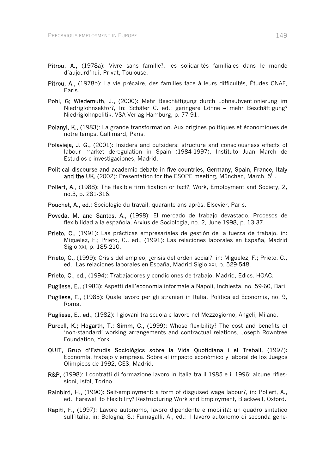- Pitrou, A., (1978a): Vivre sans famille?, les solidarités familiales dans le monde d'aujourd'hui, Privat, Toulouse.
- Pitrou, A., (1978b): La vie précaire, des familles face à leurs difficultés, Études CNAF, Paris.
- Pohl, G; Wiedemuth, J., (2000): Mehr Beschäftigung durch Lohnsubventionierung im Niedriglohnsektor?, In: Schäfer C. ed.: geringere Löhne – mehr Beschäftigung? Niedriglohnpolitik, VSA-Verlag Hamburg, p. 77-91.
- Polanyi, K., (1983): La grande transformation. Aux origines politiques et économiques de notre temps, Gallimard, Paris.
- Polavieja, J. G., (2001): Insiders and outsiders: structure and consciousness effects of labour market deregulation in Spain (1984-1997), Instituto Juan March de Estudios e investigaciones, Madrid.
- Political discourse and academic debate in five countries, Germany, Spain, France, Italy and the UK, (2002): Presentation for the ESOPE meeting, München, March, 5th.
- Pollert, A., (1988): The flexible firm fixation or fact?, Work, Employment and Society, 2, no.3, p. 281-316.
- Pouchet, A., ed.: Sociologie du travail, quarante ans après, Elsevier, Paris.
- Poveda, M. and Santos, A., (1998): El mercado de trabajo devastado. Procesos de flexibilidad a la española, Arxius de Sociologia, no. 2, June 1998, p. 13-37.
- Prieto, C., (1991): Las prácticas empresariales de gestión de la fuerza de trabajo, in: Miguelez, F.; Prieto, C., ed., (1991): Las relaciones laborales en España, Madrid Siglo XXI, p. 185-210.
- Prieto, C., (1999): Crisis del empleo, ¿crisis del orden social?, in: Miguelez, F.; Prieto, C., ed.: Las relaciones laborales en España, Madrid Siglo XXI, p. 529-548.
- Prieto, C., ed., (1994): Trabajadores y condiciones de trabajo, Madrid, Edics. HOAC.
- Pugliese, E., (1983): Aspetti dell'economia informale a Napoli, Inchiesta, no. 59-60, Bari.
- Pugliese, E., (1985): Quale lavoro per gli stranieri in Italia, Politica ed Economia, no. 9, Roma.
- Pugliese, E., ed., (1982): I giovani tra scuola e lavoro nel Mezzogiorno, Angeli, Milano.
- Purcell, K.; Hogarth, T.; Simm, C., (1999): Whose flexibility? The cost and benefits of 'non-standard' working arrangements and contractual relations, Joseph Rowntree Foundation, York.
- QUIT, Grup d'Estudis Sociològics sobre la Vida Quotidiana i el Treball, (1997): Economía, trabajo y empresa. Sobre el impacto económico y laboral de los Juegos Olímpicos de 1992, CES, Madrid.
- R&P, (1998): I contratti di formazione lavoro in Italia tra il 1985 e il 1996; alcune riflessioni, Isfol, Torino.
- Rainbird, H., (1990): Self-employment: a form of disguised wage labour?, in: Pollert, A., ed.: Farewell to Flexibility? Restructuring Work and Employment, Blackwell, Oxford.
- Rapiti, F., (1997): Lavoro autonomo, lavoro dipendente e mobilità: un quadro sintetico sull'Italia, in: Bologna, S.; Fumagalli, A., ed.: Il lavoro autonomo di seconda gene-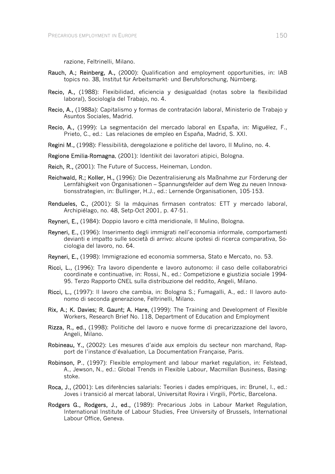razione, Feltrinelli, Milano.

- Rauch, A.; Reinberg, A., (2000): Qualification and employment opportunities, in: IAB topics no. 38, Institut für Arbeitsmarkt- und Berufsforschung, Nürnberg.
- Recio, A., (1988): Flexibilidad, eficiencia y desigualdad (notas sobre la flexibilidad laboral), Sociología del Trabajo, no. 4.
- Recio, A., (1988a): Capitalismo y formas de contratación laboral, Ministerio de Trabajo y Asuntos Sociales, Madrid.
- Recio, A., (1999): La segmentación del mercado laboral en España, in: Miguélez, F., Prieto, C., ed.: Las relaciones de empleo en España, Madrid, S. XXI.
- Regini M., (1998): Flessibilità, deregolazione e politiche del lavoro, Il Mulino, no. 4.
- Regione Emilia-Romagna, (2001): Identikit dei lavoratori atipici, Bologna.
- Reich, R., (2001): The Future of Success, Heineman, London.
- Reichwald, R.; Koller, H., (1996): Die Dezentralisierung als Maßnahme zur Förderung der Lernfähigkeit von Organisationen – Spannungsfelder auf dem Weg zu neuen Innovationsstrategien, in: Bullinger, H.J., ed.: Lernende Organisationen, 105-153.
- Rendueles, C., (2001): Si la máquinas firmasen contratos: ETT y mercado laboral, Archipiélago, no. 48, Setp-Oct 2001, p. 47-51.
- Reyneri, E., (1984): Doppio lavoro e città meridionale, Il Mulino, Bologna.
- Reyneri, E., (1996): Inserimento degli immigrati nell'economia informale, comportamenti devianti e impatto sulle società di arrivo: alcune ipotesi di ricerca comparativa, Sociologia del lavoro, no. 64.
- Reyneri, E., (1998): Immigrazione ed economia sommersa, Stato e Mercato, no. 53.
- Ricci, L., (1996): Tra lavoro dipendente e lavoro autonomo: il caso delle collaboratrici coordinate e continuative, in: Rossi, N., ed.: Competizione e giustizia sociale 1994- 95. Terzo Rapporto CNEL sulla distribuzione del reddito, Angeli, Milano.
- Ricci, L., (1997): Il lavoro che cambia, in: Bologna S.; Fumagalli, A., ed.: Il lavoro autonomo di seconda generazione, Feltrinelli, Milano.
- Rix, A.; K. Davies; R. Gaunt; A. Hare, (1999): The Training and Development of Flexible Workers, Research Brief No. 118, Department of Education and Employment
- Rizza, R., ed., (1998): Politiche del lavoro e nuove forme di precarizzazione del lavoro. Angeli, Milano.
- Robineau, Y., (2002): Les mesures d'aide aux emplois du secteur non marchand, Rapport de l'instance d'évaluation, La Documentation Française, Paris.
- Robinson, P., (1997): Flexible employment and labour market regulation, in: Felstead, A., Jewson, N., ed.: Global Trends in Flexible Labour, Macmillan Business, Basingstoke.
- Roca, J., (2001): Les diferències salarials: Teories i dades empíriques, in: Brunel, I., ed.: Joves i transició al mercat laboral, Universitat Rovira i Virgili, Pòrtic, Barcelona.
- Rodgers G., Rodgers, J., ed., (1989): Precarious Jobs in Labour Market Regulation, International Institute of Labour Studies, Free University of Brussels, International Labour Office, Geneva.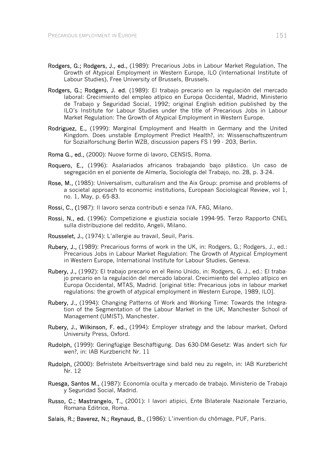- Rodgers, G.; Rodgers, J., ed., (1989): Precarious Jobs in Labour Market Regulation, The Growth of Atypical Employment in Western Europe, ILO (International Institute of Labour Studies), Free University of Brussels, Brussels.
- Rodgers, G.; Rodgers, J. ed. (1989): El trabajo precario en la regulación del mercado laboral: Crecimiento del empleo atípico en Europa Occidental, Madrid, Ministerio de Trabajo y Seguridad Social, 1992; original English edition published by the ILO's Institute for Labour Studies under the title of Precarious Jobs in Labour Market Regulation: The Growth of Atypical Employment in Western Europe.
- Rodriguez, E., (1999): Marginal Employment and Health in Germany and the United Kingdom. Does unstable Employment Predict Health?, in: Wissenschaftszentrum für Sozialforschung Berlin WZB, discussion papers FS I 99 - 203, Berlin.
- Roma G., ed., (2000): Nuove forme di lavoro, CENSIS, Roma.
- Roquero, E., (1996): Asalariados africanos trabajando bajo plástico. Un caso de segregación en el poniente de Almería, Sociología del Trabajo, no. 28, p. 3-24.
- Rose, M., (1985): Universalism, culturalism and the Aix Group: promise and problems of a societal approach to economic institutions, European Sociological Review, vol 1, no. 1, May, p. 65-83.
- Rossi, C., (1987): Il lavoro senza contributi e senza IVA, FAG, Milano.
- Rossi, N., ed. (1996): Competizione e giustizia sociale 1994-95. Terzo Rapporto CNEL sulla distribuzione del reddito, Angeli, Milano.
- Rousselet, J., (1974): L'allergie au travail, Seuil, Paris.
- Rubery, J., (1989): Precarious forms of work in the UK, in: Rodgers, G.; Rodgers, J., ed.: Precarious Jobs in Labour Market Regulation: The Growth of Atypical Employment in Western Europe, International Institute for Labour Studies, Geneva.
- Rubery, J., (1992): El trabajo precario en el Reino Unido, in: Rodgers, G. J., ed.: El trabajo precario en la regulación del mercado laboral. Crecimiento del empleo atípico en Europa Occidental, MTAS, Madrid. [original title: Precarious jobs in labour market regulations: the growth of atypical employment in Western Europe, 1989, ILO].
- Rubery, J., (1994): Changing Patterns of Work and Working Time: Towards the Integration of the Segmentation of the Labour Market in the UK, Manchester School of Management (UMIST), Manchester.
- Rubery, J., Wilkinson, F. ed., (1994): Employer strategy and the labour market, Oxford University Press, Oxford.
- Rudolph, (1999): Geringfügige Beschäftigung. Das 630-DM-Gesetz: Was ändert sich für wen?, in: IAB Kurzbericht Nr. 11
- Rudolph, (2000): Befristete Arbeitsverträge sind bald neu zu regeln, in: IAB Kurzbericht Nr. 12
- Ruesga, Santos M., (1987): Economía oculta y mercado de trabajo. Ministerio de Trabajo y Seguridad Social, Madrid.
- Russo, C.; Mastrangelo, T., (2001): I lavori atipici, Ente Bilaterale Nazionale Terziario, Romana Editrice, Roma.
- Salais, R.; Baverez, N.; Reynaud, B., (1986): L'invention du chômage, PUF, Paris.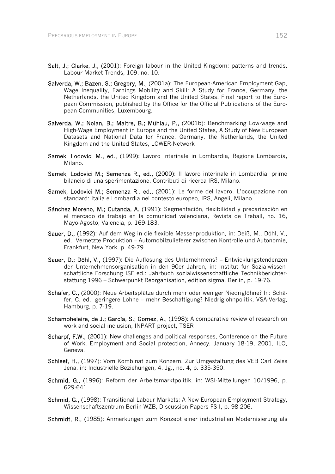- Salt, J.; Clarke, J., (2001): Foreign labour in the United Kingdom: patterns and trends, Labour Market Trends, 109, no. 10.
- Salverda, W.; Bazen, S.; Gregory, M., (2001a): The European-American Employment Gap, Wage Inequality, Earnings Mobility and Skill: A Study for France, Germany, the Netherlands, the United Kingdom and the United States. Final report to the European Commission, published by the Office for the Official Publications of the European Communities, Luxembourg.
- Salverda, W.; Nolan, B.; Maitre, B.; Mühlau, P., (2001b): Benchmarking Low-wage and High-Wage Employment in Europe and the United States, A Study of New European Datasets and National Data for France, Germany, the Netherlands, the United Kingdom and the United States, LOWER-Network
- Samek, Lodovici M., ed., (1999): Lavoro interinale in Lombardia, Regione Lombardia, Milano.
- Samek, Lodovici M.; Semenza R., ed., (2000): Il lavoro interinale in Lombardia: primo bilancio di una sperimentazione, Contributi di ricerca IRS, Milano.
- Samek, Lodovici M.; Semenza R., ed., (2001): Le forme del lavoro. L'occupazione non standard: Italia e Lombardia nel contesto europeo, IRS, Angeli, Milano.
- Sánchez Moreno, M.; Cutanda, A. (1991): Segmentación, flexibilidad y precarización en el mercado de trabajo en la comunidad valenciana, Revista de Treball, no. 16, Mayo-Agosto, Valencia, p. 169-183.
- Sauer, D., (1992): Auf dem Weg in die flexible Massenproduktion, in: Deiß, M., Döhl, V., ed.: Vernetzte Produktion – Automobilzulieferer zwischen Kontrolle und Autonomie, Frankfurt, New York, p. 49-79.
- Sauer, D.; Döhl, V., (1997): Die Auflösung des Unternehmens? Entwicklungstendenzen der Unternehmensorganisation in den 90er Jahren, in: Institut für Sozialwissenschaftliche Forschung ISF ed.: Jahrbuch sozialwissenschaftliche Technikberichterstattung 1996 – Schwerpunkt Reorganisation, edition sigma, Berlin, p. 19-76.
- Schäfer, C., (2000): Neue Arbeitsplätze durch mehr oder weniger Niedriglöhne? In: Schäfer, C. ed.: geringere Löhne – mehr Beschäftigung? Niedriglohnpolitik, VSA-Verlag, Hamburg, p. 7-19.
- Schampheleire, de J.; García, S.; Gomez, A., (1998): A comparative review of research on work and social inclusion, INPART project, TSER
- Scharpf, F.W., (2001): New challenges and political responses, Conference on the Future of Work, Employment and Social protection, Annecy, January 18-19, 2001, ILO, Geneva.
- Schleef, H., (1997): Vom Kombinat zum Konzern. Zur Umgestaltung des VEB Carl Zeiss Jena, in: Industrielle Beziehungen, 4. Jg., no. 4, p. 335-350.
- Schmid, G., (1996): Reform der Arbeitsmarktpolitik, in: WSI-Mitteilungen 10/1996, p. 629-641.
- Schmid, G., (1998): Transitional Labour Markets: A New European Employment Strategy. Wissenschaftszentrum Berlin WZB, Discussion Papers FS I, p. 98-206.
- Schmidt, R., (1985): Anmerkungen zum Konzept einer industriellen Modernisierung als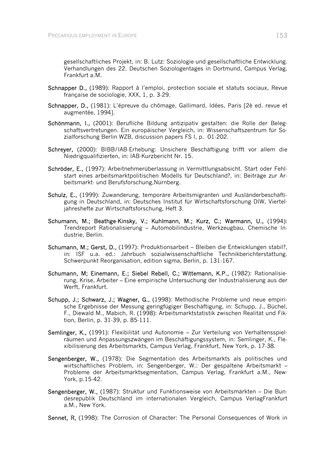gesellschaftliches Projekt, in: B. Lutz: Soziologie und gesellschaftliche Entwicklung. Verhandlungen des 22. Deutschen Soziologentages in Dortmund, Campus Verlag, Frankfurt a.M.

- Schnapper D., (1989): Rapport à l'emploi, protection sociale et statuts sociaux, Revue française de sociologie, XXX, 1, p. 3-29.
- Schnapper, D., (1981): L'épreuve du chômage, Gallimard, Idées, Paris [2è ed. revue et augmentée, 1994].
- Schönmann, I., (2001): Berufliche Bildung antizipativ gestalten: die Rolle der Belegschaftsvertretungen. Ein europäischer Vergleich, in: Wissenschaftszentrum für Sozialforschung Berlin WZB, discussion papers FS I, p. 01-202.
- Schreyer, (2000): BIBB/IAB-Erhebung: Unsichere Beschäftigung trifft vor allem die Niedrigqualifizierten, in: IAB-Kurzbericht Nr. 15.
- Schröder, E., (1997): Arbeitnehmerüberlassung in Vermittlungsabsicht. Start oder Fehlstart eines arbeitsmarktpolitischen Modells für Deutschland?, in: Beiträge zur Arbeitsmarkt- und Berufsforschung,Nürnberg.
- Schulz, E., (1999): Zuwanderung, temporäre Arbeitsmigranten und Ausländerbeschäftigung in Deutschland, in: Deutsches Institut für Wirtschaftsforschung DIW, Vierteljahreshefte zur Wirtschaftsforschung, Heft 3.
- Schumann, M.; Beathge-Kinsky, V.; Kuhlmann, M.; Kurz, C.; Warmann, U., (1994): Trendreport Rationalisierung – Automobilindustrie, Werkzeugbau, Chemische Industrie, Berlin.
- Schumann, M.; Gerst, D., (1997): Produktionsarbeit Bleiben die Entwicklungen stabil?, in: ISF u.a. ed.: Jahrbuch sozialwissenschaftliche Technikberichterstattung. Schwerpunkt Reorganisation, edition sigma, Berlin, p. 131-167.
- Schumann, M; Einemann, E.; Siebel Rebell, C.; Wittemann, K.P., (1982): Rationalisierung, Krise, Arbeiter – Eine empirische Untersuchung der Industrialisierung aus der Werft, Frankfurt.
- Schupp, J.; Schwarz, J.; Wagner, G., (1998): Methodische Probleme und neue empirische Ergebnisse der Messung geringfügiger Beschäftigung, in: Schupp, J., Büchel, F., Diewald M., Mabich, R. (1998): Arbeitsmarktstatistik zwischen Realität und Fiktion, Berlin, p. 31-39, p. 85-111.
- Semlinger, K., (1991): Flexibilität und Autonomie Zur Verteilung von Verhaltensspielräumen und Anpassungszwängen im Beschäftigungssystem, in: Semlinger, K., Flexibilisierung des Arbeitsmarkts, Campus Verlag, Frankfurt, New York, p. 17-38.
- Sengenberger, W., (1978): Die Segmentation des Arbeitsmarkts als politisches und wirtschaftliches Problem, in: Sengenberger, W.: Der gespaltene Arbeitsmarkt – Probleme der Arbeitsmarktsegmentation, Campus Verlag, Frankfurt a.M., New-York, p.15-42.
- Sengenberger, W., (1987): Struktur und Funktionsweise von Arbeitsmärkten Die Bundesrepublik Deutschland im internationalen Vergleich, Campus VerlagFrankfurt a.M., New York.
- Sennet, R, (1998): The Corrosion of Character: The Personal Consequences of Work in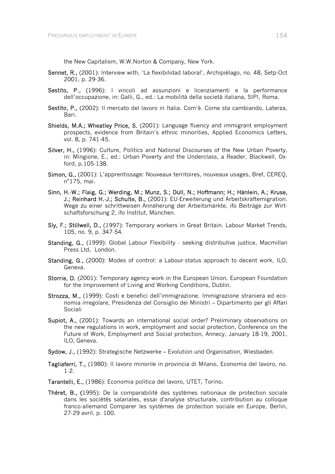the New Capitalism, W.W.Norton & Company, New York.

- Sennet, R., (2001): Interview with, 'La flexibilidad laboral', Archipiélago, no. 48, Setp-Oct 2001, p. 29-36.
- Sestito, P., (1996): I vincoli ad assunzioni e licenziamenti e la performance dell'occupazione, in: Galli, G., ed.: La mobilità della società italiana, SIPI, Roma.
- Sestito, P., (2002): Il mercato del lavoro in Italia. Com'è. Come sta cambiando, Laterza, Bari.
- Shields, M.A.; Wheatley Price, S. (2001): Language fluency and immigrant employment prospects, evidence from Britain's ethnic minorities, Applied Economics Letters, vol. 8, p. 741-45.
- Silver, H., (1996): Culture, Politics and National Discourses of the New Urban Poverty, in: Mingione, E., ed.: Urban Poverty and the Underclass, a Reader, Blackwell, Oxford, p.105-138.
- Simon, G., (2001): L'apprentissage: Nouveaux territoires, nouveaux usages, Bref, CEREQ, n°175, mai.
- Sinn, H.-W.; Flaig, G.; Werding, M.; Munz, S.; Düll, N.; Hoffmann; H.; Hänlein, A.; Kruse, J.; Reinhard H.-J.; Schulte, B., (2001): EU-Erweiterung und Arbeitskräftemigration. Wege zu einer schrittweisen Annäherung der Arbeitsmärkte, ifo Beiträge zur Wirtschaftsforschung 2, ifo Institut, München.
- Sly, F.; Stillwell, D., (1997): Temporary workers in Great Britain. Labour Market Trends. 105, no. 9, p. 347-54.
- Standing, G., (1999): Global Labour Flexibility seeking distributive justice, Macmillan Press Ltd, London.
- Standing, G., (2000): Modes of control: a Labour-status approach to decent work, ILO, Geneva.
- Storrie, D. (2001): Temporary agency work in the European Union, European Foundation for the Improvement of Living and Working Conditions, Dublin.
- Strozza, M., (1999): Costi e benefici dell'immigrazione. Immigrazione straniera ed economia irregolare, Presidenza del Consiglio dei Ministri – Dipartimento per gli Affari Sociali
- Supiot, A., (2001): Towards an international social order? Preliminary observations on the new regulations in work, employment and social protection, Conference on the Future of Work, Employment and Social protection, Annecy, January 18-19, 2001, ILO, Geneva.
- Sydow, J., (1992): Strategische Netzwerke Evolution und Organisation, Wiesbaden.
- Tagliaferri, T., (1980): Il lavoro minorile in provincia di Milano, Economia del lavoro, no. 1-2.
- Tarantelli, E., (1986): Economia politica del lavoro, UTET, Torino.
- Théret, B., (1995): De la comparabilité des systèmes nationaux de protection sociale dans les sociétés salariales, essai d'analyse structurale, contribution au colloque franco-allemand Comparer les systèmes de protection sociale en Europe, Berlin, 27-29 avril, p. 100.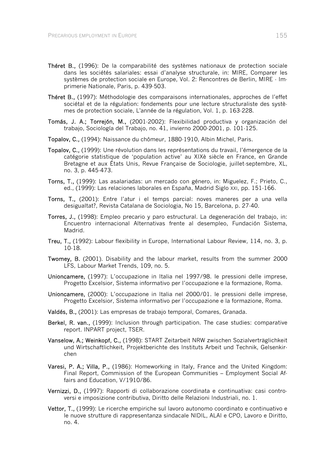- Théret B., (1996): De la comparabilité des systèmes nationaux de protection sociale dans les sociétés salariales: essai d'analyse structurale, in: MIRE, Comparer les systèmes de protection sociale en Europe, Vol. 2: Rencontres de Berlin, MIRE - Imprimerie Nationale, Paris, p. 439-503.
- Théret B., (1997): Méthodologie des comparaisons internationales, approches de l'effet sociétal et de la régulation: fondements pour une lecture structuraliste des systèmes de protection sociale, L'année de la régulation, Vol. 1, p. 163-228.
- Tomás, J. A.; Torrejón, M., (2001-2002): Flexibilidad productiva y organización del trabajo, Sociología del Trabajo, no. 41, invierno 2000-2001, p. 101-125.
- Topalov, C., (1994): Naissance du chômeur, 1880-1910, Albin Michel, Paris.
- Topalov, C., (1999): Une révolution dans les représentations du travail, l'émergence de la catégorie statistique de 'population active' au XIXè siècle en France, en Grande Bretagne et aux États Unis, Revue Française de Sociologie, juillet-septembre, XL, no. 3, p. 445-473.
- Torns, T., (1999): Las asalariadas: un mercado con género, in: Miguelez, F.; Prieto, C., ed., (1999): Las relaciones laborales en España, Madrid Siglo XXI, pp. 151-166.
- Torns, T., (2001): Entre l'atur i el temps parcial: noves maneres per a una vella desigualtat?, Revista Catalana de Sociologia, No 15, Barcelona, p. 27-40.
- Torres, J., (1998): Empleo precario y paro estructural. La degeneración del trabajo, in: Encuentro internacional Alternativas frente al desempleo, Fundación Sistema, Madrid.
- Treu, T., (1992): Labour flexibility in Europe, International Labour Review, 114, no. 3, p. 10-18.
- Twomey, B. (2001). Disability and the labour market, results from the summer 2000 LFS, Labour Market Trends, 109, no. 5.
- Unioncamere, (1997): L'occupazione in Italia nel 1997/98. le pressioni delle imprese, Progetto Excelsior, Sistema informativo per l'occupazione e la formazione, Roma.
- Unioncamere, (2000): L'occupazione in Italia nel 2000/01. le pressioni delle imprese, Progetto Excelsior, Sistema informativo per l'occupazione e la formazione, Roma.
- Valdés, B., (2001): Las empresas de trabajo temporal, Comares, Granada.
- Berkel, R. van., (1999): Inclusion through participation. The case studies: comparative report. INPART project, TSER.
- Vanselow, A.; Weinkopf, C., (1998): START Zeitarbeit NRW zwischen Sozialverträglichkeit und Wirtschaftlichkeit, Projektberichte des Instituts Arbeit und Technik, Gelsenkirchen
- Varesi, P. A.; Villa, P., (1986): Homeworking in Italy, France and the United Kingdom: Final Report, Commission of the European Communities – Employment Social Affairs and Education, V/1910/86.
- Vernizzi, D., (1997): Rapporti di collaborazione coordinata e continuativa: casi controversi e imposizione contributiva, Diritto delle Relazioni Industriali, no. 1.
- Vettor, T., (1999): Le ricerche empiriche sul lavoro autonomo coordinato e continuativo e le nuove strutture di rappresentanza sindacale NIDIL, ALAI e CPO, Lavoro e Diritto, no. 4.